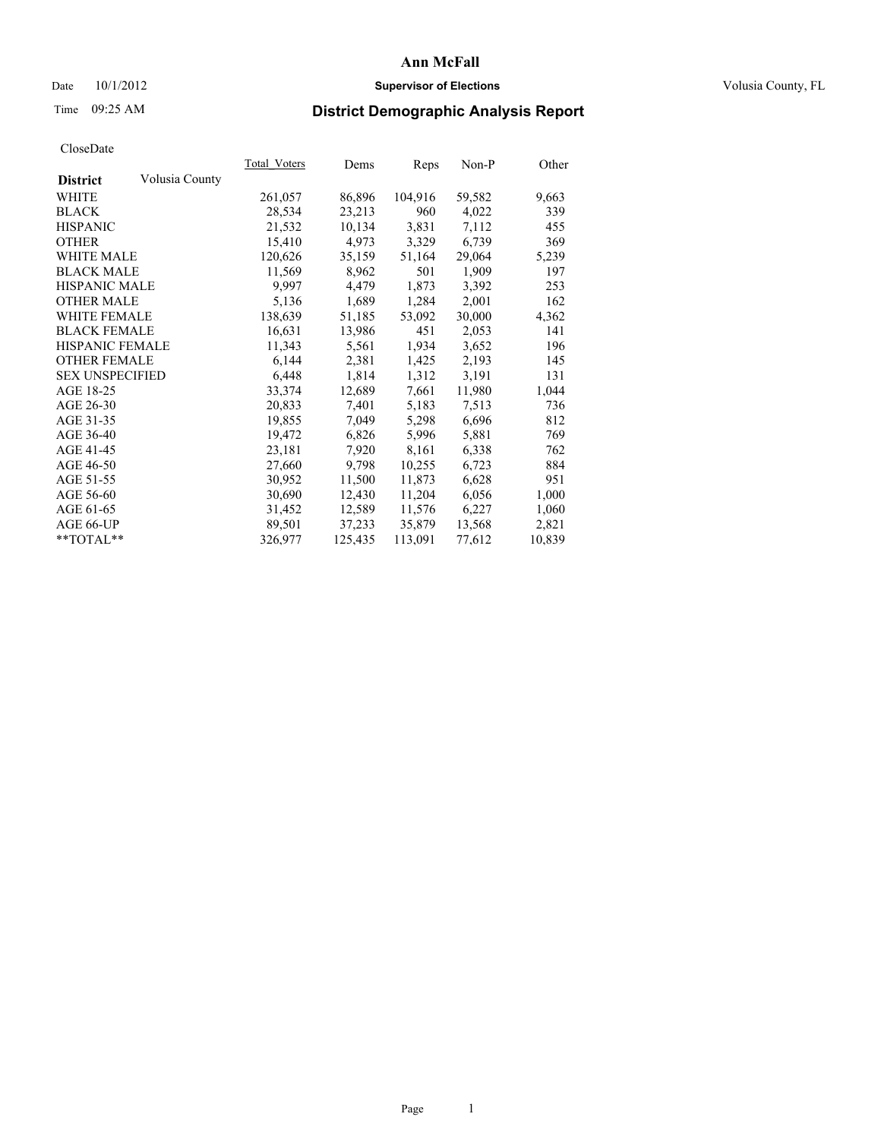### Date  $10/1/2012$  **Supervisor of Elections Supervisor of Elections** Volusia County, FL

# Time 09:25 AM **District Demographic Analysis Report**

|                        |                | Total Voters | Dems    | <b>Reps</b> | Non-P  | Other  |
|------------------------|----------------|--------------|---------|-------------|--------|--------|
| <b>District</b>        | Volusia County |              |         |             |        |        |
| WHITE                  |                | 261,057      | 86,896  | 104,916     | 59,582 | 9,663  |
| <b>BLACK</b>           |                | 28,534       | 23,213  | 960         | 4,022  | 339    |
| <b>HISPANIC</b>        |                | 21,532       | 10,134  | 3,831       | 7,112  | 455    |
| <b>OTHER</b>           |                | 15,410       | 4,973   | 3,329       | 6,739  | 369    |
| WHITE MALE             |                | 120,626      | 35,159  | 51,164      | 29,064 | 5,239  |
| <b>BLACK MALE</b>      |                | 11,569       | 8,962   | 501         | 1,909  | 197    |
| <b>HISPANIC MALE</b>   |                | 9,997        | 4,479   | 1,873       | 3,392  | 253    |
| <b>OTHER MALE</b>      |                | 5,136        | 1,689   | 1,284       | 2,001  | 162    |
| <b>WHITE FEMALE</b>    |                | 138,639      | 51,185  | 53,092      | 30,000 | 4,362  |
| <b>BLACK FEMALE</b>    |                | 16,631       | 13,986  | 451         | 2,053  | 141    |
| <b>HISPANIC FEMALE</b> |                | 11,343       | 5,561   | 1,934       | 3,652  | 196    |
| <b>OTHER FEMALE</b>    |                | 6,144        | 2,381   | 1,425       | 2,193  | 145    |
| <b>SEX UNSPECIFIED</b> |                | 6,448        | 1,814   | 1,312       | 3,191  | 131    |
| AGE 18-25              |                | 33,374       | 12,689  | 7,661       | 11,980 | 1,044  |
| AGE 26-30              |                | 20,833       | 7,401   | 5,183       | 7,513  | 736    |
| AGE 31-35              |                | 19,855       | 7,049   | 5,298       | 6,696  | 812    |
| AGE 36-40              |                | 19,472       | 6,826   | 5,996       | 5,881  | 769    |
| AGE 41-45              |                | 23,181       | 7,920   | 8,161       | 6,338  | 762    |
| AGE 46-50              |                | 27,660       | 9,798   | 10,255      | 6,723  | 884    |
| AGE 51-55              |                | 30,952       | 11,500  | 11,873      | 6,628  | 951    |
| AGE 56-60              |                | 30,690       | 12,430  | 11,204      | 6,056  | 1,000  |
| AGE 61-65              |                | 31,452       | 12,589  | 11,576      | 6,227  | 1,060  |
| AGE 66-UP              |                | 89,501       | 37,233  | 35,879      | 13,568 | 2,821  |
| $*$ TOTAL $*$          |                | 326,977      | 125,435 | 113,091     | 77,612 | 10,839 |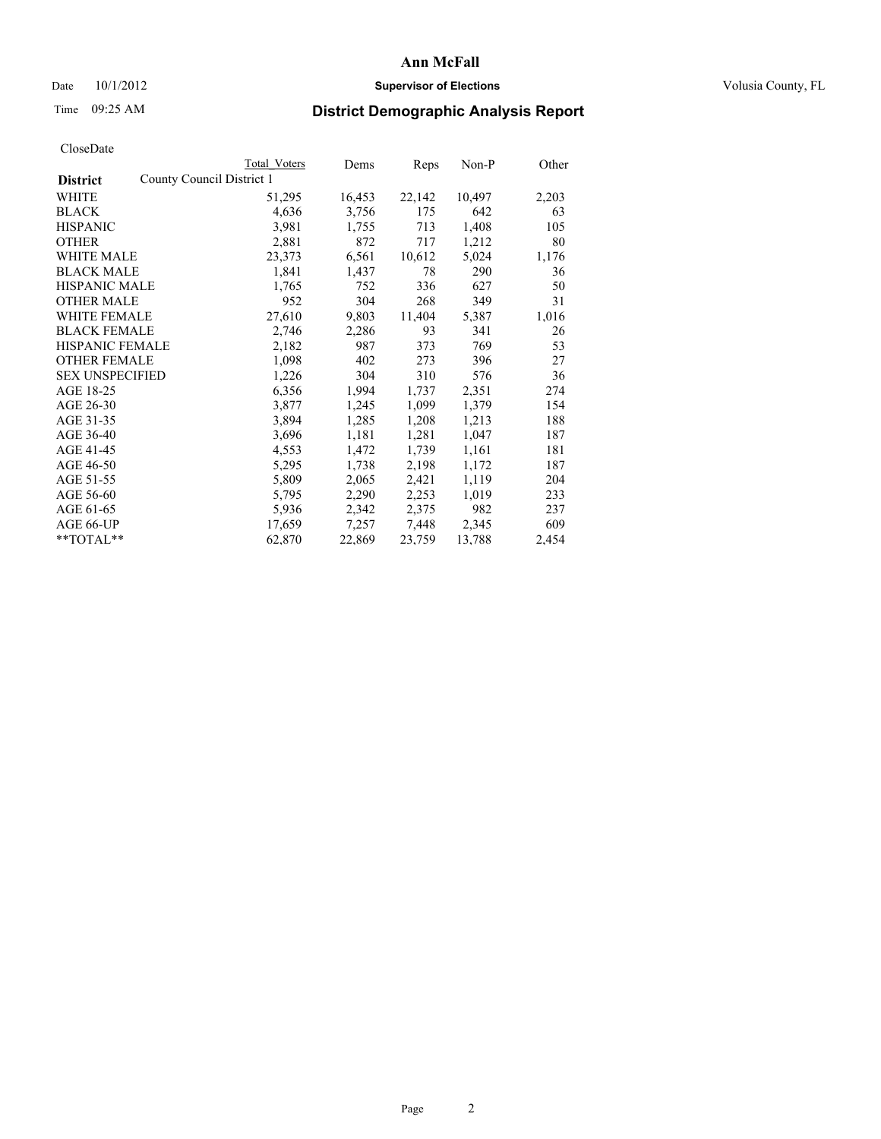### Date  $10/1/2012$  **Supervisor of Elections Supervisor of Elections** Volusia County, FL

# Time 09:25 AM **District Demographic Analysis Report**

|                        |                           | <b>Total Voters</b> | Dems   | <b>Reps</b> | Non-P  | Other |
|------------------------|---------------------------|---------------------|--------|-------------|--------|-------|
| <b>District</b>        | County Council District 1 |                     |        |             |        |       |
| WHITE                  |                           | 51,295              | 16,453 | 22,142      | 10,497 | 2,203 |
| <b>BLACK</b>           |                           | 4,636               | 3,756  | 175         | 642    | 63    |
| <b>HISPANIC</b>        |                           | 3,981               | 1,755  | 713         | 1,408  | 105   |
| <b>OTHER</b>           |                           | 2,881               | 872    | 717         | 1,212  | 80    |
| WHITE MALE             |                           | 23,373              | 6,561  | 10,612      | 5,024  | 1,176 |
| <b>BLACK MALE</b>      |                           | 1,841               | 1,437  | 78          | 290    | 36    |
| <b>HISPANIC MALE</b>   |                           | 1,765               | 752    | 336         | 627    | 50    |
| <b>OTHER MALE</b>      |                           | 952                 | 304    | 268         | 349    | 31    |
| <b>WHITE FEMALE</b>    |                           | 27,610              | 9,803  | 11,404      | 5,387  | 1,016 |
| <b>BLACK FEMALE</b>    |                           | 2,746               | 2,286  | 93          | 341    | 26    |
| <b>HISPANIC FEMALE</b> |                           | 2,182               | 987    | 373         | 769    | 53    |
| <b>OTHER FEMALE</b>    |                           | 1,098               | 402    | 273         | 396    | 27    |
| <b>SEX UNSPECIFIED</b> |                           | 1,226               | 304    | 310         | 576    | 36    |
| AGE 18-25              |                           | 6,356               | 1,994  | 1,737       | 2,351  | 274   |
| AGE 26-30              |                           | 3,877               | 1,245  | 1,099       | 1,379  | 154   |
| AGE 31-35              |                           | 3,894               | 1,285  | 1,208       | 1,213  | 188   |
| AGE 36-40              |                           | 3,696               | 1,181  | 1,281       | 1,047  | 187   |
| AGE 41-45              |                           | 4,553               | 1,472  | 1,739       | 1,161  | 181   |
| AGE 46-50              |                           | 5,295               | 1,738  | 2,198       | 1,172  | 187   |
| AGE 51-55              |                           | 5,809               | 2,065  | 2,421       | 1,119  | 204   |
| AGE 56-60              |                           | 5,795               | 2,290  | 2,253       | 1,019  | 233   |
| AGE 61-65              |                           | 5,936               | 2,342  | 2,375       | 982    | 237   |
| AGE 66-UP              |                           | 17,659              | 7,257  | 7,448       | 2,345  | 609   |
| **TOTAL**              |                           | 62,870              | 22,869 | 23,759      | 13,788 | 2,454 |
|                        |                           |                     |        |             |        |       |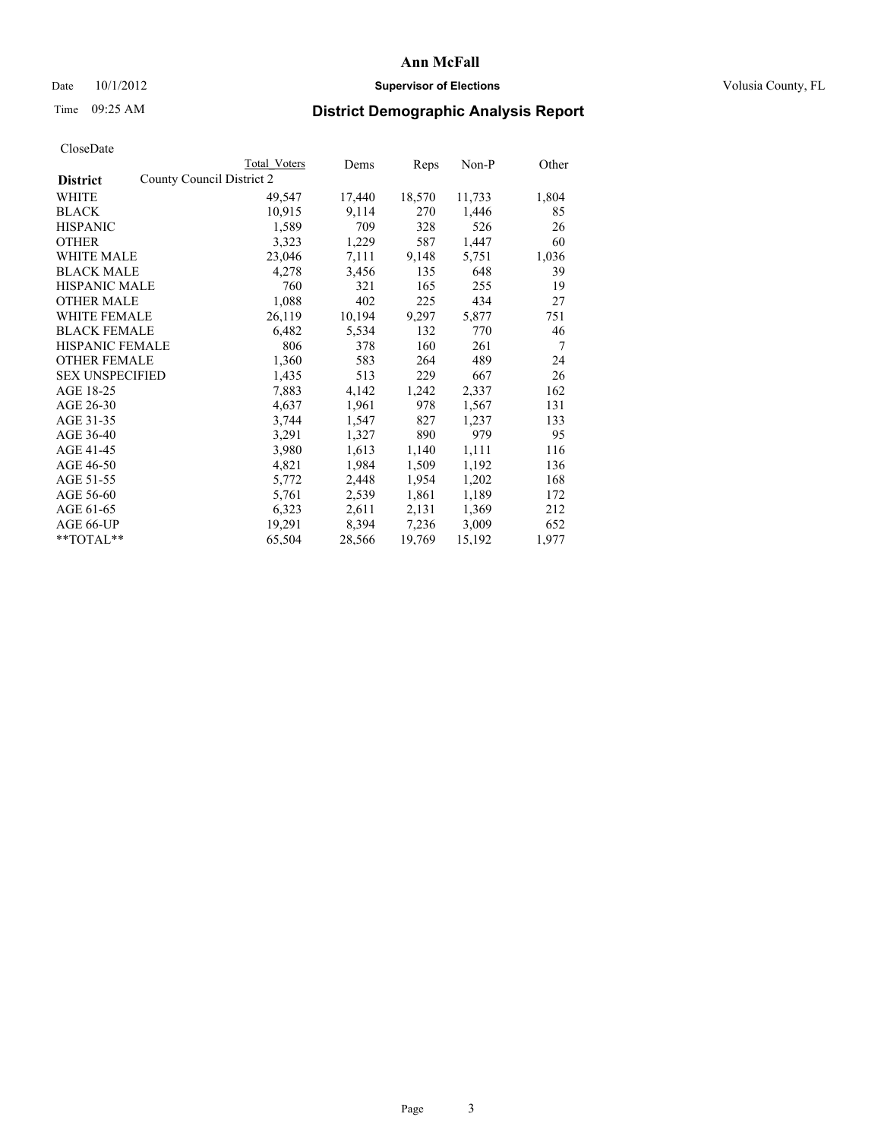### Date  $10/1/2012$  **Supervisor of Elections Supervisor of Elections** Volusia County, FL

## Time 09:25 AM **District Demographic Analysis Report**

|                                              | Total Voters | Dems   | <b>Reps</b> | $Non-P$ | Other          |
|----------------------------------------------|--------------|--------|-------------|---------|----------------|
| County Council District 2<br><b>District</b> |              |        |             |         |                |
| WHITE                                        | 49,547       | 17,440 | 18,570      | 11,733  | 1,804          |
| <b>BLACK</b>                                 | 10,915       | 9,114  | 270         | 1,446   | 85             |
| <b>HISPANIC</b>                              | 1,589        | 709    | 328         | 526     | 26             |
| <b>OTHER</b>                                 | 3,323        | 1,229  | 587         | 1,447   | 60             |
| <b>WHITE MALE</b>                            | 23,046       | 7,111  | 9,148       | 5,751   | 1,036          |
| <b>BLACK MALE</b>                            | 4,278        | 3,456  | 135         | 648     | 39             |
| <b>HISPANIC MALE</b>                         | 760          | 321    | 165         | 255     | 19             |
| <b>OTHER MALE</b>                            | 1,088        | 402    | 225         | 434     | 27             |
| WHITE FEMALE                                 | 26,119       | 10,194 | 9,297       | 5,877   | 751            |
| <b>BLACK FEMALE</b>                          | 6,482        | 5,534  | 132         | 770     | 46             |
| <b>HISPANIC FEMALE</b>                       | 806          | 378    | 160         | 261     | $\overline{7}$ |
| <b>OTHER FEMALE</b>                          | 1,360        | 583    | 264         | 489     | 24             |
| <b>SEX UNSPECIFIED</b>                       | 1,435        | 513    | 229         | 667     | 26             |
| AGE 18-25                                    | 7,883        | 4,142  | 1,242       | 2,337   | 162            |
| AGE 26-30                                    | 4,637        | 1,961  | 978         | 1,567   | 131            |
| AGE 31-35                                    | 3,744        | 1,547  | 827         | 1,237   | 133            |
| AGE 36-40                                    | 3,291        | 1,327  | 890         | 979     | 95             |
| AGE 41-45                                    | 3,980        | 1,613  | 1,140       | 1,111   | 116            |
| AGE 46-50                                    | 4,821        | 1,984  | 1,509       | 1,192   | 136            |
| AGE 51-55                                    | 5,772        | 2,448  | 1,954       | 1,202   | 168            |
| AGE 56-60                                    | 5,761        | 2,539  | 1,861       | 1,189   | 172            |
| AGE 61-65                                    | 6,323        | 2,611  | 2,131       | 1,369   | 212            |
| AGE 66-UP                                    | 19,291       | 8,394  | 7,236       | 3,009   | 652            |
| $*$ $TOTAI.**$                               | 65,504       | 28,566 | 19,769      | 15,192  | 1,977          |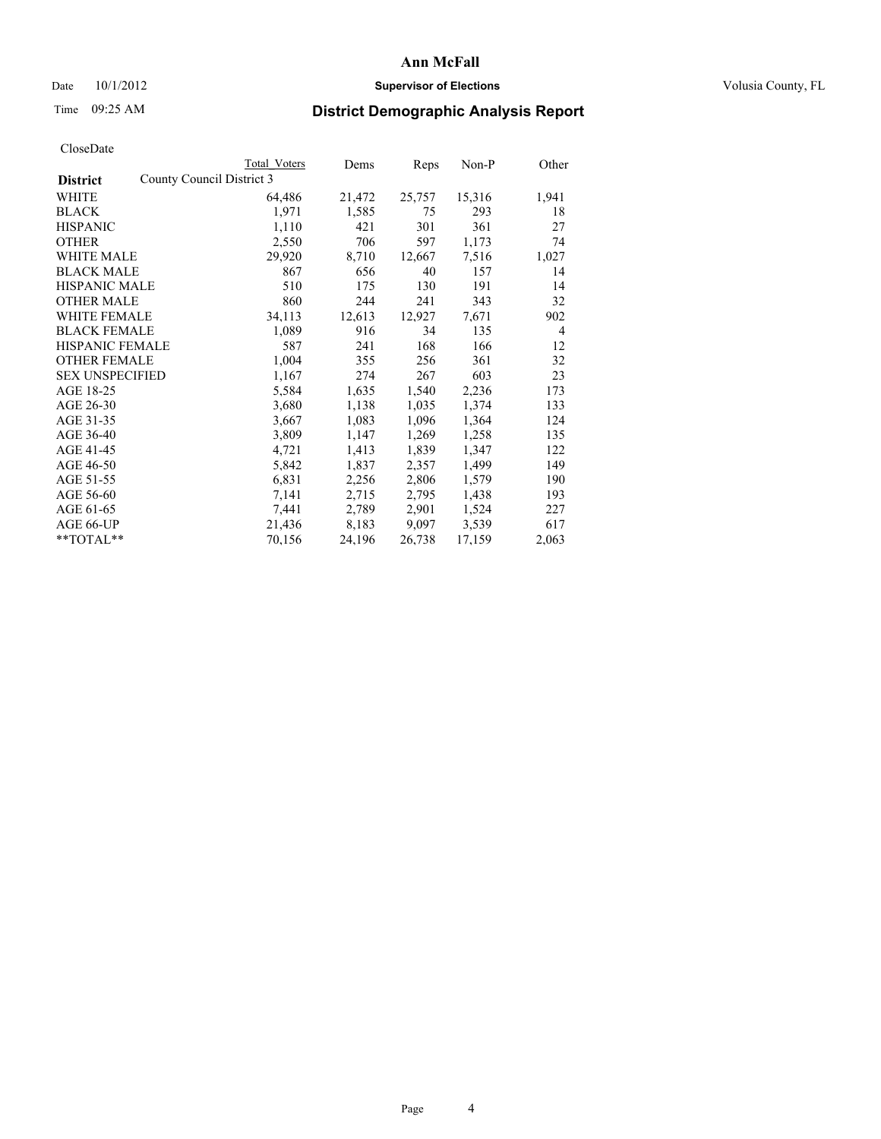### Date  $10/1/2012$  **Supervisor of Elections Supervisor of Elections** Volusia County, FL

# Time 09:25 AM **District Demographic Analysis Report**

|                        |                           | Total Voters | Dems   | Reps   | Non-P  | Other          |
|------------------------|---------------------------|--------------|--------|--------|--------|----------------|
| <b>District</b>        | County Council District 3 |              |        |        |        |                |
| WHITE                  |                           | 64,486       | 21,472 | 25,757 | 15,316 | 1,941          |
| <b>BLACK</b>           |                           | 1,971        | 1,585  | 75     | 293    | 18             |
| <b>HISPANIC</b>        |                           | 1,110        | 421    | 301    | 361    | 27             |
| <b>OTHER</b>           |                           | 2,550        | 706    | 597    | 1,173  | 74             |
| <b>WHITE MALE</b>      |                           | 29,920       | 8,710  | 12,667 | 7.516  | 1,027          |
| <b>BLACK MALE</b>      |                           | 867          | 656    | 40     | 157    | 14             |
| <b>HISPANIC MALE</b>   |                           | 510          | 175    | 130    | 191    | 14             |
| <b>OTHER MALE</b>      |                           | 860          | 244    | 241    | 343    | 32             |
| <b>WHITE FEMALE</b>    |                           | 34,113       | 12,613 | 12,927 | 7,671  | 902            |
| <b>BLACK FEMALE</b>    |                           | 1,089        | 916    | 34     | 135    | $\overline{4}$ |
| HISPANIC FEMALE        |                           | 587          | 241    | 168    | 166    | 12             |
| <b>OTHER FEMALE</b>    |                           | 1,004        | 355    | 256    | 361    | 32             |
| <b>SEX UNSPECIFIED</b> |                           | 1,167        | 274    | 267    | 603    | 23             |
| AGE 18-25              |                           | 5,584        | 1,635  | 1,540  | 2,236  | 173            |
| AGE 26-30              |                           | 3,680        | 1,138  | 1,035  | 1,374  | 133            |
| AGE 31-35              |                           | 3,667        | 1,083  | 1,096  | 1,364  | 124            |
| AGE 36-40              |                           | 3,809        | 1,147  | 1,269  | 1,258  | 135            |
| AGE 41-45              |                           | 4,721        | 1,413  | 1,839  | 1,347  | 122            |
| AGE 46-50              |                           | 5,842        | 1,837  | 2,357  | 1,499  | 149            |
| AGE 51-55              |                           | 6,831        | 2,256  | 2,806  | 1,579  | 190            |
| AGE 56-60              |                           | 7,141        | 2,715  | 2,795  | 1,438  | 193            |
| AGE 61-65              |                           | 7,441        | 2,789  | 2,901  | 1,524  | 227            |
| AGE 66-UP              |                           | 21,436       | 8,183  | 9,097  | 3.539  | 617            |
| $*$ $TOTAL**$          |                           | 70,156       | 24,196 | 26,738 | 17,159 | 2,063          |
|                        |                           |              |        |        |        |                |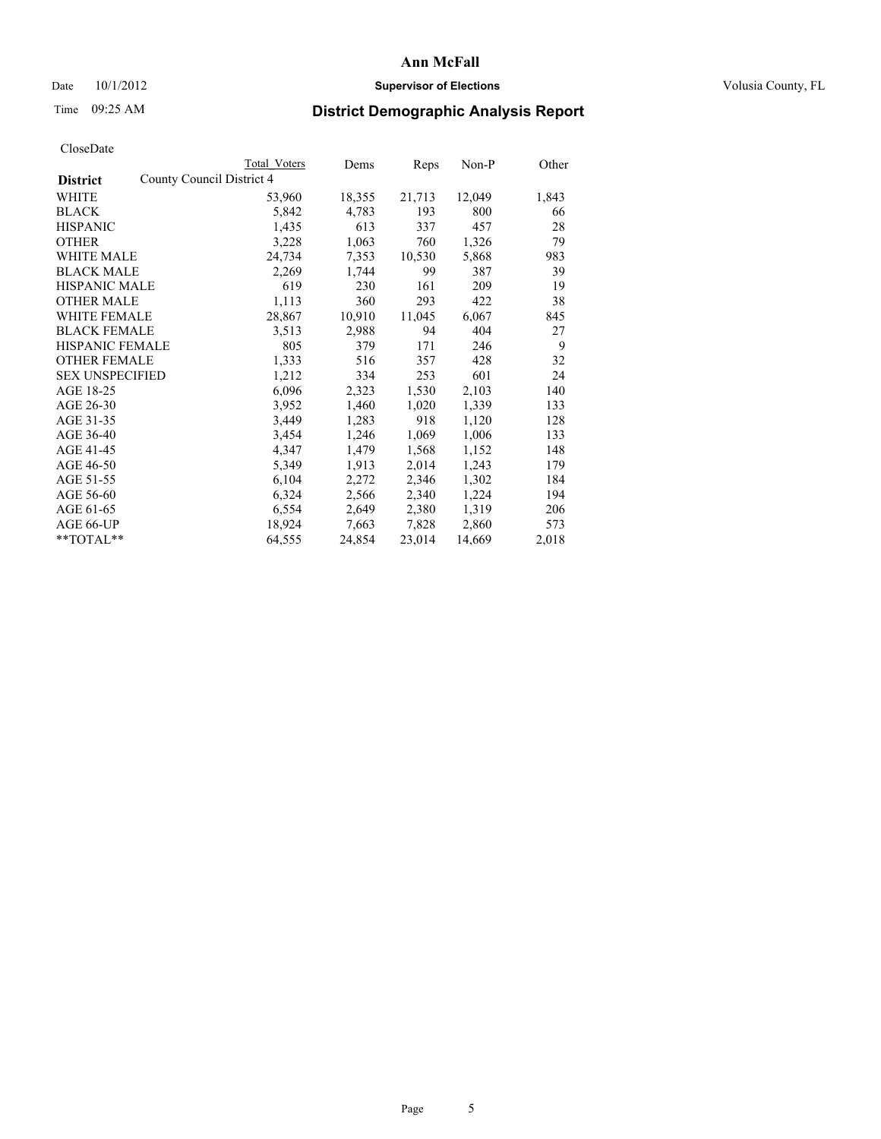### Date  $10/1/2012$  **Supervisor of Elections Supervisor of Elections** Volusia County, FL

## Time 09:25 AM **District Demographic Analysis Report**

|                        |                           | Total Voters | Dems   | Reps   | Non-P  | Other |
|------------------------|---------------------------|--------------|--------|--------|--------|-------|
| <b>District</b>        | County Council District 4 |              |        |        |        |       |
| WHITE                  |                           | 53,960       | 18,355 | 21,713 | 12,049 | 1,843 |
| <b>BLACK</b>           |                           | 5,842        | 4,783  | 193    | 800    | 66    |
| <b>HISPANIC</b>        |                           | 1,435        | 613    | 337    | 457    | 28    |
| <b>OTHER</b>           |                           | 3,228        | 1,063  | 760    | 1,326  | 79    |
| WHITE MALE             |                           | 24,734       | 7,353  | 10,530 | 5,868  | 983   |
| <b>BLACK MALE</b>      |                           | 2,269        | 1,744  | 99     | 387    | 39    |
| <b>HISPANIC MALE</b>   |                           | 619          | 230    | 161    | 209    | 19    |
| <b>OTHER MALE</b>      |                           | 1,113        | 360    | 293    | 422    | 38    |
| <b>WHITE FEMALE</b>    |                           | 28,867       | 10,910 | 11,045 | 6,067  | 845   |
| <b>BLACK FEMALE</b>    |                           | 3,513        | 2,988  | 94     | 404    | 27    |
| <b>HISPANIC FEMALE</b> |                           | 805          | 379    | 171    | 246    | 9     |
| <b>OTHER FEMALE</b>    |                           | 1,333        | 516    | 357    | 428    | 32    |
| <b>SEX UNSPECIFIED</b> |                           | 1,212        | 334    | 253    | 601    | 24    |
| AGE 18-25              |                           | 6,096        | 2,323  | 1,530  | 2,103  | 140   |
| AGE 26-30              |                           | 3,952        | 1,460  | 1,020  | 1,339  | 133   |
| AGE 31-35              |                           | 3,449        | 1,283  | 918    | 1,120  | 128   |
| AGE 36-40              |                           | 3,454        | 1,246  | 1,069  | 1,006  | 133   |
| AGE 41-45              |                           | 4,347        | 1,479  | 1,568  | 1,152  | 148   |
| AGE 46-50              |                           | 5,349        | 1,913  | 2,014  | 1,243  | 179   |
| AGE 51-55              |                           | 6,104        | 2,272  | 2,346  | 1,302  | 184   |
| AGE 56-60              |                           | 6,324        | 2,566  | 2,340  | 1,224  | 194   |
| AGE 61-65              |                           | 6,554        | 2,649  | 2,380  | 1,319  | 206   |
| AGE 66-UP              |                           | 18,924       | 7,663  | 7,828  | 2,860  | 573   |
| **TOTAL**              |                           | 64,555       | 24,854 | 23,014 | 14,669 | 2,018 |
|                        |                           |              |        |        |        |       |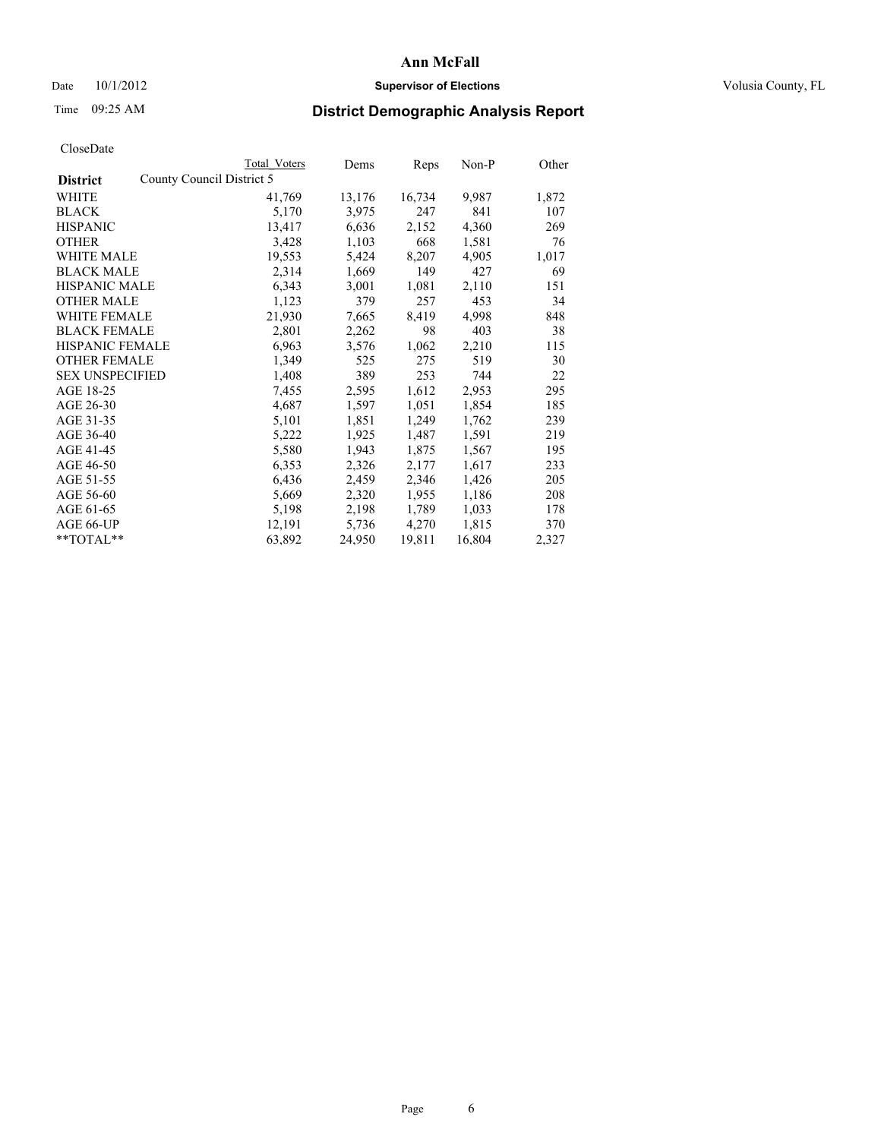### Date  $10/1/2012$  **Supervisor of Elections Supervisor of Elections** Volusia County, FL

## Time 09:25 AM **District Demographic Analysis Report**

|                                              | Total Voters | Dems   | <b>Reps</b> | Non-P  | Other |
|----------------------------------------------|--------------|--------|-------------|--------|-------|
| County Council District 5<br><b>District</b> |              |        |             |        |       |
| WHITE                                        | 41,769       | 13,176 | 16,734      | 9,987  | 1,872 |
| <b>BLACK</b>                                 | 5,170        | 3,975  | 247         | 841    | 107   |
| <b>HISPANIC</b>                              | 13,417       | 6,636  | 2,152       | 4,360  | 269   |
| <b>OTHER</b>                                 | 3,428        | 1,103  | 668         | 1,581  | 76    |
| WHITE MALE                                   | 19,553       | 5,424  | 8,207       | 4,905  | 1,017 |
| <b>BLACK MALE</b>                            | 2,314        | 1,669  | 149         | 427    | 69    |
| <b>HISPANIC MALE</b>                         | 6,343        | 3,001  | 1,081       | 2,110  | 151   |
| <b>OTHER MALE</b>                            | 1,123        | 379    | 257         | 453    | 34    |
| <b>WHITE FEMALE</b>                          | 21,930       | 7,665  | 8,419       | 4,998  | 848   |
| <b>BLACK FEMALE</b>                          | 2,801        | 2,262  | 98          | 403    | 38    |
| <b>HISPANIC FEMALE</b>                       | 6,963        | 3,576  | 1,062       | 2,210  | 115   |
| <b>OTHER FEMALE</b>                          | 1,349        | 525    | 275         | 519    | 30    |
| <b>SEX UNSPECIFIED</b>                       | 1,408        | 389    | 253         | 744    | 22    |
| AGE 18-25                                    | 7,455        | 2,595  | 1,612       | 2,953  | 295   |
| AGE 26-30                                    | 4,687        | 1,597  | 1,051       | 1,854  | 185   |
| AGE 31-35                                    | 5,101        | 1,851  | 1,249       | 1,762  | 239   |
| AGE 36-40                                    | 5,222        | 1,925  | 1,487       | 1,591  | 219   |
| AGE 41-45                                    | 5,580        | 1,943  | 1,875       | 1,567  | 195   |
| AGE 46-50                                    | 6,353        | 2,326  | 2,177       | 1,617  | 233   |
| AGE 51-55                                    | 6,436        | 2,459  | 2,346       | 1,426  | 205   |
| AGE 56-60                                    | 5,669        | 2,320  | 1,955       | 1,186  | 208   |
| AGE 61-65                                    | 5,198        | 2,198  | 1,789       | 1,033  | 178   |
| AGE 66-UP                                    | 12,191       | 5,736  | 4,270       | 1,815  | 370   |
| $*$ $TOTAL**$                                | 63,892       | 24,950 | 19,811      | 16,804 | 2,327 |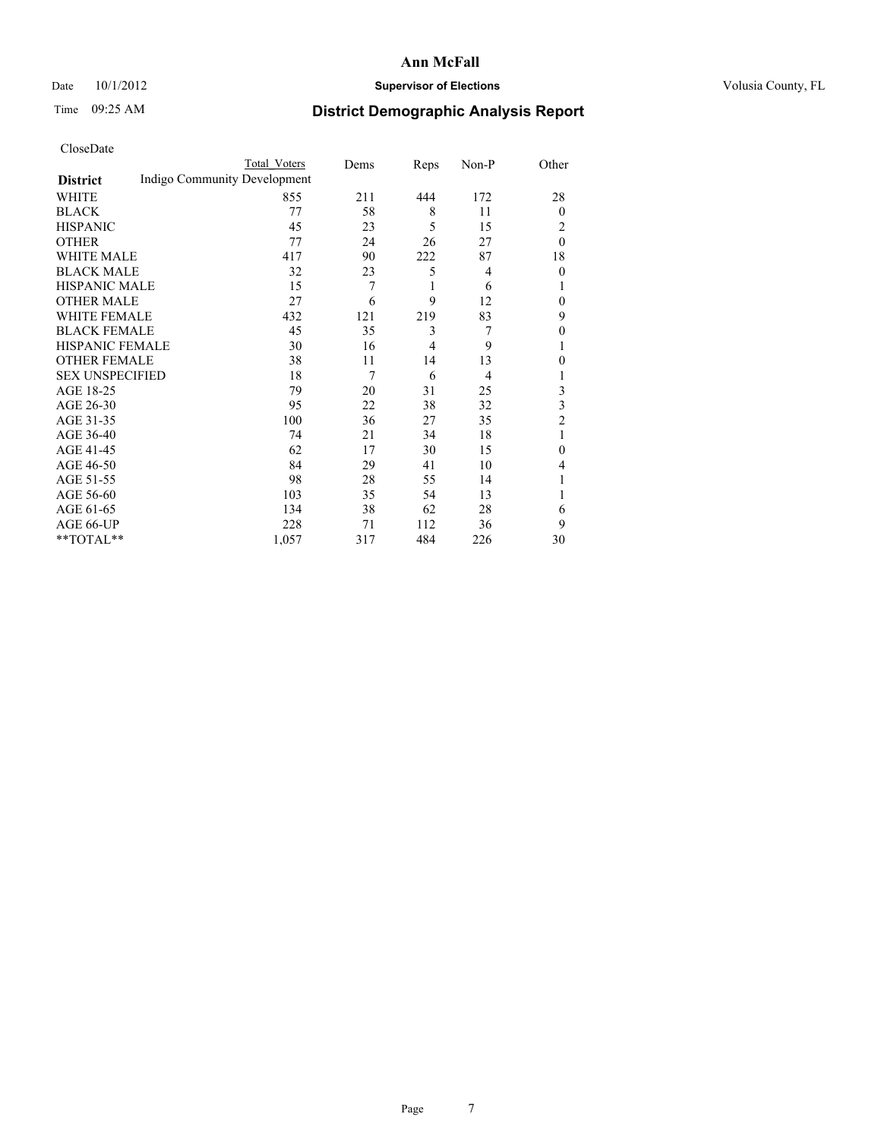### Date 10/1/2012 **Supervisor of Elections Supervisor of Elections** Volusia County, FL

# Time 09:25 AM **District Demographic Analysis Report**

|                        |                              | <b>Total Voters</b> | Dems | Reps | Non-P          | Other          |
|------------------------|------------------------------|---------------------|------|------|----------------|----------------|
| <b>District</b>        | Indigo Community Development |                     |      |      |                |                |
| WHITE                  |                              | 855                 | 211  | 444  | 172            | 28             |
| <b>BLACK</b>           |                              | 77                  | 58   | 8    | 11             | $\mathbf{0}$   |
| <b>HISPANIC</b>        |                              | 45                  | 23   | 5    | 15             | 2              |
| <b>OTHER</b>           |                              | 77                  | 24   | 26   | 27             | $\theta$       |
| WHITE MALE             |                              | 417                 | 90   | 222  | 87             | 18             |
| <b>BLACK MALE</b>      |                              | 32                  | 23   | 5    | $\overline{4}$ | $\theta$       |
| <b>HISPANIC MALE</b>   |                              | 15                  | 7    | 1    | 6              | 1              |
| <b>OTHER MALE</b>      |                              | 27                  | 6    | 9    | 12             | $\mathbf{0}$   |
| WHITE FEMALE           |                              | 432                 | 121  | 219  | 83             | 9              |
| <b>BLACK FEMALE</b>    |                              | 45                  | 35   | 3    | 7              | $\mathbf{0}$   |
| <b>HISPANIC FEMALE</b> |                              | 30                  | 16   | 4    | 9              |                |
| <b>OTHER FEMALE</b>    |                              | 38                  | 11   | 14   | 13             | $\theta$       |
| <b>SEX UNSPECIFIED</b> |                              | 18                  | 7    | 6    | $\overline{4}$ |                |
| AGE 18-25              |                              | 79                  | 20   | 31   | 25             | 3              |
| AGE 26-30              |                              | 95                  | 22   | 38   | 32             | 3              |
| AGE 31-35              |                              | 100                 | 36   | 27   | 35             | $\overline{2}$ |
| AGE 36-40              |                              | 74                  | 21   | 34   | 18             | 1              |
| AGE 41-45              |                              | 62                  | 17   | 30   | 15             | $\Omega$       |
| AGE 46-50              |                              | 84                  | 29   | 41   | 10             | 4              |
| AGE 51-55              |                              | 98                  | 28   | 55   | 14             |                |
| AGE 56-60              |                              | 103                 | 35   | 54   | 13             |                |
| AGE 61-65              |                              | 134                 | 38   | 62   | 28             | 6              |
| AGE 66-UP              |                              | 228                 | 71   | 112  | 36             | 9              |
| **TOTAL**              |                              | 1,057               | 317  | 484  | 226            | 30             |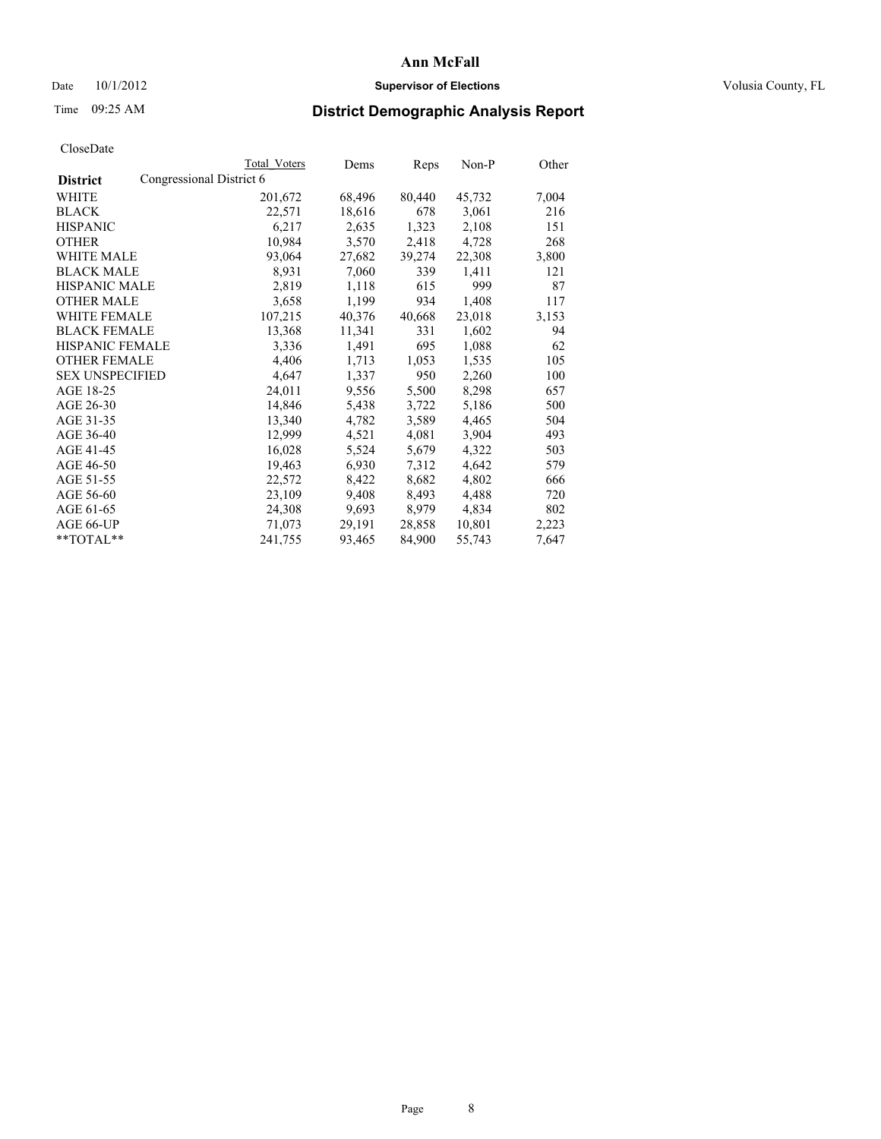### Date  $10/1/2012$  **Supervisor of Elections Supervisor of Elections** Volusia County, FL

# Time 09:25 AM **District Demographic Analysis Report**

|                                             | Total Voters | Dems   | <b>Reps</b> | Non-P  | Other |
|---------------------------------------------|--------------|--------|-------------|--------|-------|
| Congressional District 6<br><b>District</b> |              |        |             |        |       |
| WHITE                                       | 201,672      | 68,496 | 80,440      | 45,732 | 7,004 |
| <b>BLACK</b>                                | 22,571       | 18,616 | 678         | 3,061  | 216   |
| <b>HISPANIC</b>                             | 6,217        | 2,635  | 1,323       | 2,108  | 151   |
| <b>OTHER</b>                                | 10,984       | 3,570  | 2,418       | 4,728  | 268   |
| WHITE MALE                                  | 93,064       | 27,682 | 39,274      | 22,308 | 3,800 |
| <b>BLACK MALE</b>                           | 8,931        | 7,060  | 339         | 1,411  | 121   |
| <b>HISPANIC MALE</b>                        | 2,819        | 1,118  | 615         | 999    | 87    |
| <b>OTHER MALE</b>                           | 3,658        | 1,199  | 934         | 1,408  | 117   |
| WHITE FEMALE                                | 107,215      | 40,376 | 40,668      | 23,018 | 3,153 |
| <b>BLACK FEMALE</b>                         | 13,368       | 11,341 | 331         | 1,602  | 94    |
| <b>HISPANIC FEMALE</b>                      | 3,336        | 1,491  | 695         | 1,088  | 62    |
| <b>OTHER FEMALE</b>                         | 4,406        | 1,713  | 1,053       | 1,535  | 105   |
| <b>SEX UNSPECIFIED</b>                      | 4,647        | 1,337  | 950         | 2,260  | 100   |
| AGE 18-25                                   | 24,011       | 9,556  | 5,500       | 8,298  | 657   |
| AGE 26-30                                   | 14,846       | 5,438  | 3,722       | 5,186  | 500   |
| AGE 31-35                                   | 13,340       | 4,782  | 3,589       | 4,465  | 504   |
| AGE 36-40                                   | 12,999       | 4,521  | 4,081       | 3,904  | 493   |
| AGE 41-45                                   | 16,028       | 5,524  | 5,679       | 4,322  | 503   |
| AGE 46-50                                   | 19,463       | 6,930  | 7,312       | 4,642  | 579   |
| AGE 51-55                                   | 22,572       | 8,422  | 8,682       | 4,802  | 666   |
| AGE 56-60                                   | 23,109       | 9,408  | 8,493       | 4,488  | 720   |
| AGE 61-65                                   | 24,308       | 9,693  | 8,979       | 4,834  | 802   |
| AGE 66-UP                                   | 71,073       | 29,191 | 28,858      | 10,801 | 2,223 |
| $*$ TOTAL $*$                               | 241,755      | 93,465 | 84,900      | 55,743 | 7,647 |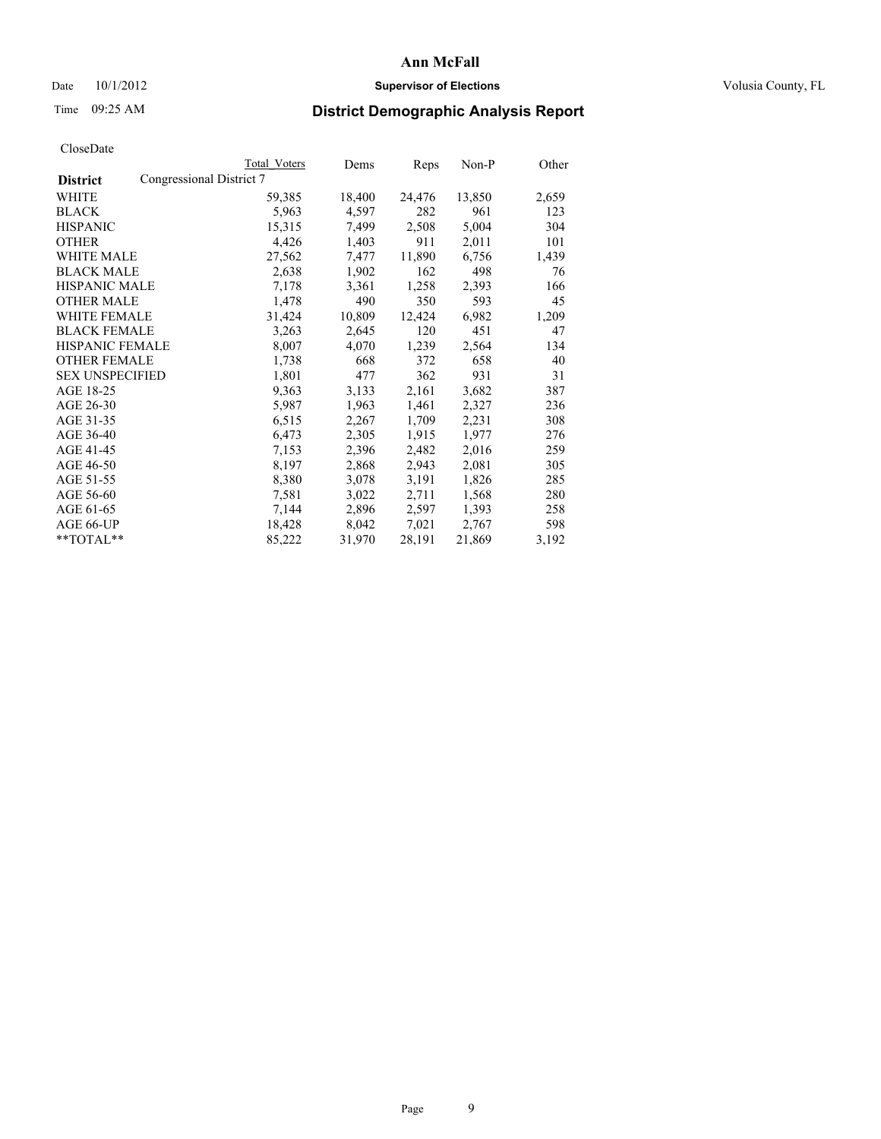### Date  $10/1/2012$  **Supervisor of Elections Supervisor of Elections** Volusia County, FL

# Time 09:25 AM **District Demographic Analysis Report**

|                                             | Total Voters | Dems   | <b>Reps</b> | Non-P  | Other |
|---------------------------------------------|--------------|--------|-------------|--------|-------|
| Congressional District 7<br><b>District</b> |              |        |             |        |       |
| WHITE                                       | 59,385       | 18,400 | 24,476      | 13,850 | 2,659 |
| <b>BLACK</b>                                | 5,963        | 4,597  | 282         | 961    | 123   |
| <b>HISPANIC</b>                             | 15,315       | 7,499  | 2,508       | 5,004  | 304   |
| <b>OTHER</b>                                | 4,426        | 1,403  | 911         | 2,011  | 101   |
| WHITE MALE                                  | 27,562       | 7,477  | 11,890      | 6,756  | 1,439 |
| <b>BLACK MALE</b>                           | 2,638        | 1,902  | 162         | 498    | 76    |
| <b>HISPANIC MALE</b>                        | 7,178        | 3,361  | 1,258       | 2,393  | 166   |
| <b>OTHER MALE</b>                           | 1,478        | 490    | 350         | 593    | 45    |
| WHITE FEMALE                                | 31,424       | 10,809 | 12,424      | 6,982  | 1,209 |
| <b>BLACK FEMALE</b>                         | 3,263        | 2,645  | 120         | 451    | 47    |
| <b>HISPANIC FEMALE</b>                      | 8,007        | 4,070  | 1,239       | 2,564  | 134   |
| <b>OTHER FEMALE</b>                         | 1,738        | 668    | 372         | 658    | 40    |
| <b>SEX UNSPECIFIED</b>                      | 1,801        | 477    | 362         | 931    | 31    |
| AGE 18-25                                   | 9,363        | 3,133  | 2,161       | 3,682  | 387   |
| AGE 26-30                                   | 5,987        | 1,963  | 1,461       | 2,327  | 236   |
| AGE 31-35                                   | 6,515        | 2,267  | 1,709       | 2,231  | 308   |
| AGE 36-40                                   | 6,473        | 2,305  | 1,915       | 1,977  | 276   |
| AGE 41-45                                   | 7,153        | 2,396  | 2,482       | 2,016  | 259   |
| AGE 46-50                                   | 8,197        | 2,868  | 2,943       | 2,081  | 305   |
| AGE 51-55                                   | 8,380        | 3,078  | 3,191       | 1,826  | 285   |
| AGE 56-60                                   | 7,581        | 3,022  | 2,711       | 1,568  | 280   |
| AGE 61-65                                   | 7,144        | 2,896  | 2,597       | 1,393  | 258   |
| AGE 66-UP                                   | 18,428       | 8,042  | 7,021       | 2,767  | 598   |
| **TOTAL**                                   | 85,222       | 31,970 | 28,191      | 21,869 | 3,192 |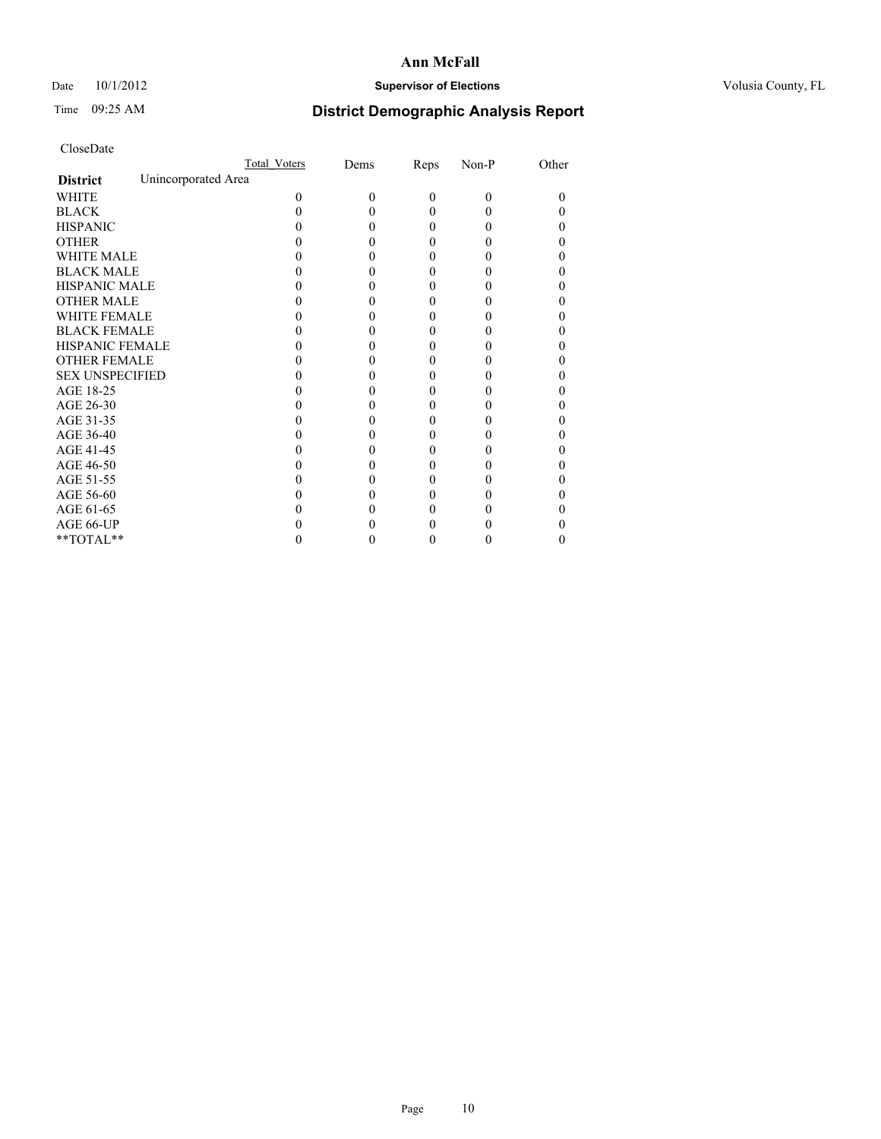### Date 10/1/2012 **Supervisor of Elections Supervisor of Elections** Volusia County, FL

# Time 09:25 AM **District Demographic Analysis Report**

|                        | Total Voters        | Dems | Reps     | Non-P    | Other |
|------------------------|---------------------|------|----------|----------|-------|
| <b>District</b>        | Unincorporated Area |      |          |          |       |
| <b>WHITE</b>           | 0                   | 0    | $\theta$ | $\theta$ | 0     |
| <b>BLACK</b>           |                     |      | 0        | 0        |       |
| <b>HISPANIC</b>        |                     |      | 0        | 0        |       |
| <b>OTHER</b>           |                     |      |          |          |       |
| WHITE MALE             |                     |      |          |          |       |
| <b>BLACK MALE</b>      |                     |      | 0        |          |       |
| <b>HISPANIC MALE</b>   |                     |      |          |          |       |
| <b>OTHER MALE</b>      |                     |      | 0        |          |       |
| <b>WHITE FEMALE</b>    |                     |      |          |          |       |
| <b>BLACK FEMALE</b>    |                     |      | 0        |          |       |
| <b>HISPANIC FEMALE</b> |                     |      |          |          |       |
| <b>OTHER FEMALE</b>    |                     |      |          |          |       |
| <b>SEX UNSPECIFIED</b> |                     |      |          |          |       |
| AGE 18-25              |                     |      |          |          |       |
| AGE 26-30              |                     |      | 0        |          |       |
| AGE 31-35              |                     |      |          |          |       |
| AGE 36-40              |                     |      | 0        |          |       |
| AGE 41-45              |                     |      |          |          |       |
| AGE 46-50              |                     |      | 0        |          |       |
| AGE 51-55              |                     |      |          |          |       |
| AGE 56-60              |                     |      |          |          |       |
| AGE 61-65              |                     |      |          |          |       |
| AGE 66-UP              |                     |      |          |          |       |
| $**TOTAL**$            |                     |      | 0        | 0        | 0     |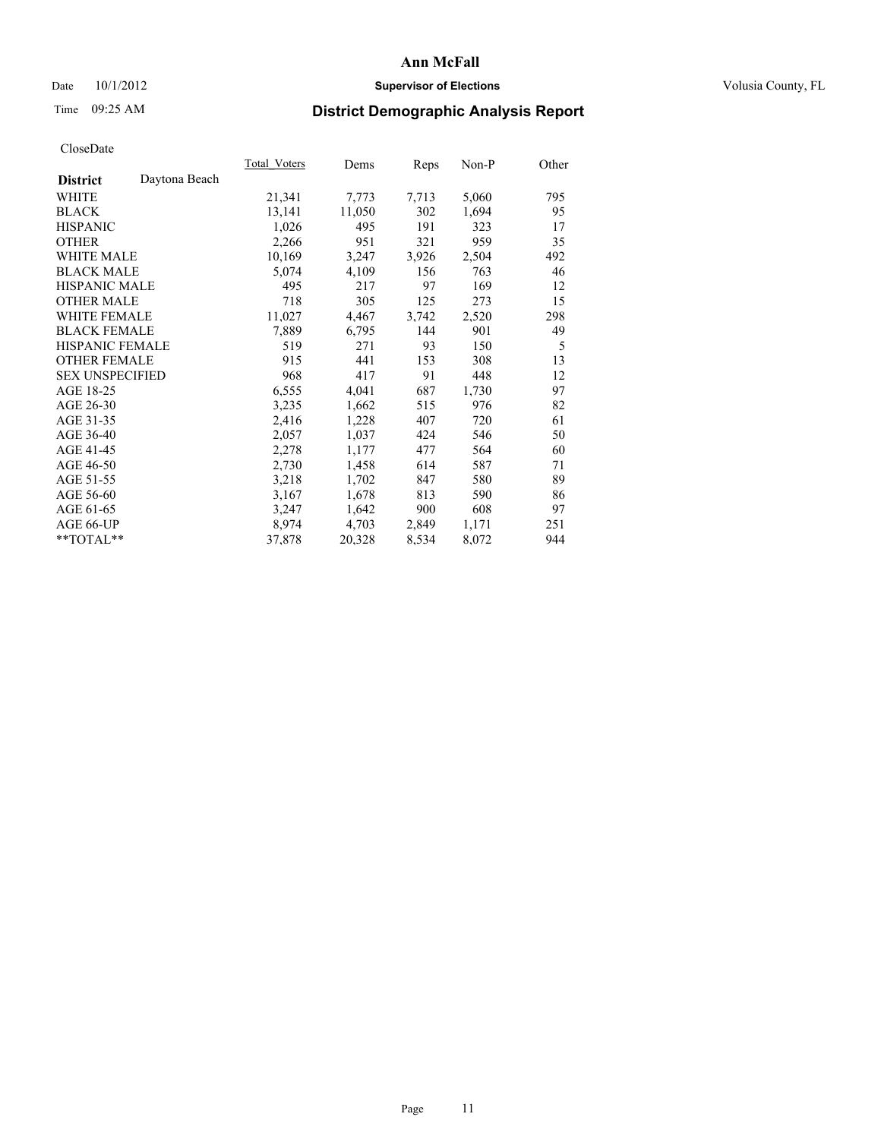### Date  $10/1/2012$  **Supervisor of Elections Supervisor of Elections** Volusia County, FL

# Time 09:25 AM **District Demographic Analysis Report**

| Total Voters | Dems   | <b>Reps</b> | Non-P | Other |
|--------------|--------|-------------|-------|-------|
|              |        |             |       |       |
| 21,341       | 7,773  | 7,713       | 5,060 | 795   |
| 13,141       | 11,050 | 302         | 1,694 | 95    |
| 1,026        | 495    | 191         | 323   | 17    |
| 2,266        | 951    | 321         | 959   | 35    |
| 10,169       | 3,247  | 3,926       | 2,504 | 492   |
| 5,074        | 4,109  | 156         | 763   | 46    |
| 495          | 217    | 97          | 169   | 12    |
| 718          | 305    | 125         | 273   | 15    |
| 11,027       | 4,467  | 3,742       | 2,520 | 298   |
| 7,889        | 6,795  | 144         | 901   | 49    |
| 519          | 271    | 93          | 150   | 5     |
| 915          | 441    | 153         | 308   | 13    |
| 968          | 417    | 91          | 448   | 12    |
| 6,555        | 4,041  | 687         | 1,730 | 97    |
| 3,235        | 1,662  | 515         | 976   | 82    |
| 2,416        | 1,228  | 407         | 720   | 61    |
| 2,057        | 1,037  | 424         | 546   | 50    |
| 2,278        | 1,177  | 477         | 564   | 60    |
| 2,730        | 1,458  | 614         | 587   | 71    |
| 3,218        | 1,702  | 847         | 580   | 89    |
| 3,167        | 1,678  | 813         | 590   | 86    |
| 3,247        | 1,642  | 900         | 608   | 97    |
| 8,974        | 4,703  | 2,849       | 1,171 | 251   |
| 37,878       | 20,328 | 8,534       | 8,072 | 944   |
|              |        |             |       |       |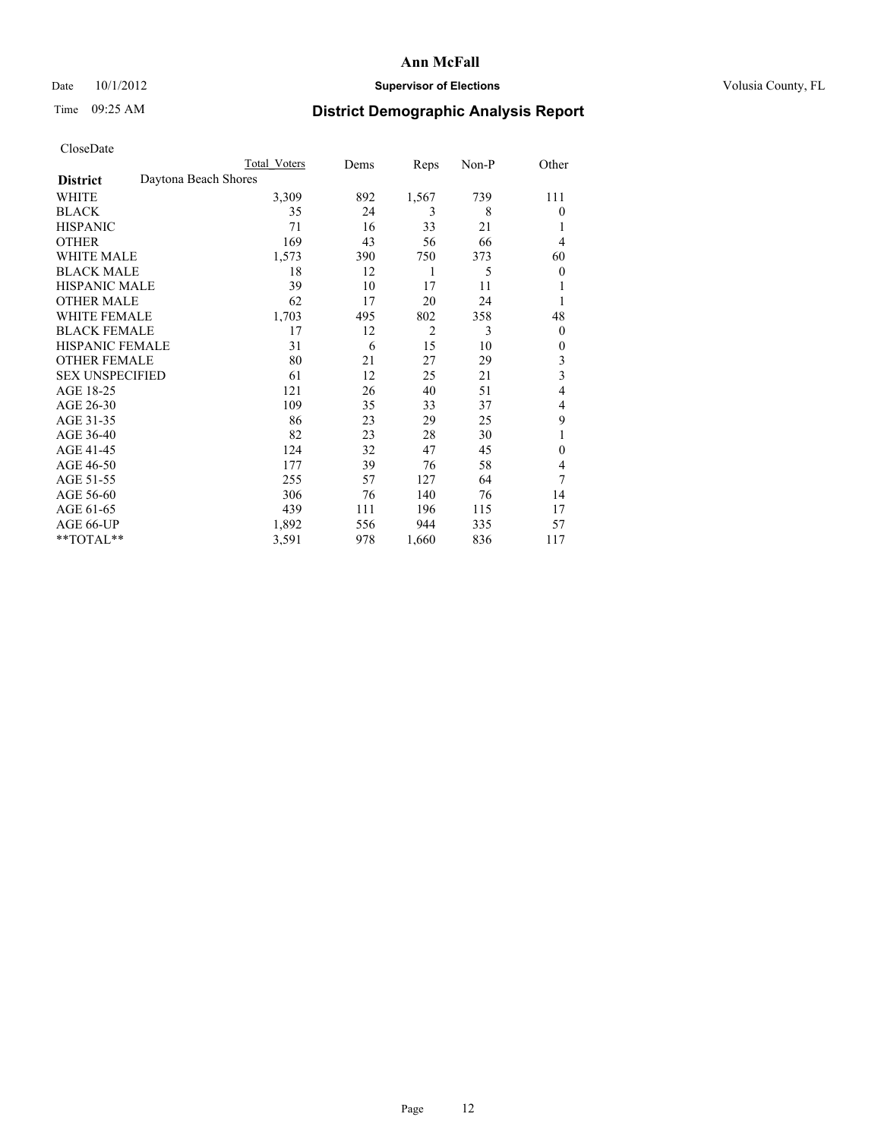### Date 10/1/2012 **Supervisor of Elections Supervisor of Elections** Volusia County, FL

# Time 09:25 AM **District Demographic Analysis Report**

| Cioscivate             |                      |                     |      |                |       |                         |
|------------------------|----------------------|---------------------|------|----------------|-------|-------------------------|
|                        |                      | <b>Total Voters</b> | Dems | Reps           | Non-P | Other                   |
| <b>District</b>        | Daytona Beach Shores |                     |      |                |       |                         |
| WHITE                  |                      | 3,309               | 892  | 1,567          | 739   | 111                     |
| <b>BLACK</b>           |                      | 35                  | 24   | 3              | 8     | $\theta$                |
| <b>HISPANIC</b>        |                      | 71                  | 16   | 33             | 21    | 1                       |
| <b>OTHER</b>           |                      | 169                 | 43   | 56             | 66    | 4                       |
| WHITE MALE             |                      | 1,573               | 390  | 750            | 373   | 60                      |
| <b>BLACK MALE</b>      |                      | 18                  | 12   | 1              | 5     | $\theta$                |
| <b>HISPANIC MALE</b>   |                      | 39                  | 10   | 17             | 11    | 1                       |
| <b>OTHER MALE</b>      |                      | 62                  | 17   | 20             | 24    | 1                       |
| WHITE FEMALE           |                      | 1,703               | 495  | 802            | 358   | 48                      |
| <b>BLACK FEMALE</b>    |                      | 17                  | 12   | $\overline{2}$ | 3     | $\theta$                |
| <b>HISPANIC FEMALE</b> |                      | 31                  | 6    | 15             | 10    | $\theta$                |
| <b>OTHER FEMALE</b>    |                      | 80                  | 21   | 27             | 29    | 3                       |
| <b>SEX UNSPECIFIED</b> |                      | 61                  | 12   | 25             | 21    | $\overline{\mathbf{3}}$ |
| AGE 18-25              |                      | 121                 | 26   | 40             | 51    | 4                       |
| AGE 26-30              |                      | 109                 | 35   | 33             | 37    | 4                       |
| AGE 31-35              |                      | 86                  | 23   | 29             | 25    | 9                       |
| AGE 36-40              |                      | 82                  | 23   | 28             | 30    | 1                       |
| AGE 41-45              |                      | 124                 | 32   | 47             | 45    | $\theta$                |
| AGE 46-50              |                      | 177                 | 39   | 76             | 58    | 4                       |
| AGE 51-55              |                      | 255                 | 57   | 127            | 64    | 7                       |
| AGE 56-60              |                      | 306                 | 76   | 140            | 76    | 14                      |
| AGE 61-65              |                      | 439                 | 111  | 196            | 115   | 17                      |
| AGE 66-UP              |                      | 1,892               | 556  | 944            | 335   | 57                      |
| $*$ TOTAL $**$         |                      | 3,591               | 978  | 1,660          | 836   | 117                     |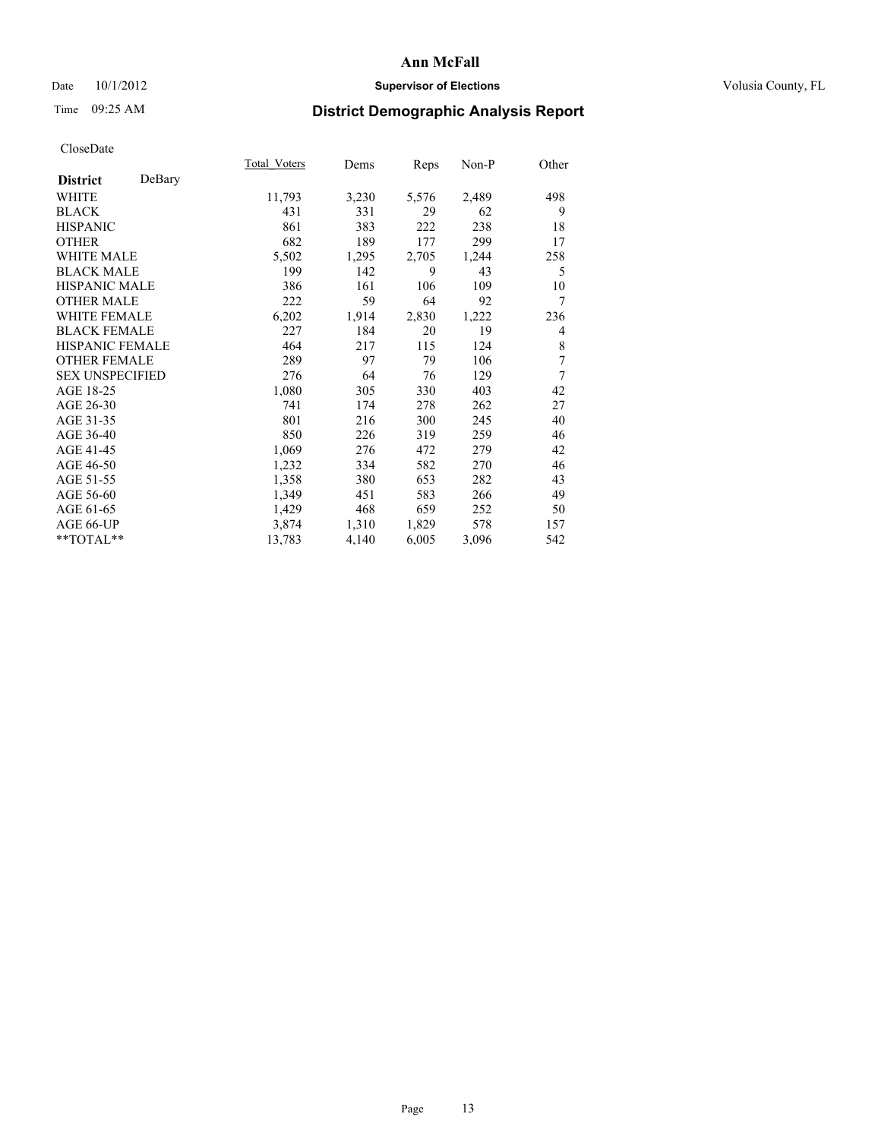### Date 10/1/2012 **Supervisor of Elections Supervisor of Elections** Volusia County, FL

# Time 09:25 AM **District Demographic Analysis Report**

|                        |        | Total Voters | Dems  | Reps  | Non-P | Other |
|------------------------|--------|--------------|-------|-------|-------|-------|
| <b>District</b>        | DeBary |              |       |       |       |       |
| WHITE                  |        | 11,793       | 3,230 | 5,576 | 2,489 | 498   |
| <b>BLACK</b>           |        | 431          | 331   | 29    | 62    | 9     |
| <b>HISPANIC</b>        |        | 861          | 383   | 222   | 238   | 18    |
| <b>OTHER</b>           |        | 682          | 189   | 177   | 299   | 17    |
| WHITE MALE             |        | 5,502        | 1,295 | 2,705 | 1,244 | 258   |
| <b>BLACK MALE</b>      |        | 199          | 142   | 9     | 43    | 5     |
| <b>HISPANIC MALE</b>   |        | 386          | 161   | 106   | 109   | 10    |
| <b>OTHER MALE</b>      |        | 222          | 59    | 64    | 92    | 7     |
| <b>WHITE FEMALE</b>    |        | 6,202        | 1,914 | 2,830 | 1,222 | 236   |
| <b>BLACK FEMALE</b>    |        | 227          | 184   | 20    | 19    | 4     |
| <b>HISPANIC FEMALE</b> |        | 464          | 217   | 115   | 124   | 8     |
| <b>OTHER FEMALE</b>    |        | 289          | 97    | 79    | 106   | 7     |
| <b>SEX UNSPECIFIED</b> |        | 276          | 64    | 76    | 129   | 7     |
| AGE 18-25              |        | 1,080        | 305   | 330   | 403   | 42    |
| AGE 26-30              |        | 741          | 174   | 278   | 262   | 27    |
| AGE 31-35              |        | 801          | 216   | 300   | 245   | 40    |
| AGE 36-40              |        | 850          | 226   | 319   | 259   | 46    |
| AGE 41-45              |        | 1,069        | 276   | 472   | 279   | 42    |
| AGE 46-50              |        | 1,232        | 334   | 582   | 270   | 46    |
| AGE 51-55              |        | 1,358        | 380   | 653   | 282   | 43    |
| AGE 56-60              |        | 1,349        | 451   | 583   | 266   | 49    |
| AGE 61-65              |        | 1,429        | 468   | 659   | 252   | 50    |
| AGE 66-UP              |        | 3,874        | 1,310 | 1,829 | 578   | 157   |
| **TOTAL**              |        | 13,783       | 4,140 | 6,005 | 3,096 | 542   |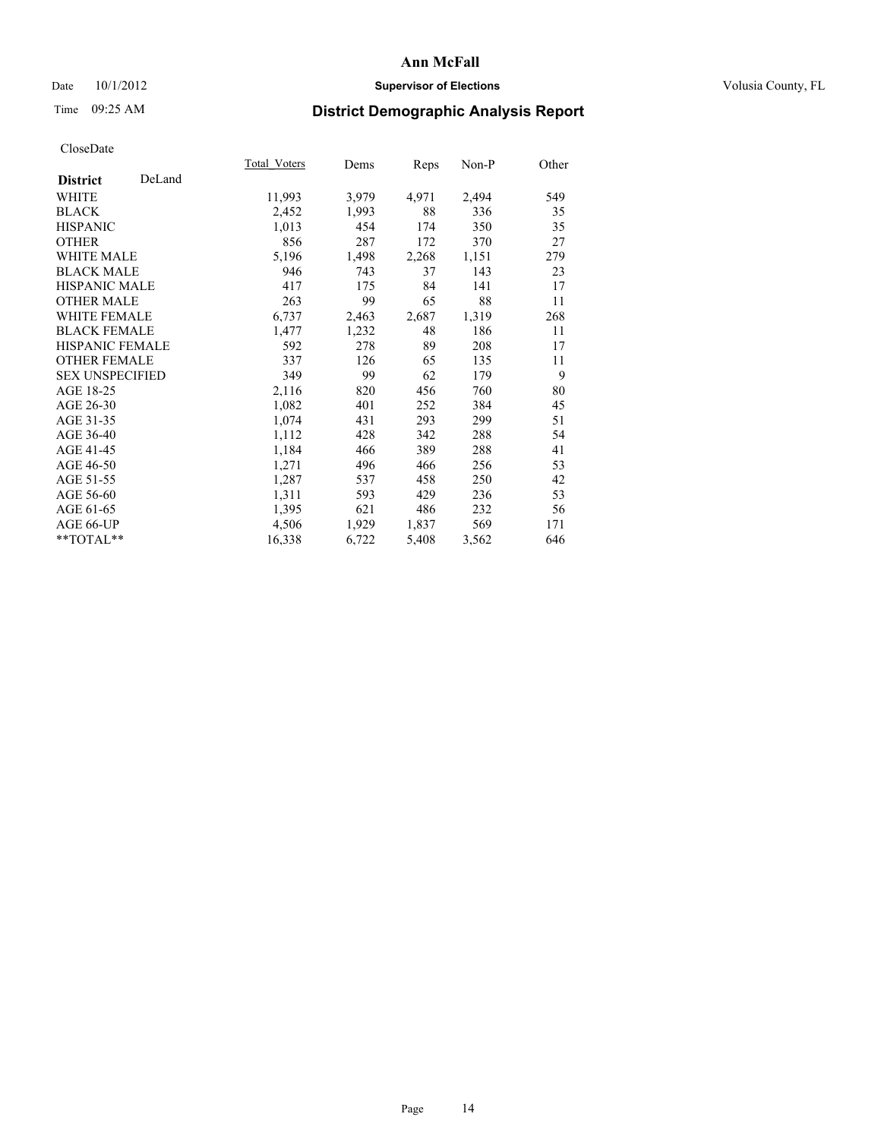### Date 10/1/2012 **Supervisor of Elections Supervisor of Elections** Volusia County, FL

# Time 09:25 AM **District Demographic Analysis Report**

|                           | Total Voters | Dems  | <b>Reps</b> | Non-P | Other |
|---------------------------|--------------|-------|-------------|-------|-------|
| DeLand<br><b>District</b> |              |       |             |       |       |
| <b>WHITE</b>              | 11,993       | 3,979 | 4,971       | 2,494 | 549   |
| <b>BLACK</b>              | 2,452        | 1,993 | 88          | 336   | 35    |
| <b>HISPANIC</b>           | 1,013        | 454   | 174         | 350   | 35    |
| <b>OTHER</b>              | 856          | 287   | 172         | 370   | 27    |
| <b>WHITE MALE</b>         | 5,196        | 1,498 | 2,268       | 1,151 | 279   |
| <b>BLACK MALE</b>         | 946          | 743   | 37          | 143   | 23    |
| HISPANIC MALE             | 417          | 175   | 84          | 141   | 17    |
| <b>OTHER MALE</b>         | 263          | 99    | 65          | 88    | 11    |
| <b>WHITE FEMALE</b>       | 6,737        | 2,463 | 2,687       | 1,319 | 268   |
| <b>BLACK FEMALE</b>       | 1,477        | 1,232 | 48          | 186   | 11    |
| <b>HISPANIC FEMALE</b>    | 592          | 278   | 89          | 208   | 17    |
| <b>OTHER FEMALE</b>       | 337          | 126   | 65          | 135   | 11    |
| <b>SEX UNSPECIFIED</b>    | 349          | 99    | 62          | 179   | 9     |
| AGE 18-25                 | 2,116        | 820   | 456         | 760   | 80    |
| AGE 26-30                 | 1,082        | 401   | 252         | 384   | 45    |
| AGE 31-35                 | 1,074        | 431   | 293         | 299   | 51    |
| AGE 36-40                 | 1,112        | 428   | 342         | 288   | 54    |
| AGE 41-45                 | 1,184        | 466   | 389         | 288   | 41    |
| AGE 46-50                 | 1,271        | 496   | 466         | 256   | 53    |
| AGE 51-55                 | 1,287        | 537   | 458         | 250   | 42    |
| AGE 56-60                 | 1,311        | 593   | 429         | 236   | 53    |
| AGE 61-65                 | 1,395        | 621   | 486         | 232   | 56    |
| AGE 66-UP                 | 4,506        | 1,929 | 1,837       | 569   | 171   |
| **TOTAL**                 | 16,338       | 6,722 | 5,408       | 3,562 | 646   |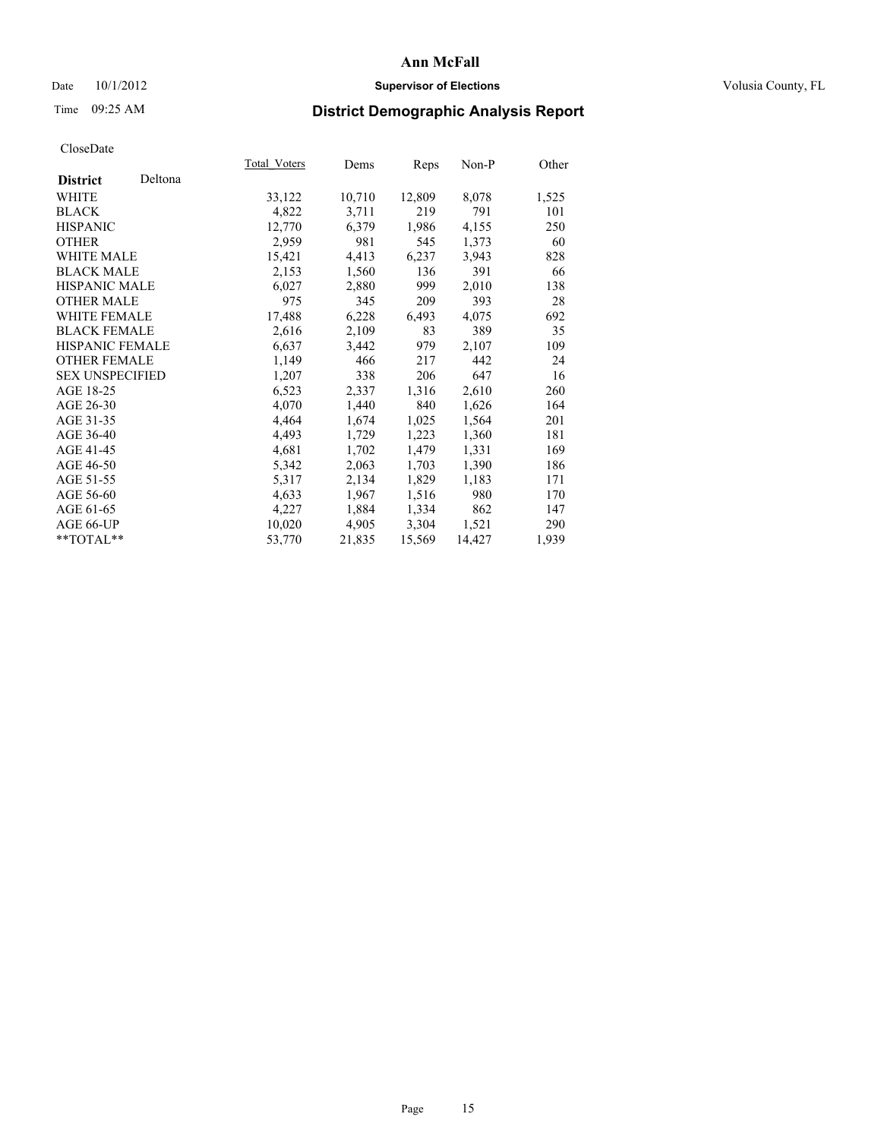### Date 10/1/2012 **Supervisor of Elections Supervisor of Elections** Volusia County, FL

# Time 09:25 AM **District Demographic Analysis Report**

| Total Voters | Dems   | Reps   | Non-P  | Other |
|--------------|--------|--------|--------|-------|
|              |        |        |        |       |
| 33,122       | 10,710 | 12,809 | 8,078  | 1,525 |
| 4,822        | 3,711  | 219    | 791    | 101   |
| 12,770       | 6,379  | 1,986  | 4,155  | 250   |
| 2,959        | 981    | 545    | 1,373  | 60    |
| 15,421       | 4,413  | 6,237  | 3,943  | 828   |
| 2,153        | 1,560  | 136    | 391    | 66    |
| 6,027        | 2,880  | 999    | 2,010  | 138   |
| 975          | 345    | 209    | 393    | 28    |
| 17,488       | 6,228  | 6,493  | 4,075  | 692   |
| 2,616        | 2,109  | 83     | 389    | 35    |
| 6,637        | 3,442  | 979    | 2,107  | 109   |
| 1,149        | 466    | 217    | 442    | 24    |
| 1,207        | 338    | 206    | 647    | 16    |
| 6,523        | 2,337  | 1,316  | 2,610  | 260   |
| 4,070        | 1,440  | 840    | 1,626  | 164   |
| 4,464        | 1,674  | 1,025  | 1,564  | 201   |
| 4,493        | 1,729  | 1,223  | 1,360  | 181   |
| 4,681        | 1,702  | 1,479  | 1,331  | 169   |
| 5,342        | 2,063  | 1,703  | 1,390  | 186   |
| 5,317        | 2,134  | 1,829  | 1,183  | 171   |
| 4,633        | 1,967  | 1,516  | 980    | 170   |
| 4,227        | 1,884  | 1,334  | 862    | 147   |
| 10,020       | 4,905  | 3,304  | 1,521  | 290   |
| 53,770       | 21,835 | 15,569 | 14,427 | 1,939 |
|              |        |        |        |       |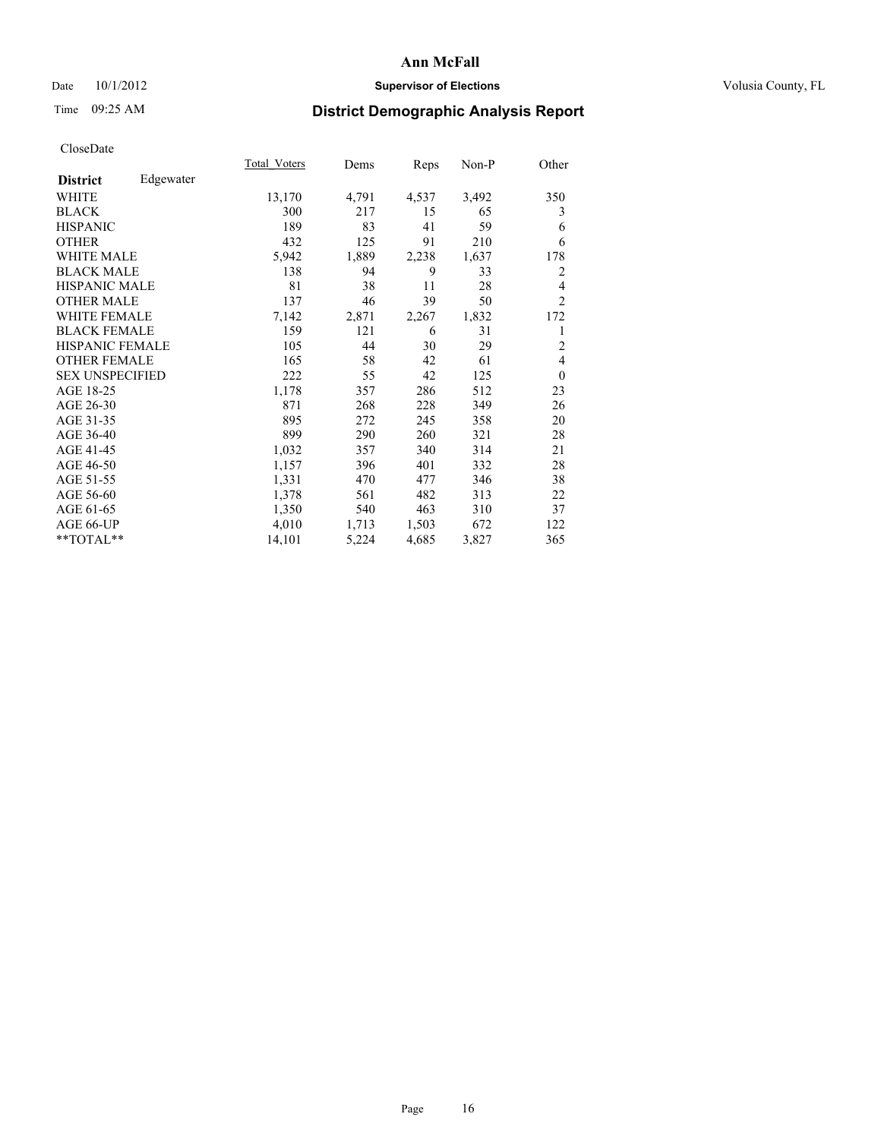### Date  $10/1/2012$  **Supervisor of Elections Supervisor of Elections** Volusia County, FL

# Time 09:25 AM **District Demographic Analysis Report**

|                              | Total Voters | Dems  | Reps  | Non-P | Other          |
|------------------------------|--------------|-------|-------|-------|----------------|
| Edgewater<br><b>District</b> |              |       |       |       |                |
| <b>WHITE</b>                 | 13,170       | 4,791 | 4,537 | 3,492 | 350            |
| <b>BLACK</b>                 | 300          | 217   | 15    | 65    | 3              |
| <b>HISPANIC</b>              | 189          | 83    | 41    | 59    | 6              |
| <b>OTHER</b>                 | 432          | 125   | 91    | 210   | 6              |
| <b>WHITE MALE</b>            | 5,942        | 1,889 | 2,238 | 1,637 | 178            |
| <b>BLACK MALE</b>            | 138          | 94    | 9     | 33    | 2              |
| HISPANIC MALE                | 81           | 38    | 11    | 28    | 4              |
| <b>OTHER MALE</b>            | 137          | 46    | 39    | 50    | $\overline{2}$ |
| <b>WHITE FEMALE</b>          | 7,142        | 2,871 | 2,267 | 1,832 | 172            |
| <b>BLACK FEMALE</b>          | 159          | 121   | 6     | 31    | 1              |
| <b>HISPANIC FEMALE</b>       | 105          | 44    | 30    | 29    | $\overline{2}$ |
| <b>OTHER FEMALE</b>          | 165          | 58    | 42    | 61    | 4              |
| <b>SEX UNSPECIFIED</b>       | 222          | 55    | 42    | 125   | $\theta$       |
| AGE 18-25                    | 1,178        | 357   | 286   | 512   | 23             |
| AGE 26-30                    | 871          | 268   | 228   | 349   | 26             |
| AGE 31-35                    | 895          | 272   | 245   | 358   | 20             |
| AGE 36-40                    | 899          | 290   | 260   | 321   | 28             |
| AGE 41-45                    | 1,032        | 357   | 340   | 314   | 21             |
| AGE 46-50                    | 1,157        | 396   | 401   | 332   | 28             |
| AGE 51-55                    | 1,331        | 470   | 477   | 346   | 38             |
| AGE 56-60                    | 1,378        | 561   | 482   | 313   | 22             |
| AGE 61-65                    | 1,350        | 540   | 463   | 310   | 37             |
| AGE 66-UP                    | 4,010        | 1,713 | 1,503 | 672   | 122            |
| **TOTAL**                    | 14,101       | 5,224 | 4,685 | 3,827 | 365            |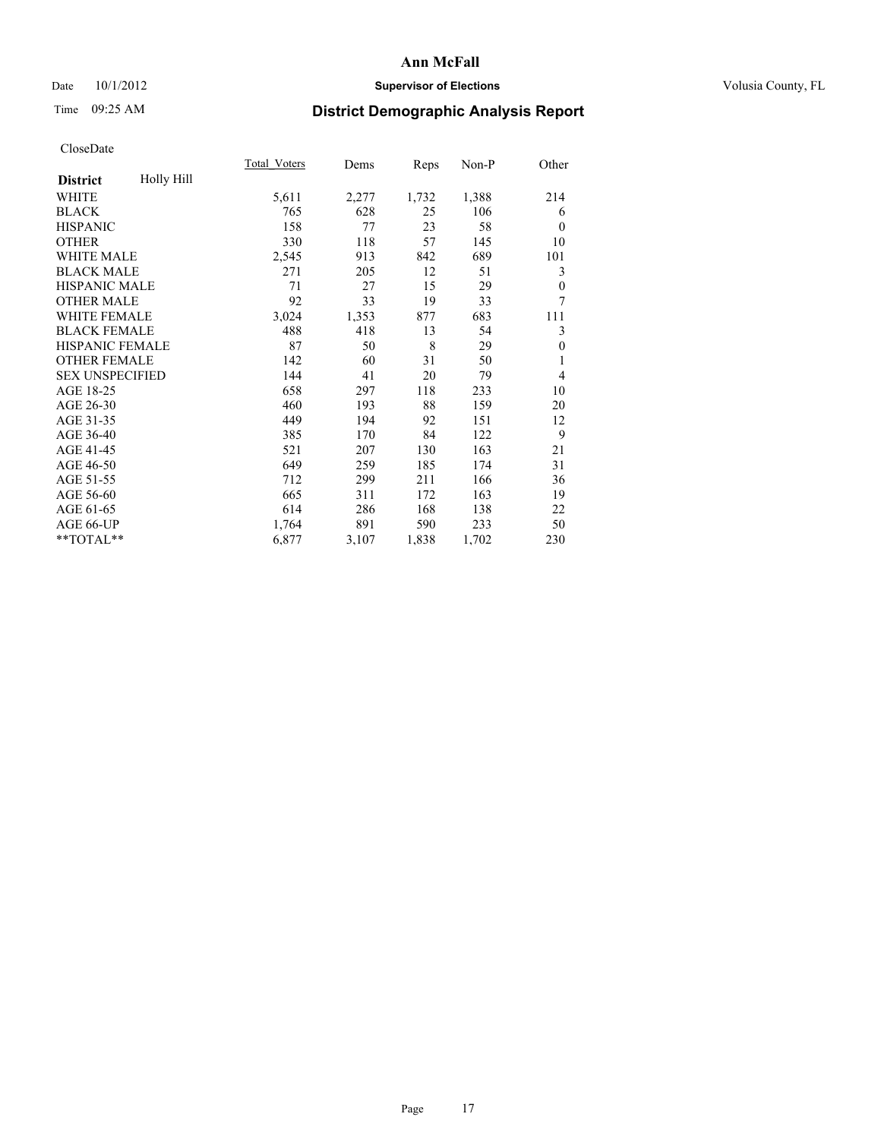### Date 10/1/2012 **Supervisor of Elections Supervisor of Elections** Volusia County, FL

# Time 09:25 AM **District Demographic Analysis Report**

|                        |            | <b>Total Voters</b> | Dems  | Reps  | Non-P | Other          |
|------------------------|------------|---------------------|-------|-------|-------|----------------|
| <b>District</b>        | Holly Hill |                     |       |       |       |                |
| WHITE                  |            | 5,611               | 2,277 | 1,732 | 1,388 | 214            |
| <b>BLACK</b>           |            | 765                 | 628   | 25    | 106   | 6              |
| <b>HISPANIC</b>        |            | 158                 | 77    | 23    | 58    | $\theta$       |
| <b>OTHER</b>           |            | 330                 | 118   | 57    | 145   | 10             |
| <b>WHITE MALE</b>      |            | 2,545               | 913   | 842   | 689   | 101            |
| <b>BLACK MALE</b>      |            | 271                 | 205   | 12    | 51    | 3              |
| <b>HISPANIC MALE</b>   |            | 71                  | 27    | 15    | 29    | $\theta$       |
| <b>OTHER MALE</b>      |            | 92                  | 33    | 19    | 33    | 7              |
| <b>WHITE FEMALE</b>    |            | 3,024               | 1,353 | 877   | 683   | 111            |
| <b>BLACK FEMALE</b>    |            | 488                 | 418   | 13    | 54    | 3              |
| <b>HISPANIC FEMALE</b> |            | 87                  | 50    | 8     | 29    | $\theta$       |
| <b>OTHER FEMALE</b>    |            | 142                 | 60    | 31    | 50    | 1              |
| <b>SEX UNSPECIFIED</b> |            | 144                 | 41    | 20    | 79    | $\overline{4}$ |
| AGE 18-25              |            | 658                 | 297   | 118   | 233   | 10             |
| AGE 26-30              |            | 460                 | 193   | 88    | 159   | 20             |
| AGE 31-35              |            | 449                 | 194   | 92    | 151   | 12             |
| AGE 36-40              |            | 385                 | 170   | 84    | 122   | 9              |
| AGE 41-45              |            | 521                 | 207   | 130   | 163   | 21             |
| AGE 46-50              |            | 649                 | 259   | 185   | 174   | 31             |
| AGE 51-55              |            | 712                 | 299   | 211   | 166   | 36             |
| AGE 56-60              |            | 665                 | 311   | 172   | 163   | 19             |
| AGE 61-65              |            | 614                 | 286   | 168   | 138   | 22             |
| AGE 66-UP              |            | 1,764               | 891   | 590   | 233   | 50             |
| **TOTAL**              |            | 6,877               | 3,107 | 1,838 | 1,702 | 230            |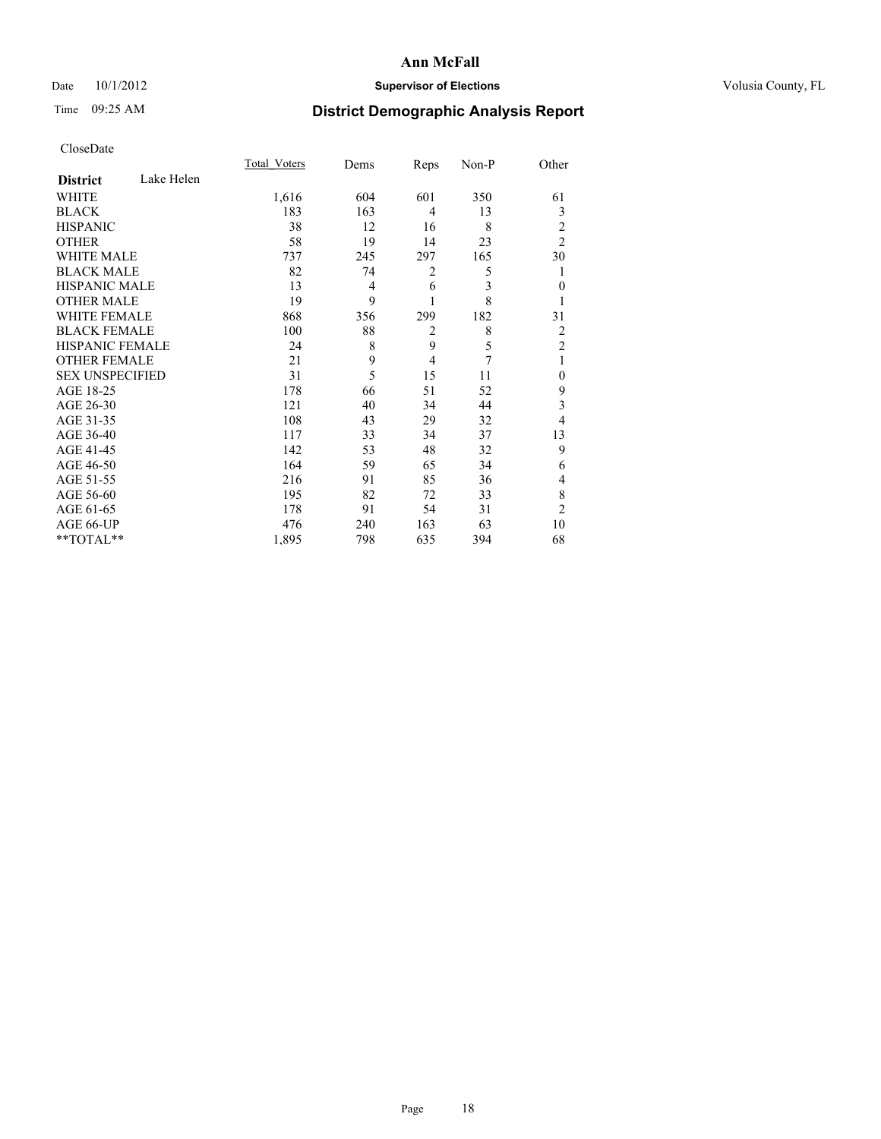### Date 10/1/2012 **Supervisor of Elections Supervisor of Elections** Volusia County, FL

# Time 09:25 AM **District Demographic Analysis Report**

|                        |            | <b>Total Voters</b> | Dems | Reps           | Non-P | Other          |
|------------------------|------------|---------------------|------|----------------|-------|----------------|
| <b>District</b>        | Lake Helen |                     |      |                |       |                |
| <b>WHITE</b>           |            | 1,616               | 604  | 601            | 350   | 61             |
| <b>BLACK</b>           |            | 183                 | 163  | 4              | 13    | 3              |
| <b>HISPANIC</b>        |            | 38                  | 12   | 16             | 8     | $\overline{c}$ |
| <b>OTHER</b>           |            | 58                  | 19   | 14             | 23    | $\overline{c}$ |
| WHITE MALE             |            | 737                 | 245  | 297            | 165   | 30             |
| <b>BLACK MALE</b>      |            | 82                  | 74   | $\overline{c}$ | 5     | 1              |
| <b>HISPANIC MALE</b>   |            | 13                  | 4    | 6              | 3     | $\theta$       |
| <b>OTHER MALE</b>      |            | 19                  | 9    |                | 8     | 1              |
| <b>WHITE FEMALE</b>    |            | 868                 | 356  | 299            | 182   | 31             |
| <b>BLACK FEMALE</b>    |            | 100                 | 88   | $\overline{2}$ | 8     | $\overline{2}$ |
| <b>HISPANIC FEMALE</b> |            | 24                  | 8    | 9              | 5     | $\overline{c}$ |
| <b>OTHER FEMALE</b>    |            | 21                  | 9    | $\overline{4}$ | 7     | 1              |
| <b>SEX UNSPECIFIED</b> |            | 31                  | 5    | 15             | 11    | $\theta$       |
| AGE 18-25              |            | 178                 | 66   | 51             | 52    | 9              |
| AGE 26-30              |            | 121                 | 40   | 34             | 44    | 3              |
| AGE 31-35              |            | 108                 | 43   | 29             | 32    | 4              |
| AGE 36-40              |            | 117                 | 33   | 34             | 37    | 13             |
| AGE 41-45              |            | 142                 | 53   | 48             | 32    | 9              |
| AGE 46-50              |            | 164                 | 59   | 65             | 34    | 6              |
| AGE 51-55              |            | 216                 | 91   | 85             | 36    | 4              |
| AGE 56-60              |            | 195                 | 82   | 72             | 33    | 8              |
| AGE 61-65              |            | 178                 | 91   | 54             | 31    | $\overline{c}$ |
| AGE 66-UP              |            | 476                 | 240  | 163            | 63    | 10             |
| **TOTAL**              |            | 1,895               | 798  | 635            | 394   | 68             |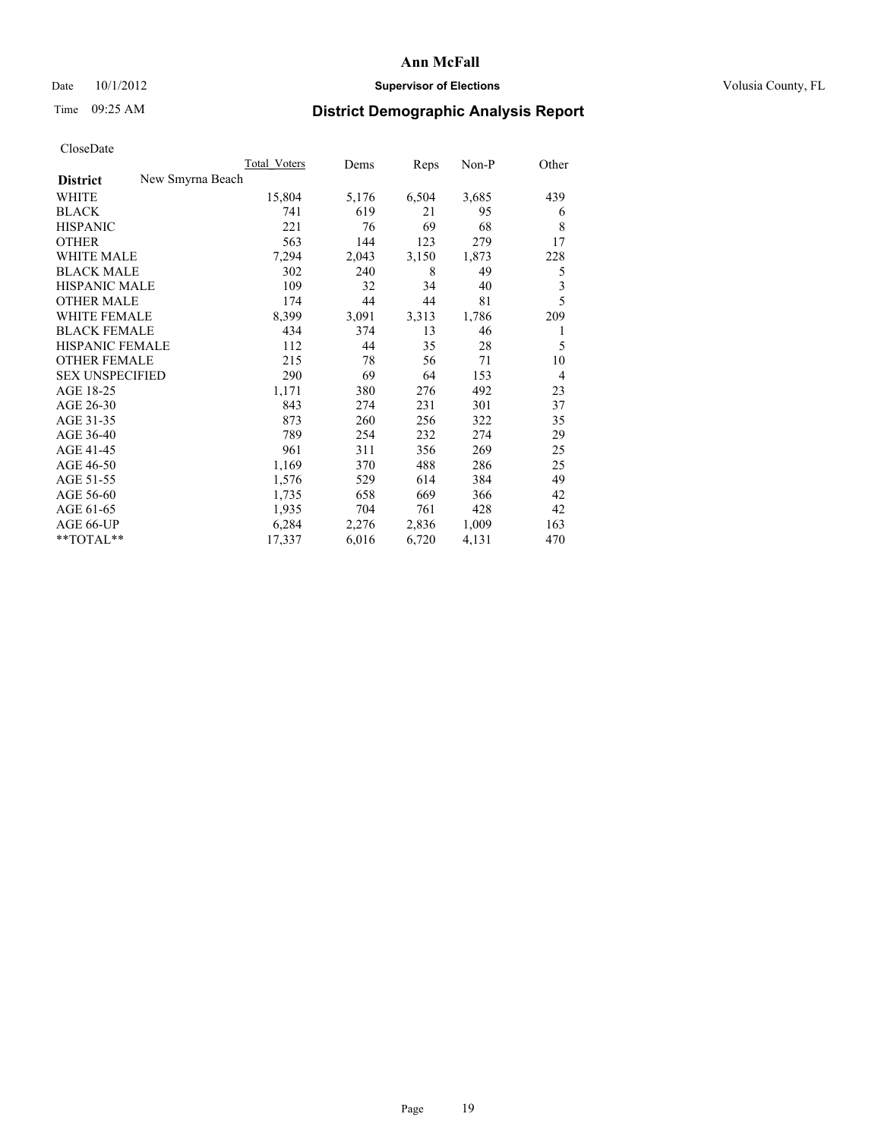### Date  $10/1/2012$  **Supervisor of Elections Supervisor of Elections** Volusia County, FL

# Time 09:25 AM **District Demographic Analysis Report**

|                                     | <b>Total Voters</b> | Dems  | Reps  | Non-P | Other |
|-------------------------------------|---------------------|-------|-------|-------|-------|
| New Smyrna Beach<br><b>District</b> |                     |       |       |       |       |
| <b>WHITE</b>                        | 15,804              | 5,176 | 6,504 | 3,685 | 439   |
| <b>BLACK</b>                        | 741                 | 619   | 21    | 95    | 6     |
| <b>HISPANIC</b>                     | 221                 | 76    | 69    | 68    | 8     |
| <b>OTHER</b>                        | 563                 | 144   | 123   | 279   | 17    |
| <b>WHITE MALE</b>                   | 7,294               | 2,043 | 3,150 | 1,873 | 228   |
| <b>BLACK MALE</b>                   | 302                 | 240   | 8     | 49    | 5     |
| <b>HISPANIC MALE</b>                | 109                 | 32    | 34    | 40    | 3     |
| <b>OTHER MALE</b>                   | 174                 | 44    | 44    | 81    | 5     |
| <b>WHITE FEMALE</b>                 | 8,399               | 3,091 | 3,313 | 1,786 | 209   |
| <b>BLACK FEMALE</b>                 | 434                 | 374   | 13    | 46    | 1     |
| <b>HISPANIC FEMALE</b>              | 112                 | 44    | 35    | 28    | 5     |
| <b>OTHER FEMALE</b>                 | 215                 | 78    | 56    | 71    | 10    |
| <b>SEX UNSPECIFIED</b>              | 290                 | 69    | 64    | 153   | 4     |
| AGE 18-25                           | 1,171               | 380   | 276   | 492   | 23    |
| AGE 26-30                           | 843                 | 274   | 231   | 301   | 37    |
| AGE 31-35                           | 873                 | 260   | 256   | 322   | 35    |
| AGE 36-40                           | 789                 | 254   | 232   | 274   | 29    |
| AGE 41-45                           | 961                 | 311   | 356   | 269   | 25    |
| AGE 46-50                           | 1,169               | 370   | 488   | 286   | 25    |
| AGE 51-55                           | 1,576               | 529   | 614   | 384   | 49    |
| AGE 56-60                           | 1,735               | 658   | 669   | 366   | 42    |
| AGE 61-65                           | 1,935               | 704   | 761   | 428   | 42    |
| AGE 66-UP                           | 6,284               | 2,276 | 2,836 | 1,009 | 163   |
| **TOTAL**                           | 17,337              | 6,016 | 6,720 | 4,131 | 470   |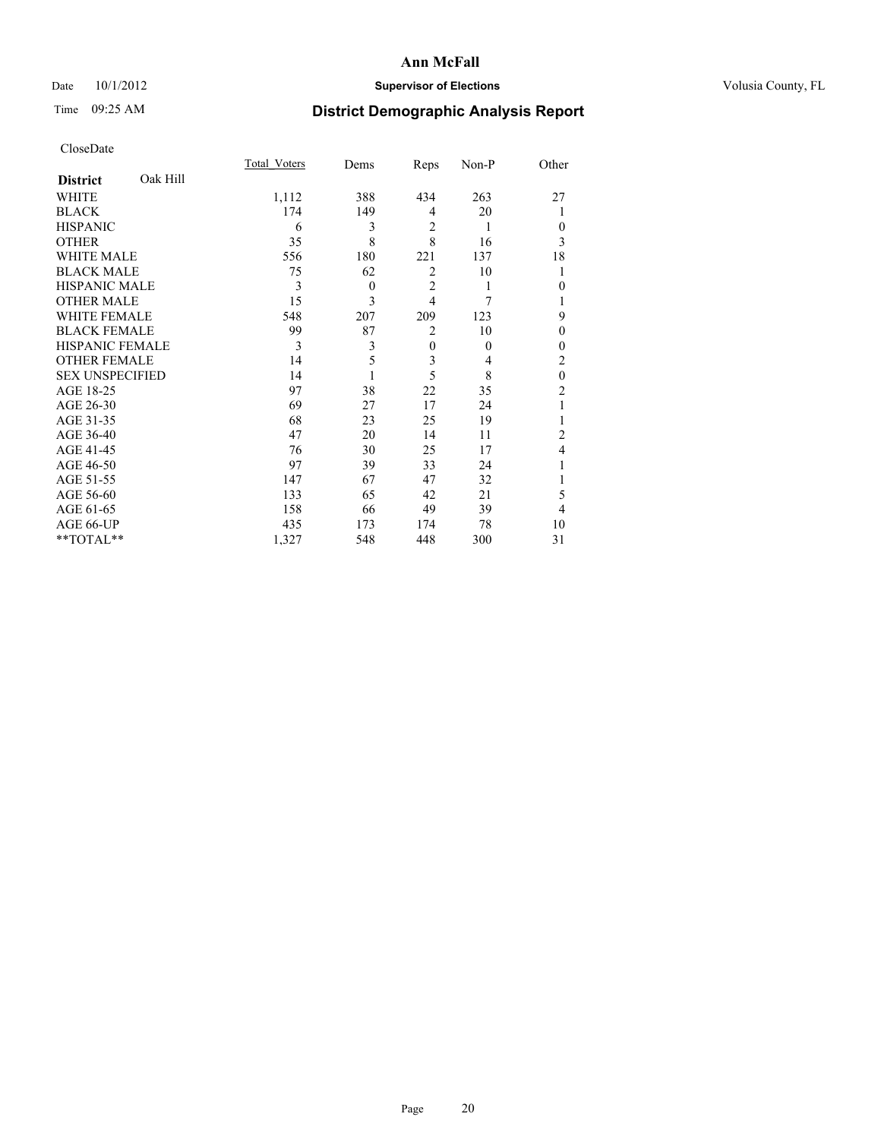### Date 10/1/2012 **Supervisor of Elections Supervisor of Elections** Volusia County, FL

# Time 09:25 AM **District Demographic Analysis Report**

|                        |          | Total Voters | Dems     | Reps           | Non-P    | Other          |
|------------------------|----------|--------------|----------|----------------|----------|----------------|
| <b>District</b>        | Oak Hill |              |          |                |          |                |
| WHITE                  |          | 1,112        | 388      | 434            | 263      | 27             |
| <b>BLACK</b>           |          | 174          | 149      | 4              | 20       |                |
| <b>HISPANIC</b>        |          | 6            | 3        | $\overline{2}$ | 1        | $\Omega$       |
| <b>OTHER</b>           |          | 35           | 8        | 8              | 16       | 3              |
| WHITE MALE             |          | 556          | 180      | 221            | 137      | 18             |
| <b>BLACK MALE</b>      |          | 75           | 62       | $\overline{2}$ | 10       | 1              |
| <b>HISPANIC MALE</b>   |          | 3            | $\theta$ | $\overline{2}$ | 1        | $\theta$       |
| <b>OTHER MALE</b>      |          | 15           | 3        | $\overline{4}$ | 7        |                |
| WHITE FEMALE           |          | 548          | 207      | 209            | 123      | 9              |
| <b>BLACK FEMALE</b>    |          | 99           | 87       | $\overline{2}$ | 10       | $\theta$       |
| <b>HISPANIC FEMALE</b> |          | 3            | 3        | $\overline{0}$ | $\theta$ | $\Omega$       |
| <b>OTHER FEMALE</b>    |          | 14           | 5        | 3              | 4        | 2              |
| <b>SEX UNSPECIFIED</b> |          | 14           |          | 5              | 8        | $\mathbf{0}$   |
| AGE 18-25              |          | 97           | 38       | 22             | 35       | $\overline{c}$ |
| AGE 26-30              |          | 69           | 27       | 17             | 24       | 1              |
| AGE 31-35              |          | 68           | 23       | 25             | 19       |                |
| AGE 36-40              |          | 47           | 20       | 14             | 11       | $\overline{c}$ |
| AGE 41-45              |          | 76           | 30       | 25             | 17       | 4              |
| AGE 46-50              |          | 97           | 39       | 33             | 24       | 1              |
| AGE 51-55              |          | 147          | 67       | 47             | 32       |                |
| AGE 56-60              |          | 133          | 65       | 42             | 21       | 5              |
| AGE 61-65              |          | 158          | 66       | 49             | 39       | 4              |
| AGE 66-UP              |          | 435          | 173      | 174            | 78       | 10             |
| **TOTAL**              |          | 1,327        | 548      | 448            | 300      | 31             |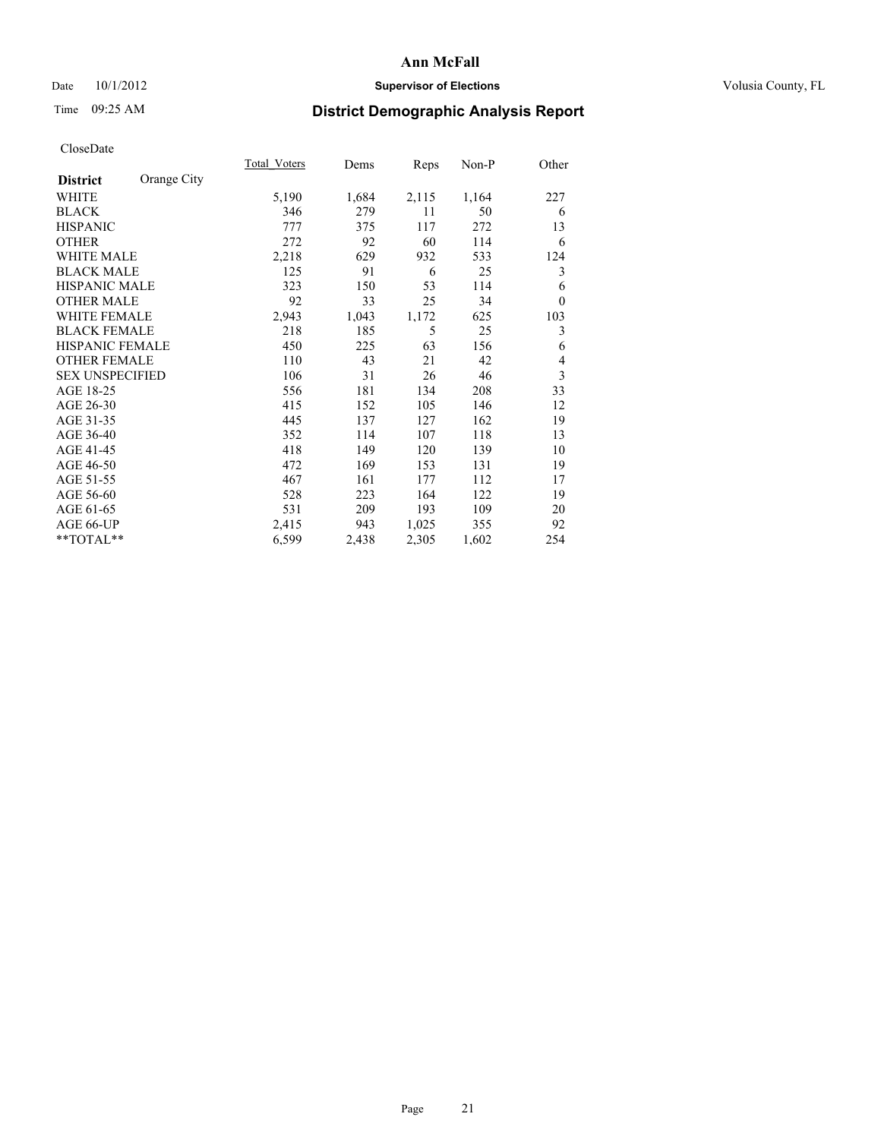### Date 10/1/2012 **Supervisor of Elections Supervisor of Elections** Volusia County, FL

# Time 09:25 AM **District Demographic Analysis Report**

|                        |             | Total Voters | Dems  | Reps  | Non-P | Other    |
|------------------------|-------------|--------------|-------|-------|-------|----------|
| <b>District</b>        | Orange City |              |       |       |       |          |
| <b>WHITE</b>           |             | 5,190        | 1,684 | 2,115 | 1,164 | 227      |
| <b>BLACK</b>           |             | 346          | 279   | 11    | 50    | 6        |
| <b>HISPANIC</b>        |             | 777          | 375   | 117   | 272   | 13       |
| <b>OTHER</b>           |             | 272          | 92    | 60    | 114   | 6        |
| <b>WHITE MALE</b>      |             | 2,218        | 629   | 932   | 533   | 124      |
| <b>BLACK MALE</b>      |             | 125          | 91    | 6     | 25    | 3        |
| HISPANIC MALE          |             | 323          | 150   | 53    | 114   | 6        |
| <b>OTHER MALE</b>      |             | 92           | 33    | 25    | 34    | $\theta$ |
| <b>WHITE FEMALE</b>    |             | 2,943        | 1,043 | 1,172 | 625   | 103      |
| <b>BLACK FEMALE</b>    |             | 218          | 185   | 5     | 25    | 3        |
| <b>HISPANIC FEMALE</b> |             | 450          | 225   | 63    | 156   | 6        |
| <b>OTHER FEMALE</b>    |             | 110          | 43    | 21    | 42    | 4        |
| <b>SEX UNSPECIFIED</b> |             | 106          | 31    | 26    | 46    | 3        |
| AGE 18-25              |             | 556          | 181   | 134   | 208   | 33       |
| AGE 26-30              |             | 415          | 152   | 105   | 146   | 12       |
| AGE 31-35              |             | 445          | 137   | 127   | 162   | 19       |
| AGE 36-40              |             | 352          | 114   | 107   | 118   | 13       |
| AGE 41-45              |             | 418          | 149   | 120   | 139   | 10       |
| AGE 46-50              |             | 472          | 169   | 153   | 131   | 19       |
| AGE 51-55              |             | 467          | 161   | 177   | 112   | 17       |
| AGE 56-60              |             | 528          | 223   | 164   | 122   | 19       |
| AGE 61-65              |             | 531          | 209   | 193   | 109   | 20       |
| AGE 66-UP              |             | 2,415        | 943   | 1,025 | 355   | 92       |
| **TOTAL**              |             | 6,599        | 2,438 | 2,305 | 1,602 | 254      |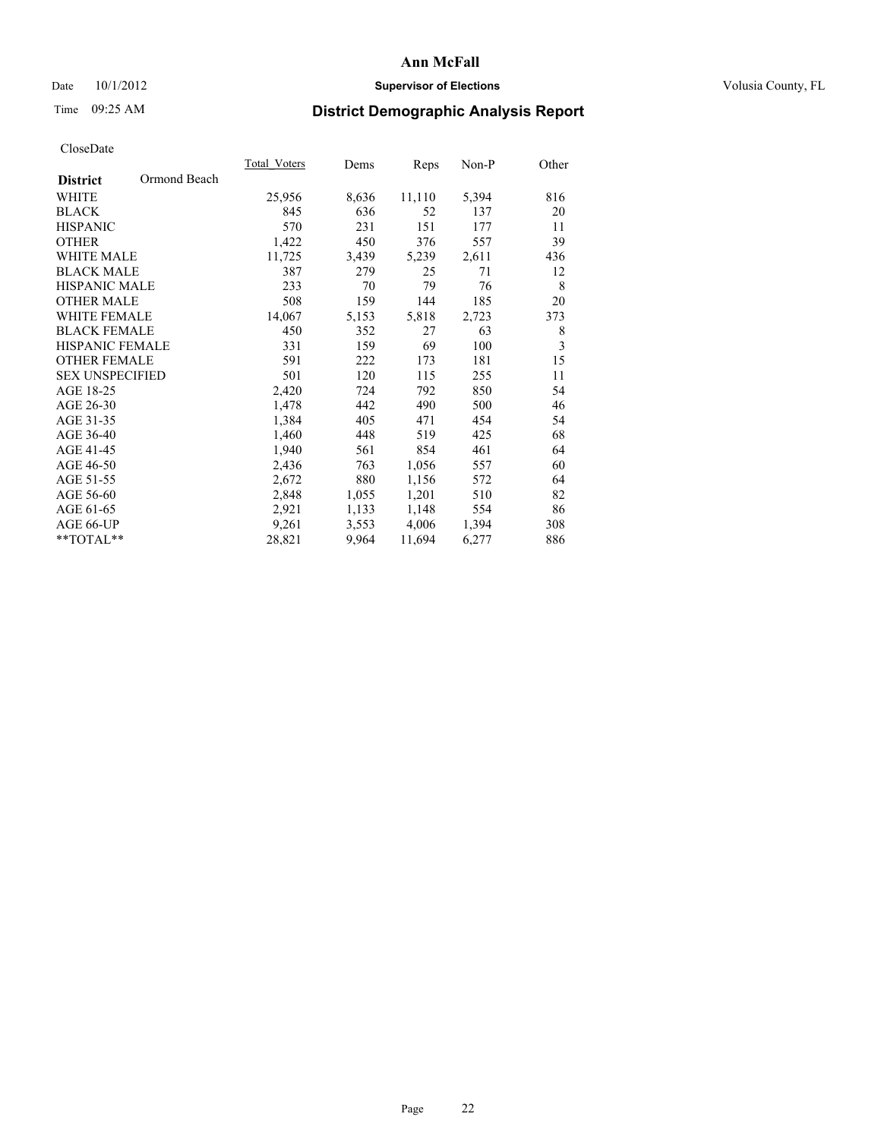### Date 10/1/2012 **Supervisor of Elections Supervisor of Elections** Volusia County, FL

# Time 09:25 AM **District Demographic Analysis Report**

|                                 | Total Voters | Dems  | Reps   | Non-P | Other |
|---------------------------------|--------------|-------|--------|-------|-------|
| Ormond Beach<br><b>District</b> |              |       |        |       |       |
| WHITE                           | 25,956       | 8,636 | 11,110 | 5,394 | 816   |
| <b>BLACK</b>                    | 845          | 636   | 52     | 137   | 20    |
| <b>HISPANIC</b>                 | 570          | 231   | 151    | 177   | 11    |
| <b>OTHER</b>                    | 1,422        | 450   | 376    | 557   | 39    |
| <b>WHITE MALE</b>               | 11,725       | 3,439 | 5,239  | 2,611 | 436   |
| <b>BLACK MALE</b>               | 387          | 279   | 25     | 71    | 12    |
| <b>HISPANIC MALE</b>            | 233          | 70    | 79     | 76    | 8     |
| <b>OTHER MALE</b>               | 508          | 159   | 144    | 185   | 20    |
| <b>WHITE FEMALE</b>             | 14,067       | 5,153 | 5,818  | 2,723 | 373   |
| <b>BLACK FEMALE</b>             | 450          | 352   | 27     | 63    | 8     |
| <b>HISPANIC FEMALE</b>          | 331          | 159   | 69     | 100   | 3     |
| <b>OTHER FEMALE</b>             | 591          | 222   | 173    | 181   | 15    |
| <b>SEX UNSPECIFIED</b>          | 501          | 120   | 115    | 255   | 11    |
| AGE 18-25                       | 2,420        | 724   | 792    | 850   | 54    |
| AGE 26-30                       | 1,478        | 442   | 490    | 500   | 46    |
| AGE 31-35                       | 1,384        | 405   | 471    | 454   | 54    |
| AGE 36-40                       | 1,460        | 448   | 519    | 425   | 68    |
| AGE 41-45                       | 1,940        | 561   | 854    | 461   | 64    |
| AGE 46-50                       | 2,436        | 763   | 1,056  | 557   | 60    |
| AGE 51-55                       | 2,672        | 880   | 1,156  | 572   | 64    |
| AGE 56-60                       | 2,848        | 1,055 | 1,201  | 510   | 82    |
| AGE 61-65                       | 2,921        | 1,133 | 1,148  | 554   | 86    |
| AGE 66-UP                       | 9,261        | 3,553 | 4,006  | 1,394 | 308   |
| **TOTAL**                       | 28,821       | 9,964 | 11,694 | 6,277 | 886   |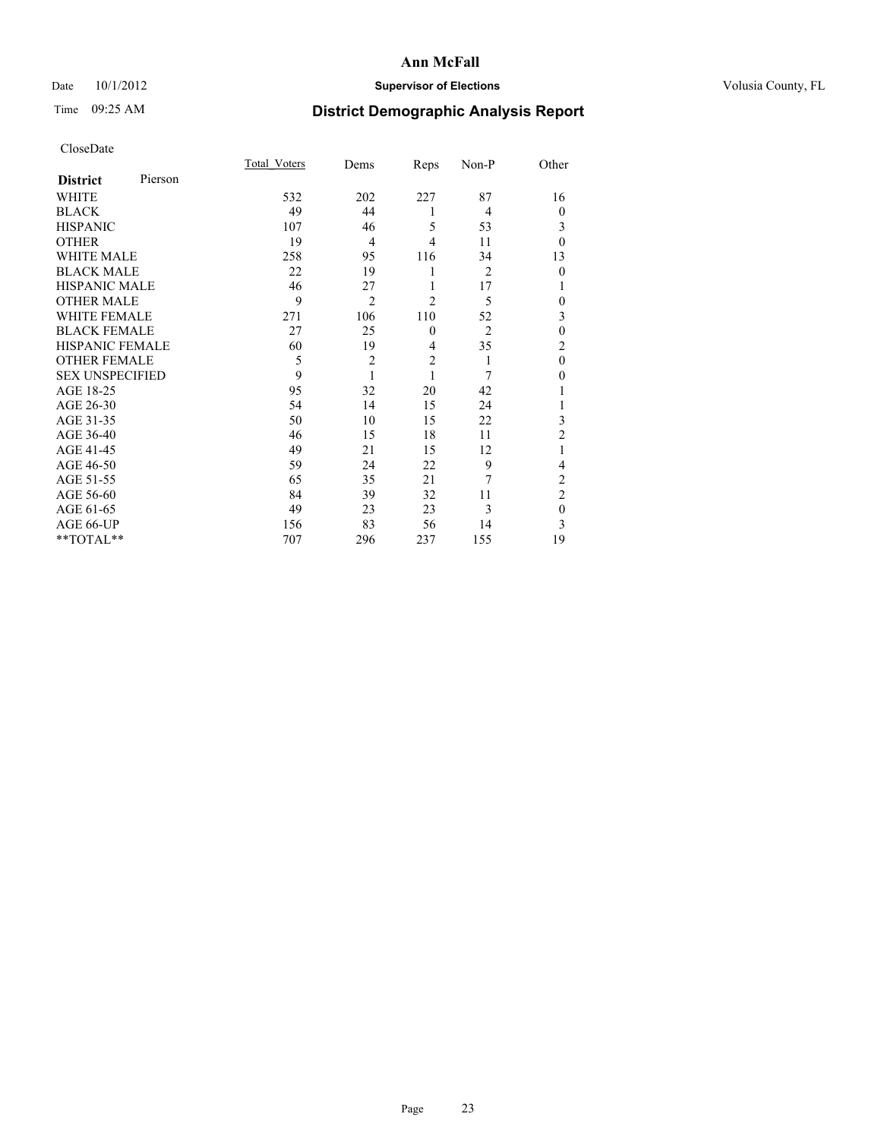### Date 10/1/2012 **Supervisor of Elections Supervisor of Elections** Volusia County, FL

# Time 09:25 AM **District Demographic Analysis Report**

|                        |         | <b>Total Voters</b> | Dems           | Reps           | Non-P          | Other          |
|------------------------|---------|---------------------|----------------|----------------|----------------|----------------|
| <b>District</b>        | Pierson |                     |                |                |                |                |
| WHITE                  |         | 532                 | 202            | 227            | 87             | 16             |
| <b>BLACK</b>           |         | 49                  | 44             | 1              | 4              | $\theta$       |
| <b>HISPANIC</b>        |         | 107                 | 46             | 5              | 53             | 3              |
| <b>OTHER</b>           |         | 19                  | $\overline{4}$ | 4              | 11             | $\theta$       |
| WHITE MALE             |         | 258                 | 95             | 116            | 34             | 13             |
| <b>BLACK MALE</b>      |         | 22                  | 19             | 1              | $\overline{c}$ | $\mathbf{0}$   |
| <b>HISPANIC MALE</b>   |         | 46                  | 27             | 1              | 17             |                |
| <b>OTHER MALE</b>      |         | 9                   | $\overline{2}$ | $\overline{2}$ | 5              | 0              |
| WHITE FEMALE           |         | 271                 | 106            | 110            | 52             | 3              |
| <b>BLACK FEMALE</b>    |         | 27                  | 25             | $\mathbf{0}$   | $\overline{2}$ | $\mathbf{0}$   |
| <b>HISPANIC FEMALE</b> |         | 60                  | 19             | $\overline{4}$ | 35             | $\overline{c}$ |
| <b>OTHER FEMALE</b>    |         | 5                   | $\overline{c}$ | $\overline{2}$ | 1              | $\theta$       |
| <b>SEX UNSPECIFIED</b> |         | 9                   | 1              | 1              | 7              | $\theta$       |
| AGE 18-25              |         | 95                  | 32             | 20             | 42             |                |
| AGE 26-30              |         | 54                  | 14             | 15             | 24             | 1              |
| AGE 31-35              |         | 50                  | 10             | 15             | 22             | 3              |
| AGE 36-40              |         | 46                  | 15             | 18             | 11             | $\overline{2}$ |
| AGE 41-45              |         | 49                  | 21             | 15             | 12             |                |
| AGE 46-50              |         | 59                  | 24             | 22             | 9              | 4              |
| AGE 51-55              |         | 65                  | 35             | 21             | 7              | $\overline{c}$ |
| AGE 56-60              |         | 84                  | 39             | 32             | 11             | $\overline{c}$ |
| AGE 61-65              |         | 49                  | 23             | 23             | 3              | $\mathbf{0}$   |
| AGE 66-UP              |         | 156                 | 83             | 56             | 14             | 3              |
| **TOTAL**              |         | 707                 | 296            | 237            | 155            | 19             |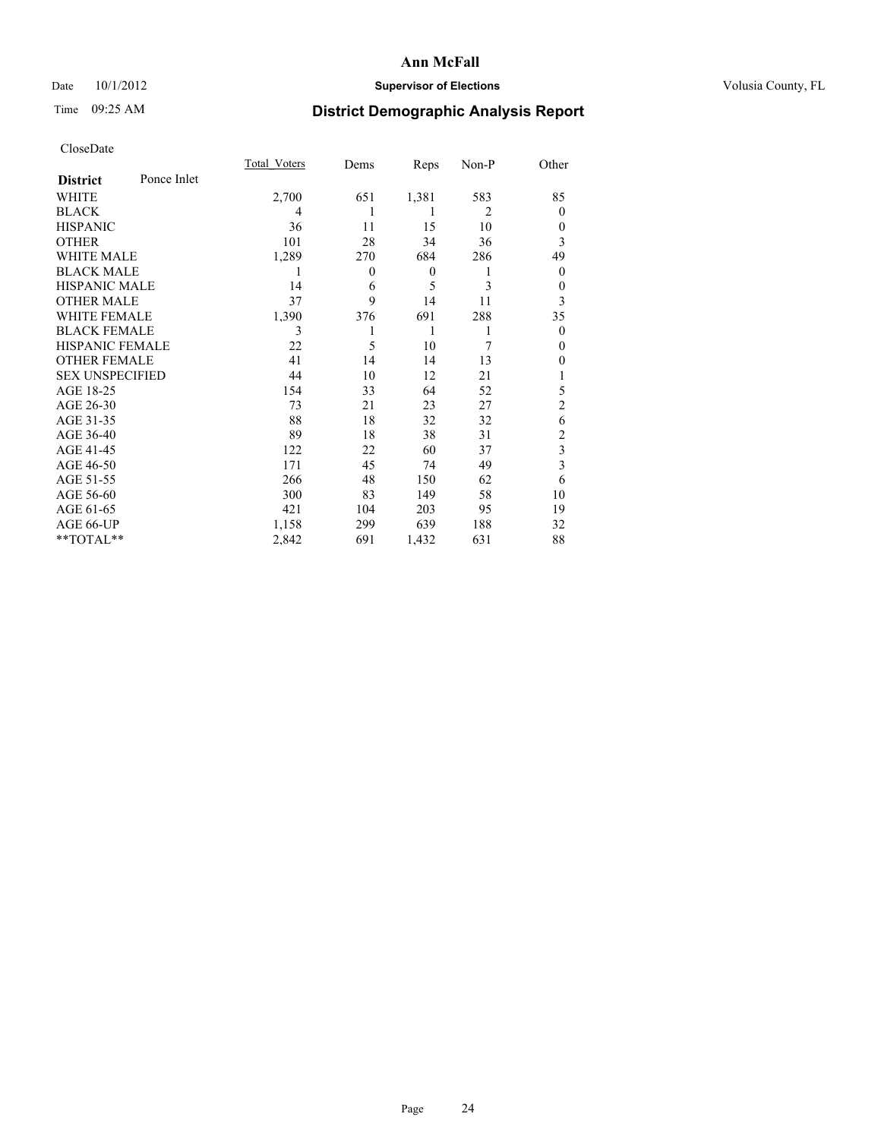### Date 10/1/2012 **Supervisor of Elections Supervisor of Elections** Volusia County, FL

# Time 09:25 AM **District Demographic Analysis Report**

|                        |             | <b>Total Voters</b> | Dems           | Reps             | Non-P          | Other          |
|------------------------|-------------|---------------------|----------------|------------------|----------------|----------------|
| <b>District</b>        | Ponce Inlet |                     |                |                  |                |                |
| WHITE                  |             | 2,700               | 651            | 1,381            | 583            | 85             |
| <b>BLACK</b>           |             | 4                   | 1              | 1                | $\overline{2}$ | $\Omega$       |
| <b>HISPANIC</b>        |             | 36                  | 11             | 15               | 10             | $\Omega$       |
| <b>OTHER</b>           |             | 101                 | 28             | 34               | 36             | 3              |
| WHITE MALE             |             | 1,289               | 270            | 684              | 286            | 49             |
| <b>BLACK MALE</b>      |             | 1                   | $\overline{0}$ | $\boldsymbol{0}$ | 1              | $\overline{0}$ |
| <b>HISPANIC MALE</b>   |             | 14                  | 6              | 5                | 3              | $\overline{0}$ |
| <b>OTHER MALE</b>      |             | 37                  | 9              | 14               | 11             | 3              |
| <b>WHITE FEMALE</b>    |             | 1,390               | 376            | 691              | 288            | 35             |
| <b>BLACK FEMALE</b>    |             | 3                   |                | 1                | 1              | $\overline{0}$ |
| <b>HISPANIC FEMALE</b> |             | 22                  | 5              | 10               | 7              | $\Omega$       |
| <b>OTHER FEMALE</b>    |             | 41                  | 14             | 14               | 13             | $\theta$       |
| <b>SEX UNSPECIFIED</b> |             | 44                  | 10             | 12               | 21             |                |
| AGE 18-25              |             | 154                 | 33             | 64               | 52             | 5              |
| AGE 26-30              |             | 73                  | 21             | 23               | 27             | $\overline{2}$ |
| AGE 31-35              |             | 88                  | 18             | 32               | 32             | 6              |
| AGE 36-40              |             | 89                  | 18             | 38               | 31             | $\overline{c}$ |
| AGE 41-45              |             | 122                 | 22             | 60               | 37             | 3              |
| AGE 46-50              |             | 171                 | 45             | 74               | 49             | 3              |
| AGE 51-55              |             | 266                 | 48             | 150              | 62             | 6              |
| AGE 56-60              |             | 300                 | 83             | 149              | 58             | 10             |
| AGE 61-65              |             | 421                 | 104            | 203              | 95             | 19             |
| AGE 66-UP              |             | 1,158               | 299            | 639              | 188            | 32             |
| **TOTAL**              |             | 2,842               | 691            | 1,432            | 631            | 88             |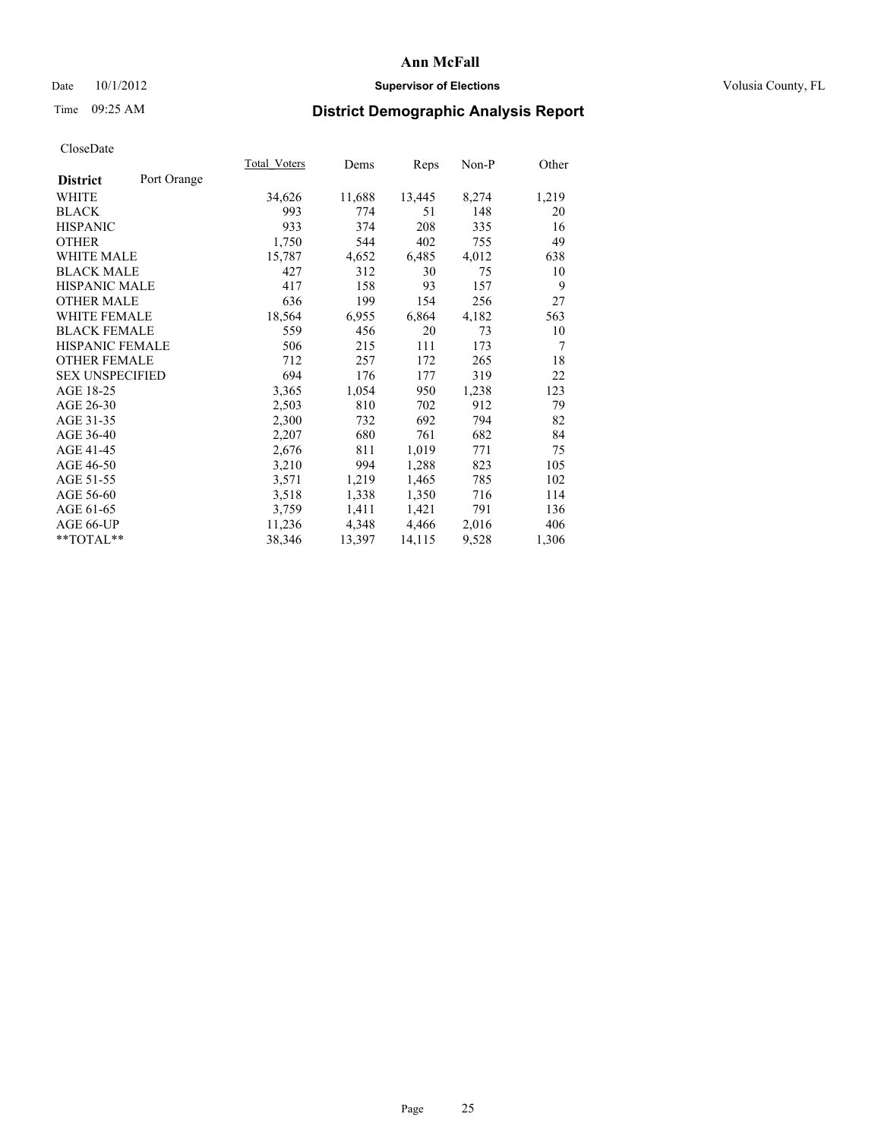### Date 10/1/2012 **Supervisor of Elections Supervisor of Elections** Volusia County, FL

# Time 09:25 AM **District Demographic Analysis Report**

| Total Voters | Dems   | <b>Reps</b> | Non-P | Other |
|--------------|--------|-------------|-------|-------|
|              |        |             |       |       |
| 34,626       | 11,688 | 13,445      | 8,274 | 1,219 |
| 993          | 774    | 51          | 148   | 20    |
| 933          | 374    | 208         | 335   | 16    |
| 1,750        | 544    | 402         | 755   | 49    |
| 15,787       | 4,652  | 6,485       | 4,012 | 638   |
| 427          | 312    | 30          | 75    | 10    |
| 417          | 158    | 93          | 157   | 9     |
| 636          | 199    | 154         | 256   | 27    |
| 18,564       | 6,955  | 6,864       | 4,182 | 563   |
| 559          | 456    | 20          | 73    | 10    |
| 506          | 215    | 111         | 173   | 7     |
| 712          | 257    | 172         | 265   | 18    |
| 694          | 176    | 177         | 319   | 22    |
| 3,365        | 1,054  | 950         | 1,238 | 123   |
| 2,503        | 810    | 702         | 912   | 79    |
| 2,300        | 732    | 692         | 794   | 82    |
| 2,207        | 680    | 761         | 682   | 84    |
| 2,676        | 811    | 1,019       | 771   | 75    |
| 3,210        | 994    | 1,288       | 823   | 105   |
| 3,571        | 1,219  | 1,465       | 785   | 102   |
| 3,518        | 1,338  | 1,350       | 716   | 114   |
| 3,759        | 1,411  | 1,421       | 791   | 136   |
| 11,236       | 4,348  | 4,466       | 2,016 | 406   |
| 38,346       | 13,397 | 14,115      | 9,528 | 1,306 |
|              |        |             |       |       |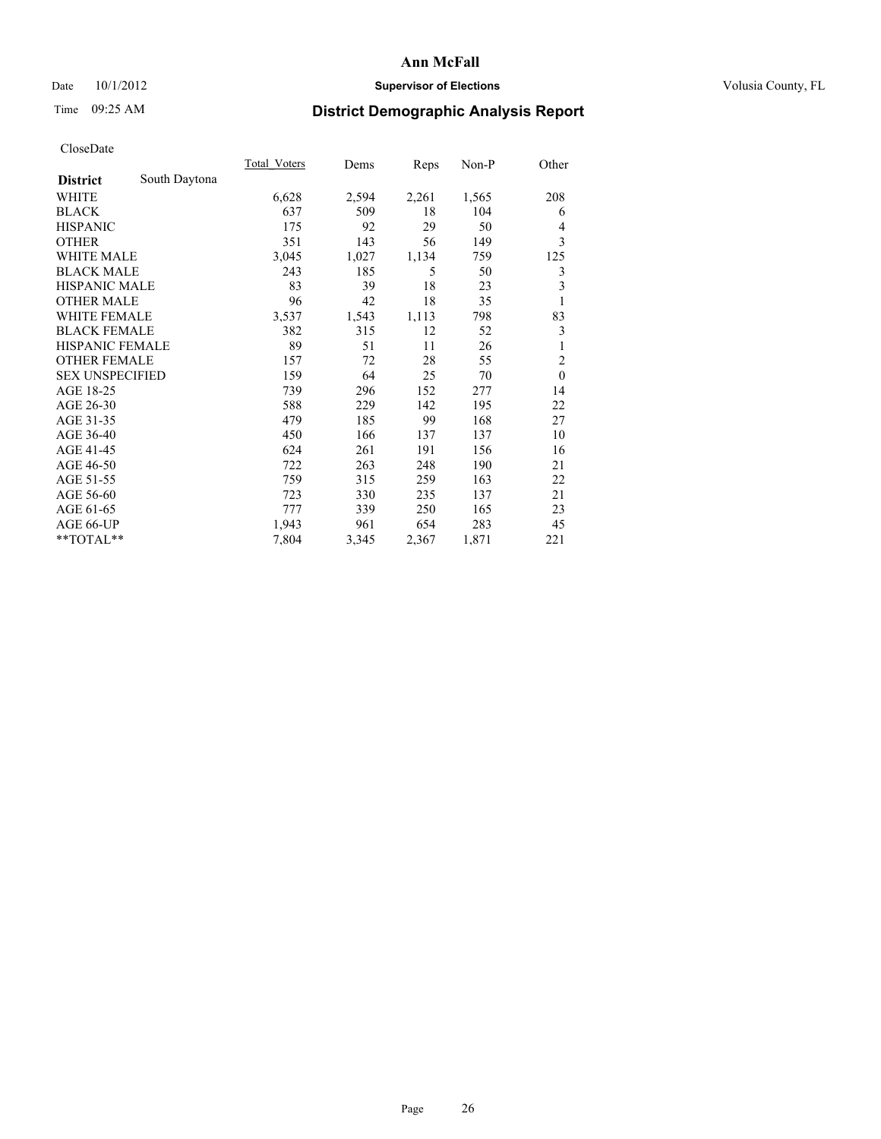### Date 10/1/2012 **Supervisor of Elections Supervisor of Elections** Volusia County, FL

# Time 09:25 AM **District Demographic Analysis Report**

|                        |               | Total Voters | Dems  | Reps  | $Non-P$ | Other                   |
|------------------------|---------------|--------------|-------|-------|---------|-------------------------|
| <b>District</b>        | South Daytona |              |       |       |         |                         |
| WHITE                  |               | 6,628        | 2,594 | 2,261 | 1,565   | 208                     |
| <b>BLACK</b>           |               | 637          | 509   | 18    | 104     | 6                       |
| <b>HISPANIC</b>        |               | 175          | 92    | 29    | 50      | 4                       |
| <b>OTHER</b>           |               | 351          | 143   | 56    | 149     | 3                       |
| WHITE MALE             |               | 3,045        | 1,027 | 1,134 | 759     | 125                     |
| <b>BLACK MALE</b>      |               | 243          | 185   | 5     | 50      | 3                       |
| <b>HISPANIC MALE</b>   |               | 83           | 39    | 18    | 23      | $\overline{\mathbf{3}}$ |
| <b>OTHER MALE</b>      |               | 96           | 42    | 18    | 35      | 1                       |
| <b>WHITE FEMALE</b>    |               | 3,537        | 1,543 | 1,113 | 798     | 83                      |
| <b>BLACK FEMALE</b>    |               | 382          | 315   | 12    | 52      | $\mathfrak{Z}$          |
| <b>HISPANIC FEMALE</b> |               | 89           | 51    | 11    | 26      | 1                       |
| <b>OTHER FEMALE</b>    |               | 157          | 72    | 28    | 55      | $\overline{c}$          |
| <b>SEX UNSPECIFIED</b> |               | 159          | 64    | 25    | 70      | $\mathbf{0}$            |
| AGE 18-25              |               | 739          | 296   | 152   | 277     | 14                      |
| AGE 26-30              |               | 588          | 229   | 142   | 195     | 22                      |
| AGE 31-35              |               | 479          | 185   | 99    | 168     | 27                      |
| AGE 36-40              |               | 450          | 166   | 137   | 137     | 10                      |
| AGE 41-45              |               | 624          | 261   | 191   | 156     | 16                      |
| AGE 46-50              |               | 722          | 263   | 248   | 190     | 21                      |
| AGE 51-55              |               | 759          | 315   | 259   | 163     | 22                      |
| AGE 56-60              |               | 723          | 330   | 235   | 137     | 21                      |
| AGE 61-65              |               | 777          | 339   | 250   | 165     | 23                      |
| AGE 66-UP              |               | 1,943        | 961   | 654   | 283     | 45                      |
| **TOTAL**              |               | 7,804        | 3,345 | 2,367 | 1,871   | 221                     |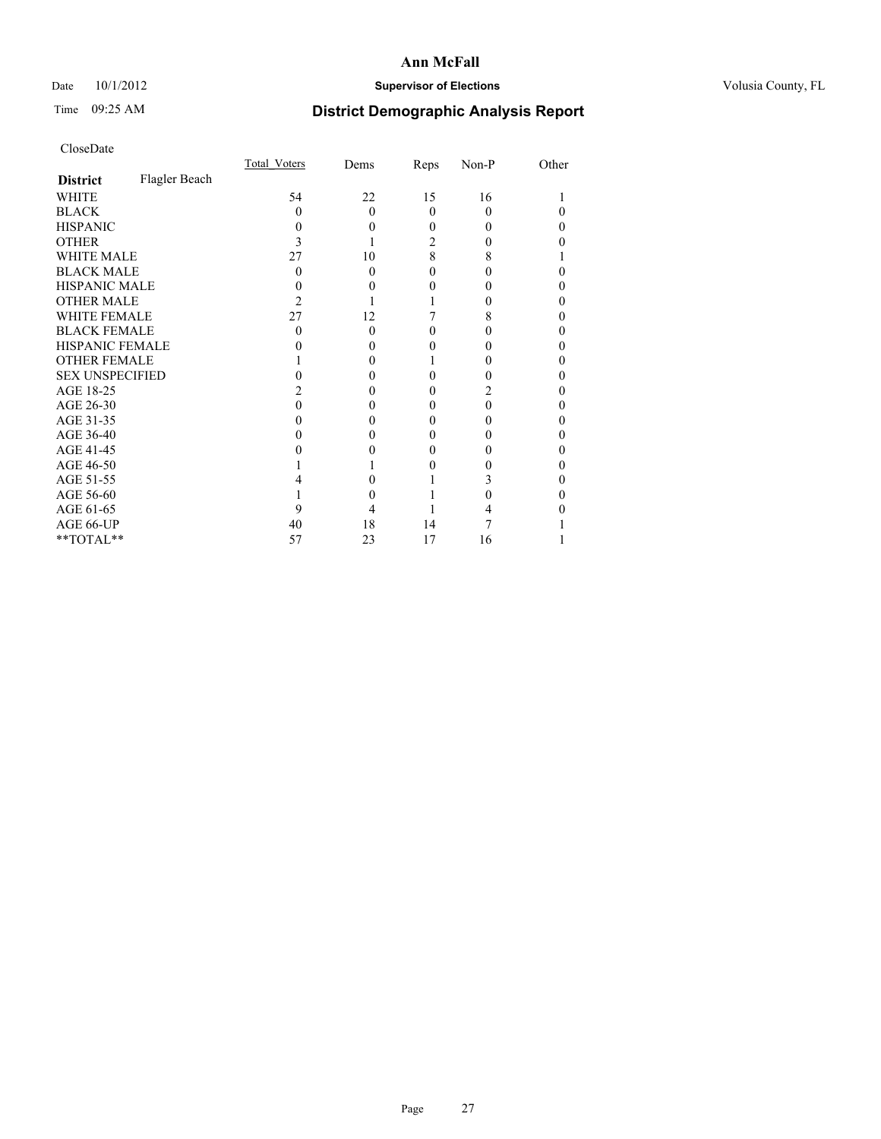### Date 10/1/2012 **Supervisor of Elections Supervisor of Elections** Volusia County, FL

# Time 09:25 AM **District Demographic Analysis Report**

|                        |               | <b>Total Voters</b> | Dems     | Reps     | Non-P    | Other |
|------------------------|---------------|---------------------|----------|----------|----------|-------|
| <b>District</b>        | Flagler Beach |                     |          |          |          |       |
| WHITE                  |               | 54                  | 22       | 15       | 16       |       |
| <b>BLACK</b>           |               | 0                   | $\Omega$ | $\theta$ | $\Omega$ |       |
| <b>HISPANIC</b>        |               | 0                   | 0        | 0        | $\theta$ | 0     |
| <b>OTHER</b>           |               |                     |          | 2        | 0        |       |
| <b>WHITE MALE</b>      |               | 27                  | 10       | 8        | 8        |       |
| <b>BLACK MALE</b>      |               | 0                   | $\Omega$ | 0        | 0        |       |
| <b>HISPANIC MALE</b>   |               |                     |          |          |          |       |
| <b>OTHER MALE</b>      |               | 2                   |          |          | 0        | 0     |
| <b>WHITE FEMALE</b>    |               | 27                  | 12       |          | 8        |       |
| <b>BLACK FEMALE</b>    |               | 0                   | $\Omega$ | 0        | $\theta$ | 0     |
| <b>HISPANIC FEMALE</b> |               |                     |          |          |          |       |
| <b>OTHER FEMALE</b>    |               |                     | 0        |          |          | 0     |
| <b>SEX UNSPECIFIED</b> |               |                     |          |          |          |       |
| AGE 18-25              |               |                     |          | 0        |          |       |
| AGE 26-30              |               |                     |          | 0        | 0        | 0     |
| AGE 31-35              |               |                     |          | 0        |          | 0     |
| AGE 36-40              |               |                     | 0        | 0        | 0        | 0     |
| AGE 41-45              |               |                     |          |          |          |       |
| AGE 46-50              |               |                     |          | 0        |          | 0     |
| AGE 51-55              |               |                     |          |          | 3        |       |
| AGE 56-60              |               |                     |          |          |          | 0     |
| AGE 61-65              |               | 9                   |          |          |          |       |
| AGE 66-UP              |               | 40                  | 18       | 14       |          |       |
| **TOTAL**              |               | 57                  | 23       | 17       | 16       |       |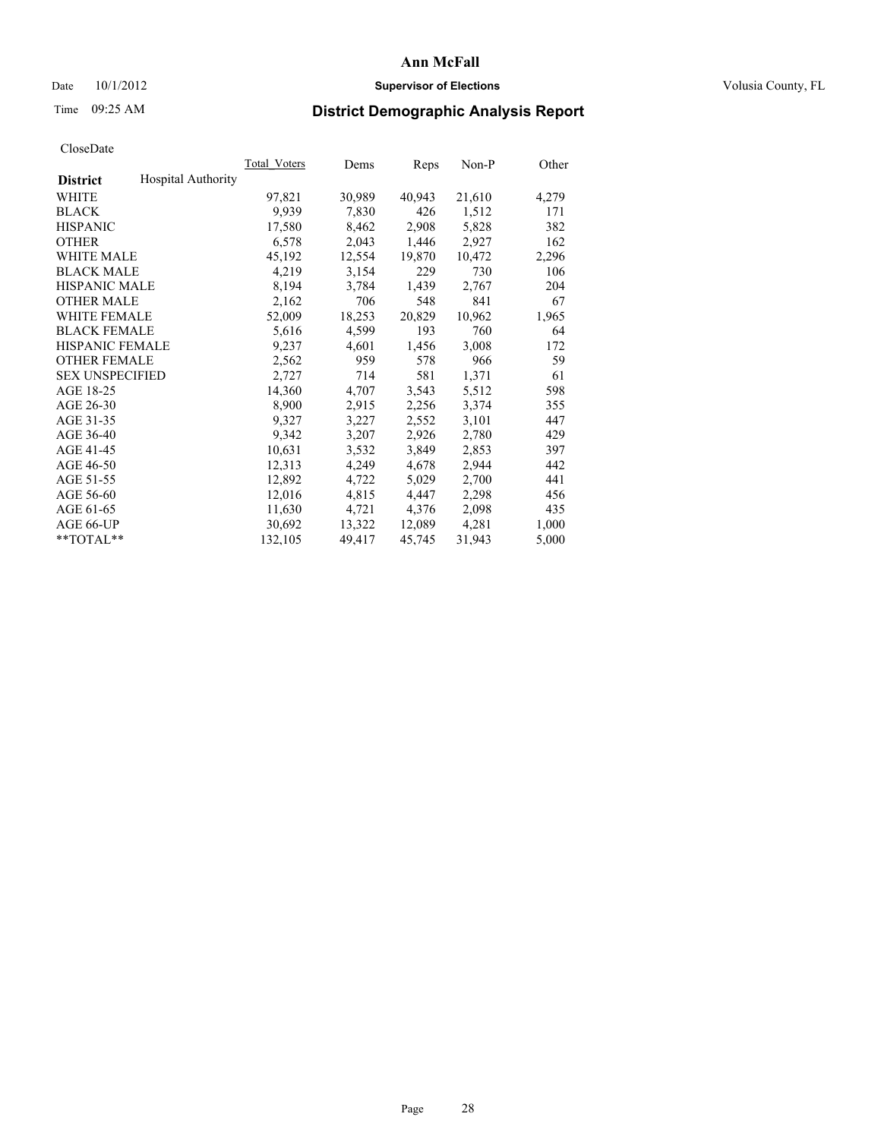### Date  $10/1/2012$  **Supervisor of Elections Supervisor of Elections** Volusia County, FL

# Time 09:25 AM **District Demographic Analysis Report**

|                        |                           | Total Voters | Dems   | Reps   | Non-P  | Other |
|------------------------|---------------------------|--------------|--------|--------|--------|-------|
| <b>District</b>        | <b>Hospital Authority</b> |              |        |        |        |       |
| WHITE                  |                           | 97,821       | 30,989 | 40,943 | 21,610 | 4,279 |
| <b>BLACK</b>           |                           | 9.939        | 7,830  | 426    | 1,512  | 171   |
| <b>HISPANIC</b>        |                           | 17,580       | 8,462  | 2,908  | 5,828  | 382   |
| <b>OTHER</b>           |                           | 6,578        | 2,043  | 1,446  | 2,927  | 162   |
| <b>WHITE MALE</b>      |                           | 45,192       | 12,554 | 19,870 | 10,472 | 2,296 |
| <b>BLACK MALE</b>      |                           | 4,219        | 3,154  | 229    | 730    | 106   |
| <b>HISPANIC MALE</b>   |                           | 8,194        | 3,784  | 1,439  | 2,767  | 204   |
| <b>OTHER MALE</b>      |                           | 2,162        | 706    | 548    | 841    | 67    |
| WHITE FEMALE           |                           | 52,009       | 18,253 | 20,829 | 10,962 | 1,965 |
| <b>BLACK FEMALE</b>    |                           | 5,616        | 4,599  | 193    | 760    | 64    |
| <b>HISPANIC FEMALE</b> |                           | 9,237        | 4,601  | 1,456  | 3,008  | 172   |
| <b>OTHER FEMALE</b>    |                           | 2,562        | 959    | 578    | 966    | 59    |
| <b>SEX UNSPECIFIED</b> |                           | 2,727        | 714    | 581    | 1,371  | 61    |
| AGE 18-25              |                           | 14,360       | 4,707  | 3,543  | 5,512  | 598   |
| AGE 26-30              |                           | 8,900        | 2,915  | 2,256  | 3,374  | 355   |
| AGE 31-35              |                           | 9,327        | 3,227  | 2,552  | 3,101  | 447   |
| AGE 36-40              |                           | 9,342        | 3,207  | 2,926  | 2,780  | 429   |
| AGE 41-45              |                           | 10,631       | 3,532  | 3,849  | 2,853  | 397   |
| AGE 46-50              |                           | 12,313       | 4,249  | 4,678  | 2,944  | 442   |
| AGE 51-55              |                           | 12,892       | 4,722  | 5,029  | 2,700  | 441   |
| AGE 56-60              |                           | 12,016       | 4,815  | 4,447  | 2,298  | 456   |
| AGE 61-65              |                           | 11,630       | 4,721  | 4,376  | 2,098  | 435   |
| AGE 66-UP              |                           | 30,692       | 13,322 | 12,089 | 4,281  | 1,000 |
| $*$ TOTAL $*$          |                           | 132,105      | 49,417 | 45,745 | 31,943 | 5,000 |
|                        |                           |              |        |        |        |       |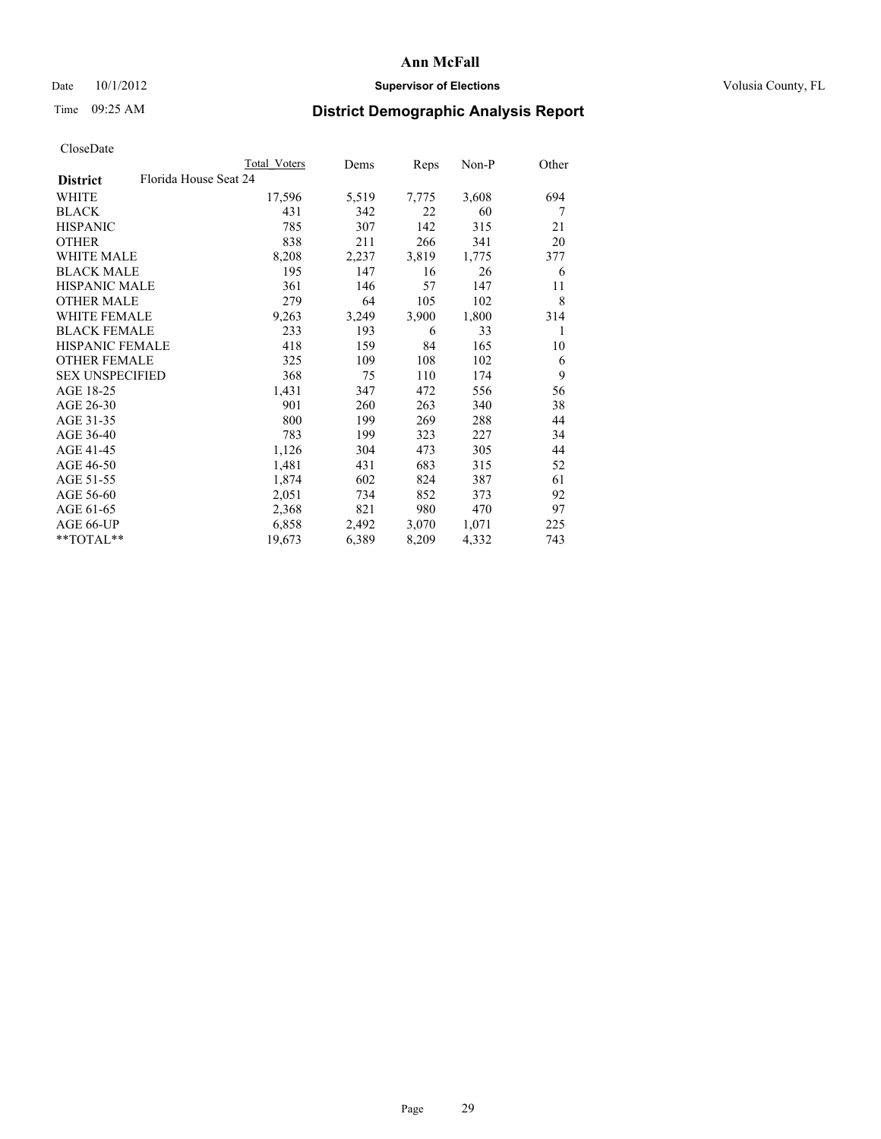### Date 10/1/2012 **Supervisor of Elections Supervisor of Elections** Volusia County, FL

# Time 09:25 AM **District Demographic Analysis Report**

| <b>Total Voters</b>   | Dems  | <b>Reps</b> | Non-P | Other |
|-----------------------|-------|-------------|-------|-------|
| Florida House Seat 24 |       |             |       |       |
| 17,596                | 5,519 | 7,775       | 3,608 | 694   |
| 431                   | 342   | 22          | 60    | 7     |
| 785                   | 307   | 142         | 315   | 21    |
| 838                   | 211   | 266         | 341   | 20    |
| 8,208                 | 2,237 | 3,819       | 1,775 | 377   |
| 195                   | 147   | 16          | 26    | 6     |
| 361                   | 146   | 57          | 147   | 11    |
| 279                   | 64    | 105         | 102   | 8     |
| 9,263                 | 3,249 | 3,900       | 1,800 | 314   |
| 233                   | 193   | 6           | 33    | 1     |
| 418                   | 159   | 84          | 165   | 10    |
| 325                   | 109   | 108         | 102   | 6     |
| 368                   | 75    | 110         | 174   | 9     |
| 1,431                 | 347   | 472         | 556   | 56    |
| 901                   | 260   | 263         | 340   | 38    |
| 800                   | 199   | 269         | 288   | 44    |
| 783                   | 199   | 323         | 227   | 34    |
| 1,126                 | 304   | 473         | 305   | 44    |
| 1,481                 | 431   | 683         | 315   | 52    |
| 1,874                 | 602   | 824         | 387   | 61    |
| 2,051                 | 734   | 852         | 373   | 92    |
| 2,368                 | 821   | 980         | 470   | 97    |
| 6,858                 | 2,492 | 3,070       | 1,071 | 225   |
| 19,673                | 6,389 | 8,209       | 4,332 | 743   |
|                       |       |             |       |       |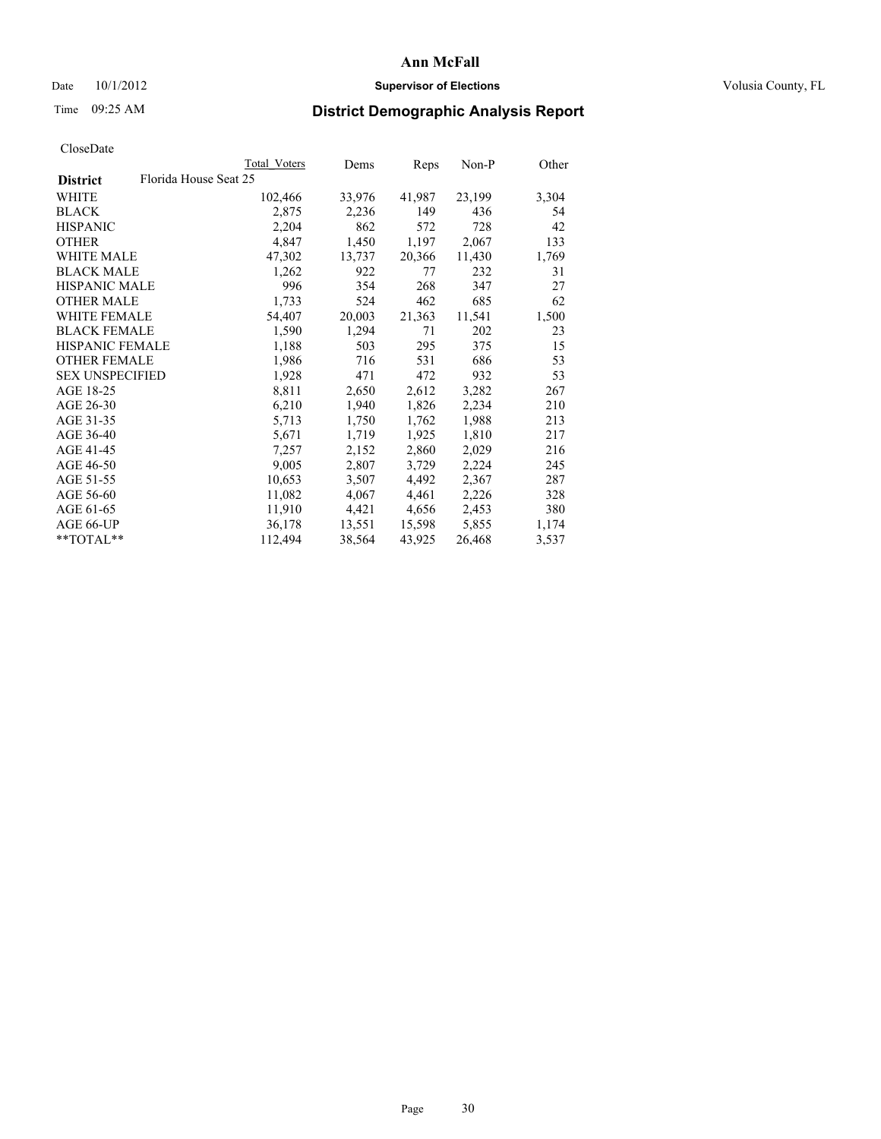### Date  $10/1/2012$  **Supervisor of Elections Supervisor of Elections** Volusia County, FL

## Time 09:25 AM **District Demographic Analysis Report**

|                                          | Total Voters | Dems   | Reps   | Non-P  | Other |
|------------------------------------------|--------------|--------|--------|--------|-------|
| Florida House Seat 25<br><b>District</b> |              |        |        |        |       |
| <b>WHITE</b>                             | 102,466      | 33,976 | 41,987 | 23,199 | 3,304 |
| <b>BLACK</b>                             | 2,875        | 2,236  | 149    | 436    | 54    |
| <b>HISPANIC</b>                          | 2,204        | 862    | 572    | 728    | 42    |
| <b>OTHER</b>                             | 4,847        | 1,450  | 1,197  | 2,067  | 133   |
| WHITE MALE                               | 47,302       | 13,737 | 20,366 | 11,430 | 1,769 |
| <b>BLACK MALE</b>                        | 1,262        | 922    | 77     | 232    | 31    |
| <b>HISPANIC MALE</b>                     | 996          | 354    | 268    | 347    | 27    |
| <b>OTHER MALE</b>                        | 1,733        | 524    | 462    | 685    | 62    |
| <b>WHITE FEMALE</b>                      | 54,407       | 20,003 | 21,363 | 11,541 | 1,500 |
| <b>BLACK FEMALE</b>                      | 1,590        | 1,294  | 71     | 202    | 23    |
| <b>HISPANIC FEMALE</b>                   | 1,188        | 503    | 295    | 375    | 15    |
| <b>OTHER FEMALE</b>                      | 1,986        | 716    | 531    | 686    | 53    |
| <b>SEX UNSPECIFIED</b>                   | 1,928        | 471    | 472    | 932    | 53    |
| AGE 18-25                                | 8,811        | 2,650  | 2,612  | 3,282  | 267   |
| AGE 26-30                                | 6,210        | 1,940  | 1,826  | 2,234  | 210   |
| AGE 31-35                                | 5,713        | 1,750  | 1,762  | 1,988  | 213   |
| AGE 36-40                                | 5,671        | 1,719  | 1,925  | 1,810  | 217   |
| AGE 41-45                                | 7,257        | 2,152  | 2,860  | 2,029  | 216   |
| AGE 46-50                                | 9,005        | 2,807  | 3,729  | 2,224  | 245   |
| AGE 51-55                                | 10,653       | 3,507  | 4,492  | 2,367  | 287   |
| AGE 56-60                                | 11,082       | 4,067  | 4,461  | 2,226  | 328   |
| AGE 61-65                                | 11,910       | 4,421  | 4,656  | 2,453  | 380   |
| AGE 66-UP                                | 36,178       | 13,551 | 15,598 | 5,855  | 1,174 |
| $*$ $TOTAL**$                            | 112,494      | 38,564 | 43,925 | 26,468 | 3,537 |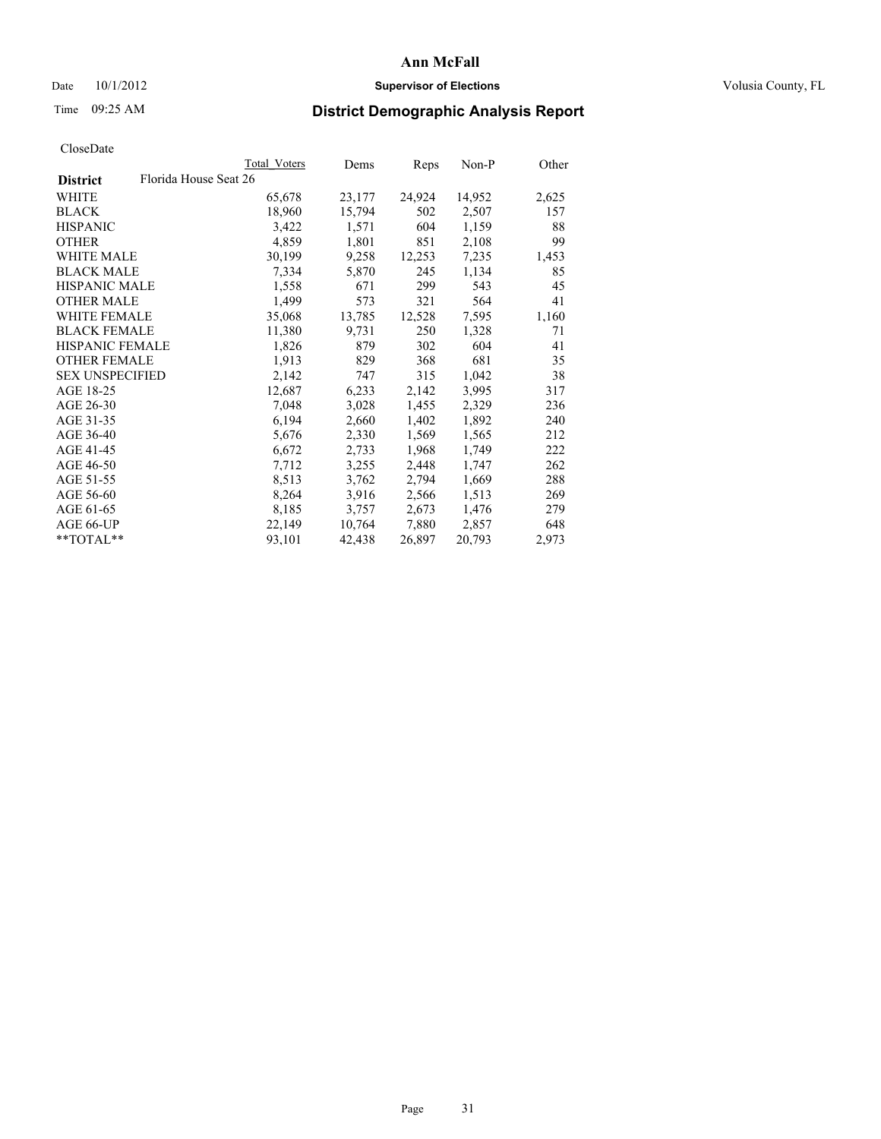### Date  $10/1/2012$  **Supervisor of Elections Supervisor of Elections** Volusia County, FL

# Time 09:25 AM **District Demographic Analysis Report**

|                        |                       | Total Voters | Dems   | Reps   | Non-P  | Other |
|------------------------|-----------------------|--------------|--------|--------|--------|-------|
| <b>District</b>        | Florida House Seat 26 |              |        |        |        |       |
| <b>WHITE</b>           |                       | 65,678       | 23,177 | 24,924 | 14,952 | 2,625 |
| <b>BLACK</b>           |                       | 18,960       | 15,794 | 502    | 2,507  | 157   |
| <b>HISPANIC</b>        |                       | 3,422        | 1,571  | 604    | 1,159  | 88    |
| <b>OTHER</b>           |                       | 4,859        | 1,801  | 851    | 2,108  | 99    |
| <b>WHITE MALE</b>      |                       | 30,199       | 9,258  | 12,253 | 7,235  | 1,453 |
| <b>BLACK MALE</b>      |                       | 7,334        | 5,870  | 245    | 1,134  | 85    |
| <b>HISPANIC MALE</b>   |                       | 1,558        | 671    | 299    | 543    | 45    |
| <b>OTHER MALE</b>      |                       | 1,499        | 573    | 321    | 564    | 41    |
| <b>WHITE FEMALE</b>    |                       | 35,068       | 13,785 | 12,528 | 7,595  | 1,160 |
| <b>BLACK FEMALE</b>    |                       | 11,380       | 9,731  | 250    | 1,328  | 71    |
| <b>HISPANIC FEMALE</b> |                       | 1,826        | 879    | 302    | 604    | 41    |
| <b>OTHER FEMALE</b>    |                       | 1,913        | 829    | 368    | 681    | 35    |
| <b>SEX UNSPECIFIED</b> |                       | 2,142        | 747    | 315    | 1,042  | 38    |
| AGE 18-25              |                       | 12,687       | 6,233  | 2,142  | 3,995  | 317   |
| AGE 26-30              |                       | 7,048        | 3,028  | 1,455  | 2,329  | 236   |
| AGE 31-35              |                       | 6,194        | 2,660  | 1,402  | 1,892  | 240   |
| AGE 36-40              |                       | 5,676        | 2,330  | 1,569  | 1,565  | 212   |
| AGE 41-45              |                       | 6,672        | 2,733  | 1,968  | 1,749  | 222   |
| AGE 46-50              |                       | 7,712        | 3,255  | 2,448  | 1,747  | 262   |
| AGE 51-55              |                       | 8,513        | 3,762  | 2,794  | 1,669  | 288   |
| AGE 56-60              |                       | 8,264        | 3,916  | 2,566  | 1,513  | 269   |
| AGE 61-65              |                       | 8,185        | 3,757  | 2,673  | 1,476  | 279   |
| AGE 66-UP              |                       | 22,149       | 10,764 | 7,880  | 2,857  | 648   |
| $*$ $TOTAL**$          |                       | 93,101       | 42,438 | 26,897 | 20,793 | 2,973 |
|                        |                       |              |        |        |        |       |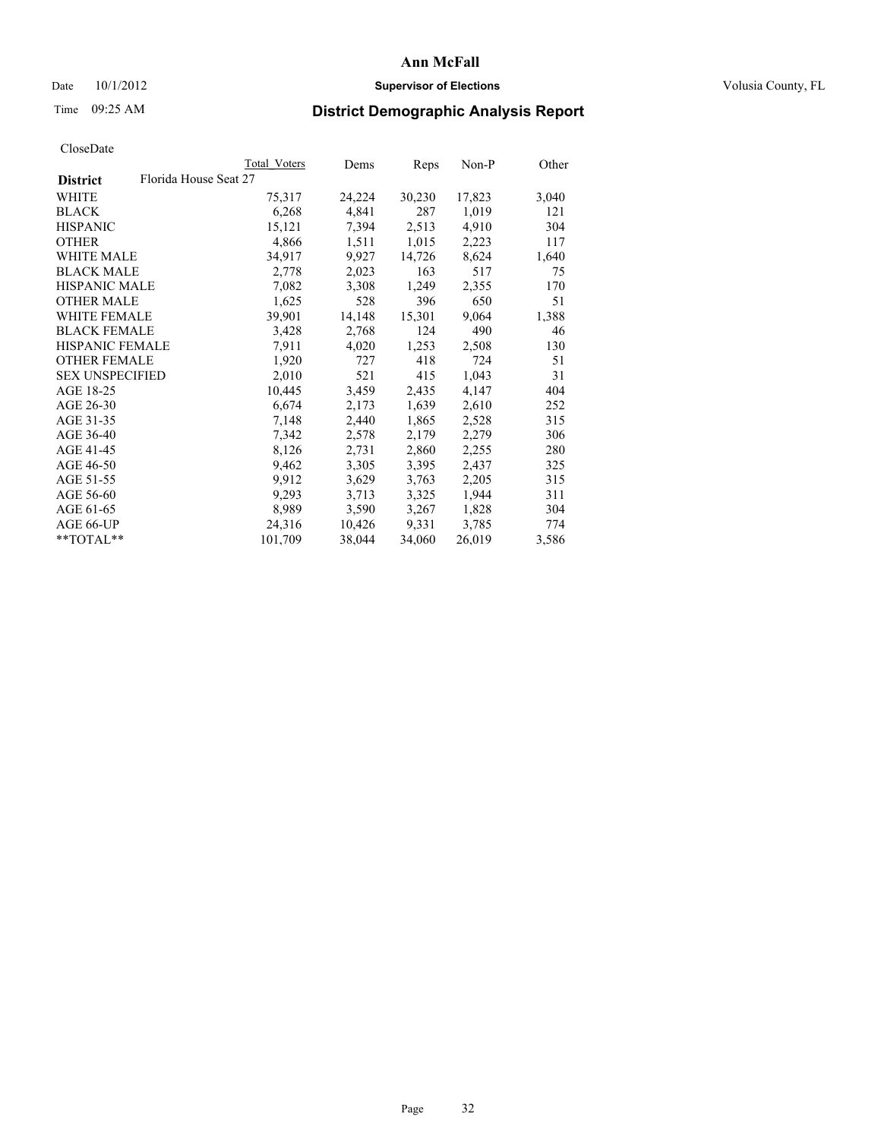### Date  $10/1/2012$  **Supervisor of Elections Supervisor of Elections** Volusia County, FL

# Time 09:25 AM **District Demographic Analysis Report**

|                        |                       | Total Voters | Dems   | Reps   | Non-P  | Other |
|------------------------|-----------------------|--------------|--------|--------|--------|-------|
| <b>District</b>        | Florida House Seat 27 |              |        |        |        |       |
| <b>WHITE</b>           |                       | 75,317       | 24,224 | 30,230 | 17,823 | 3,040 |
| <b>BLACK</b>           |                       | 6,268        | 4,841  | 287    | 1,019  | 121   |
| <b>HISPANIC</b>        |                       | 15,121       | 7,394  | 2,513  | 4,910  | 304   |
| <b>OTHER</b>           |                       | 4,866        | 1,511  | 1,015  | 2,223  | 117   |
| <b>WHITE MALE</b>      |                       | 34,917       | 9,927  | 14,726 | 8,624  | 1,640 |
| <b>BLACK MALE</b>      |                       | 2,778        | 2,023  | 163    | 517    | 75    |
| <b>HISPANIC MALE</b>   |                       | 7,082        | 3,308  | 1,249  | 2,355  | 170   |
| <b>OTHER MALE</b>      |                       | 1,625        | 528    | 396    | 650    | 51    |
| <b>WHITE FEMALE</b>    |                       | 39,901       | 14,148 | 15,301 | 9,064  | 1,388 |
| <b>BLACK FEMALE</b>    |                       | 3,428        | 2,768  | 124    | 490    | 46    |
| <b>HISPANIC FEMALE</b> |                       | 7.911        | 4,020  | 1,253  | 2,508  | 130   |
| <b>OTHER FEMALE</b>    |                       | 1,920        | 727    | 418    | 724    | 51    |
| <b>SEX UNSPECIFIED</b> |                       | 2,010        | 521    | 415    | 1,043  | 31    |
| AGE 18-25              |                       | 10,445       | 3,459  | 2,435  | 4,147  | 404   |
| AGE 26-30              |                       | 6,674        | 2,173  | 1,639  | 2,610  | 252   |
| AGE 31-35              |                       | 7,148        | 2,440  | 1,865  | 2,528  | 315   |
| AGE 36-40              |                       | 7,342        | 2,578  | 2,179  | 2,279  | 306   |
| AGE 41-45              |                       | 8,126        | 2,731  | 2,860  | 2,255  | 280   |
| AGE 46-50              |                       | 9,462        | 3,305  | 3,395  | 2,437  | 325   |
| AGE 51-55              |                       | 9,912        | 3,629  | 3.763  | 2,205  | 315   |
| AGE 56-60              |                       | 9,293        | 3,713  | 3,325  | 1,944  | 311   |
| AGE 61-65              |                       | 8,989        | 3,590  | 3,267  | 1,828  | 304   |
| AGE 66-UP              |                       | 24,316       | 10,426 | 9,331  | 3,785  | 774   |
| $*$ $TOTAL**$          |                       | 101,709      | 38,044 | 34,060 | 26,019 | 3,586 |
|                        |                       |              |        |        |        |       |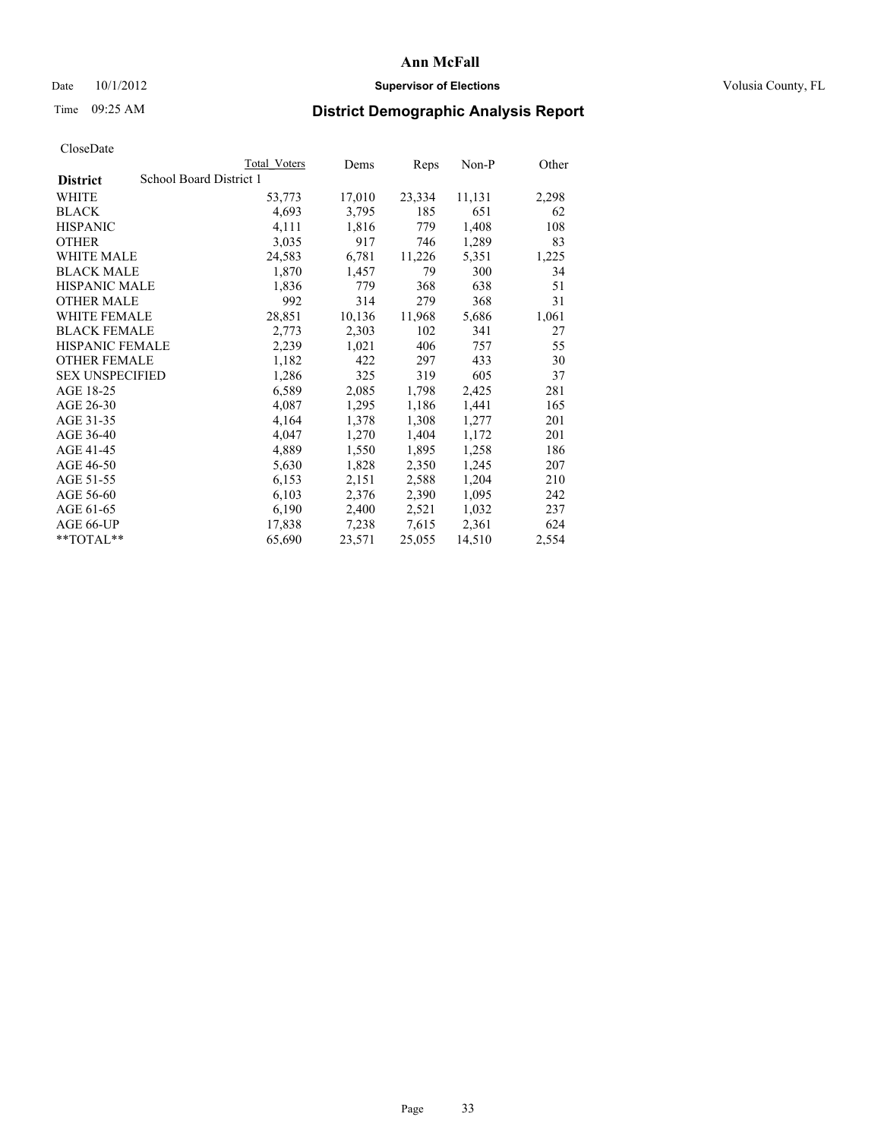### Date 10/1/2012 **Supervisor of Elections Supervisor of Elections** Volusia County, FL

# Time 09:25 AM **District Demographic Analysis Report**

|                        |                         | Total Voters | Dems   | <b>Reps</b> | Non-P  | Other |
|------------------------|-------------------------|--------------|--------|-------------|--------|-------|
| <b>District</b>        | School Board District 1 |              |        |             |        |       |
| WHITE                  |                         | 53,773       | 17,010 | 23,334      | 11,131 | 2,298 |
| <b>BLACK</b>           |                         | 4,693        | 3,795  | 185         | 651    | 62    |
| <b>HISPANIC</b>        |                         | 4,111        | 1,816  | 779         | 1,408  | 108   |
| <b>OTHER</b>           |                         | 3,035        | 917    | 746         | 1,289  | 83    |
| <b>WHITE MALE</b>      |                         | 24,583       | 6,781  | 11,226      | 5,351  | 1,225 |
| <b>BLACK MALE</b>      |                         | 1,870        | 1,457  | 79          | 300    | 34    |
| <b>HISPANIC MALE</b>   |                         | 1,836        | 779    | 368         | 638    | 51    |
| <b>OTHER MALE</b>      |                         | 992          | 314    | 279         | 368    | 31    |
| WHITE FEMALE           |                         | 28,851       | 10,136 | 11,968      | 5,686  | 1,061 |
| <b>BLACK FEMALE</b>    |                         | 2,773        | 2,303  | 102         | 341    | 27    |
| <b>HISPANIC FEMALE</b> |                         | 2,239        | 1,021  | 406         | 757    | 55    |
| <b>OTHER FEMALE</b>    |                         | 1,182        | 422    | 297         | 433    | 30    |
| <b>SEX UNSPECIFIED</b> |                         | 1,286        | 325    | 319         | 605    | 37    |
| AGE 18-25              |                         | 6,589        | 2,085  | 1,798       | 2,425  | 281   |
| AGE 26-30              |                         | 4,087        | 1,295  | 1,186       | 1,441  | 165   |
| AGE 31-35              |                         | 4,164        | 1,378  | 1,308       | 1,277  | 201   |
| AGE 36-40              |                         | 4,047        | 1,270  | 1,404       | 1,172  | 201   |
| AGE 41-45              |                         | 4,889        | 1,550  | 1,895       | 1,258  | 186   |
| AGE 46-50              |                         | 5,630        | 1,828  | 2,350       | 1,245  | 207   |
| AGE 51-55              |                         | 6,153        | 2,151  | 2,588       | 1,204  | 210   |
| AGE 56-60              |                         | 6,103        | 2,376  | 2,390       | 1,095  | 242   |
| AGE 61-65              |                         | 6,190        | 2,400  | 2,521       | 1,032  | 237   |
| AGE 66-UP              |                         | 17,838       | 7,238  | 7,615       | 2,361  | 624   |
| $*$ $TOTAI.**$         |                         | 65,690       | 23,571 | 25,055      | 14,510 | 2,554 |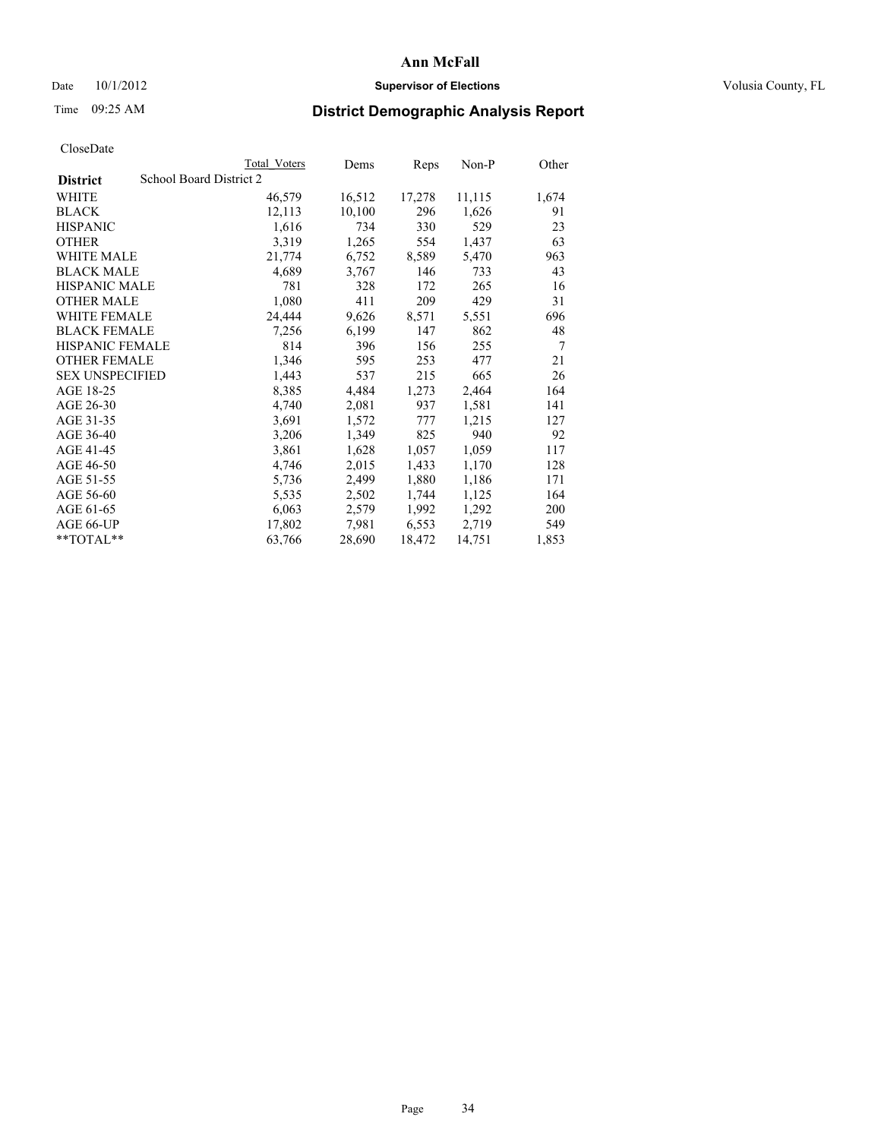### Date 10/1/2012 **Supervisor of Elections Supervisor of Elections** Volusia County, FL

# Time 09:25 AM **District Demographic Analysis Report**

|                        |                         | <b>Total Voters</b> | Dems   | Reps   | Non-P  | Other          |
|------------------------|-------------------------|---------------------|--------|--------|--------|----------------|
| <b>District</b>        | School Board District 2 |                     |        |        |        |                |
| WHITE                  |                         | 46,579              | 16,512 | 17,278 | 11,115 | 1,674          |
| <b>BLACK</b>           |                         | 12,113              | 10,100 | 296    | 1,626  | 91             |
| <b>HISPANIC</b>        |                         | 1,616               | 734    | 330    | 529    | 23             |
| <b>OTHER</b>           |                         | 3,319               | 1,265  | 554    | 1,437  | 63             |
| <b>WHITE MALE</b>      |                         | 21,774              | 6,752  | 8,589  | 5,470  | 963            |
| <b>BLACK MALE</b>      |                         | 4,689               | 3,767  | 146    | 733    | 43             |
| <b>HISPANIC MALE</b>   |                         | 781                 | 328    | 172    | 265    | 16             |
| <b>OTHER MALE</b>      |                         | 1,080               | 411    | 209    | 429    | 31             |
| WHITE FEMALE           |                         | 24,444              | 9,626  | 8,571  | 5,551  | 696            |
| <b>BLACK FEMALE</b>    |                         | 7,256               | 6,199  | 147    | 862    | 48             |
| <b>HISPANIC FEMALE</b> |                         | 814                 | 396    | 156    | 255    | $\overline{7}$ |
| <b>OTHER FEMALE</b>    |                         | 1,346               | 595    | 253    | 477    | 21             |
| <b>SEX UNSPECIFIED</b> |                         | 1,443               | 537    | 215    | 665    | 26             |
| AGE 18-25              |                         | 8,385               | 4,484  | 1,273  | 2,464  | 164            |
| AGE 26-30              |                         | 4,740               | 2,081  | 937    | 1,581  | 141            |
| AGE 31-35              |                         | 3,691               | 1,572  | 777    | 1,215  | 127            |
| AGE 36-40              |                         | 3,206               | 1,349  | 825    | 940    | 92             |
| AGE 41-45              |                         | 3,861               | 1,628  | 1,057  | 1,059  | 117            |
| AGE 46-50              |                         | 4,746               | 2,015  | 1,433  | 1,170  | 128            |
| AGE 51-55              |                         | 5,736               | 2,499  | 1,880  | 1,186  | 171            |
| AGE 56-60              |                         | 5,535               | 2,502  | 1,744  | 1,125  | 164            |
| AGE 61-65              |                         | 6,063               | 2,579  | 1,992  | 1,292  | 200            |
| AGE 66-UP              |                         | 17,802              | 7,981  | 6,553  | 2,719  | 549            |
| $*$ $TOTAI.**$         |                         | 63,766              | 28,690 | 18,472 | 14,751 | 1,853          |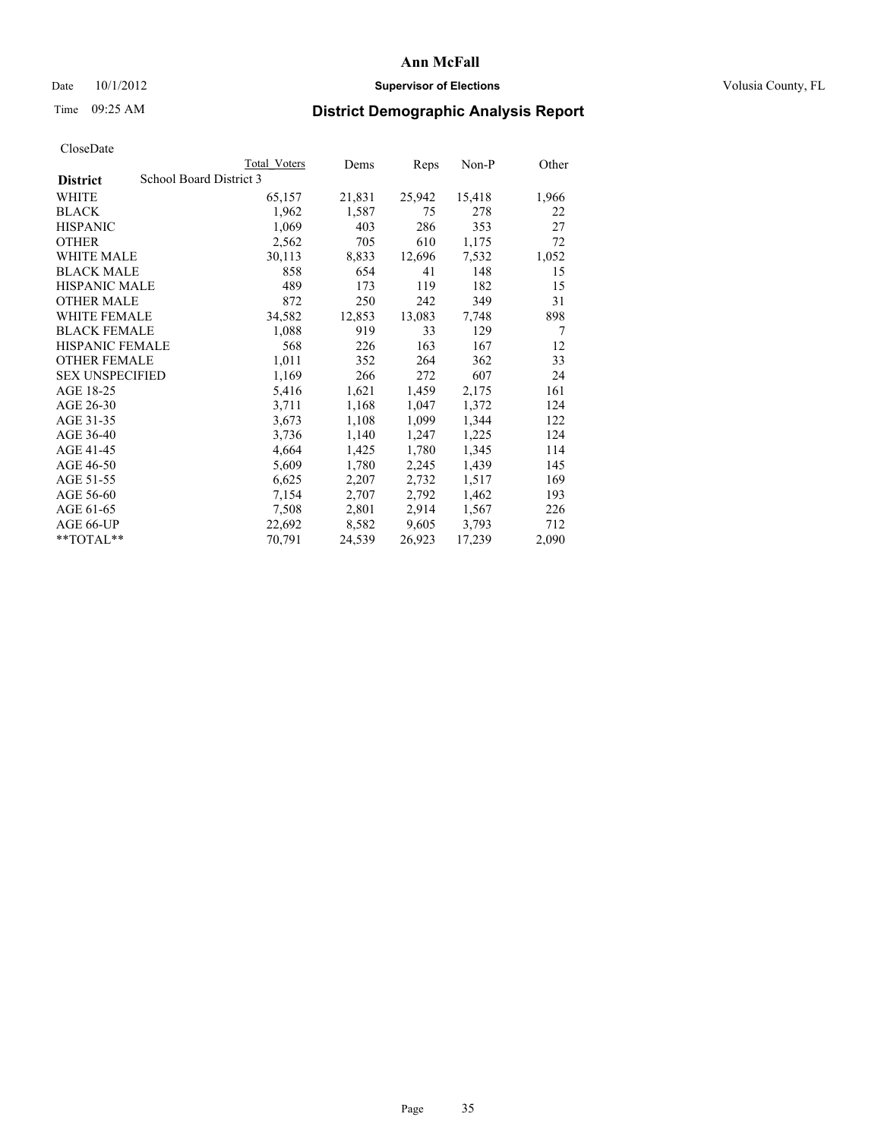### Date 10/1/2012 **Supervisor of Elections Supervisor of Elections** Volusia County, FL

## Time 09:25 AM **District Demographic Analysis Report**

|                        |                         | Total Voters | Dems   | Reps   | Non-P  | Other          |
|------------------------|-------------------------|--------------|--------|--------|--------|----------------|
| <b>District</b>        | School Board District 3 |              |        |        |        |                |
| <b>WHITE</b>           |                         | 65,157       | 21,831 | 25,942 | 15,418 | 1,966          |
| <b>BLACK</b>           |                         | 1,962        | 1,587  | 75     | 278    | 22             |
| <b>HISPANIC</b>        |                         | 1,069        | 403    | 286    | 353    | 27             |
| <b>OTHER</b>           |                         | 2,562        | 705    | 610    | 1,175  | 72             |
| <b>WHITE MALE</b>      |                         | 30,113       | 8,833  | 12,696 | 7,532  | 1,052          |
| <b>BLACK MALE</b>      |                         | 858          | 654    | 41     | 148    | 15             |
| <b>HISPANIC MALE</b>   |                         | 489          | 173    | 119    | 182    | 15             |
| <b>OTHER MALE</b>      |                         | 872          | 250    | 242    | 349    | 31             |
| <b>WHITE FEMALE</b>    |                         | 34,582       | 12,853 | 13,083 | 7,748  | 898            |
| <b>BLACK FEMALE</b>    |                         | 1,088        | 919    | 33     | 129    | $\overline{7}$ |
| <b>HISPANIC FEMALE</b> |                         | 568          | 226    | 163    | 167    | 12             |
| <b>OTHER FEMALE</b>    |                         | 1,011        | 352    | 264    | 362    | 33             |
| <b>SEX UNSPECIFIED</b> |                         | 1,169        | 266    | 272    | 607    | 24             |
| AGE 18-25              |                         | 5,416        | 1,621  | 1,459  | 2,175  | 161            |
| AGE 26-30              |                         | 3,711        | 1,168  | 1,047  | 1,372  | 124            |
| AGE 31-35              |                         | 3,673        | 1,108  | 1,099  | 1,344  | 122            |
| AGE 36-40              |                         | 3,736        | 1,140  | 1,247  | 1,225  | 124            |
| AGE 41-45              |                         | 4,664        | 1,425  | 1,780  | 1,345  | 114            |
| AGE 46-50              |                         | 5,609        | 1,780  | 2,245  | 1,439  | 145            |
| AGE 51-55              |                         | 6,625        | 2,207  | 2,732  | 1,517  | 169            |
| AGE 56-60              |                         | 7,154        | 2,707  | 2,792  | 1,462  | 193            |
| AGE 61-65              |                         | 7,508        | 2,801  | 2,914  | 1,567  | 226            |
| AGE 66-UP              |                         | 22,692       | 8,582  | 9,605  | 3,793  | 712            |
| $*$ $TOTAL**$          |                         | 70,791       | 24,539 | 26,923 | 17,239 | 2,090          |
|                        |                         |              |        |        |        |                |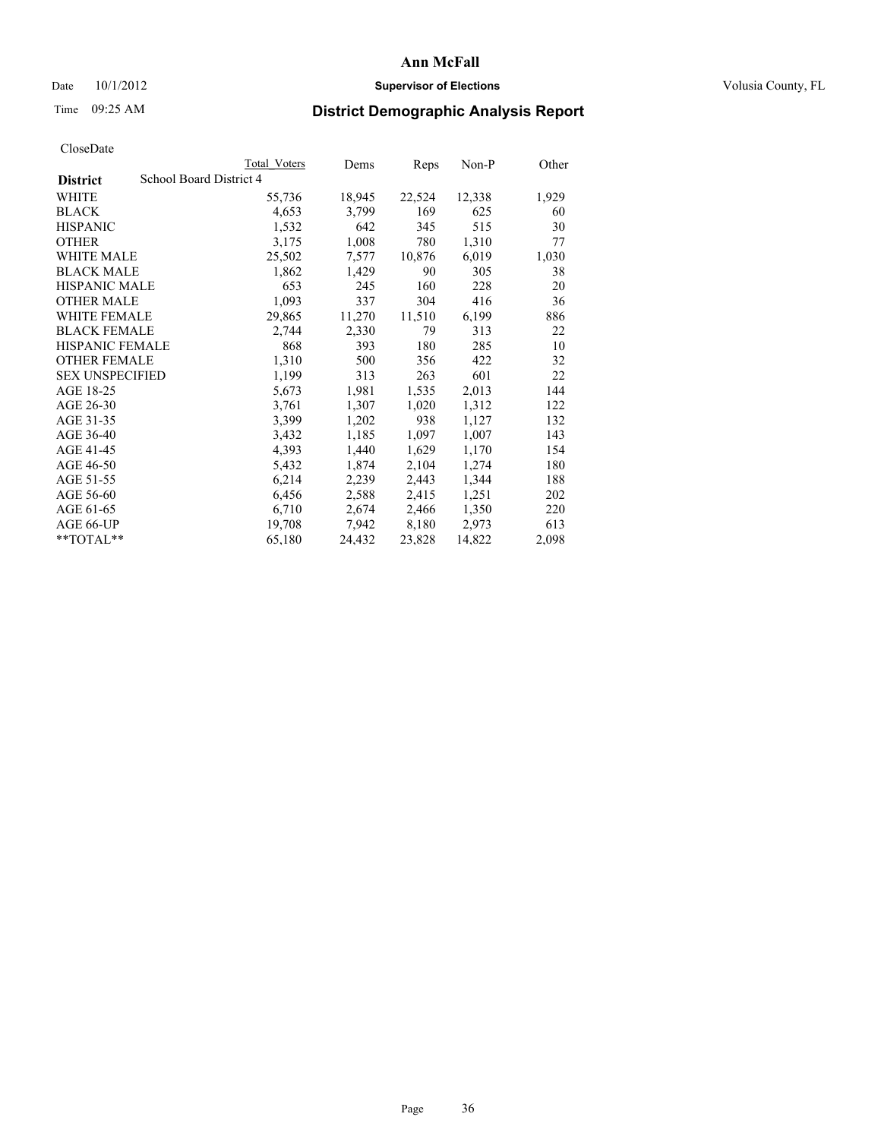### Date 10/1/2012 **Supervisor of Elections Supervisor of Elections** Volusia County, FL

# Time 09:25 AM **District Demographic Analysis Report**

| School Board District 4<br><b>District</b><br>WHITE<br>22,524<br>12,338<br>55,736<br>18,945<br>4,653<br>169<br><b>BLACK</b><br>3,799<br>625<br>642<br>345<br>515<br><b>HISPANIC</b><br>1,532<br>1,310<br><b>OTHER</b><br>3,175<br>1,008<br>780<br>WHITE MALE<br>6,019<br>25,502<br>7,577<br>10,876<br><b>BLACK MALE</b><br>1,862<br>1,429<br>90<br>305<br><b>HISPANIC MALE</b><br>653<br>160<br>228<br>245<br><b>OTHER MALE</b><br>1,093<br>304<br>416<br>337<br>29,865<br>11,270<br>11,510<br>6,199<br><b>WHITE FEMALE</b><br><b>BLACK FEMALE</b><br>2,330<br>2,744<br>79<br>313<br><b>HISPANIC FEMALE</b><br>868<br>393<br>180<br>285<br><b>OTHER FEMALE</b><br>1,310<br>500<br>356<br>422<br><b>SEX UNSPECIFIED</b><br>1,199<br>601<br>313<br>263<br>AGE 18-25<br>5,673<br>1,981<br>1,535<br>2,013<br>AGE 26-30<br>1,307<br>1,020<br>1,312<br>3,761<br>AGE 31-35<br>1,202<br>938<br>3,399<br>1,127<br>AGE 36-40<br>1,185<br>1,007<br>3,432<br>1,097<br>AGE 41-45<br>4,393<br>1,440<br>1,629<br>1,170<br>AGE 46-50<br>2,104<br>1,274<br>5,432<br>1,874<br>AGE 51-55<br>6,214<br>2,239<br>1,344<br>2,443<br>AGE 56-60<br>6,456<br>2,588<br>2,415<br>1,251<br>AGE 61-65<br>6,710<br>2,674<br>2,466<br>1,350<br>AGE 66-UP<br>7,942<br>8,180<br>2,973<br>19,708<br>24,432<br>23,828<br>14,822<br>**TOTAL**<br>65,180 |  | Total Voters | Dems | Reps | Non-P | Other |
|--------------------------------------------------------------------------------------------------------------------------------------------------------------------------------------------------------------------------------------------------------------------------------------------------------------------------------------------------------------------------------------------------------------------------------------------------------------------------------------------------------------------------------------------------------------------------------------------------------------------------------------------------------------------------------------------------------------------------------------------------------------------------------------------------------------------------------------------------------------------------------------------------------------------------------------------------------------------------------------------------------------------------------------------------------------------------------------------------------------------------------------------------------------------------------------------------------------------------------------------------------------------------------------------------------------------|--|--------------|------|------|-------|-------|
|                                                                                                                                                                                                                                                                                                                                                                                                                                                                                                                                                                                                                                                                                                                                                                                                                                                                                                                                                                                                                                                                                                                                                                                                                                                                                                                    |  |              |      |      |       |       |
|                                                                                                                                                                                                                                                                                                                                                                                                                                                                                                                                                                                                                                                                                                                                                                                                                                                                                                                                                                                                                                                                                                                                                                                                                                                                                                                    |  |              |      |      |       | 1,929 |
|                                                                                                                                                                                                                                                                                                                                                                                                                                                                                                                                                                                                                                                                                                                                                                                                                                                                                                                                                                                                                                                                                                                                                                                                                                                                                                                    |  |              |      |      |       | 60    |
|                                                                                                                                                                                                                                                                                                                                                                                                                                                                                                                                                                                                                                                                                                                                                                                                                                                                                                                                                                                                                                                                                                                                                                                                                                                                                                                    |  |              |      |      |       | 30    |
|                                                                                                                                                                                                                                                                                                                                                                                                                                                                                                                                                                                                                                                                                                                                                                                                                                                                                                                                                                                                                                                                                                                                                                                                                                                                                                                    |  |              |      |      |       | 77    |
|                                                                                                                                                                                                                                                                                                                                                                                                                                                                                                                                                                                                                                                                                                                                                                                                                                                                                                                                                                                                                                                                                                                                                                                                                                                                                                                    |  |              |      |      |       | 1,030 |
|                                                                                                                                                                                                                                                                                                                                                                                                                                                                                                                                                                                                                                                                                                                                                                                                                                                                                                                                                                                                                                                                                                                                                                                                                                                                                                                    |  |              |      |      |       | 38    |
|                                                                                                                                                                                                                                                                                                                                                                                                                                                                                                                                                                                                                                                                                                                                                                                                                                                                                                                                                                                                                                                                                                                                                                                                                                                                                                                    |  |              |      |      |       | 20    |
|                                                                                                                                                                                                                                                                                                                                                                                                                                                                                                                                                                                                                                                                                                                                                                                                                                                                                                                                                                                                                                                                                                                                                                                                                                                                                                                    |  |              |      |      |       | 36    |
|                                                                                                                                                                                                                                                                                                                                                                                                                                                                                                                                                                                                                                                                                                                                                                                                                                                                                                                                                                                                                                                                                                                                                                                                                                                                                                                    |  |              |      |      |       | 886   |
|                                                                                                                                                                                                                                                                                                                                                                                                                                                                                                                                                                                                                                                                                                                                                                                                                                                                                                                                                                                                                                                                                                                                                                                                                                                                                                                    |  |              |      |      |       | 22    |
|                                                                                                                                                                                                                                                                                                                                                                                                                                                                                                                                                                                                                                                                                                                                                                                                                                                                                                                                                                                                                                                                                                                                                                                                                                                                                                                    |  |              |      |      |       | 10    |
|                                                                                                                                                                                                                                                                                                                                                                                                                                                                                                                                                                                                                                                                                                                                                                                                                                                                                                                                                                                                                                                                                                                                                                                                                                                                                                                    |  |              |      |      |       | 32    |
|                                                                                                                                                                                                                                                                                                                                                                                                                                                                                                                                                                                                                                                                                                                                                                                                                                                                                                                                                                                                                                                                                                                                                                                                                                                                                                                    |  |              |      |      |       | 22    |
|                                                                                                                                                                                                                                                                                                                                                                                                                                                                                                                                                                                                                                                                                                                                                                                                                                                                                                                                                                                                                                                                                                                                                                                                                                                                                                                    |  |              |      |      |       | 144   |
|                                                                                                                                                                                                                                                                                                                                                                                                                                                                                                                                                                                                                                                                                                                                                                                                                                                                                                                                                                                                                                                                                                                                                                                                                                                                                                                    |  |              |      |      |       | 122   |
|                                                                                                                                                                                                                                                                                                                                                                                                                                                                                                                                                                                                                                                                                                                                                                                                                                                                                                                                                                                                                                                                                                                                                                                                                                                                                                                    |  |              |      |      |       | 132   |
|                                                                                                                                                                                                                                                                                                                                                                                                                                                                                                                                                                                                                                                                                                                                                                                                                                                                                                                                                                                                                                                                                                                                                                                                                                                                                                                    |  |              |      |      |       | 143   |
|                                                                                                                                                                                                                                                                                                                                                                                                                                                                                                                                                                                                                                                                                                                                                                                                                                                                                                                                                                                                                                                                                                                                                                                                                                                                                                                    |  |              |      |      |       | 154   |
|                                                                                                                                                                                                                                                                                                                                                                                                                                                                                                                                                                                                                                                                                                                                                                                                                                                                                                                                                                                                                                                                                                                                                                                                                                                                                                                    |  |              |      |      |       | 180   |
|                                                                                                                                                                                                                                                                                                                                                                                                                                                                                                                                                                                                                                                                                                                                                                                                                                                                                                                                                                                                                                                                                                                                                                                                                                                                                                                    |  |              |      |      |       | 188   |
|                                                                                                                                                                                                                                                                                                                                                                                                                                                                                                                                                                                                                                                                                                                                                                                                                                                                                                                                                                                                                                                                                                                                                                                                                                                                                                                    |  |              |      |      |       | 202   |
|                                                                                                                                                                                                                                                                                                                                                                                                                                                                                                                                                                                                                                                                                                                                                                                                                                                                                                                                                                                                                                                                                                                                                                                                                                                                                                                    |  |              |      |      |       | 220   |
|                                                                                                                                                                                                                                                                                                                                                                                                                                                                                                                                                                                                                                                                                                                                                                                                                                                                                                                                                                                                                                                                                                                                                                                                                                                                                                                    |  |              |      |      |       | 613   |
|                                                                                                                                                                                                                                                                                                                                                                                                                                                                                                                                                                                                                                                                                                                                                                                                                                                                                                                                                                                                                                                                                                                                                                                                                                                                                                                    |  |              |      |      |       | 2,098 |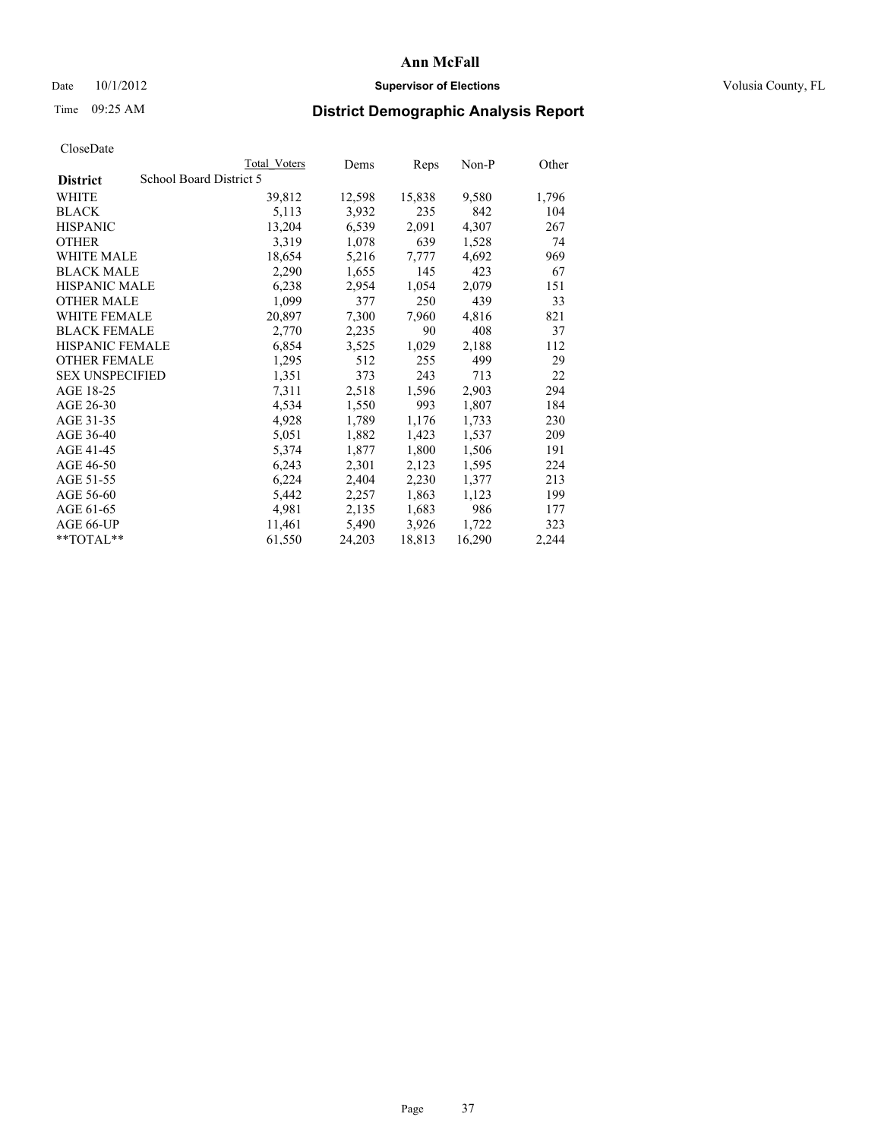### Date  $10/1/2012$  **Supervisor of Elections Supervisor of Elections** Volusia County, FL

## Time 09:25 AM **District Demographic Analysis Report**

|                                            | <b>Total Voters</b> | Dems   | Reps   | Non-P  | Other |
|--------------------------------------------|---------------------|--------|--------|--------|-------|
| School Board District 5<br><b>District</b> |                     |        |        |        |       |
| <b>WHITE</b>                               | 39,812              | 12,598 | 15,838 | 9,580  | 1,796 |
| <b>BLACK</b>                               | 5,113               | 3,932  | 235    | 842    | 104   |
| <b>HISPANIC</b>                            | 13,204              | 6,539  | 2,091  | 4,307  | 267   |
| <b>OTHER</b>                               | 3,319               | 1,078  | 639    | 1,528  | 74    |
| <b>WHITE MALE</b>                          | 18,654              | 5,216  | 7,777  | 4,692  | 969   |
| <b>BLACK MALE</b>                          | 2,290               | 1,655  | 145    | 423    | 67    |
| <b>HISPANIC MALE</b>                       | 6,238               | 2,954  | 1,054  | 2,079  | 151   |
| <b>OTHER MALE</b>                          | 1,099               | 377    | 250    | 439    | 33    |
| WHITE FEMALE                               | 20,897              | 7,300  | 7,960  | 4,816  | 821   |
| <b>BLACK FEMALE</b>                        | 2,770               | 2,235  | 90     | 408    | 37    |
| HISPANIC FEMALE                            | 6,854               | 3,525  | 1,029  | 2,188  | 112   |
| <b>OTHER FEMALE</b>                        | 1,295               | 512    | 255    | 499    | 29    |
| <b>SEX UNSPECIFIED</b>                     | 1,351               | 373    | 243    | 713    | 22    |
| AGE 18-25                                  | 7,311               | 2,518  | 1,596  | 2,903  | 294   |
| AGE 26-30                                  | 4,534               | 1,550  | 993    | 1,807  | 184   |
| AGE 31-35                                  | 4,928               | 1,789  | 1,176  | 1,733  | 230   |
| AGE 36-40                                  | 5,051               | 1,882  | 1,423  | 1,537  | 209   |
| AGE 41-45                                  | 5,374               | 1,877  | 1,800  | 1,506  | 191   |
| AGE 46-50                                  | 6,243               | 2,301  | 2,123  | 1,595  | 224   |
| AGE 51-55                                  | 6,224               | 2,404  | 2,230  | 1,377  | 213   |
| AGE 56-60                                  | 5,442               | 2,257  | 1,863  | 1,123  | 199   |
| AGE 61-65                                  | 4,981               | 2,135  | 1,683  | 986    | 177   |
| AGE 66-UP                                  | 11,461              | 5,490  | 3,926  | 1,722  | 323   |
| $*$ TOTAL $*$                              | 61,550              | 24,203 | 18,813 | 16,290 | 2,244 |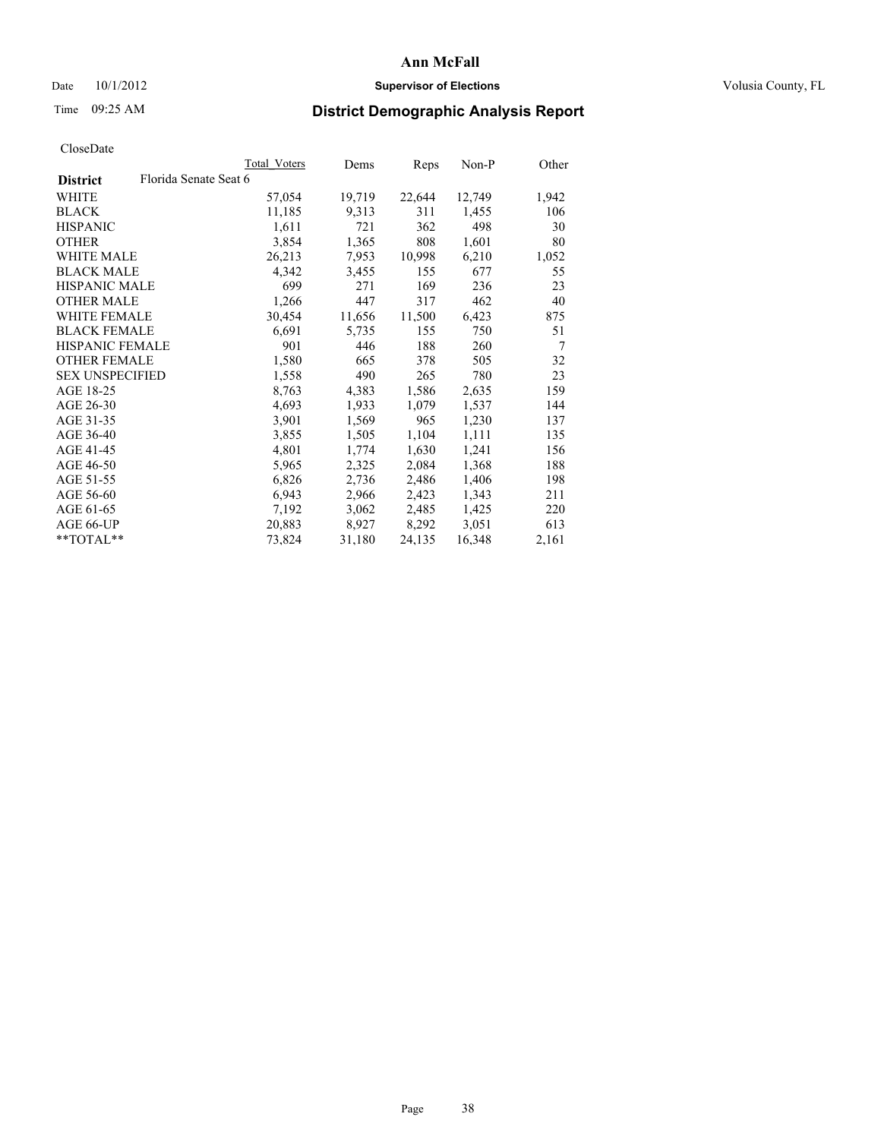### Date  $10/1/2012$  **Supervisor of Elections Supervisor of Elections** Volusia County, FL

# Time 09:25 AM **District Demographic Analysis Report**

|                        |                       | Total Voters | Dems   | Reps   | Non-P  | Other |
|------------------------|-----------------------|--------------|--------|--------|--------|-------|
| <b>District</b>        | Florida Senate Seat 6 |              |        |        |        |       |
| WHITE                  |                       | 57,054       | 19,719 | 22,644 | 12,749 | 1,942 |
| <b>BLACK</b>           |                       | 11,185       | 9,313  | 311    | 1,455  | 106   |
| <b>HISPANIC</b>        |                       | 1,611        | 721    | 362    | 498    | 30    |
| <b>OTHER</b>           |                       | 3,854        | 1,365  | 808    | 1,601  | 80    |
| <b>WHITE MALE</b>      |                       | 26,213       | 7,953  | 10,998 | 6,210  | 1,052 |
| <b>BLACK MALE</b>      |                       | 4,342        | 3,455  | 155    | 677    | 55    |
| <b>HISPANIC MALE</b>   |                       | 699          | 271    | 169    | 236    | 23    |
| <b>OTHER MALE</b>      |                       | 1,266        | 447    | 317    | 462    | 40    |
| WHITE FEMALE           |                       | 30,454       | 11,656 | 11,500 | 6,423  | 875   |
| <b>BLACK FEMALE</b>    |                       | 6,691        | 5,735  | 155    | 750    | 51    |
| <b>HISPANIC FEMALE</b> |                       | 901          | 446    | 188    | 260    | 7     |
| <b>OTHER FEMALE</b>    |                       | 1,580        | 665    | 378    | 505    | 32    |
| <b>SEX UNSPECIFIED</b> |                       | 1,558        | 490    | 265    | 780    | 23    |
| AGE 18-25              |                       | 8,763        | 4,383  | 1,586  | 2,635  | 159   |
| AGE 26-30              |                       | 4,693        | 1,933  | 1,079  | 1,537  | 144   |
| AGE 31-35              |                       | 3,901        | 1,569  | 965    | 1,230  | 137   |
| AGE 36-40              |                       | 3,855        | 1,505  | 1,104  | 1,111  | 135   |
| AGE 41-45              |                       | 4,801        | 1,774  | 1,630  | 1,241  | 156   |
| AGE 46-50              |                       | 5,965        | 2,325  | 2,084  | 1,368  | 188   |
| AGE 51-55              |                       | 6,826        | 2,736  | 2,486  | 1,406  | 198   |
| AGE 56-60              |                       | 6,943        | 2,966  | 2,423  | 1,343  | 211   |
| AGE 61-65              |                       | 7,192        | 3,062  | 2,485  | 1,425  | 220   |
| AGE 66-UP              |                       | 20,883       | 8,927  | 8,292  | 3,051  | 613   |
| $*$ TOTAL $*$          |                       | 73,824       | 31,180 | 24,135 | 16,348 | 2,161 |
|                        |                       |              |        |        |        |       |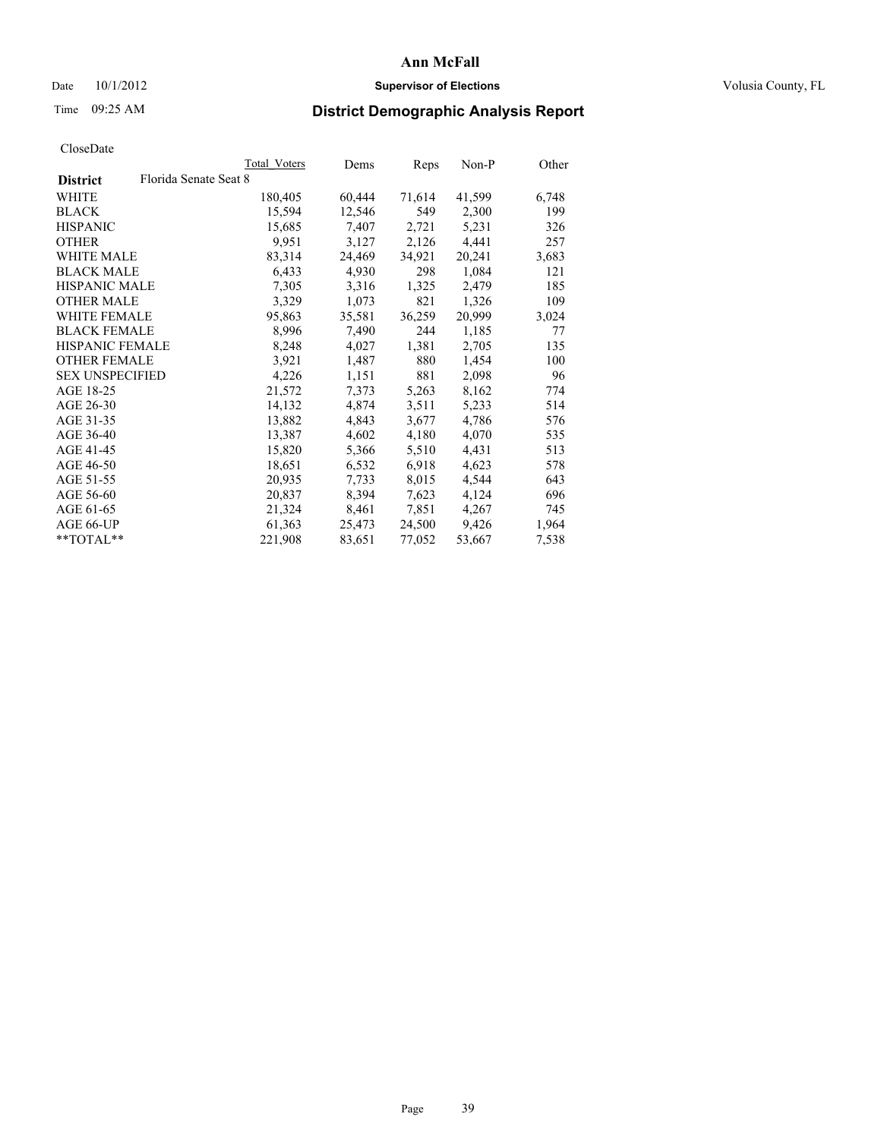### Date  $10/1/2012$  **Supervisor of Elections Supervisor of Elections** Volusia County, FL

# Time 09:25 AM **District Demographic Analysis Report**

|                        |                       | Total Voters | Dems   | <b>Reps</b> | Non-P  | Other |
|------------------------|-----------------------|--------------|--------|-------------|--------|-------|
| <b>District</b>        | Florida Senate Seat 8 |              |        |             |        |       |
| WHITE                  |                       | 180,405      | 60,444 | 71,614      | 41,599 | 6,748 |
| <b>BLACK</b>           |                       | 15,594       | 12,546 | 549         | 2,300  | 199   |
| <b>HISPANIC</b>        |                       | 15,685       | 7,407  | 2,721       | 5,231  | 326   |
| <b>OTHER</b>           |                       | 9,951        | 3,127  | 2,126       | 4,441  | 257   |
| WHITE MALE             |                       | 83,314       | 24,469 | 34,921      | 20,241 | 3,683 |
| <b>BLACK MALE</b>      |                       | 6,433        | 4,930  | 298         | 1,084  | 121   |
| <b>HISPANIC MALE</b>   |                       | 7,305        | 3,316  | 1,325       | 2,479  | 185   |
| <b>OTHER MALE</b>      |                       | 3,329        | 1,073  | 821         | 1,326  | 109   |
| WHITE FEMALE           |                       | 95,863       | 35,581 | 36,259      | 20,999 | 3,024 |
| <b>BLACK FEMALE</b>    |                       | 8,996        | 7,490  | 244         | 1,185  | 77    |
| <b>HISPANIC FEMALE</b> |                       | 8,248        | 4,027  | 1,381       | 2,705  | 135   |
| <b>OTHER FEMALE</b>    |                       | 3,921        | 1,487  | 880         | 1,454  | 100   |
| <b>SEX UNSPECIFIED</b> |                       | 4,226        | 1,151  | 881         | 2,098  | 96    |
| AGE 18-25              |                       | 21,572       | 7,373  | 5,263       | 8,162  | 774   |
| AGE 26-30              |                       | 14,132       | 4,874  | 3,511       | 5,233  | 514   |
| AGE 31-35              |                       | 13,882       | 4,843  | 3,677       | 4,786  | 576   |
| AGE 36-40              |                       | 13,387       | 4,602  | 4,180       | 4,070  | 535   |
| AGE 41-45              |                       | 15,820       | 5,366  | 5,510       | 4,431  | 513   |
| AGE 46-50              |                       | 18,651       | 6,532  | 6,918       | 4,623  | 578   |
| AGE 51-55              |                       | 20,935       | 7.733  | 8,015       | 4,544  | 643   |
| AGE 56-60              |                       | 20,837       | 8,394  | 7,623       | 4,124  | 696   |
| AGE 61-65              |                       | 21,324       | 8,461  | 7,851       | 4,267  | 745   |
| AGE 66-UP              |                       | 61,363       | 25,473 | 24,500      | 9,426  | 1,964 |
| $*$ TOTAL $*$          |                       | 221,908      | 83,651 | 77,052      | 53,667 | 7,538 |
|                        |                       |              |        |             |        |       |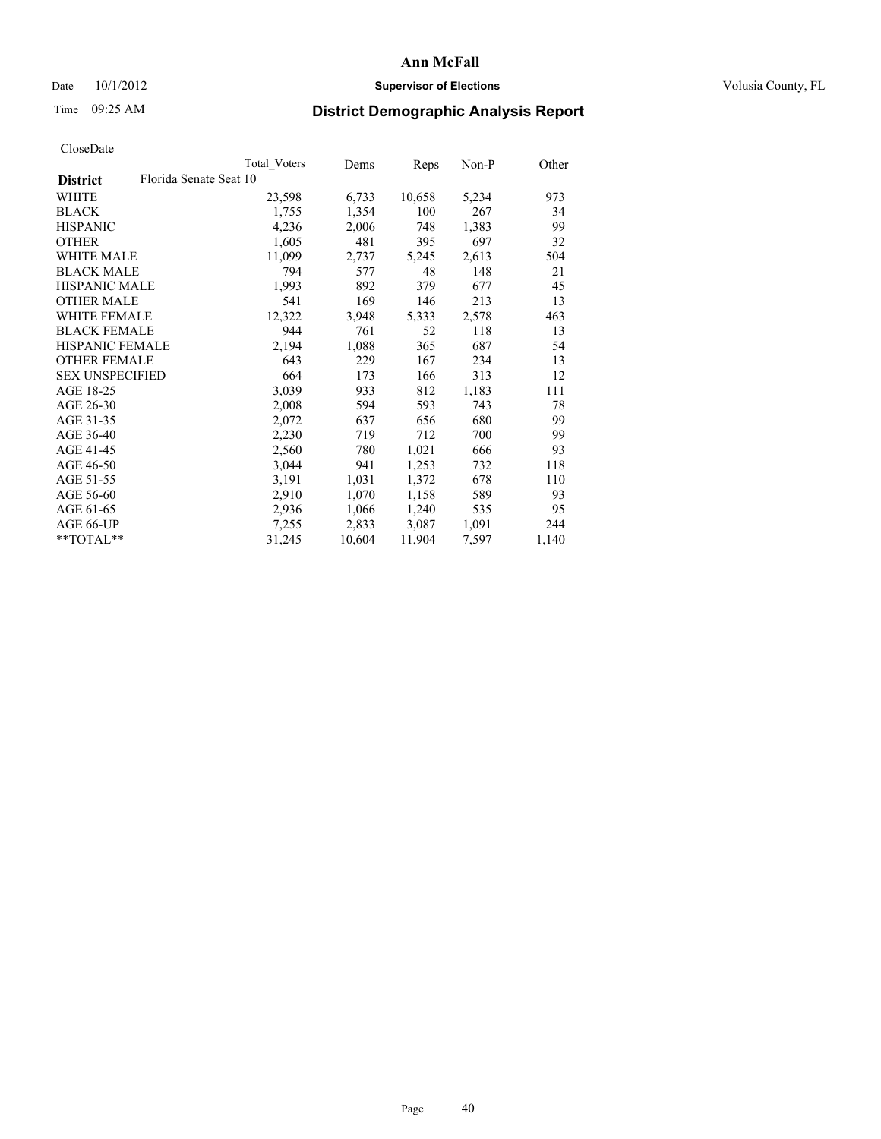### Date  $10/1/2012$  **Supervisor of Elections Supervisor of Elections** Volusia County, FL

# Time 09:25 AM **District Demographic Analysis Report**

|                        |                        | Total Voters | Dems   | Reps   | Non-P | Other |
|------------------------|------------------------|--------------|--------|--------|-------|-------|
| <b>District</b>        | Florida Senate Seat 10 |              |        |        |       |       |
| <b>WHITE</b>           |                        | 23,598       | 6,733  | 10,658 | 5,234 | 973   |
| <b>BLACK</b>           |                        | 1,755        | 1,354  | 100    | 267   | 34    |
| <b>HISPANIC</b>        |                        | 4,236        | 2,006  | 748    | 1,383 | 99    |
| <b>OTHER</b>           |                        | 1,605        | 481    | 395    | 697   | 32    |
| WHITE MALE             |                        | 11,099       | 2,737  | 5,245  | 2,613 | 504   |
| <b>BLACK MALE</b>      |                        | 794          | 577    | 48     | 148   | 21    |
| <b>HISPANIC MALE</b>   |                        | 1,993        | 892    | 379    | 677   | 45    |
| <b>OTHER MALE</b>      |                        | 541          | 169    | 146    | 213   | 13    |
| <b>WHITE FEMALE</b>    |                        | 12,322       | 3,948  | 5,333  | 2,578 | 463   |
| <b>BLACK FEMALE</b>    |                        | 944          | 761    | 52     | 118   | 13    |
| <b>HISPANIC FEMALE</b> |                        | 2,194        | 1,088  | 365    | 687   | 54    |
| <b>OTHER FEMALE</b>    |                        | 643          | 229    | 167    | 234   | 13    |
| <b>SEX UNSPECIFIED</b> |                        | 664          | 173    | 166    | 313   | 12    |
| AGE 18-25              |                        | 3,039        | 933    | 812    | 1,183 | 111   |
| AGE 26-30              |                        | 2,008        | 594    | 593    | 743   | 78    |
| AGE 31-35              |                        | 2,072        | 637    | 656    | 680   | 99    |
| AGE 36-40              |                        | 2,230        | 719    | 712    | 700   | 99    |
| AGE 41-45              |                        | 2,560        | 780    | 1,021  | 666   | 93    |
| AGE 46-50              |                        | 3,044        | 941    | 1,253  | 732   | 118   |
| AGE 51-55              |                        | 3,191        | 1,031  | 1,372  | 678   | 110   |
| AGE 56-60              |                        | 2,910        | 1,070  | 1,158  | 589   | 93    |
| AGE 61-65              |                        | 2,936        | 1,066  | 1,240  | 535   | 95    |
| AGE 66-UP              |                        | 7,255        | 2,833  | 3,087  | 1,091 | 244   |
| $*$ $TOTAL**$          |                        | 31,245       | 10,604 | 11,904 | 7,597 | 1,140 |
|                        |                        |              |        |        |       |       |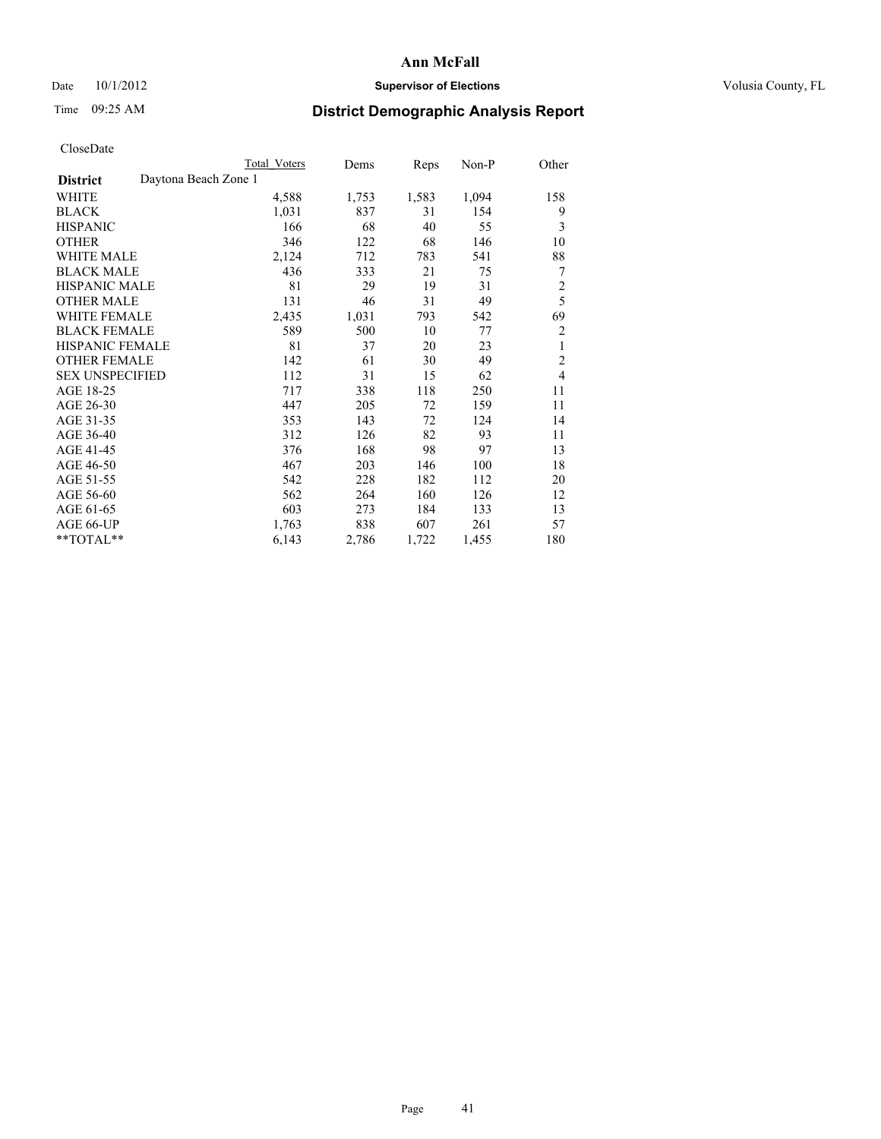## Date 10/1/2012 **Supervisor of Elections Supervisor of Elections** Volusia County, FL

# Time 09:25 AM **District Demographic Analysis Report**

|                                         | Total Voters | Dems  | Reps  | Non-P | Other          |
|-----------------------------------------|--------------|-------|-------|-------|----------------|
| Daytona Beach Zone 1<br><b>District</b> |              |       |       |       |                |
| WHITE                                   | 4,588        | 1,753 | 1,583 | 1,094 | 158            |
| <b>BLACK</b>                            | 1,031        | 837   | 31    | 154   | 9              |
| <b>HISPANIC</b>                         | 166          | 68    | 40    | 55    | 3              |
| <b>OTHER</b>                            | 346          | 122   | 68    | 146   | 10             |
| <b>WHITE MALE</b>                       | 2,124        | 712   | 783   | 541   | 88             |
| <b>BLACK MALE</b>                       | 436          | 333   | 21    | 75    | 7              |
| <b>HISPANIC MALE</b>                    | 81           | 29    | 19    | 31    | $\overline{c}$ |
| <b>OTHER MALE</b>                       | 131          | 46    | 31    | 49    | 5              |
| <b>WHITE FEMALE</b>                     | 2,435        | 1,031 | 793   | 542   | 69             |
| <b>BLACK FEMALE</b>                     | 589          | 500   | 10    | 77    | $\overline{2}$ |
| <b>HISPANIC FEMALE</b>                  | 81           | 37    | 20    | 23    | 1              |
| <b>OTHER FEMALE</b>                     | 142          | 61    | 30    | 49    | $\overline{2}$ |
| <b>SEX UNSPECIFIED</b>                  | 112          | 31    | 15    | 62    | $\overline{4}$ |
| AGE 18-25                               | 717          | 338   | 118   | 250   | 11             |
| AGE 26-30                               | 447          | 205   | 72    | 159   | 11             |
| AGE 31-35                               | 353          | 143   | 72    | 124   | 14             |
| AGE 36-40                               | 312          | 126   | 82    | 93    | 11             |
| AGE 41-45                               | 376          | 168   | 98    | 97    | 13             |
| AGE 46-50                               | 467          | 203   | 146   | 100   | 18             |
| AGE 51-55                               | 542          | 228   | 182   | 112   | 20             |
| AGE 56-60                               | 562          | 264   | 160   | 126   | 12             |
| AGE 61-65                               | 603          | 273   | 184   | 133   | 13             |
| AGE 66-UP                               | 1,763        | 838   | 607   | 261   | 57             |
| **TOTAL**                               | 6,143        | 2,786 | 1,722 | 1,455 | 180            |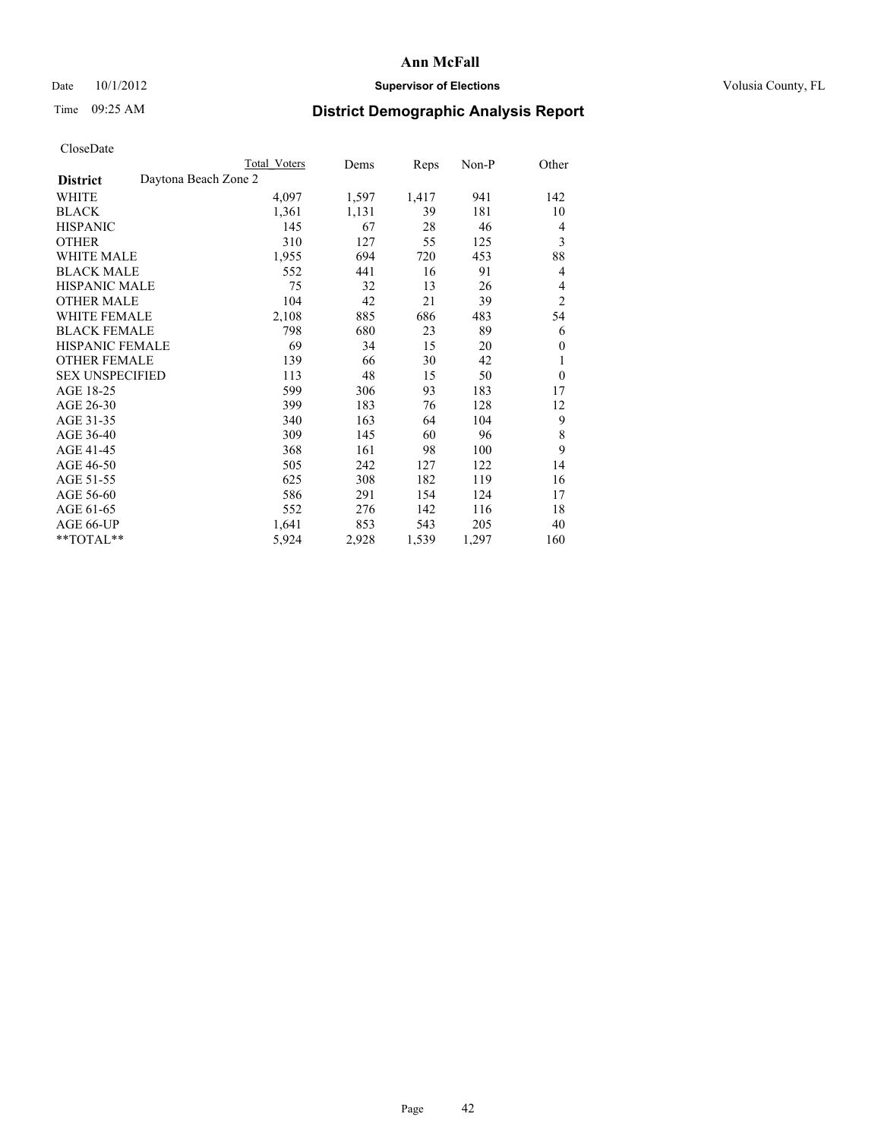## Date 10/1/2012 **Supervisor of Elections Supervisor of Elections** Volusia County, FL

# Time 09:25 AM **District Demographic Analysis Report**

|                                         | <b>Total Voters</b> | Dems  | Reps  | $Non-P$ | Other          |
|-----------------------------------------|---------------------|-------|-------|---------|----------------|
| Daytona Beach Zone 2<br><b>District</b> |                     |       |       |         |                |
| WHITE                                   | 4,097               | 1,597 | 1,417 | 941     | 142            |
| <b>BLACK</b>                            | 1,361               | 1,131 | 39    | 181     | 10             |
| <b>HISPANIC</b>                         | 145                 | 67    | 28    | 46      | 4              |
| <b>OTHER</b>                            | 310                 | 127   | 55    | 125     | 3              |
| <b>WHITE MALE</b>                       | 1,955               | 694   | 720   | 453     | 88             |
| <b>BLACK MALE</b>                       | 552                 | 441   | 16    | 91      | 4              |
| <b>HISPANIC MALE</b>                    | 75                  | 32    | 13    | 26      | 4              |
| <b>OTHER MALE</b>                       | 104                 | 42    | 21    | 39      | $\overline{2}$ |
| WHITE FEMALE                            | 2,108               | 885   | 686   | 483     | 54             |
| <b>BLACK FEMALE</b>                     | 798                 | 680   | 23    | 89      | 6              |
| HISPANIC FEMALE                         | 69                  | 34    | 15    | 20      | 0              |
| <b>OTHER FEMALE</b>                     | 139                 | 66    | 30    | 42      | 1              |
| <b>SEX UNSPECIFIED</b>                  | 113                 | 48    | 15    | 50      | $\theta$       |
| AGE 18-25                               | 599                 | 306   | 93    | 183     | 17             |
| AGE 26-30                               | 399                 | 183   | 76    | 128     | 12             |
| AGE 31-35                               | 340                 | 163   | 64    | 104     | 9              |
| AGE 36-40                               | 309                 | 145   | 60    | 96      | 8              |
| AGE 41-45                               | 368                 | 161   | 98    | 100     | 9              |
| AGE 46-50                               | 505                 | 242   | 127   | 122     | 14             |
| AGE 51-55                               | 625                 | 308   | 182   | 119     | 16             |
| AGE 56-60                               | 586                 | 291   | 154   | 124     | 17             |
| AGE 61-65                               | 552                 | 276   | 142   | 116     | 18             |
| AGE 66-UP                               | 1,641               | 853   | 543   | 205     | 40             |
| **TOTAL**                               | 5,924               | 2,928 | 1,539 | 1,297   | 160            |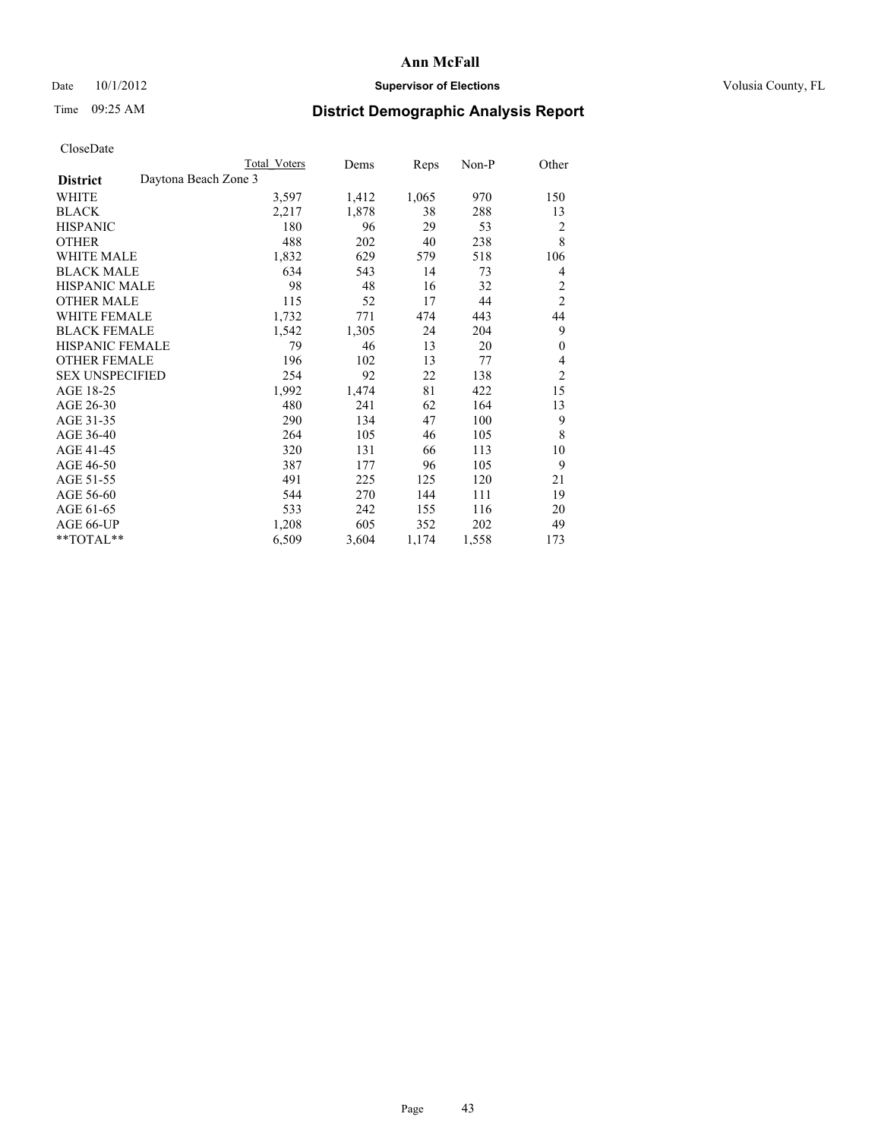## Date 10/1/2012 **Supervisor of Elections Supervisor of Elections** Volusia County, FL

# Time 09:25 AM **District Demographic Analysis Report**

|                                         | Total Voters | Dems  | Reps  | Non-P | Other            |
|-----------------------------------------|--------------|-------|-------|-------|------------------|
| Daytona Beach Zone 3<br><b>District</b> |              |       |       |       |                  |
| WHITE                                   | 3,597        | 1,412 | 1,065 | 970   | 150              |
| <b>BLACK</b>                            | 2,217        | 1,878 | 38    | 288   | 13               |
| <b>HISPANIC</b>                         | 180          | 96    | 29    | 53    | 2                |
| <b>OTHER</b>                            | 488          | 202   | 40    | 238   | 8                |
| <b>WHITE MALE</b>                       | 1,832        | 629   | 579   | 518   | 106              |
| <b>BLACK MALE</b>                       | 634          | 543   | 14    | 73    | 4                |
| <b>HISPANIC MALE</b>                    | 98           | 48    | 16    | 32    | 2                |
| <b>OTHER MALE</b>                       | 115          | 52    | 17    | 44    | $\overline{2}$   |
| WHITE FEMALE                            | 1,732        | 771   | 474   | 443   | 44               |
| <b>BLACK FEMALE</b>                     | 1,542        | 1,305 | 24    | 204   | 9                |
| <b>HISPANIC FEMALE</b>                  | 79           | 46    | 13    | 20    | $\boldsymbol{0}$ |
| <b>OTHER FEMALE</b>                     | 196          | 102   | 13    | 77    | 4                |
| <b>SEX UNSPECIFIED</b>                  | 254          | 92    | 22    | 138   | $\overline{c}$   |
| AGE 18-25                               | 1,992        | 1,474 | 81    | 422   | 15               |
| AGE 26-30                               | 480          | 241   | 62    | 164   | 13               |
| AGE 31-35                               | 290          | 134   | 47    | 100   | 9                |
| AGE 36-40                               | 264          | 105   | 46    | 105   | 8                |
| AGE 41-45                               | 320          | 131   | 66    | 113   | 10               |
| AGE 46-50                               | 387          | 177   | 96    | 105   | 9                |
| AGE 51-55                               | 491          | 225   | 125   | 120   | 21               |
| AGE 56-60                               | 544          | 270   | 144   | 111   | 19               |
| AGE 61-65                               | 533          | 242   | 155   | 116   | 20               |
| AGE 66-UP                               | 1,208        | 605   | 352   | 202   | 49               |
| **TOTAL**                               | 6,509        | 3,604 | 1,174 | 1,558 | 173              |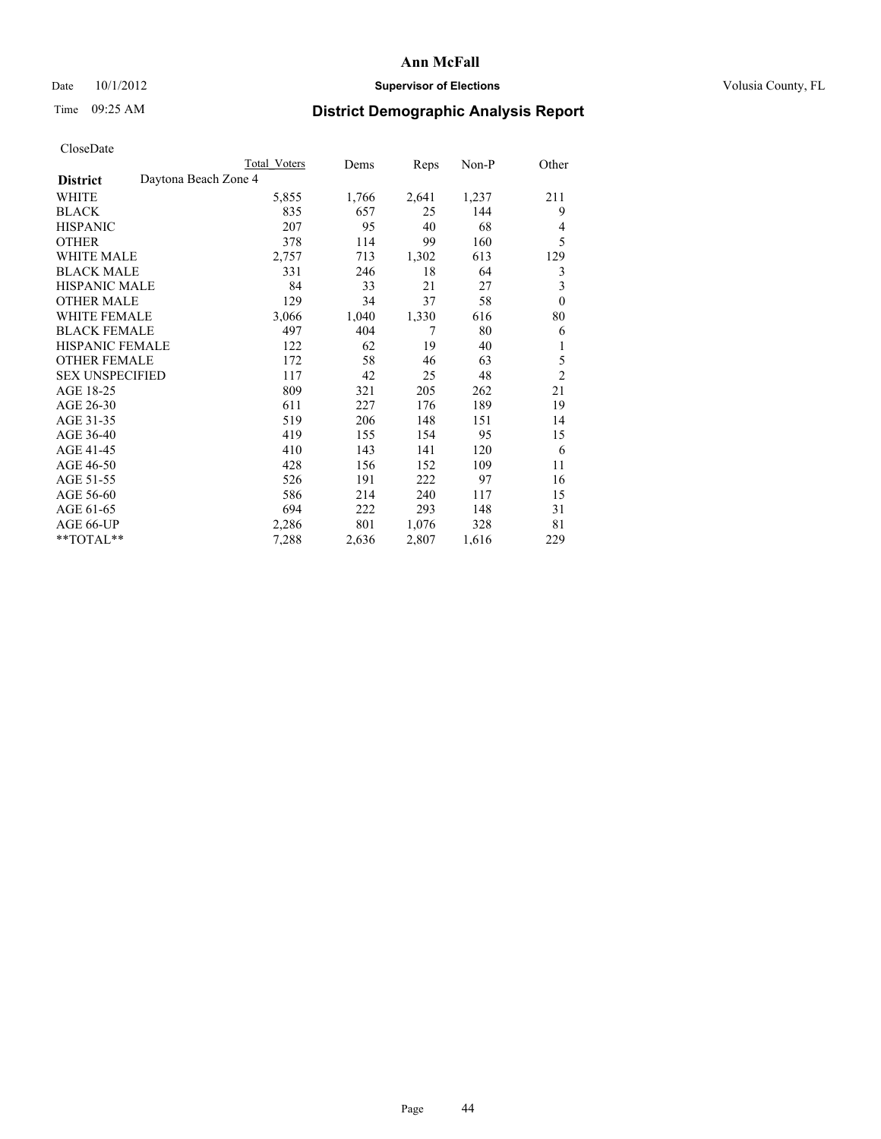## Date 10/1/2012 **Supervisor of Elections Supervisor of Elections** Volusia County, FL

# Time 09:25 AM **District Demographic Analysis Report**

|                        | Total Voters         | Dems  | Reps  | $Non-P$ | Other                   |
|------------------------|----------------------|-------|-------|---------|-------------------------|
| <b>District</b>        | Daytona Beach Zone 4 |       |       |         |                         |
| WHITE                  | 5,855                | 1,766 | 2,641 | 1,237   | 211                     |
| <b>BLACK</b>           | 835                  | 657   | 25    | 144     | 9                       |
| <b>HISPANIC</b>        | 207                  | 95    | 40    | 68      | $\overline{4}$          |
| <b>OTHER</b>           | 378                  | 114   | 99    | 160     | 5                       |
| WHITE MALE             | 2,757                | 713   | 1,302 | 613     | 129                     |
| <b>BLACK MALE</b>      | 331                  | 246   | 18    | 64      | 3                       |
| <b>HISPANIC MALE</b>   | 84                   | 33    | 21    | 27      | $\overline{\mathbf{3}}$ |
| <b>OTHER MALE</b>      | 129                  | 34    | 37    | 58      | $\theta$                |
| WHITE FEMALE           | 3,066                | 1,040 | 1,330 | 616     | 80                      |
| <b>BLACK FEMALE</b>    | 497                  | 404   | 7     | 80      | 6                       |
| <b>HISPANIC FEMALE</b> | 122                  | 62    | 19    | 40      | 1                       |
| <b>OTHER FEMALE</b>    | 172                  | 58    | 46    | 63      | 5                       |
| <b>SEX UNSPECIFIED</b> | 117                  | 42    | 25    | 48      | $\overline{2}$          |
| AGE 18-25              | 809                  | 321   | 205   | 262     | 21                      |
| AGE 26-30              | 611                  | 227   | 176   | 189     | 19                      |
| AGE 31-35              | 519                  | 206   | 148   | 151     | 14                      |
| AGE 36-40              | 419                  | 155   | 154   | 95      | 15                      |
| AGE 41-45              | 410                  | 143   | 141   | 120     | 6                       |
| AGE 46-50              | 428                  | 156   | 152   | 109     | 11                      |
| AGE 51-55              | 526                  | 191   | 222   | 97      | 16                      |
| AGE 56-60              | 586                  | 214   | 240   | 117     | 15                      |
| AGE 61-65              | 694                  | 222   | 293   | 148     | 31                      |
| AGE 66-UP              | 2,286                | 801   | 1,076 | 328     | 81                      |
| **TOTAL**              | 7,288                | 2,636 | 2,807 | 1,616   | 229                     |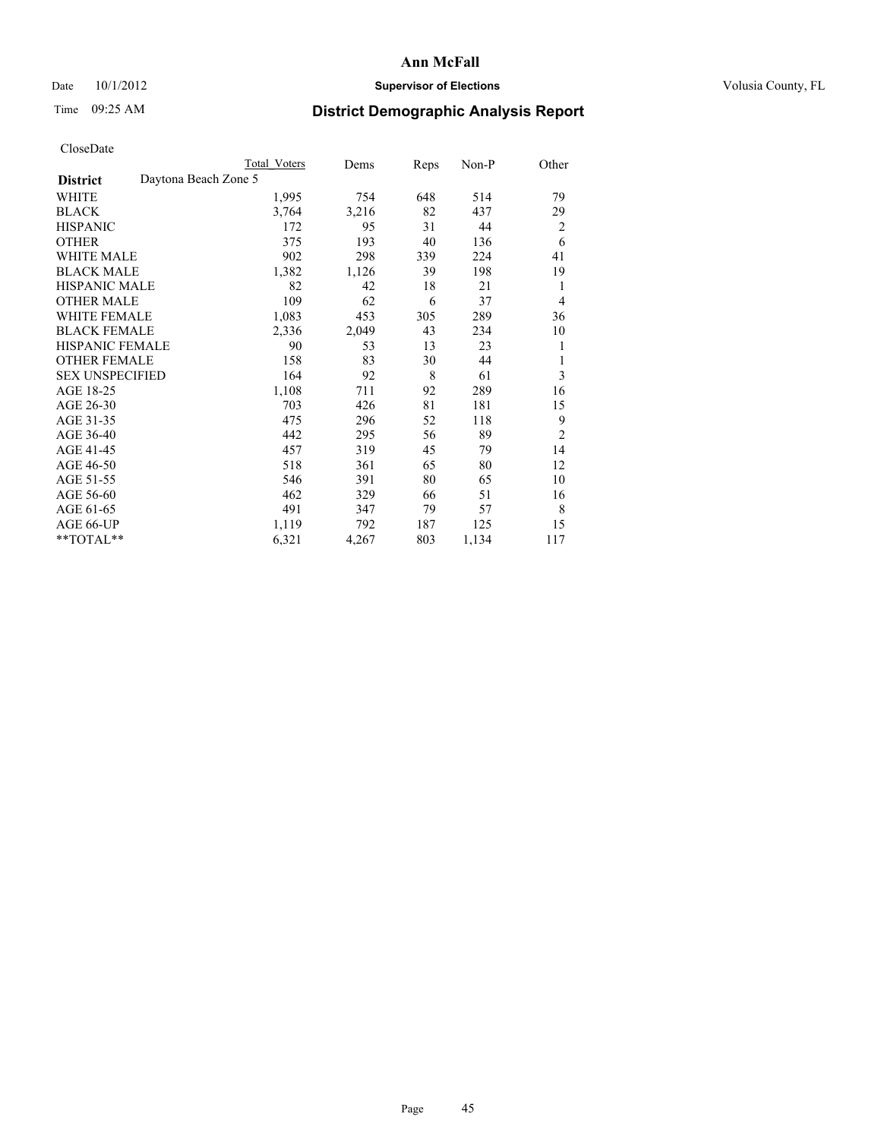## Date 10/1/2012 **Supervisor of Elections Supervisor of Elections** Volusia County, FL

# Time 09:25 AM **District Demographic Analysis Report**

|                                         | <b>Total Voters</b> | Dems  | Reps | Non-P | Other          |
|-----------------------------------------|---------------------|-------|------|-------|----------------|
| Daytona Beach Zone 5<br><b>District</b> |                     |       |      |       |                |
| WHITE                                   | 1,995               | 754   | 648  | 514   | 79             |
| <b>BLACK</b>                            | 3,764               | 3,216 | 82   | 437   | 29             |
| <b>HISPANIC</b>                         | 172                 | 95    | 31   | 44    | $\overline{2}$ |
| <b>OTHER</b>                            | 375                 | 193   | 40   | 136   | 6              |
| <b>WHITE MALE</b>                       | 902                 | 298   | 339  | 224   | 41             |
| <b>BLACK MALE</b>                       | 1,382               | 1,126 | 39   | 198   | 19             |
| HISPANIC MALE                           | 82                  | 42    | 18   | 21    | 1              |
| <b>OTHER MALE</b>                       | 109                 | 62    | 6    | 37    | 4              |
| <b>WHITE FEMALE</b>                     | 1,083               | 453   | 305  | 289   | 36             |
| <b>BLACK FEMALE</b>                     | 2,336               | 2,049 | 43   | 234   | 10             |
| <b>HISPANIC FEMALE</b>                  | 90                  | 53    | 13   | 23    | 1              |
| <b>OTHER FEMALE</b>                     | 158                 | 83    | 30   | 44    | 1              |
| <b>SEX UNSPECIFIED</b>                  | 164                 | 92    | 8    | 61    | 3              |
| AGE 18-25                               | 1,108               | 711   | 92   | 289   | 16             |
| AGE 26-30                               | 703                 | 426   | 81   | 181   | 15             |
| AGE 31-35                               | 475                 | 296   | 52   | 118   | 9              |
| AGE 36-40                               | 442                 | 295   | 56   | 89    | $\overline{2}$ |
| AGE 41-45                               | 457                 | 319   | 45   | 79    | 14             |
| AGE 46-50                               | 518                 | 361   | 65   | 80    | 12             |
| AGE 51-55                               | 546                 | 391   | 80   | 65    | 10             |
| AGE 56-60                               | 462                 | 329   | 66   | 51    | 16             |
| AGE 61-65                               | 491                 | 347   | 79   | 57    | 8              |
| AGE 66-UP                               | 1,119               | 792   | 187  | 125   | 15             |
| **TOTAL**                               | 6,321               | 4,267 | 803  | 1,134 | 117            |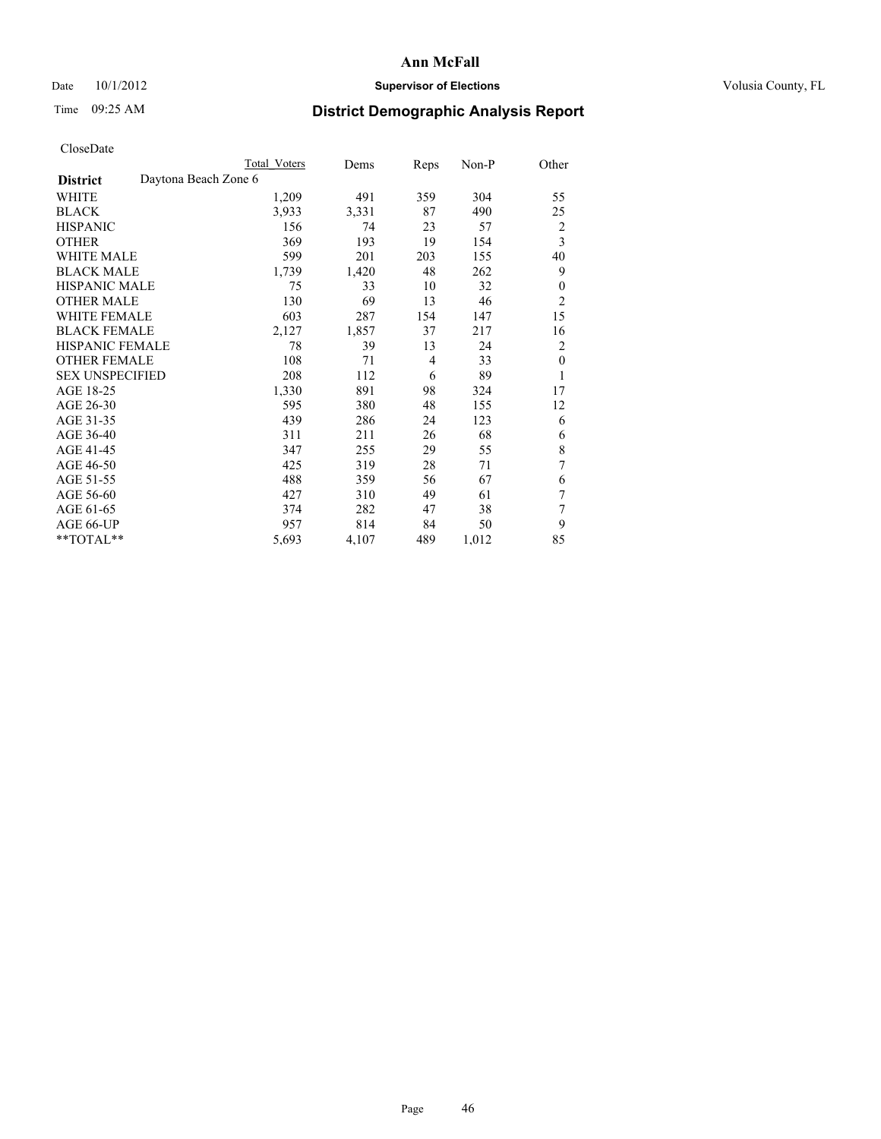## Date 10/1/2012 **Supervisor of Elections Supervisor of Elections** Volusia County, FL

# Time 09:25 AM **District Demographic Analysis Report**

|                        |                      | Total Voters | Dems  | Reps | Non-P | Other                   |
|------------------------|----------------------|--------------|-------|------|-------|-------------------------|
| <b>District</b>        | Daytona Beach Zone 6 |              |       |      |       |                         |
| WHITE                  |                      | 1,209        | 491   | 359  | 304   | 55                      |
| <b>BLACK</b>           |                      | 3,933        | 3,331 | 87   | 490   | 25                      |
| <b>HISPANIC</b>        |                      | 156          | 74    | 23   | 57    | $\overline{c}$          |
| <b>OTHER</b>           |                      | 369          | 193   | 19   | 154   | $\overline{\mathbf{3}}$ |
| <b>WHITE MALE</b>      |                      | 599          | 201   | 203  | 155   | 40                      |
| <b>BLACK MALE</b>      |                      | 1,739        | 1,420 | 48   | 262   | 9                       |
| HISPANIC MALE          |                      | 75           | 33    | 10   | 32    | $\boldsymbol{0}$        |
| <b>OTHER MALE</b>      |                      | 130          | 69    | 13   | 46    | $\overline{2}$          |
| <b>WHITE FEMALE</b>    |                      | 603          | 287   | 154  | 147   | 15                      |
| <b>BLACK FEMALE</b>    |                      | 2,127        | 1,857 | 37   | 217   | 16                      |
| <b>HISPANIC FEMALE</b> |                      | 78           | 39    | 13   | 24    | $\overline{2}$          |
| <b>OTHER FEMALE</b>    |                      | 108          | 71    | 4    | 33    | $\theta$                |
| <b>SEX UNSPECIFIED</b> |                      | 208          | 112   | 6    | 89    | 1                       |
| AGE 18-25              |                      | 1,330        | 891   | 98   | 324   | 17                      |
| AGE 26-30              |                      | 595          | 380   | 48   | 155   | 12                      |
| AGE 31-35              |                      | 439          | 286   | 24   | 123   | 6                       |
| AGE 36-40              |                      | 311          | 211   | 26   | 68    | 6                       |
| AGE 41-45              |                      | 347          | 255   | 29   | 55    | $\,$ 8 $\,$             |
| AGE 46-50              |                      | 425          | 319   | 28   | 71    | 7                       |
| AGE 51-55              |                      | 488          | 359   | 56   | 67    | 6                       |
| AGE 56-60              |                      | 427          | 310   | 49   | 61    | 7                       |
| AGE 61-65              |                      | 374          | 282   | 47   | 38    | 7                       |
| AGE 66-UP              |                      | 957          | 814   | 84   | 50    | 9                       |
| **TOTAL**              |                      | 5,693        | 4,107 | 489  | 1,012 | 85                      |
|                        |                      |              |       |      |       |                         |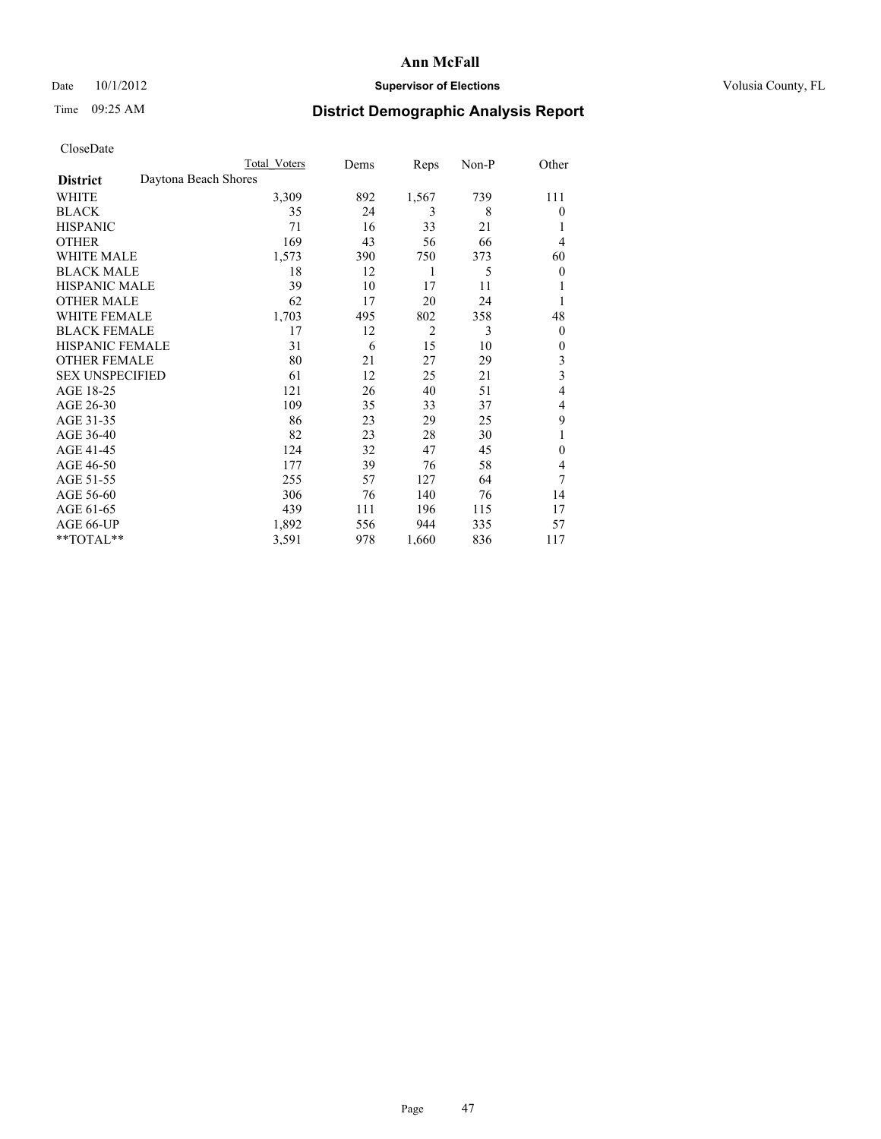### Date 10/1/2012 **Supervisor of Elections Supervisor of Elections** Volusia County, FL

# Time 09:25 AM **District Demographic Analysis Report**

| Cioscivate             |                      |              |      |                |       |                         |
|------------------------|----------------------|--------------|------|----------------|-------|-------------------------|
|                        |                      | Total Voters | Dems | Reps           | Non-P | Other                   |
| <b>District</b>        | Daytona Beach Shores |              |      |                |       |                         |
| WHITE                  |                      | 3,309        | 892  | 1,567          | 739   | 111                     |
| <b>BLACK</b>           |                      | 35           | 24   | 3              | 8     | $\theta$                |
| <b>HISPANIC</b>        |                      | 71           | 16   | 33             | 21    | 1                       |
| <b>OTHER</b>           |                      | 169          | 43   | 56             | 66    | 4                       |
| WHITE MALE             |                      | 1,573        | 390  | 750            | 373   | 60                      |
| <b>BLACK MALE</b>      |                      | 18           | 12   | 1              | 5     | $\theta$                |
| <b>HISPANIC MALE</b>   |                      | 39           | 10   | 17             | 11    | 1                       |
| <b>OTHER MALE</b>      |                      | 62           | 17   | 20             | 24    | 1                       |
| WHITE FEMALE           |                      | 1,703        | 495  | 802            | 358   | 48                      |
| <b>BLACK FEMALE</b>    |                      | 17           | 12   | $\overline{2}$ | 3     | $\theta$                |
| <b>HISPANIC FEMALE</b> |                      | 31           | 6    | 15             | 10    | $\theta$                |
| <b>OTHER FEMALE</b>    |                      | 80           | 21   | 27             | 29    | 3                       |
| <b>SEX UNSPECIFIED</b> |                      | 61           | 12   | 25             | 21    | $\overline{\mathbf{3}}$ |
| AGE 18-25              |                      | 121          | 26   | 40             | 51    | 4                       |
| AGE 26-30              |                      | 109          | 35   | 33             | 37    | 4                       |
| AGE 31-35              |                      | 86           | 23   | 29             | 25    | 9                       |
| AGE 36-40              |                      | 82           | 23   | 28             | 30    | 1                       |
| AGE 41-45              |                      | 124          | 32   | 47             | 45    | $\theta$                |
| AGE 46-50              |                      | 177          | 39   | 76             | 58    | 4                       |
| AGE 51-55              |                      | 255          | 57   | 127            | 64    | 7                       |
| AGE 56-60              |                      | 306          | 76   | 140            | 76    | 14                      |
| AGE 61-65              |                      | 439          | 111  | 196            | 115   | 17                      |
| AGE 66-UP              |                      | 1,892        | 556  | 944            | 335   | 57                      |
| $*$ TOTAL $*$          |                      | 3,591        | 978  | 1,660          | 836   | 117                     |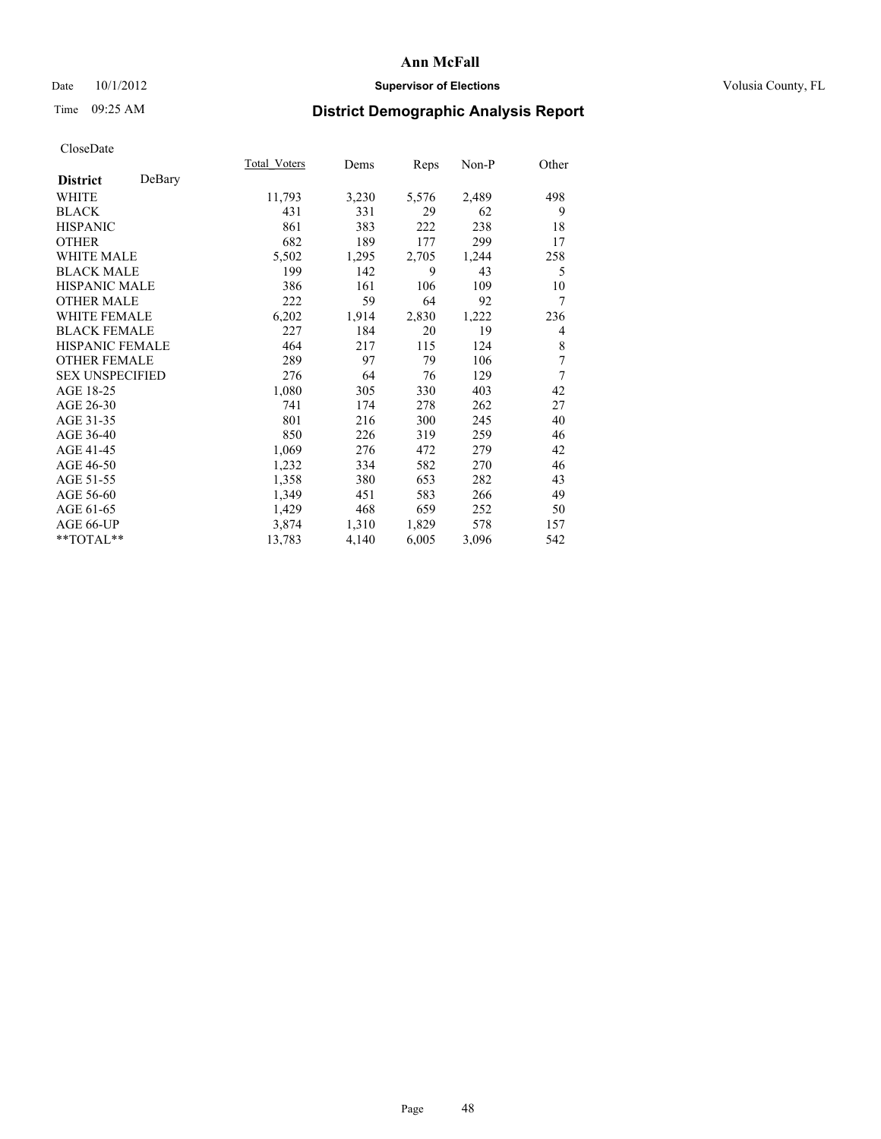### Date  $10/1/2012$  **Supervisor of Elections Supervisor of Elections** Volusia County, FL

# Time 09:25 AM **District Demographic Analysis Report**

|                        |        | Total Voters | Dems  | Reps  | Non-P | Other |
|------------------------|--------|--------------|-------|-------|-------|-------|
| <b>District</b>        | DeBary |              |       |       |       |       |
| WHITE                  |        | 11,793       | 3,230 | 5,576 | 2,489 | 498   |
| <b>BLACK</b>           |        | 431          | 331   | 29    | 62    | 9     |
| <b>HISPANIC</b>        |        | 861          | 383   | 222   | 238   | 18    |
| <b>OTHER</b>           |        | 682          | 189   | 177   | 299   | 17    |
| WHITE MALE             |        | 5,502        | 1,295 | 2,705 | 1,244 | 258   |
| <b>BLACK MALE</b>      |        | 199          | 142   | 9     | 43    | 5     |
| <b>HISPANIC MALE</b>   |        | 386          | 161   | 106   | 109   | 10    |
| <b>OTHER MALE</b>      |        | 222          | 59    | 64    | 92    | 7     |
| <b>WHITE FEMALE</b>    |        | 6,202        | 1,914 | 2,830 | 1,222 | 236   |
| <b>BLACK FEMALE</b>    |        | 227          | 184   | 20    | 19    | 4     |
| <b>HISPANIC FEMALE</b> |        | 464          | 217   | 115   | 124   | 8     |
| <b>OTHER FEMALE</b>    |        | 289          | 97    | 79    | 106   | 7     |
| <b>SEX UNSPECIFIED</b> |        | 276          | 64    | 76    | 129   | 7     |
| AGE 18-25              |        | 1,080        | 305   | 330   | 403   | 42    |
| AGE 26-30              |        | 741          | 174   | 278   | 262   | 27    |
| AGE 31-35              |        | 801          | 216   | 300   | 245   | 40    |
| AGE 36-40              |        | 850          | 226   | 319   | 259   | 46    |
| AGE 41-45              |        | 1,069        | 276   | 472   | 279   | 42    |
| AGE 46-50              |        | 1,232        | 334   | 582   | 270   | 46    |
| AGE 51-55              |        | 1,358        | 380   | 653   | 282   | 43    |
| AGE 56-60              |        | 1,349        | 451   | 583   | 266   | 49    |
| AGE 61-65              |        | 1,429        | 468   | 659   | 252   | 50    |
| AGE 66-UP              |        | 3,874        | 1,310 | 1,829 | 578   | 157   |
| **TOTAL**              |        | 13,783       | 4,140 | 6,005 | 3,096 | 542   |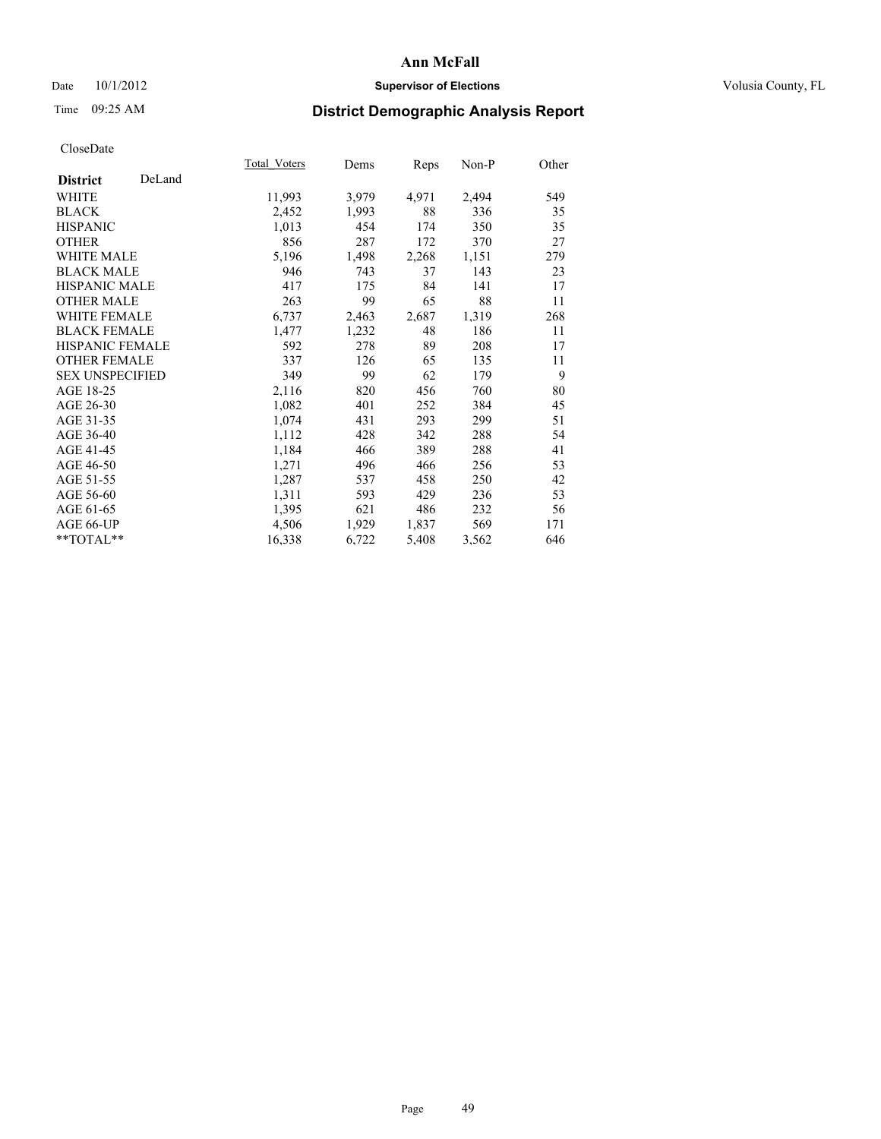### Date  $10/1/2012$  **Supervisor of Elections Supervisor of Elections** Volusia County, FL

# Time 09:25 AM **District Demographic Analysis Report**

|                           | Total Voters | Dems  | <b>Reps</b> | Non-P | Other |
|---------------------------|--------------|-------|-------------|-------|-------|
| DeLand<br><b>District</b> |              |       |             |       |       |
| <b>WHITE</b>              | 11,993       | 3,979 | 4,971       | 2,494 | 549   |
| <b>BLACK</b>              | 2,452        | 1,993 | 88          | 336   | 35    |
| <b>HISPANIC</b>           | 1,013        | 454   | 174         | 350   | 35    |
| <b>OTHER</b>              | 856          | 287   | 172         | 370   | 27    |
| <b>WHITE MALE</b>         | 5,196        | 1,498 | 2,268       | 1,151 | 279   |
| <b>BLACK MALE</b>         | 946          | 743   | 37          | 143   | 23    |
| HISPANIC MALE             | 417          | 175   | 84          | 141   | 17    |
| <b>OTHER MALE</b>         | 263          | 99    | 65          | 88    | 11    |
| <b>WHITE FEMALE</b>       | 6,737        | 2,463 | 2,687       | 1,319 | 268   |
| <b>BLACK FEMALE</b>       | 1,477        | 1,232 | 48          | 186   | 11    |
| <b>HISPANIC FEMALE</b>    | 592          | 278   | 89          | 208   | 17    |
| <b>OTHER FEMALE</b>       | 337          | 126   | 65          | 135   | 11    |
| <b>SEX UNSPECIFIED</b>    | 349          | 99    | 62          | 179   | 9     |
| AGE 18-25                 | 2,116        | 820   | 456         | 760   | 80    |
| AGE 26-30                 | 1,082        | 401   | 252         | 384   | 45    |
| AGE 31-35                 | 1,074        | 431   | 293         | 299   | 51    |
| AGE 36-40                 | 1,112        | 428   | 342         | 288   | 54    |
| AGE 41-45                 | 1,184        | 466   | 389         | 288   | 41    |
| AGE 46-50                 | 1,271        | 496   | 466         | 256   | 53    |
| AGE 51-55                 | 1,287        | 537   | 458         | 250   | 42    |
| AGE 56-60                 | 1,311        | 593   | 429         | 236   | 53    |
| AGE 61-65                 | 1,395        | 621   | 486         | 232   | 56    |
| AGE 66-UP                 | 4,506        | 1,929 | 1,837       | 569   | 171   |
| **TOTAL**                 | 16,338       | 6,722 | 5,408       | 3,562 | 646   |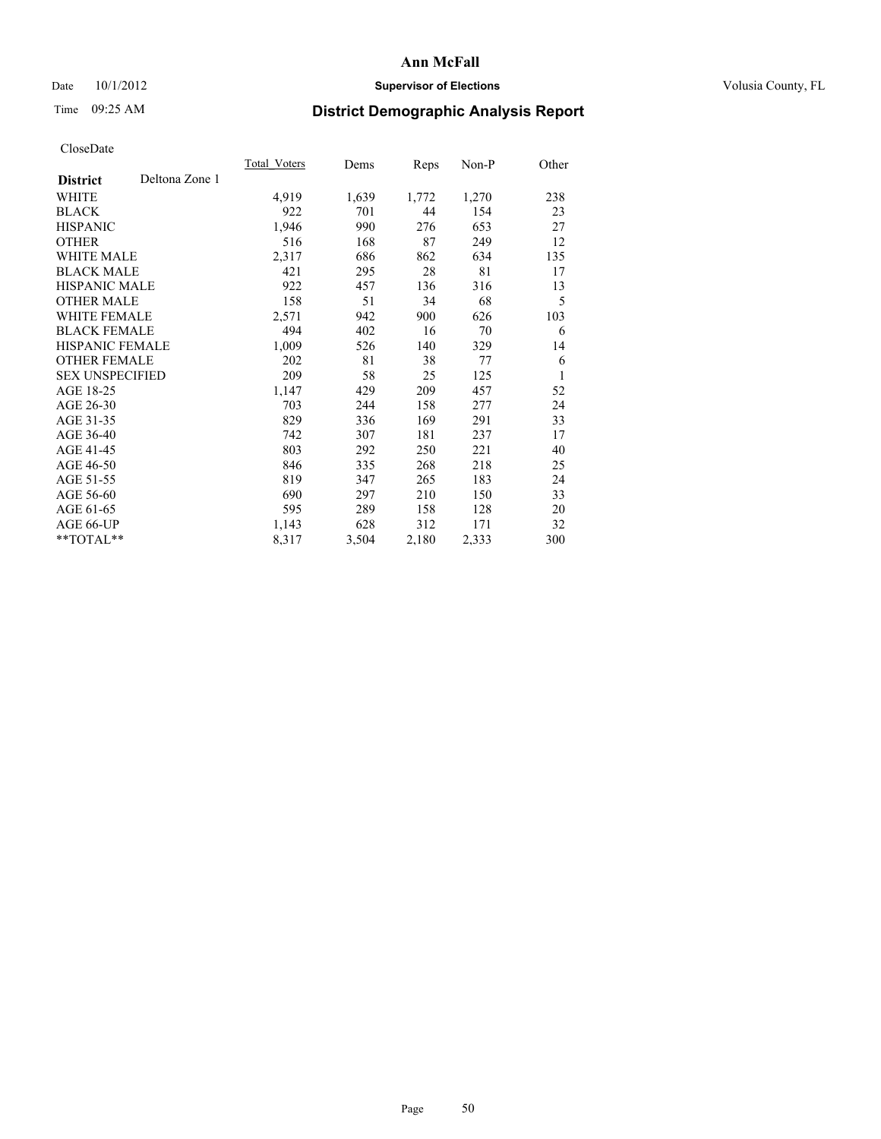## Date 10/1/2012 **Supervisor of Elections Supervisor of Elections** Volusia County, FL

# Time 09:25 AM **District Demographic Analysis Report**

|                        |                | Total Voters | Dems  | Reps  | Non-P | Other |
|------------------------|----------------|--------------|-------|-------|-------|-------|
| <b>District</b>        | Deltona Zone 1 |              |       |       |       |       |
| WHITE                  |                | 4,919        | 1,639 | 1,772 | 1,270 | 238   |
| <b>BLACK</b>           |                | 922          | 701   | 44    | 154   | 23    |
| <b>HISPANIC</b>        |                | 1,946        | 990   | 276   | 653   | 27    |
| <b>OTHER</b>           |                | 516          | 168   | 87    | 249   | 12    |
| WHITE MALE             |                | 2,317        | 686   | 862   | 634   | 135   |
| <b>BLACK MALE</b>      |                | 421          | 295   | 28    | 81    | 17    |
| <b>HISPANIC MALE</b>   |                | 922          | 457   | 136   | 316   | 13    |
| <b>OTHER MALE</b>      |                | 158          | 51    | 34    | 68    | 5     |
| <b>WHITE FEMALE</b>    |                | 2,571        | 942   | 900   | 626   | 103   |
| <b>BLACK FEMALE</b>    |                | 494          | 402   | 16    | 70    | 6     |
| <b>HISPANIC FEMALE</b> |                | 1,009        | 526   | 140   | 329   | 14    |
| <b>OTHER FEMALE</b>    |                | 202          | 81    | 38    | 77    | 6     |
| <b>SEX UNSPECIFIED</b> |                | 209          | 58    | 25    | 125   | 1     |
| AGE 18-25              |                | 1,147        | 429   | 209   | 457   | 52    |
| AGE 26-30              |                | 703          | 244   | 158   | 277   | 24    |
| AGE 31-35              |                | 829          | 336   | 169   | 291   | 33    |
| AGE 36-40              |                | 742          | 307   | 181   | 237   | 17    |
| AGE 41-45              |                | 803          | 292   | 250   | 221   | 40    |
| AGE 46-50              |                | 846          | 335   | 268   | 218   | 25    |
| AGE 51-55              |                | 819          | 347   | 265   | 183   | 24    |
| AGE 56-60              |                | 690          | 297   | 210   | 150   | 33    |
| AGE 61-65              |                | 595          | 289   | 158   | 128   | 20    |
| AGE 66-UP              |                | 1,143        | 628   | 312   | 171   | 32    |
| **TOTAL**              |                | 8,317        | 3,504 | 2,180 | 2,333 | 300   |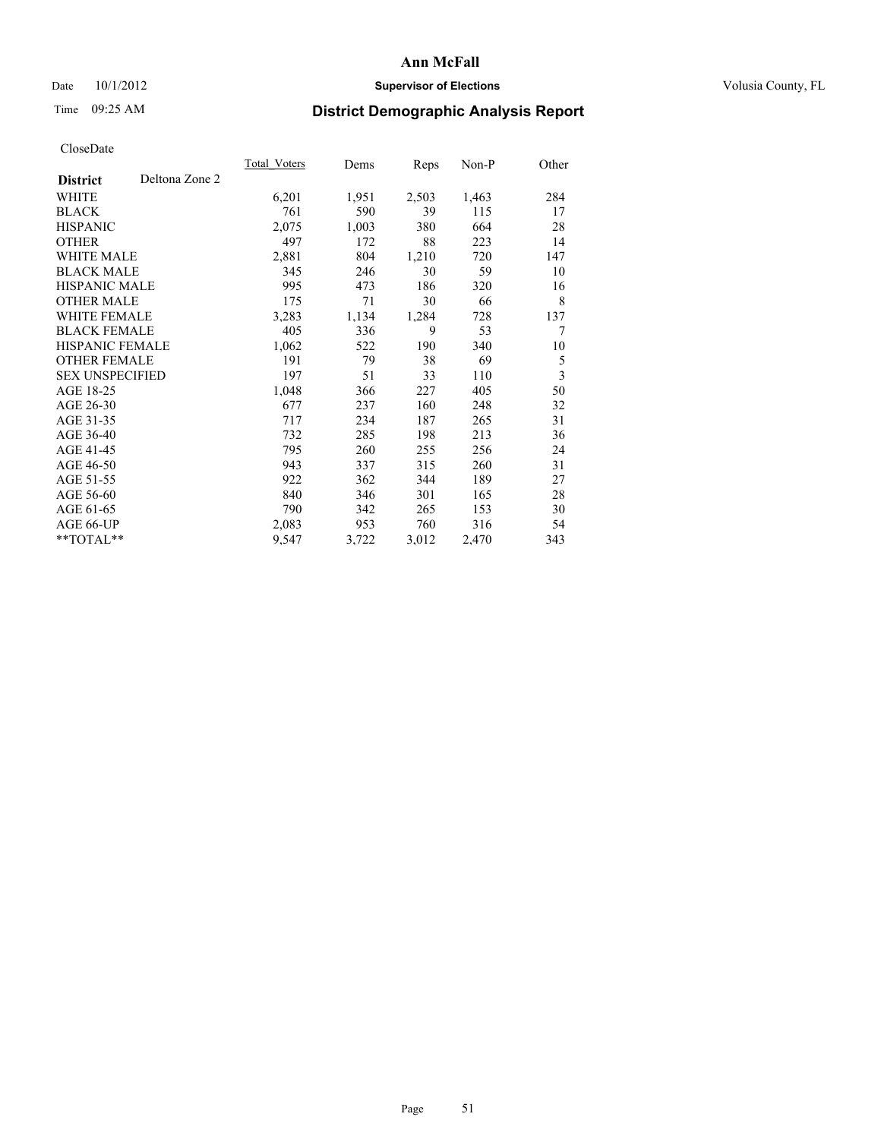## Date 10/1/2012 **Supervisor of Elections Supervisor of Elections** Volusia County, FL

# Time 09:25 AM **District Demographic Analysis Report**

|                                   | Total Voters | Dems  | <b>Reps</b> | Non-P | Other |
|-----------------------------------|--------------|-------|-------------|-------|-------|
| Deltona Zone 2<br><b>District</b> |              |       |             |       |       |
| WHITE                             | 6,201        | 1,951 | 2,503       | 1,463 | 284   |
| <b>BLACK</b>                      | 761          | 590   | 39          | 115   | 17    |
| <b>HISPANIC</b>                   | 2,075        | 1,003 | 380         | 664   | 28    |
| <b>OTHER</b>                      | 497          | 172   | 88          | 223   | 14    |
| <b>WHITE MALE</b>                 | 2,881        | 804   | 1,210       | 720   | 147   |
| <b>BLACK MALE</b>                 | 345          | 246   | 30          | 59    | 10    |
| <b>HISPANIC MALE</b>              | 995          | 473   | 186         | 320   | 16    |
| <b>OTHER MALE</b>                 | 175          | 71    | 30          | 66    | 8     |
| <b>WHITE FEMALE</b>               | 3,283        | 1,134 | 1,284       | 728   | 137   |
| <b>BLACK FEMALE</b>               | 405          | 336   | 9           | 53    | 7     |
| <b>HISPANIC FEMALE</b>            | 1,062        | 522   | 190         | 340   | 10    |
| <b>OTHER FEMALE</b>               | 191          | 79    | 38          | 69    | 5     |
| <b>SEX UNSPECIFIED</b>            | 197          | 51    | 33          | 110   | 3     |
| AGE 18-25                         | 1,048        | 366   | 227         | 405   | 50    |
| AGE 26-30                         | 677          | 237   | 160         | 248   | 32    |
| AGE 31-35                         | 717          | 234   | 187         | 265   | 31    |
| AGE 36-40                         | 732          | 285   | 198         | 213   | 36    |
| AGE 41-45                         | 795          | 260   | 255         | 256   | 24    |
| AGE 46-50                         | 943          | 337   | 315         | 260   | 31    |
| AGE 51-55                         | 922          | 362   | 344         | 189   | 27    |
| AGE 56-60                         | 840          | 346   | 301         | 165   | 28    |
| AGE 61-65                         | 790          | 342   | 265         | 153   | 30    |
| AGE 66-UP                         | 2,083        | 953   | 760         | 316   | 54    |
| **TOTAL**                         | 9,547        | 3,722 | 3,012       | 2,470 | 343   |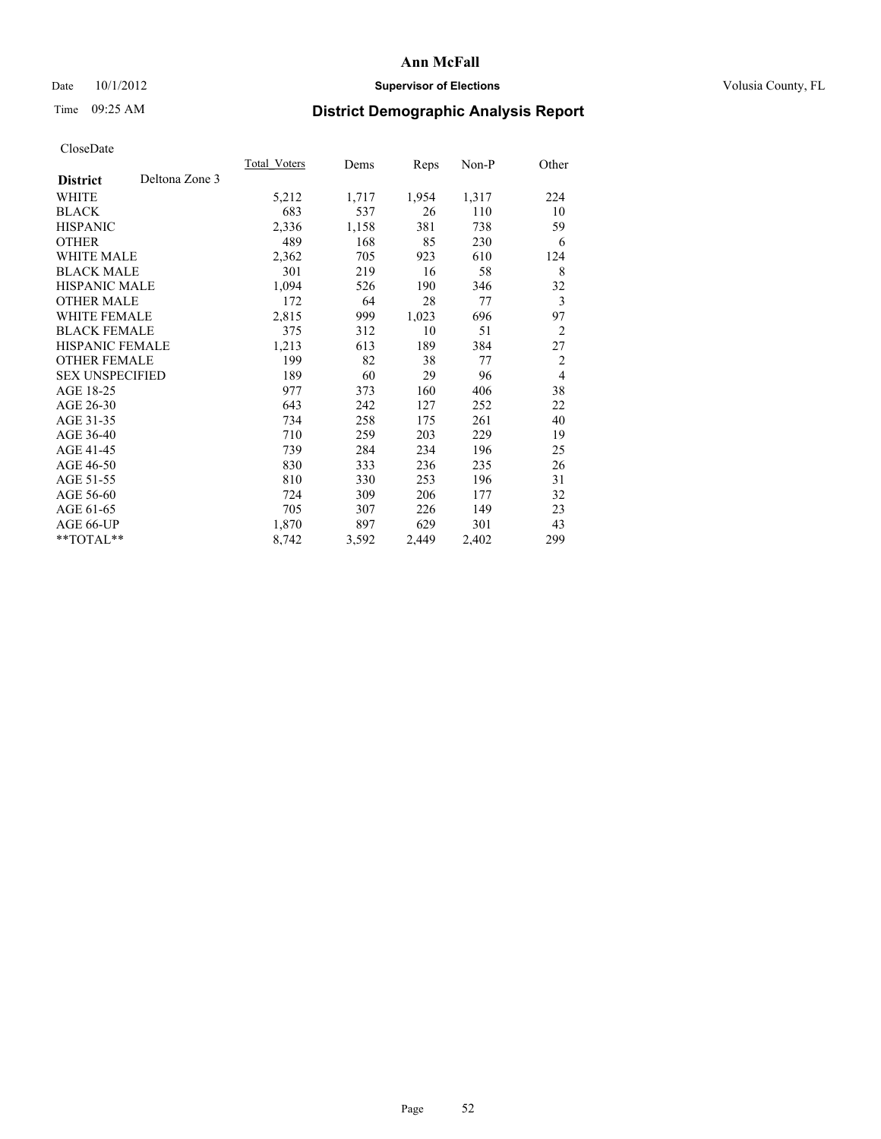## Date 10/1/2012 **Supervisor of Elections Supervisor of Elections** Volusia County, FL

# Time 09:25 AM **District Demographic Analysis Report**

|                                   | Total Voters | Dems  | Reps  | Non-P | Other          |
|-----------------------------------|--------------|-------|-------|-------|----------------|
| Deltona Zone 3<br><b>District</b> |              |       |       |       |                |
| WHITE                             | 5,212        | 1,717 | 1,954 | 1,317 | 224            |
| <b>BLACK</b>                      | 683          | 537   | 26    | 110   | 10             |
| <b>HISPANIC</b>                   | 2,336        | 1,158 | 381   | 738   | 59             |
| <b>OTHER</b>                      | 489          | 168   | 85    | 230   | 6              |
| <b>WHITE MALE</b>                 | 2,362        | 705   | 923   | 610   | 124            |
| <b>BLACK MALE</b>                 | 301          | 219   | 16    | 58    | 8              |
| <b>HISPANIC MALE</b>              | 1,094        | 526   | 190   | 346   | 32             |
| <b>OTHER MALE</b>                 | 172          | 64    | 28    | 77    | $\mathfrak{Z}$ |
| WHITE FEMALE                      | 2,815        | 999   | 1,023 | 696   | 97             |
| <b>BLACK FEMALE</b>               | 375          | 312   | 10    | 51    | $\overline{2}$ |
| <b>HISPANIC FEMALE</b>            | 1,213        | 613   | 189   | 384   | 27             |
| <b>OTHER FEMALE</b>               | 199          | 82    | 38    | 77    | 2              |
| <b>SEX UNSPECIFIED</b>            | 189          | 60    | 29    | 96    | $\overline{4}$ |
| AGE 18-25                         | 977          | 373   | 160   | 406   | 38             |
| AGE 26-30                         | 643          | 242   | 127   | 252   | 22             |
| AGE 31-35                         | 734          | 258   | 175   | 261   | 40             |
| AGE 36-40                         | 710          | 259   | 203   | 229   | 19             |
| AGE 41-45                         | 739          | 284   | 234   | 196   | 25             |
| AGE 46-50                         | 830          | 333   | 236   | 235   | 26             |
| AGE 51-55                         | 810          | 330   | 253   | 196   | 31             |
| AGE 56-60                         | 724          | 309   | 206   | 177   | 32             |
| AGE 61-65                         | 705          | 307   | 226   | 149   | 23             |
| AGE 66-UP                         | 1,870        | 897   | 629   | 301   | 43             |
| **TOTAL**                         | 8,742        | 3,592 | 2,449 | 2,402 | 299            |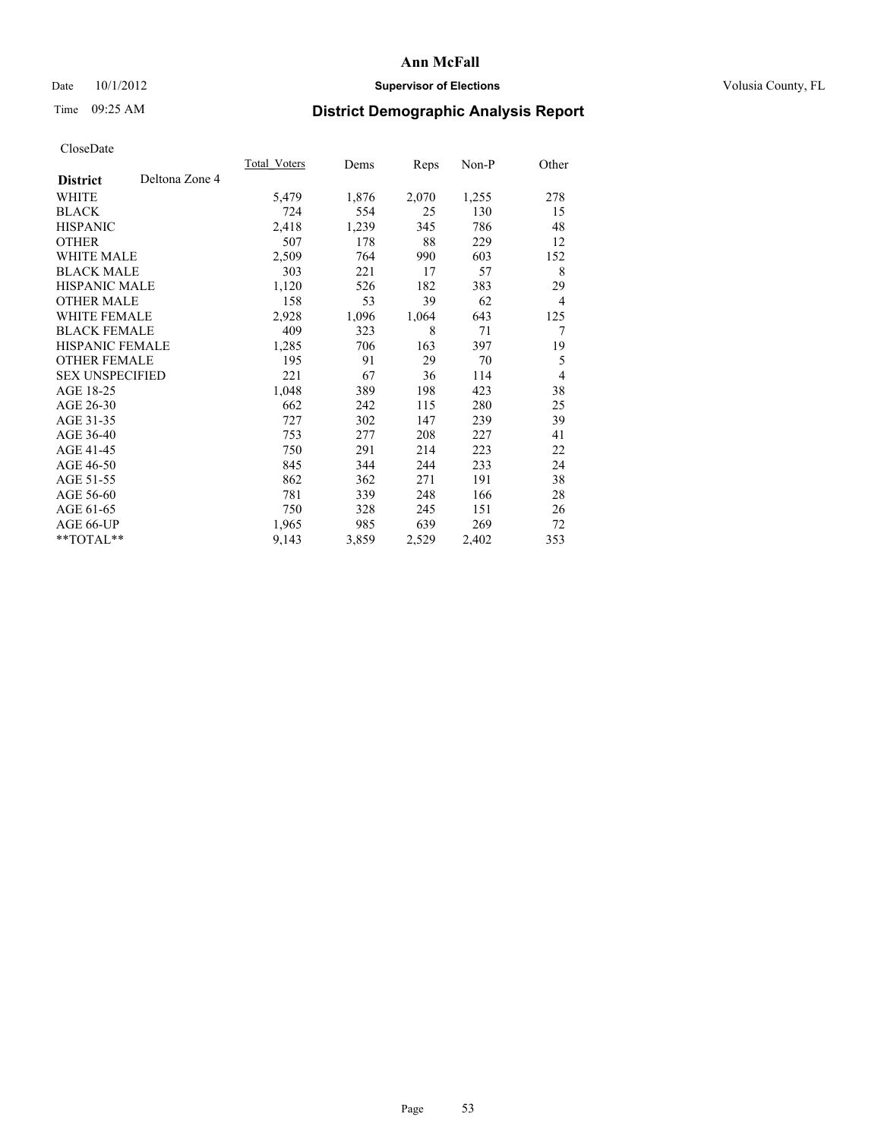## Date 10/1/2012 **Supervisor of Elections Supervisor of Elections** Volusia County, FL

# Time 09:25 AM **District Demographic Analysis Report**

|                                   | <b>Total Voters</b> | Dems  | Reps  | Non-P | Other          |
|-----------------------------------|---------------------|-------|-------|-------|----------------|
| Deltona Zone 4<br><b>District</b> |                     |       |       |       |                |
| WHITE                             | 5,479               | 1,876 | 2,070 | 1,255 | 278            |
| <b>BLACK</b>                      | 724                 | 554   | 25    | 130   | 15             |
| <b>HISPANIC</b>                   | 2,418               | 1,239 | 345   | 786   | 48             |
| <b>OTHER</b>                      | 507                 | 178   | 88    | 229   | 12             |
| <b>WHITE MALE</b>                 | 2,509               | 764   | 990   | 603   | 152            |
| <b>BLACK MALE</b>                 | 303                 | 221   | 17    | 57    | 8              |
| HISPANIC MALE                     | 1,120               | 526   | 182   | 383   | 29             |
| <b>OTHER MALE</b>                 | 158                 | 53    | 39    | 62    | $\overline{4}$ |
| <b>WHITE FEMALE</b>               | 2,928               | 1,096 | 1,064 | 643   | 125            |
| <b>BLACK FEMALE</b>               | 409                 | 323   | 8     | 71    | 7              |
| <b>HISPANIC FEMALE</b>            | 1,285               | 706   | 163   | 397   | 19             |
| <b>OTHER FEMALE</b>               | 195                 | 91    | 29    | 70    | 5              |
| <b>SEX UNSPECIFIED</b>            | 221                 | 67    | 36    | 114   | 4              |
| AGE 18-25                         | 1,048               | 389   | 198   | 423   | 38             |
| AGE 26-30                         | 662                 | 242   | 115   | 280   | 25             |
| AGE 31-35                         | 727                 | 302   | 147   | 239   | 39             |
| AGE 36-40                         | 753                 | 277   | 208   | 227   | 41             |
| AGE 41-45                         | 750                 | 291   | 214   | 223   | 22             |
| AGE 46-50                         | 845                 | 344   | 244   | 233   | 24             |
| AGE 51-55                         | 862                 | 362   | 271   | 191   | 38             |
| AGE 56-60                         | 781                 | 339   | 248   | 166   | 28             |
| AGE 61-65                         | 750                 | 328   | 245   | 151   | 26             |
| AGE 66-UP                         | 1,965               | 985   | 639   | 269   | 72             |
| **TOTAL**                         | 9,143               | 3,859 | 2,529 | 2,402 | 353            |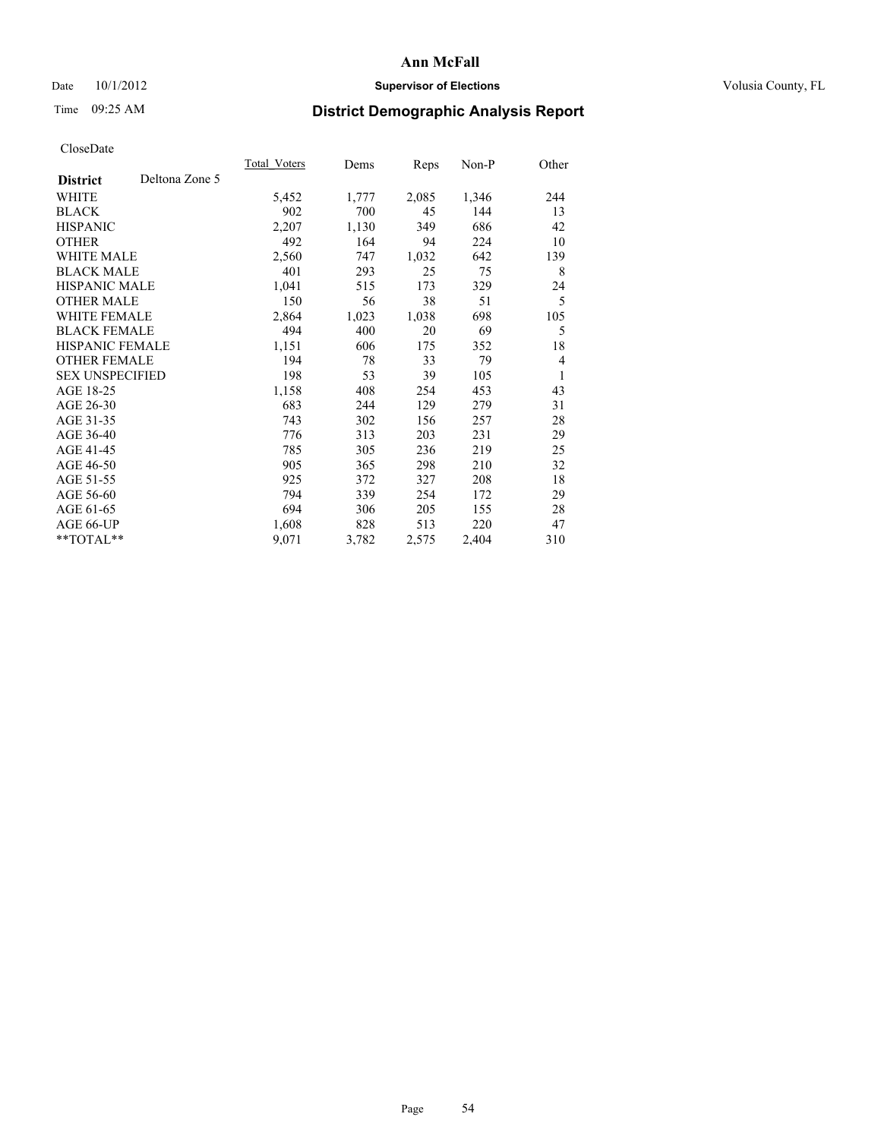## Date 10/1/2012 **Supervisor of Elections Supervisor of Elections** Volusia County, FL

## Time 09:25 AM **District Demographic Analysis Report**

|                                   | <b>Total Voters</b> | Dems  | Reps  | Non-P | Other |
|-----------------------------------|---------------------|-------|-------|-------|-------|
| Deltona Zone 5<br><b>District</b> |                     |       |       |       |       |
| WHITE                             | 5,452               | 1,777 | 2,085 | 1,346 | 244   |
| <b>BLACK</b>                      | 902                 | 700   | 45    | 144   | 13    |
| <b>HISPANIC</b>                   | 2,207               | 1,130 | 349   | 686   | 42    |
| <b>OTHER</b>                      | 492                 | 164   | 94    | 224   | 10    |
| <b>WHITE MALE</b>                 | 2,560               | 747   | 1,032 | 642   | 139   |
| <b>BLACK MALE</b>                 | 401                 | 293   | 25    | 75    | 8     |
| HISPANIC MALE                     | 1,041               | 515   | 173   | 329   | 24    |
| <b>OTHER MALE</b>                 | 150                 | 56    | 38    | 51    | 5     |
| <b>WHITE FEMALE</b>               | 2,864               | 1,023 | 1,038 | 698   | 105   |
| <b>BLACK FEMALE</b>               | 494                 | 400   | 20    | 69    | 5     |
| <b>HISPANIC FEMALE</b>            | 1,151               | 606   | 175   | 352   | 18    |
| <b>OTHER FEMALE</b>               | 194                 | 78    | 33    | 79    | 4     |
| <b>SEX UNSPECIFIED</b>            | 198                 | 53    | 39    | 105   | 1     |
| AGE 18-25                         | 1,158               | 408   | 254   | 453   | 43    |
| AGE 26-30                         | 683                 | 244   | 129   | 279   | 31    |
| AGE 31-35                         | 743                 | 302   | 156   | 257   | 28    |
| AGE 36-40                         | 776                 | 313   | 203   | 231   | 29    |
| AGE 41-45                         | 785                 | 305   | 236   | 219   | 25    |
| AGE 46-50                         | 905                 | 365   | 298   | 210   | 32    |
| AGE 51-55                         | 925                 | 372   | 327   | 208   | 18    |
| AGE 56-60                         | 794                 | 339   | 254   | 172   | 29    |
| AGE 61-65                         | 694                 | 306   | 205   | 155   | 28    |
| AGE 66-UP                         | 1,608               | 828   | 513   | 220   | 47    |
| $*$ $TOTAL**$                     | 9,071               | 3,782 | 2,575 | 2,404 | 310   |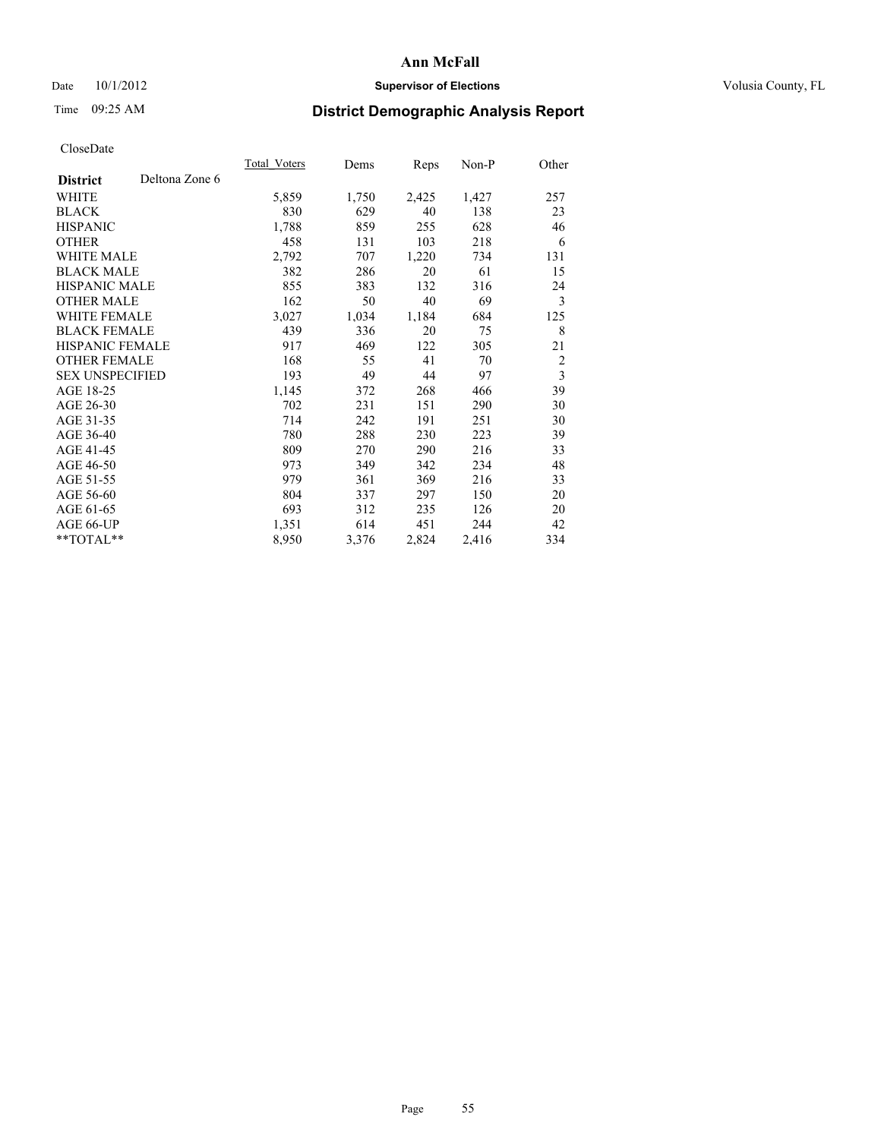## Date 10/1/2012 **Supervisor of Elections Supervisor of Elections** Volusia County, FL

# Time 09:25 AM **District Demographic Analysis Report**

|                        |                | Total Voters | Dems  | Reps  | Non-P | Other                   |
|------------------------|----------------|--------------|-------|-------|-------|-------------------------|
| <b>District</b>        | Deltona Zone 6 |              |       |       |       |                         |
| WHITE                  |                | 5,859        | 1,750 | 2,425 | 1,427 | 257                     |
| <b>BLACK</b>           |                | 830          | 629   | 40    | 138   | 23                      |
| <b>HISPANIC</b>        |                | 1,788        | 859   | 255   | 628   | 46                      |
| <b>OTHER</b>           |                | 458          | 131   | 103   | 218   | 6                       |
| <b>WHITE MALE</b>      |                | 2,792        | 707   | 1,220 | 734   | 131                     |
| <b>BLACK MALE</b>      |                | 382          | 286   | 20    | 61    | 15                      |
| <b>HISPANIC MALE</b>   |                | 855          | 383   | 132   | 316   | 24                      |
| <b>OTHER MALE</b>      |                | 162          | 50    | 40    | 69    | 3                       |
| <b>WHITE FEMALE</b>    |                | 3,027        | 1,034 | 1,184 | 684   | 125                     |
| <b>BLACK FEMALE</b>    |                | 439          | 336   | 20    | 75    | 8                       |
| <b>HISPANIC FEMALE</b> |                | 917          | 469   | 122   | 305   | 21                      |
| <b>OTHER FEMALE</b>    |                | 168          | 55    | 41    | 70    | $\overline{c}$          |
| <b>SEX UNSPECIFIED</b> |                | 193          | 49    | 44    | 97    | $\overline{\mathbf{3}}$ |
| AGE 18-25              |                | 1,145        | 372   | 268   | 466   | 39                      |
| AGE 26-30              |                | 702          | 231   | 151   | 290   | 30                      |
| AGE 31-35              |                | 714          | 242   | 191   | 251   | 30                      |
| AGE 36-40              |                | 780          | 288   | 230   | 223   | 39                      |
| AGE 41-45              |                | 809          | 270   | 290   | 216   | 33                      |
| AGE 46-50              |                | 973          | 349   | 342   | 234   | 48                      |
| AGE 51-55              |                | 979          | 361   | 369   | 216   | 33                      |
| AGE 56-60              |                | 804          | 337   | 297   | 150   | 20                      |
| AGE 61-65              |                | 693          | 312   | 235   | 126   | 20                      |
| AGE 66-UP              |                | 1,351        | 614   | 451   | 244   | 42                      |
| **TOTAL**              |                | 8,950        | 3,376 | 2,824 | 2,416 | 334                     |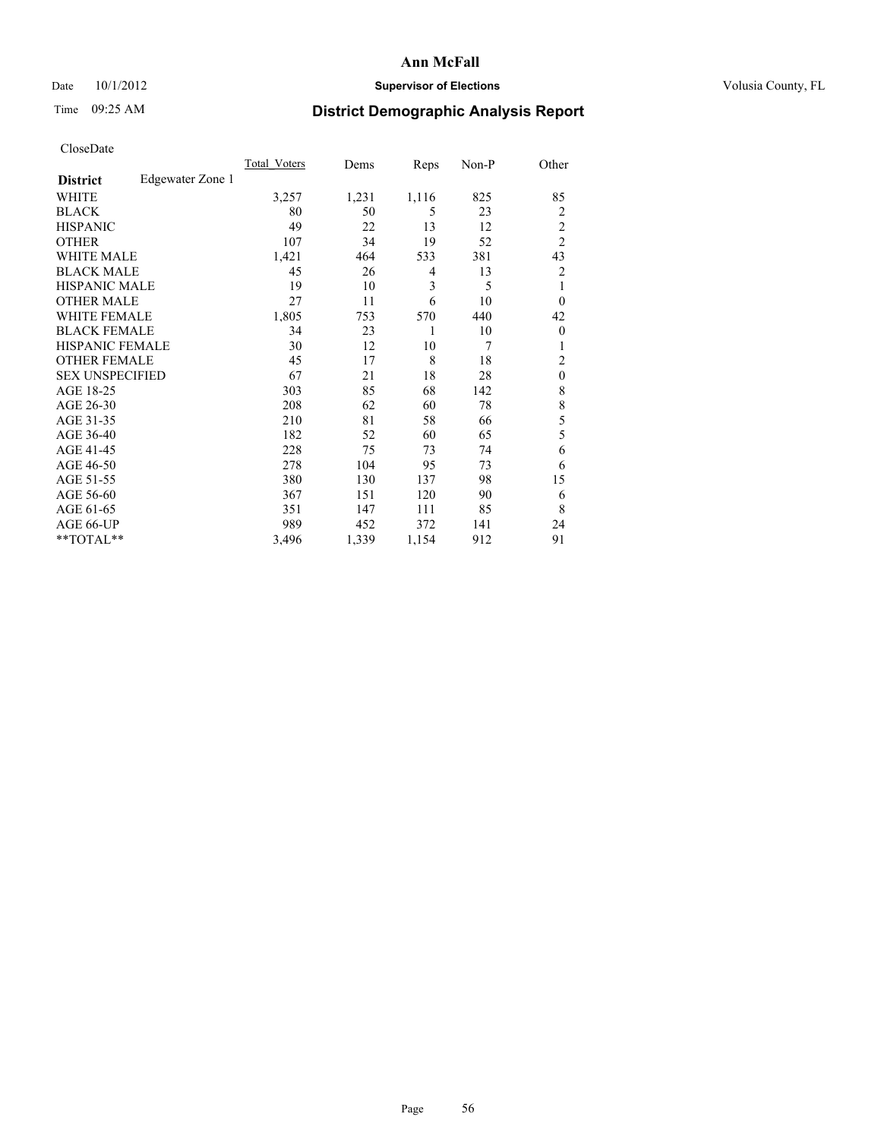## Date 10/1/2012 **Supervisor of Elections Supervisor of Elections** Volusia County, FL

# Time 09:25 AM **District Demographic Analysis Report**

|                        |                  | <b>Total Voters</b> | Dems  | Reps  | Non-P | Other          |
|------------------------|------------------|---------------------|-------|-------|-------|----------------|
| <b>District</b>        | Edgewater Zone 1 |                     |       |       |       |                |
| WHITE                  |                  | 3,257               | 1,231 | 1,116 | 825   | 85             |
| <b>BLACK</b>           |                  | 80                  | 50    | 5     | 23    | $\overline{c}$ |
| <b>HISPANIC</b>        |                  | 49                  | 22    | 13    | 12    | $\overline{c}$ |
| <b>OTHER</b>           |                  | 107                 | 34    | 19    | 52    | $\overline{c}$ |
| WHITE MALE             |                  | 1,421               | 464   | 533   | 381   | 43             |
| <b>BLACK MALE</b>      |                  | 45                  | 26    | 4     | 13    | 2              |
| <b>HISPANIC MALE</b>   |                  | 19                  | 10    | 3     | 5     | 1              |
| <b>OTHER MALE</b>      |                  | 27                  | 11    | 6     | 10    | $\overline{0}$ |
| WHITE FEMALE           |                  | 1,805               | 753   | 570   | 440   | 42             |
| <b>BLACK FEMALE</b>    |                  | 34                  | 23    | 1     | 10    | $\overline{0}$ |
| <b>HISPANIC FEMALE</b> |                  | 30                  | 12    | 10    | 7     | 1              |
| <b>OTHER FEMALE</b>    |                  | 45                  | 17    | 8     | 18    | $\overline{2}$ |
| <b>SEX UNSPECIFIED</b> |                  | 67                  | 21    | 18    | 28    | $\mathbf{0}$   |
| AGE 18-25              |                  | 303                 | 85    | 68    | 142   | 8              |
| AGE 26-30              |                  | 208                 | 62    | 60    | 78    | 8              |
| AGE 31-35              |                  | 210                 | 81    | 58    | 66    | 5              |
| AGE 36-40              |                  | 182                 | 52    | 60    | 65    | 5              |
| AGE 41-45              |                  | 228                 | 75    | 73    | 74    | 6              |
| AGE 46-50              |                  | 278                 | 104   | 95    | 73    | 6              |
| AGE 51-55              |                  | 380                 | 130   | 137   | 98    | 15             |
| AGE 56-60              |                  | 367                 | 151   | 120   | 90    | 6              |
| AGE 61-65              |                  | 351                 | 147   | 111   | 85    | 8              |
| AGE 66-UP              |                  | 989                 | 452   | 372   | 141   | 24             |
| **TOTAL**              |                  | 3,496               | 1,339 | 1,154 | 912   | 91             |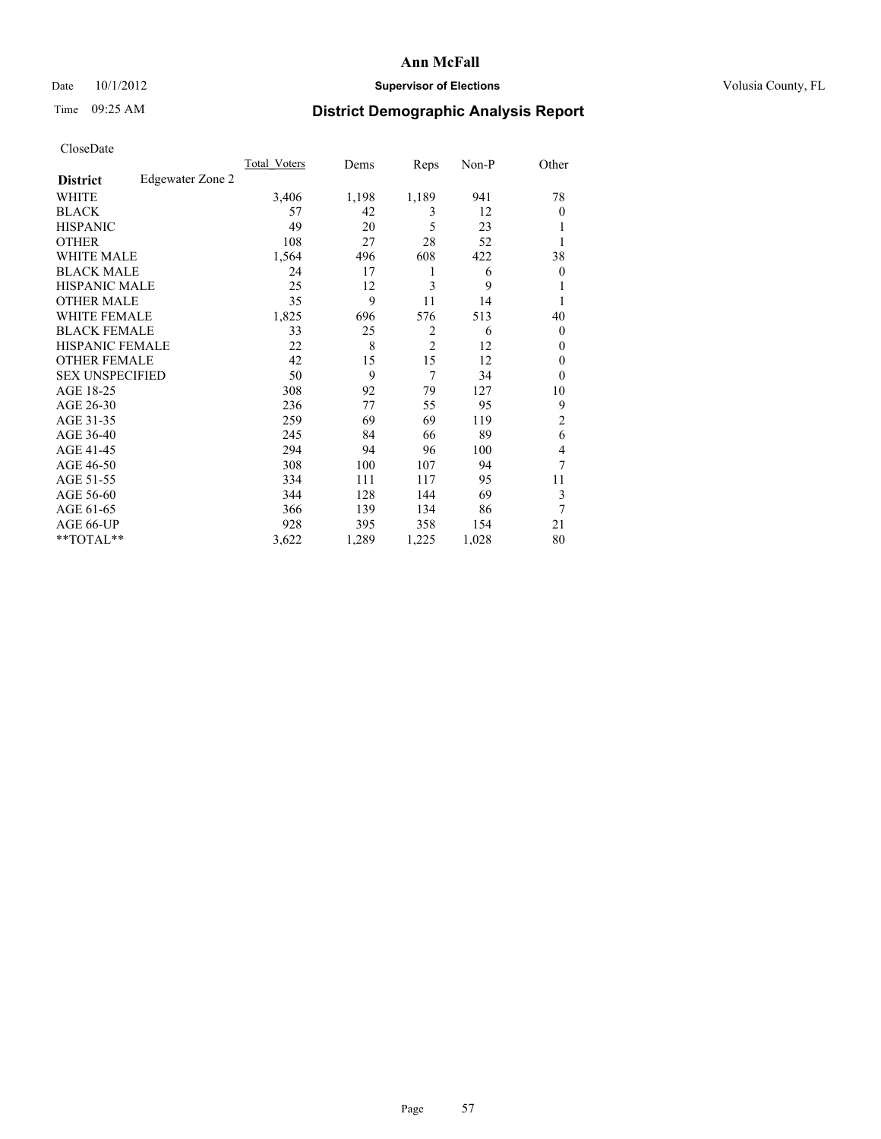### Date 10/1/2012 **Supervisor of Elections Supervisor of Elections** Volusia County, FL

# Time 09:25 AM **District Demographic Analysis Report**

| Cioscivate             |                  |                     |       |                |       |                |
|------------------------|------------------|---------------------|-------|----------------|-------|----------------|
|                        |                  | <b>Total Voters</b> | Dems  | Reps           | Non-P | Other          |
| <b>District</b>        | Edgewater Zone 2 |                     |       |                |       |                |
| <b>WHITE</b>           |                  | 3,406               | 1,198 | 1,189          | 941   | 78             |
| <b>BLACK</b>           |                  | 57                  | 42    | 3              | 12    | $\overline{0}$ |
| <b>HISPANIC</b>        |                  | 49                  | 20    | 5              | 23    |                |
| <b>OTHER</b>           |                  | 108                 | 27    | 28             | 52    |                |
| WHITE MALE             |                  | 1,564               | 496   | 608            | 422   | 38             |
| <b>BLACK MALE</b>      |                  | 24                  | 17    | 1              | 6     | $\theta$       |
| <b>HISPANIC MALE</b>   |                  | 25                  | 12    | 3              | 9     |                |
| <b>OTHER MALE</b>      |                  | 35                  | 9     | 11             | 14    |                |
| WHITE FEMALE           |                  | 1,825               | 696   | 576            | 513   | 40             |
| <b>BLACK FEMALE</b>    |                  | 33                  | 25    | 2              | 6     | $\Omega$       |
| <b>HISPANIC FEMALE</b> |                  | 22                  | 8     | $\overline{2}$ | 12    | $\Omega$       |
| <b>OTHER FEMALE</b>    |                  | 42                  | 15    | 15             | 12    | $\theta$       |
| <b>SEX UNSPECIFIED</b> |                  | 50                  | 9     | 7              | 34    | $\Omega$       |
| AGE 18-25              |                  | 308                 | 92    | 79             | 127   | 10             |
| AGE 26-30              |                  | 236                 | 77    | 55             | 95    | 9              |
| AGE 31-35              |                  | 259                 | 69    | 69             | 119   | 2              |
| AGE 36-40              |                  | 245                 | 84    | 66             | 89    | 6              |
| AGE 41-45              |                  | 294                 | 94    | 96             | 100   | 4              |
| AGE 46-50              |                  | 308                 | 100   | 107            | 94    | 7              |
| AGE 51-55              |                  | 334                 | 111   | 117            | 95    | 11             |
| AGE 56-60              |                  | 344                 | 128   | 144            | 69    | 3              |
| AGE 61-65              |                  | 366                 | 139   | 134            | 86    | 7              |
| AGE 66-UP              |                  | 928                 | 395   | 358            | 154   | 21             |
| **TOTAL**              |                  | 3,622               | 1,289 | 1,225          | 1,028 | 80             |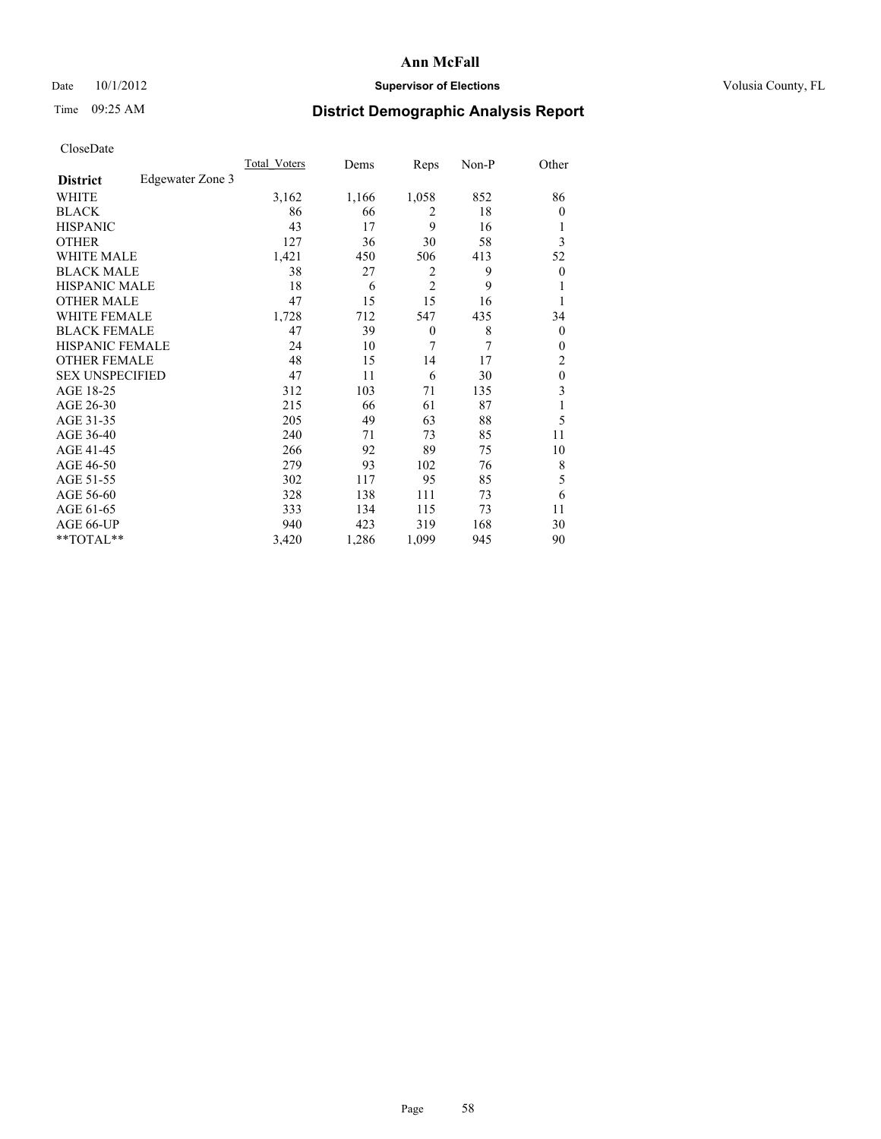## Date 10/1/2012 **Supervisor of Elections Supervisor of Elections** Volusia County, FL

## Time 09:25 AM **District Demographic Analysis Report**

|                        |                  | <b>Total Voters</b> | Dems  | Reps           | Non-P | Other            |
|------------------------|------------------|---------------------|-------|----------------|-------|------------------|
| <b>District</b>        | Edgewater Zone 3 |                     |       |                |       |                  |
| WHITE                  |                  | 3,162               | 1,166 | 1,058          | 852   | 86               |
| <b>BLACK</b>           |                  | 86                  | 66    | 2              | 18    | $\theta$         |
| <b>HISPANIC</b>        |                  | 43                  | 17    | 9              | 16    | 1                |
| <b>OTHER</b>           |                  | 127                 | 36    | 30             | 58    | 3                |
| WHITE MALE             |                  | 1,421               | 450   | 506            | 413   | 52               |
| <b>BLACK MALE</b>      |                  | 38                  | 27    | 2              | 9     | $\boldsymbol{0}$ |
| <b>HISPANIC MALE</b>   |                  | 18                  | 6     | $\overline{2}$ | 9     | 1                |
| <b>OTHER MALE</b>      |                  | 47                  | 15    | 15             | 16    | 1                |
| <b>WHITE FEMALE</b>    |                  | 1,728               | 712   | 547            | 435   | 34               |
| <b>BLACK FEMALE</b>    |                  | 47                  | 39    | $\theta$       | 8     | $\overline{0}$   |
| <b>HISPANIC FEMALE</b> |                  | 24                  | 10    | 7              | 7     | $\theta$         |
| <b>OTHER FEMALE</b>    |                  | 48                  | 15    | 14             | 17    | 2                |
| <b>SEX UNSPECIFIED</b> |                  | 47                  | 11    | 6              | 30    | $\mathbf{0}$     |
| AGE 18-25              |                  | 312                 | 103   | 71             | 135   | 3                |
| AGE 26-30              |                  | 215                 | 66    | 61             | 87    | 1                |
| AGE 31-35              |                  | 205                 | 49    | 63             | 88    | 5                |
| AGE 36-40              |                  | 240                 | 71    | 73             | 85    | 11               |
| AGE 41-45              |                  | 266                 | 92    | 89             | 75    | 10               |
| AGE 46-50              |                  | 279                 | 93    | 102            | 76    | 8                |
| AGE 51-55              |                  | 302                 | 117   | 95             | 85    | 5                |
| AGE 56-60              |                  | 328                 | 138   | 111            | 73    | 6                |
| AGE 61-65              |                  | 333                 | 134   | 115            | 73    | 11               |
| AGE 66-UP              |                  | 940                 | 423   | 319            | 168   | 30               |
| **TOTAL**              |                  | 3,420               | 1,286 | 1,099          | 945   | 90               |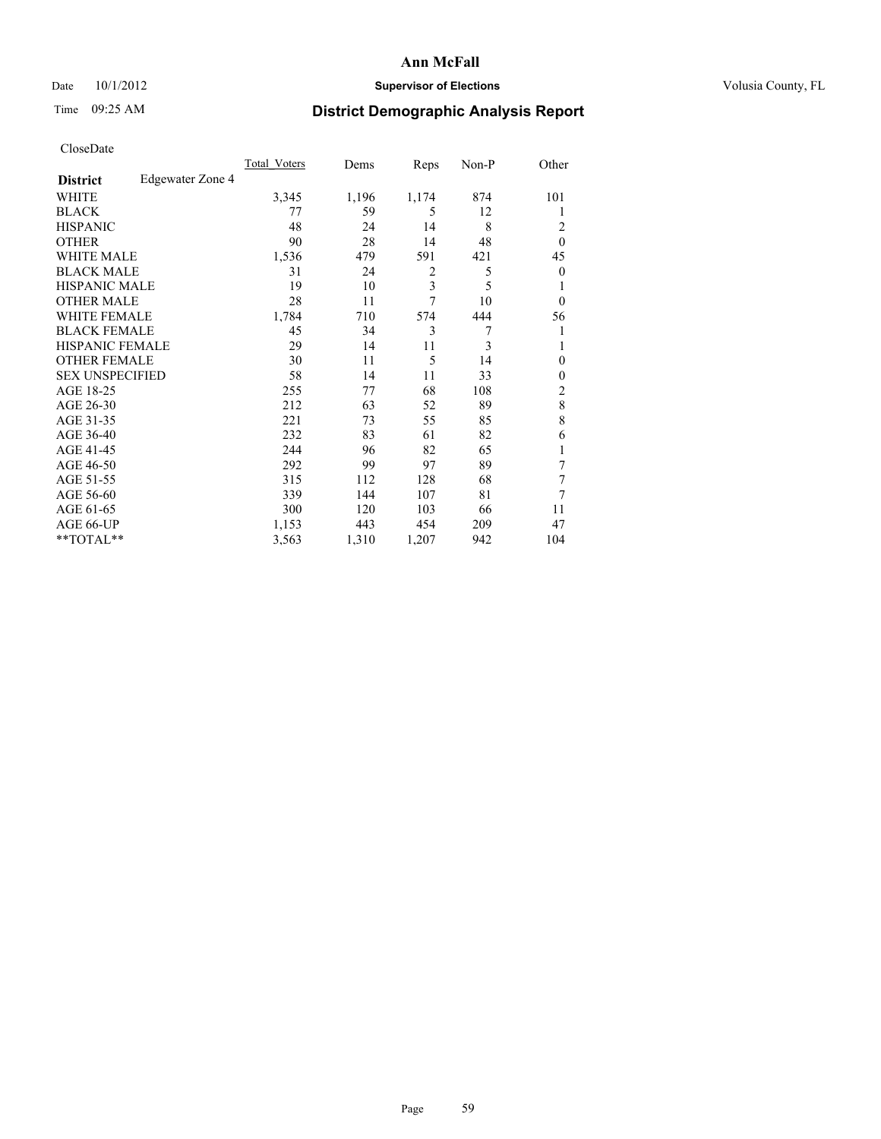## Date 10/1/2012 **Supervisor of Elections Supervisor of Elections** Volusia County, FL

## Time 09:25 AM **District Demographic Analysis Report**

|                        |                  | <b>Total Voters</b> | Dems  | Reps  | Non-P | Other          |
|------------------------|------------------|---------------------|-------|-------|-------|----------------|
| <b>District</b>        | Edgewater Zone 4 |                     |       |       |       |                |
| WHITE                  |                  | 3,345               | 1,196 | 1,174 | 874   | 101            |
| <b>BLACK</b>           |                  | 77                  | 59    | 5     | 12    | 1              |
| <b>HISPANIC</b>        |                  | 48                  | 24    | 14    | 8     | 2              |
| <b>OTHER</b>           |                  | 90                  | 28    | 14    | 48    | $\theta$       |
| WHITE MALE             |                  | 1,536               | 479   | 591   | 421   | 45             |
| <b>BLACK MALE</b>      |                  | 31                  | 24    | 2     | 5     | $\overline{0}$ |
| <b>HISPANIC MALE</b>   |                  | 19                  | 10    | 3     | 5     | 1              |
| <b>OTHER MALE</b>      |                  | 28                  | 11    | 7     | 10    | $\overline{0}$ |
| <b>WHITE FEMALE</b>    |                  | 1,784               | 710   | 574   | 444   | 56             |
| <b>BLACK FEMALE</b>    |                  | 45                  | 34    | 3     | 7     | 1              |
| <b>HISPANIC FEMALE</b> |                  | 29                  | 14    | 11    | 3     | 1              |
| <b>OTHER FEMALE</b>    |                  | 30                  | 11    | 5     | 14    | $\theta$       |
| <b>SEX UNSPECIFIED</b> |                  | 58                  | 14    | 11    | 33    | $\mathbf{0}$   |
| AGE 18-25              |                  | 255                 | 77    | 68    | 108   | $\overline{2}$ |
| AGE 26-30              |                  | 212                 | 63    | 52    | 89    | $\,8\,$        |
| AGE 31-35              |                  | 221                 | 73    | 55    | 85    | 8              |
| AGE 36-40              |                  | 232                 | 83    | 61    | 82    | 6              |
| AGE 41-45              |                  | 244                 | 96    | 82    | 65    | 1              |
| AGE 46-50              |                  | 292                 | 99    | 97    | 89    | 7              |
| AGE 51-55              |                  | 315                 | 112   | 128   | 68    | 7              |
| AGE 56-60              |                  | 339                 | 144   | 107   | 81    | 7              |
| AGE 61-65              |                  | 300                 | 120   | 103   | 66    | 11             |
| AGE 66-UP              |                  | 1,153               | 443   | 454   | 209   | 47             |
| **TOTAL**              |                  | 3,563               | 1,310 | 1,207 | 942   | 104            |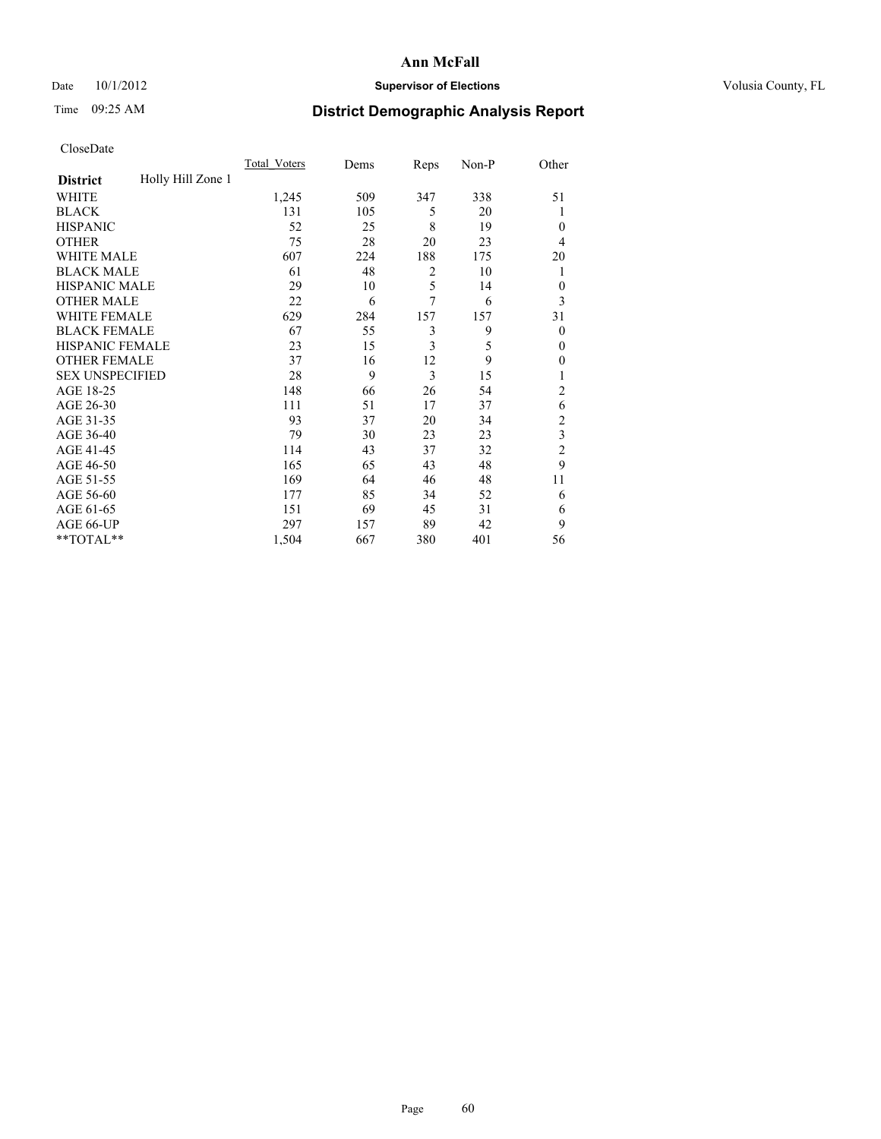## Date 10/1/2012 **Supervisor of Elections Supervisor of Elections** Volusia County, FL

# Time 09:25 AM **District Demographic Analysis Report**

|                        |                   | Total Voters | Dems | Reps           | Non-P | Other          |
|------------------------|-------------------|--------------|------|----------------|-------|----------------|
| <b>District</b>        | Holly Hill Zone 1 |              |      |                |       |                |
| WHITE                  |                   | 1,245        | 509  | 347            | 338   | 51             |
| <b>BLACK</b>           |                   | 131          | 105  | 5              | 20    | 1              |
| <b>HISPANIC</b>        |                   | 52           | 25   | 8              | 19    | $\theta$       |
| <b>OTHER</b>           |                   | 75           | 28   | 20             | 23    | 4              |
| WHITE MALE             |                   | 607          | 224  | 188            | 175   | 20             |
| <b>BLACK MALE</b>      |                   | 61           | 48   | $\overline{2}$ | 10    | 1              |
| <b>HISPANIC MALE</b>   |                   | 29           | 10   | 5              | 14    | $\mathbf{0}$   |
| <b>OTHER MALE</b>      |                   | 22           | 6    | 7              | 6     | 3              |
| WHITE FEMALE           |                   | 629          | 284  | 157            | 157   | 31             |
| <b>BLACK FEMALE</b>    |                   | 67           | 55   | 3              | 9     | $\theta$       |
| <b>HISPANIC FEMALE</b> |                   | 23           | 15   | 3              | 5     | $\theta$       |
| <b>OTHER FEMALE</b>    |                   | 37           | 16   | 12             | 9     | $\theta$       |
| <b>SEX UNSPECIFIED</b> |                   | 28           | 9    | 3              | 15    |                |
| AGE 18-25              |                   | 148          | 66   | 26             | 54    | $\overline{c}$ |
| AGE 26-30              |                   | 111          | 51   | 17             | 37    | 6              |
| AGE 31-35              |                   | 93           | 37   | 20             | 34    | $\overline{c}$ |
| AGE 36-40              |                   | 79           | 30   | 23             | 23    | 3              |
| AGE 41-45              |                   | 114          | 43   | 37             | 32    | $\overline{c}$ |
| AGE 46-50              |                   | 165          | 65   | 43             | 48    | 9              |
| AGE 51-55              |                   | 169          | 64   | 46             | 48    | 11             |
| AGE 56-60              |                   | 177          | 85   | 34             | 52    | 6              |
| AGE 61-65              |                   | 151          | 69   | 45             | 31    | 6              |
| AGE 66-UP              |                   | 297          | 157  | 89             | 42    | 9              |
| **TOTAL**              |                   | 1,504        | 667  | 380            | 401   | 56             |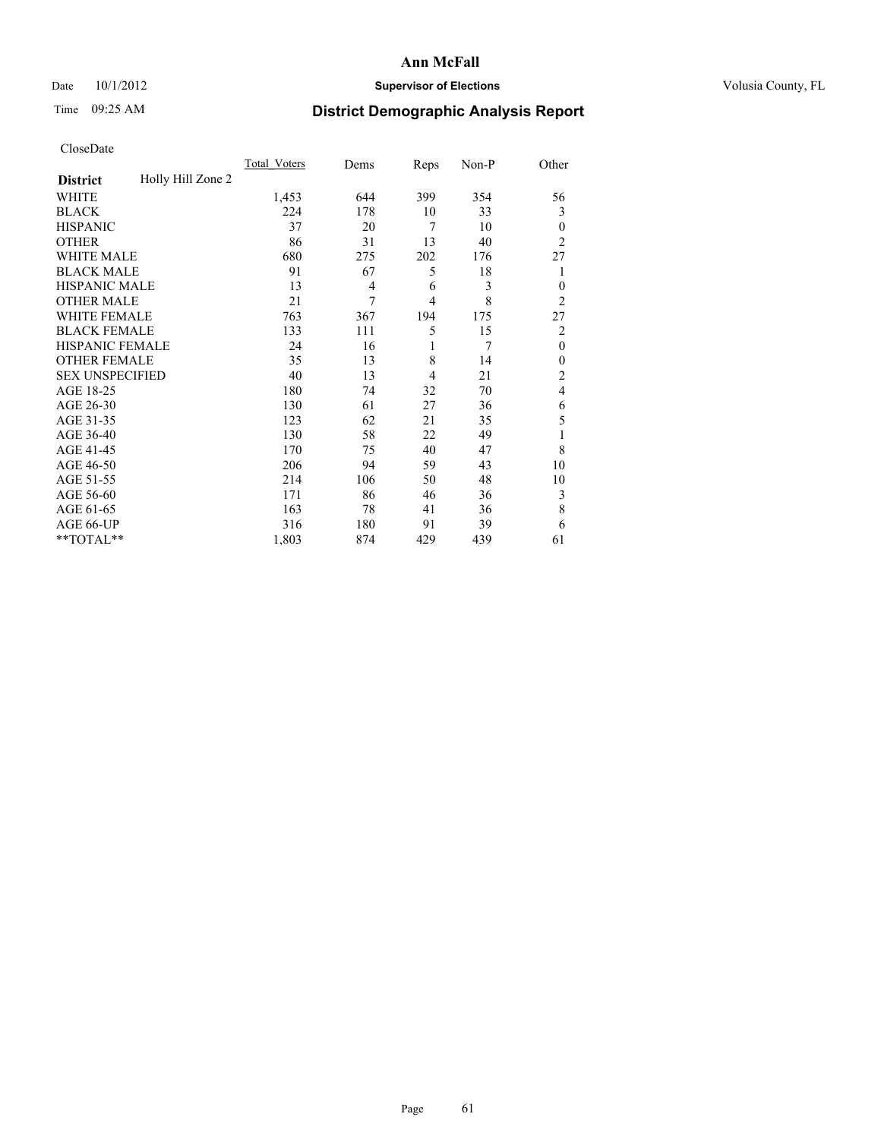## Date 10/1/2012 **Supervisor of Elections Supervisor of Elections** Volusia County, FL

## Time 09:25 AM **District Demographic Analysis Report**

|                        |                   | <b>Total Voters</b> | Dems           | Reps           | Non-P | Other          |
|------------------------|-------------------|---------------------|----------------|----------------|-------|----------------|
| <b>District</b>        | Holly Hill Zone 2 |                     |                |                |       |                |
| WHITE                  |                   | 1,453               | 644            | 399            | 354   | 56             |
| <b>BLACK</b>           |                   | 224                 | 178            | 10             | 33    | 3              |
| <b>HISPANIC</b>        |                   | 37                  | 20             | 7              | 10    | $\mathbf{0}$   |
| <b>OTHER</b>           |                   | 86                  | 31             | 13             | 40    | $\overline{2}$ |
| WHITE MALE             |                   | 680                 | 275            | 202            | 176   | 27             |
| <b>BLACK MALE</b>      |                   | 91                  | 67             | 5              | 18    | 1              |
| <b>HISPANIC MALE</b>   |                   | 13                  | $\overline{4}$ | 6              | 3     | $\mathbf{0}$   |
| <b>OTHER MALE</b>      |                   | 21                  | 7              | $\overline{4}$ | 8     | $\overline{2}$ |
| WHITE FEMALE           |                   | 763                 | 367            | 194            | 175   | 27             |
| <b>BLACK FEMALE</b>    |                   | 133                 | 111            | 5              | 15    | $\overline{c}$ |
| <b>HISPANIC FEMALE</b> |                   | 24                  | 16             | 1              | 7     | $\mathbf{0}$   |
| <b>OTHER FEMALE</b>    |                   | 35                  | 13             | 8              | 14    | $\theta$       |
| <b>SEX UNSPECIFIED</b> |                   | 40                  | 13             | 4              | 21    | $\overline{c}$ |
| AGE 18-25              |                   | 180                 | 74             | 32             | 70    | 4              |
| AGE 26-30              |                   | 130                 | 61             | 27             | 36    | 6              |
| AGE 31-35              |                   | 123                 | 62             | 21             | 35    | 5              |
| AGE 36-40              |                   | 130                 | 58             | 22             | 49    | 1              |
| AGE 41-45              |                   | 170                 | 75             | 40             | 47    | 8              |
| AGE 46-50              |                   | 206                 | 94             | 59             | 43    | 10             |
| AGE 51-55              |                   | 214                 | 106            | 50             | 48    | 10             |
| AGE 56-60              |                   | 171                 | 86             | 46             | 36    | 3              |
| AGE 61-65              |                   | 163                 | 78             | 41             | 36    | 8              |
| AGE 66-UP              |                   | 316                 | 180            | 91             | 39    | 6              |
| **TOTAL**              |                   | 1,803               | 874            | 429            | 439   | 61             |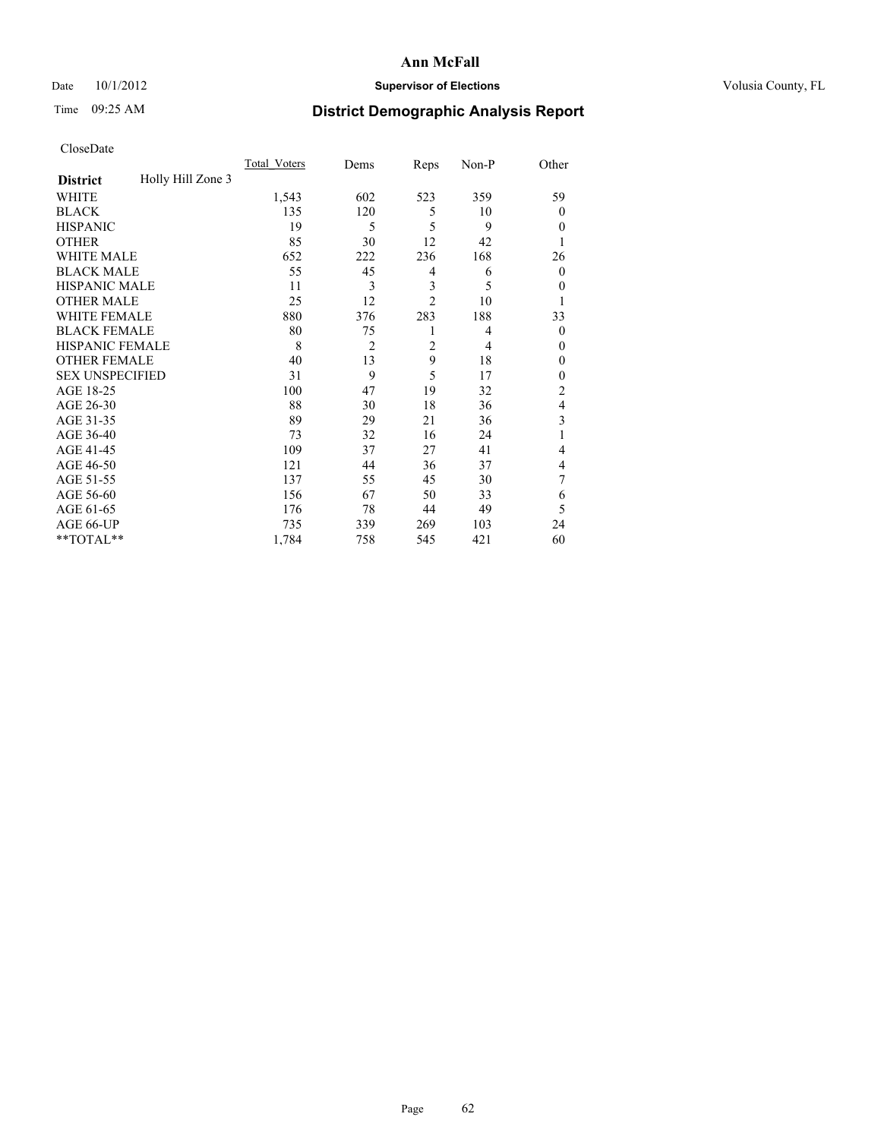## Date 10/1/2012 **Supervisor of Elections Supervisor of Elections** Volusia County, FL

# Time 09:25 AM **District Demographic Analysis Report**

|                        |                   | <b>Total Voters</b> | Dems           | Reps           | Non-P | Other            |
|------------------------|-------------------|---------------------|----------------|----------------|-------|------------------|
| <b>District</b>        | Holly Hill Zone 3 |                     |                |                |       |                  |
| <b>WHITE</b>           |                   | 1,543               | 602            | 523            | 359   | 59               |
| <b>BLACK</b>           |                   | 135                 | 120            | 5              | 10    | $\theta$         |
| <b>HISPANIC</b>        |                   | 19                  | 5              | 5              | 9     | $\theta$         |
| <b>OTHER</b>           |                   | 85                  | 30             | 12             | 42    |                  |
| WHITE MALE             |                   | 652                 | 222            | 236            | 168   | 26               |
| <b>BLACK MALE</b>      |                   | 55                  | 45             | 4              | 6     | $\boldsymbol{0}$ |
| <b>HISPANIC MALE</b>   |                   | 11                  | 3              | 3              | 5     | $\theta$         |
| <b>OTHER MALE</b>      |                   | 25                  | 12             | $\overline{2}$ | 10    | 1                |
| <b>WHITE FEMALE</b>    |                   | 880                 | 376            | 283            | 188   | 33               |
| <b>BLACK FEMALE</b>    |                   | 80                  | 75             | 1              | 4     | $\theta$         |
| <b>HISPANIC FEMALE</b> |                   | 8                   | $\overline{2}$ | $\overline{c}$ | 4     | $\theta$         |
| <b>OTHER FEMALE</b>    |                   | 40                  | 13             | 9              | 18    | $\theta$         |
| <b>SEX UNSPECIFIED</b> |                   | 31                  | 9              | 5              | 17    | $\mathbf{0}$     |
| AGE 18-25              |                   | 100                 | 47             | 19             | 32    | $\overline{c}$   |
| AGE 26-30              |                   | 88                  | 30             | 18             | 36    | 4                |
| AGE 31-35              |                   | 89                  | 29             | 21             | 36    | 3                |
| AGE 36-40              |                   | 73                  | 32             | 16             | 24    | 1                |
| AGE 41-45              |                   | 109                 | 37             | 27             | 41    | 4                |
| AGE 46-50              |                   | 121                 | 44             | 36             | 37    | 4                |
| AGE 51-55              |                   | 137                 | 55             | 45             | 30    | 7                |
| AGE 56-60              |                   | 156                 | 67             | 50             | 33    | 6                |
| AGE 61-65              |                   | 176                 | 78             | 44             | 49    | 5                |
| AGE 66-UP              |                   | 735                 | 339            | 269            | 103   | 24               |
| **TOTAL**              |                   | 1,784               | 758            | 545            | 421   | 60               |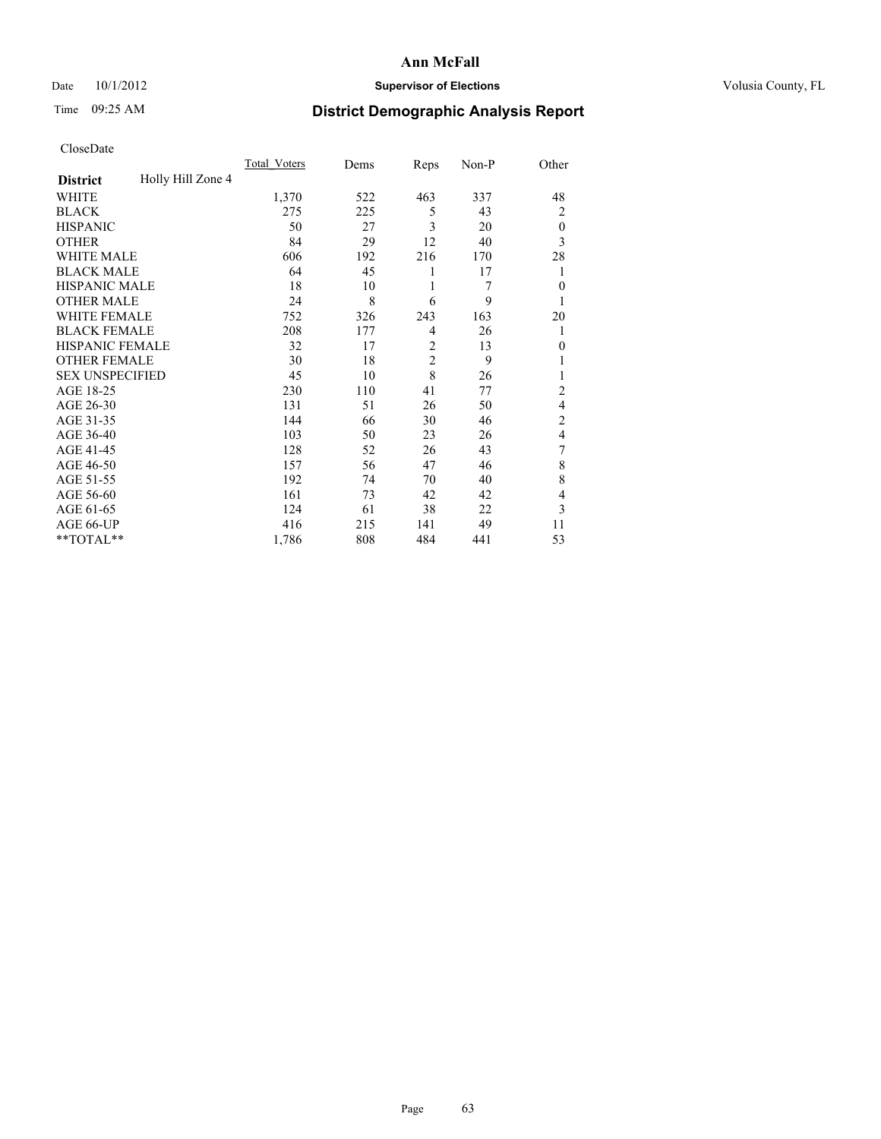## Date 10/1/2012 **Supervisor of Elections Supervisor of Elections** Volusia County, FL

# Time 09:25 AM **District Demographic Analysis Report**

|                        |                   | <b>Total Voters</b> | Dems | Reps           | Non-P | Other          |
|------------------------|-------------------|---------------------|------|----------------|-------|----------------|
| <b>District</b>        | Holly Hill Zone 4 |                     |      |                |       |                |
| WHITE                  |                   | 1,370               | 522  | 463            | 337   | 48             |
| <b>BLACK</b>           |                   | 275                 | 225  | 5              | 43    | $\overline{2}$ |
| <b>HISPANIC</b>        |                   | 50                  | 27   | 3              | 20    | $\theta$       |
| <b>OTHER</b>           |                   | 84                  | 29   | 12             | 40    | 3              |
| WHITE MALE             |                   | 606                 | 192  | 216            | 170   | 28             |
| <b>BLACK MALE</b>      |                   | 64                  | 45   | 1              | 17    | 1              |
| <b>HISPANIC MALE</b>   |                   | 18                  | 10   | 1              | 7     | $\theta$       |
| <b>OTHER MALE</b>      |                   | 24                  | 8    | 6              | 9     | 1              |
| WHITE FEMALE           |                   | 752                 | 326  | 243            | 163   | 20             |
| <b>BLACK FEMALE</b>    |                   | 208                 | 177  | $\overline{4}$ | 26    | 1              |
| <b>HISPANIC FEMALE</b> |                   | 32                  | 17   | $\overline{2}$ | 13    | $\theta$       |
| <b>OTHER FEMALE</b>    |                   | 30                  | 18   | $\overline{c}$ | 9     |                |
| <b>SEX UNSPECIFIED</b> |                   | 45                  | 10   | 8              | 26    |                |
| AGE 18-25              |                   | 230                 | 110  | 41             | 77    | $\overline{c}$ |
| AGE 26-30              |                   | 131                 | 51   | 26             | 50    | 4              |
| AGE 31-35              |                   | 144                 | 66   | 30             | 46    | $\overline{c}$ |
| AGE 36-40              |                   | 103                 | 50   | 23             | 26    | $\overline{4}$ |
| AGE 41-45              |                   | 128                 | 52   | 26             | 43    | 7              |
| AGE 46-50              |                   | 157                 | 56   | 47             | 46    | 8              |
| AGE 51-55              |                   | 192                 | 74   | 70             | 40    | 8              |
| AGE 56-60              |                   | 161                 | 73   | 42             | 42    | $\overline{4}$ |
| AGE 61-65              |                   | 124                 | 61   | 38             | 22    | 3              |
| AGE 66-UP              |                   | 416                 | 215  | 141            | 49    | 11             |
| **TOTAL**              |                   | 1,786               | 808  | 484            | 441   | 53             |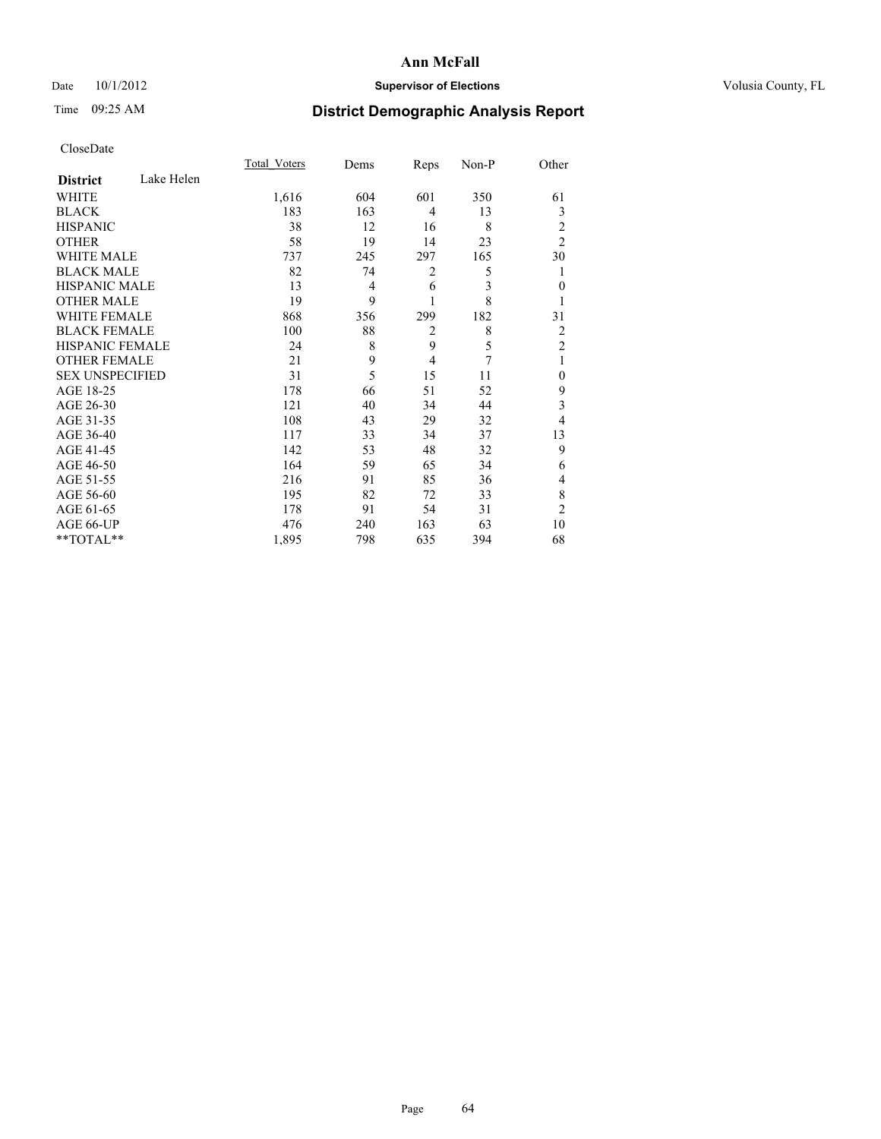## Date 10/1/2012 **Supervisor of Elections Supervisor of Elections** Volusia County, FL

# Time 09:25 AM **District Demographic Analysis Report**

|                        |            | Total Voters | Dems           | Reps           | Non-P | Other          |
|------------------------|------------|--------------|----------------|----------------|-------|----------------|
| <b>District</b>        | Lake Helen |              |                |                |       |                |
| WHITE                  |            | 1,616        | 604            | 601            | 350   | 61             |
| <b>BLACK</b>           |            | 183          | 163            | 4              | 13    | 3              |
| <b>HISPANIC</b>        |            | 38           | 12             | 16             | 8     | 2              |
| <b>OTHER</b>           |            | 58           | 19             | 14             | 23    | $\overline{2}$ |
| <b>WHITE MALE</b>      |            | 737          | 245            | 297            | 165   | 30             |
| <b>BLACK MALE</b>      |            | 82           | 74             | 2              | 5     | 1              |
| <b>HISPANIC MALE</b>   |            | 13           | $\overline{4}$ | 6              | 3     | $\mathbf{0}$   |
| <b>OTHER MALE</b>      |            | 19           | 9              |                | 8     | 1              |
| WHITE FEMALE           |            | 868          | 356            | 299            | 182   | 31             |
| <b>BLACK FEMALE</b>    |            | 100          | 88             | $\overline{c}$ | 8     | 2              |
| HISPANIC FEMALE        |            | 24           | 8              | 9              | 5     | $\overline{2}$ |
| <b>OTHER FEMALE</b>    |            | 21           | 9              | $\overline{4}$ | 7     | 1              |
| <b>SEX UNSPECIFIED</b> |            | 31           | 5              | 15             | 11    | $\theta$       |
| AGE 18-25              |            | 178          | 66             | 51             | 52    | 9              |
| AGE 26-30              |            | 121          | 40             | 34             | 44    | 3              |
| AGE 31-35              |            | 108          | 43             | 29             | 32    | 4              |
| AGE 36-40              |            | 117          | 33             | 34             | 37    | 13             |
| AGE 41-45              |            | 142          | 53             | 48             | 32    | 9              |
| AGE 46-50              |            | 164          | 59             | 65             | 34    | 6              |
| AGE 51-55              |            | 216          | 91             | 85             | 36    | 4              |
| AGE 56-60              |            | 195          | 82             | 72             | 33    | 8              |
| AGE 61-65              |            | 178          | 91             | 54             | 31    | $\overline{2}$ |
| AGE 66-UP              |            | 476          | 240            | 163            | 63    | 10             |
| **TOTAL**              |            | 1,895        | 798            | 635            | 394   | 68             |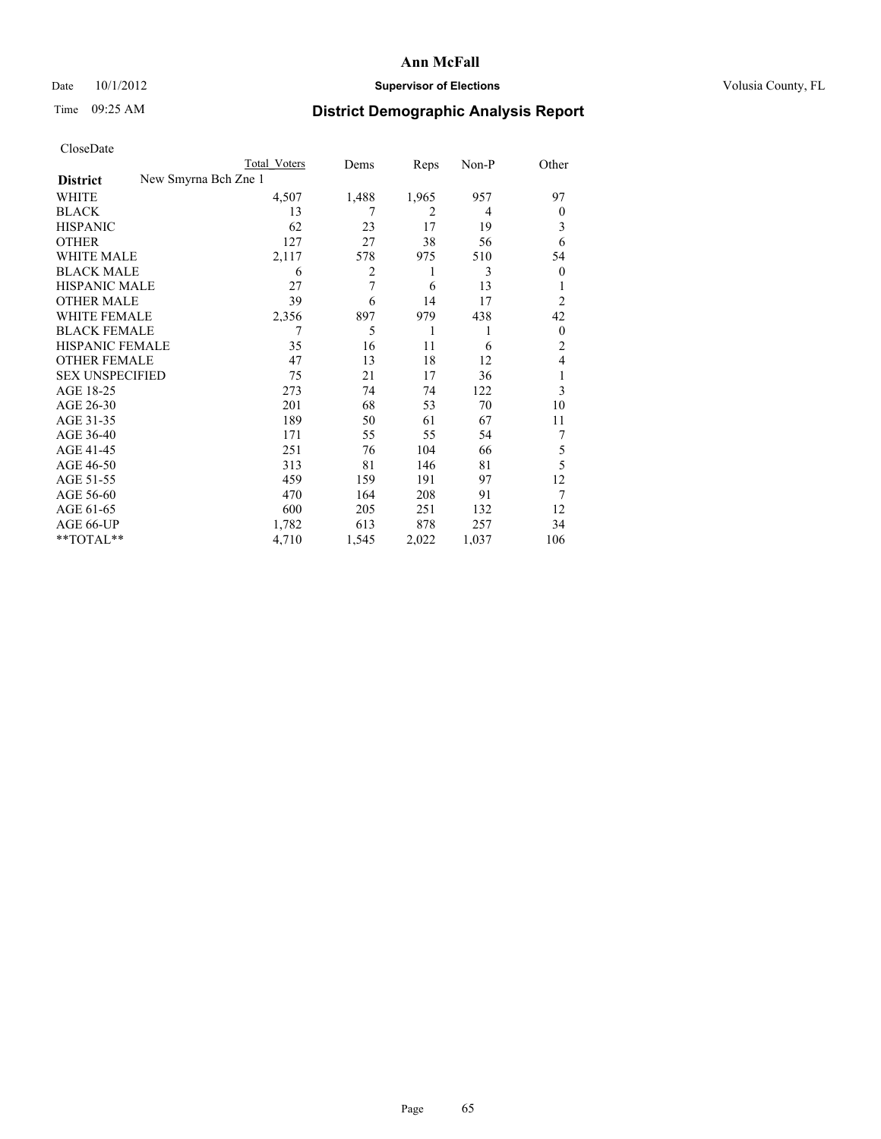## Date 10/1/2012 **Supervisor of Elections Supervisor of Elections** Volusia County, FL

# Time 09:25 AM **District Demographic Analysis Report**

|  | CloseDate |
|--|-----------|
|  |           |

|                        |                      | <b>Total Voters</b> | Dems  | Reps           | Non-P | Other          |
|------------------------|----------------------|---------------------|-------|----------------|-------|----------------|
| <b>District</b>        | New Smyrna Bch Zne 1 |                     |       |                |       |                |
| WHITE                  |                      | 4,507               | 1,488 | 1,965          | 957   | 97             |
| <b>BLACK</b>           |                      | 13                  | 7     | $\overline{2}$ | 4     | $\Omega$       |
| <b>HISPANIC</b>        |                      | 62                  | 23    | 17             | 19    | 3              |
| <b>OTHER</b>           |                      | 127                 | 27    | 38             | 56    | 6              |
| WHITE MALE             |                      | 2,117               | 578   | 975            | 510   | 54             |
| <b>BLACK MALE</b>      |                      | 6                   | 2     | 1              | 3     | $\overline{0}$ |
| <b>HISPANIC MALE</b>   |                      | 27                  | 7     | 6              | 13    |                |
| <b>OTHER MALE</b>      |                      | 39                  | 6     | 14             | 17    | 2              |
| WHITE FEMALE           |                      | 2,356               | 897   | 979            | 438   | 42             |
| <b>BLACK FEMALE</b>    |                      |                     | 5     | 1              | 1     | $\overline{0}$ |
| HISPANIC FEMALE        |                      | 35                  | 16    | 11             | 6     | $\overline{2}$ |
| <b>OTHER FEMALE</b>    |                      | 47                  | 13    | 18             | 12    | 4              |
| <b>SEX UNSPECIFIED</b> |                      | 75                  | 21    | 17             | 36    | l              |
| AGE 18-25              |                      | 273                 | 74    | 74             | 122   | 3              |
| AGE 26-30              |                      | 201                 | 68    | 53             | 70    | 10             |
| AGE 31-35              |                      | 189                 | 50    | 61             | 67    | 11             |
| AGE 36-40              |                      | 171                 | 55    | 55             | 54    | 7              |
| AGE 41-45              |                      | 251                 | 76    | 104            | 66    | 5              |
| AGE 46-50              |                      | 313                 | 81    | 146            | 81    | 5              |
| AGE 51-55              |                      | 459                 | 159   | 191            | 97    | 12             |
| AGE 56-60              |                      | 470                 | 164   | 208            | 91    | 7              |
| AGE 61-65              |                      | 600                 | 205   | 251            | 132   | 12             |
| AGE 66-UP              |                      | 1,782               | 613   | 878            | 257   | 34             |
| **TOTAL**              |                      | 4,710               | 1,545 | 2,022          | 1,037 | 106            |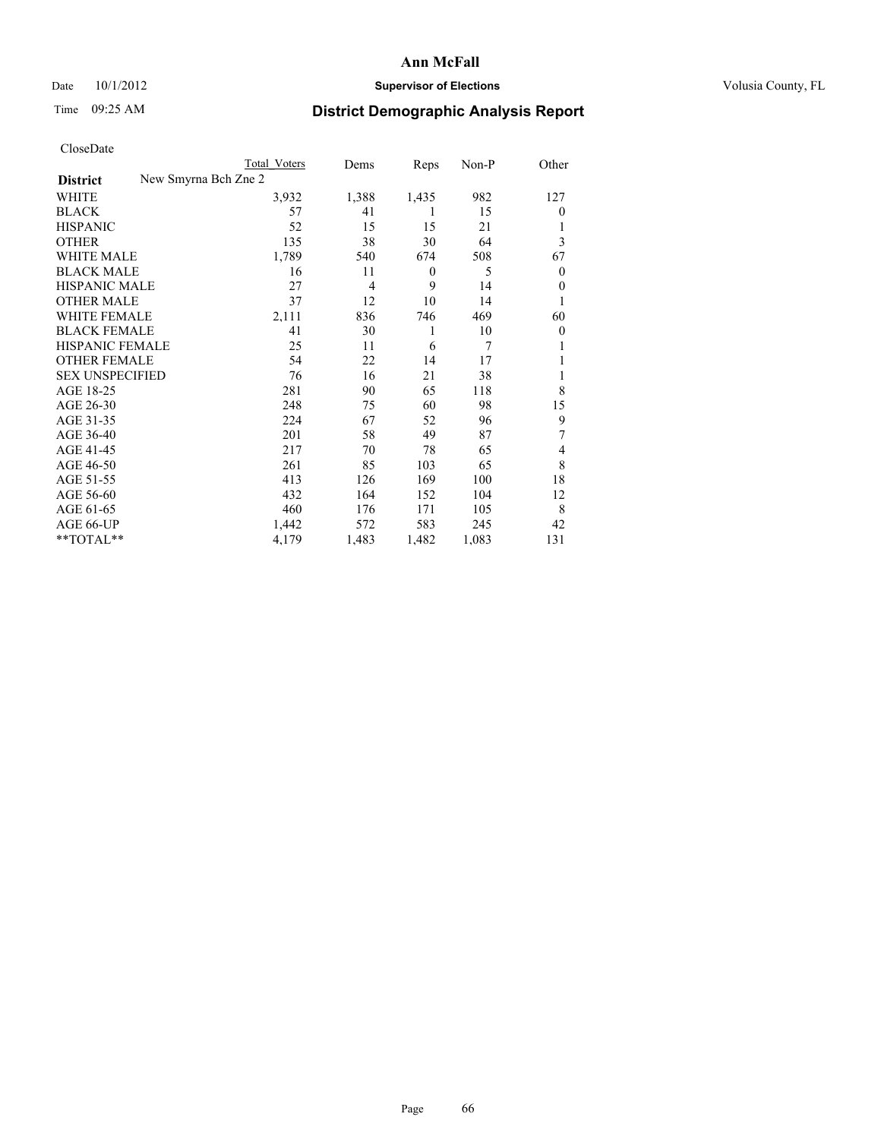## Date 10/1/2012 **Supervisor of Elections Supervisor of Elections** Volusia County, FL

# Time 09:25 AM **District Demographic Analysis Report**

|                                         | <b>Total Voters</b> | Dems           | Reps             | Non-P | Other    |
|-----------------------------------------|---------------------|----------------|------------------|-------|----------|
| New Smyrna Bch Zne 2<br><b>District</b> |                     |                |                  |       |          |
| WHITE                                   | 3,932               | 1,388          | 1,435            | 982   | 127      |
| <b>BLACK</b>                            | 57                  | 41             | 1                | 15    | $\theta$ |
| <b>HISPANIC</b>                         | 52                  | 15             | 15               | 21    |          |
| <b>OTHER</b>                            | 135                 | 38             | 30               | 64    | 3        |
| <b>WHITE MALE</b>                       | 1,789               | 540            | 674              | 508   | 67       |
| <b>BLACK MALE</b>                       | 16                  | 11             | $\boldsymbol{0}$ | 5     | 0        |
| <b>HISPANIC MALE</b>                    | 27                  | $\overline{4}$ | 9                | 14    | $\theta$ |
| <b>OTHER MALE</b>                       | 37                  | 12             | 10               | 14    |          |
| <b>WHITE FEMALE</b>                     | 2,111               | 836            | 746              | 469   | 60       |
| <b>BLACK FEMALE</b>                     | 41                  | 30             | 1                | 10    | $\Omega$ |
| <b>HISPANIC FEMALE</b>                  | 25                  | 11             | 6                | 7     |          |
| <b>OTHER FEMALE</b>                     | 54                  | 22             | 14               | 17    |          |
| <b>SEX UNSPECIFIED</b>                  | 76                  | 16             | 21               | 38    | 1        |
| AGE 18-25                               | 281                 | 90             | 65               | 118   | 8        |
| AGE 26-30                               | 248                 | 75             | 60               | 98    | 15       |
| AGE 31-35                               | 224                 | 67             | 52               | 96    | 9        |
| AGE 36-40                               | 201                 | 58             | 49               | 87    | 7        |
| AGE 41-45                               | 217                 | 70             | 78               | 65    | 4        |
| AGE 46-50                               | 261                 | 85             | 103              | 65    | 8        |
| AGE 51-55                               | 413                 | 126            | 169              | 100   | 18       |
| AGE 56-60                               | 432                 | 164            | 152              | 104   | 12       |
| AGE 61-65                               | 460                 | 176            | 171              | 105   | 8        |
| AGE 66-UP                               | 1,442               | 572            | 583              | 245   | 42       |
| **TOTAL**                               | 4,179               | 1,483          | 1,482            | 1,083 | 131      |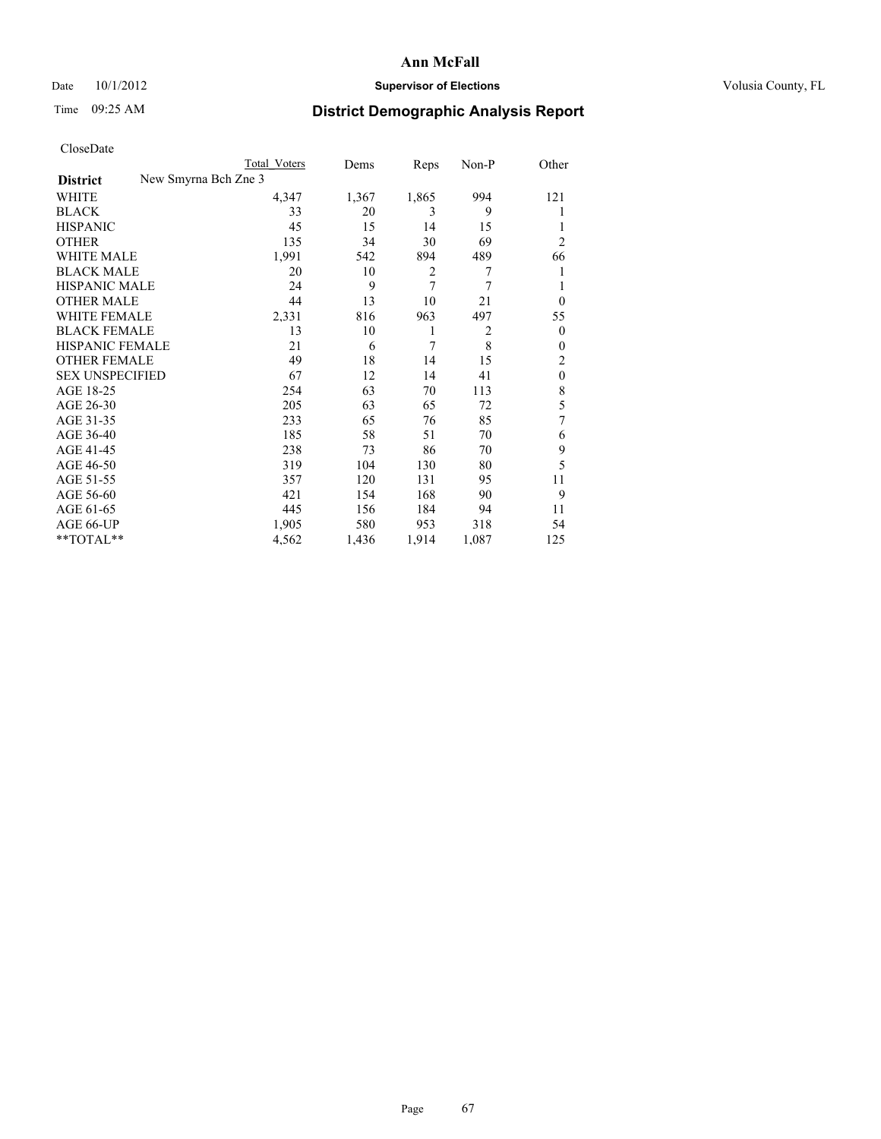## Date 10/1/2012 **Supervisor of Elections Supervisor of Elections** Volusia County, FL

# Time 09:25 AM **District Demographic Analysis Report**

|                                         | Total Voters | Dems  | Reps           | Non-P          | Other          |
|-----------------------------------------|--------------|-------|----------------|----------------|----------------|
| New Smyrna Bch Zne 3<br><b>District</b> |              |       |                |                |                |
| WHITE                                   | 4,347        | 1,367 | 1,865          | 994            | 121            |
| <b>BLACK</b>                            | 33           | 20    | 3              | 9              |                |
| <b>HISPANIC</b>                         | 45           | 15    | 14             | 15             |                |
| <b>OTHER</b>                            | 135          | 34    | 30             | 69             | $\overline{2}$ |
| WHITE MALE                              | 1,991        | 542   | 894            | 489            | 66             |
| <b>BLACK MALE</b>                       | 20           | 10    | $\overline{2}$ | 7              | 1              |
| <b>HISPANIC MALE</b>                    | 24           | 9     | 7              | 7              |                |
| <b>OTHER MALE</b>                       | 44           | 13    | 10             | 21             | $\overline{0}$ |
| WHITE FEMALE                            | 2,331        | 816   | 963            | 497            | 55             |
| <b>BLACK FEMALE</b>                     | 13           | 10    | 1              | $\overline{2}$ | $\overline{0}$ |
| <b>HISPANIC FEMALE</b>                  | 21           | 6     | 7              | 8              | $\Omega$       |
| <b>OTHER FEMALE</b>                     | 49           | 18    | 14             | 15             | 2              |
| <b>SEX UNSPECIFIED</b>                  | 67           | 12    | 14             | 41             | $\mathbf{0}$   |
| AGE 18-25                               | 254          | 63    | 70             | 113            | 8              |
| AGE 26-30                               | 205          | 63    | 65             | 72             | 5              |
| AGE 31-35                               | 233          | 65    | 76             | 85             | 7              |
| AGE 36-40                               | 185          | 58    | 51             | 70             | 6              |
| AGE 41-45                               | 238          | 73    | 86             | 70             | 9              |
| AGE 46-50                               | 319          | 104   | 130            | 80             | 5              |
| AGE 51-55                               | 357          | 120   | 131            | 95             | 11             |
| AGE 56-60                               | 421          | 154   | 168            | 90             | 9              |
| AGE 61-65                               | 445          | 156   | 184            | 94             | 11             |
| AGE 66-UP                               | 1,905        | 580   | 953            | 318            | 54             |
| **TOTAL**                               | 4,562        | 1,436 | 1,914          | 1,087          | 125            |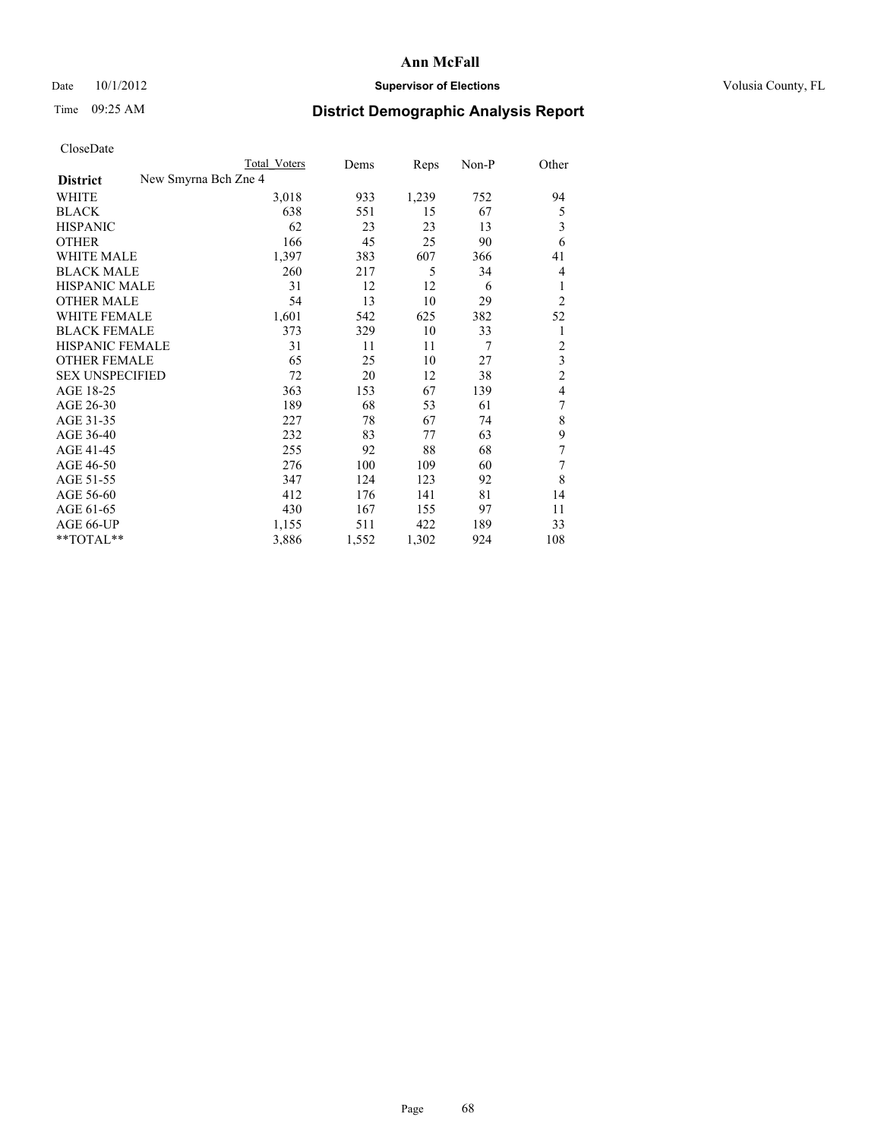## Date 10/1/2012 **Supervisor of Elections Supervisor of Elections** Volusia County, FL

# Time 09:25 AM **District Demographic Analysis Report**

|                                         | <b>Total Voters</b> | Dems  | Reps  | Non-P          | Other          |
|-----------------------------------------|---------------------|-------|-------|----------------|----------------|
| New Smyrna Bch Zne 4<br><b>District</b> |                     |       |       |                |                |
| WHITE                                   | 3,018               | 933   | 1,239 | 752            | 94             |
| <b>BLACK</b>                            | 638                 | 551   | 15    | 67             | 5              |
| <b>HISPANIC</b>                         | 62                  | 23    | 23    | 13             | 3              |
| <b>OTHER</b>                            | 166                 | 45    | 25    | 90             | 6              |
| <b>WHITE MALE</b>                       | 1,397               | 383   | 607   | 366            | 41             |
| <b>BLACK MALE</b>                       | 260                 | 217   | 5     | 34             | 4              |
| <b>HISPANIC MALE</b>                    | 31                  | 12    | 12    | 6              | 1              |
| <b>OTHER MALE</b>                       | 54                  | 13    | 10    | 29             | $\overline{2}$ |
| <b>WHITE FEMALE</b>                     | 1,601               | 542   | 625   | 382            | 52             |
| <b>BLACK FEMALE</b>                     | 373                 | 329   | 10    | 33             | 1              |
| <b>HISPANIC FEMALE</b>                  | 31                  | 11    | 11    | $\overline{7}$ | $\overline{c}$ |
| <b>OTHER FEMALE</b>                     | 65                  | 25    | 10    | 27             | 3              |
| <b>SEX UNSPECIFIED</b>                  | 72                  | 20    | 12    | 38             | $\overline{c}$ |
| AGE 18-25                               | 363                 | 153   | 67    | 139            | 4              |
| AGE 26-30                               | 189                 | 68    | 53    | 61             | 7              |
| AGE 31-35                               | 227                 | 78    | 67    | 74             | 8              |
| AGE 36-40                               | 232                 | 83    | 77    | 63             | 9              |
| AGE 41-45                               | 255                 | 92    | 88    | 68             | 7              |
| AGE 46-50                               | 276                 | 100   | 109   | 60             | 7              |
| AGE 51-55                               | 347                 | 124   | 123   | 92             | 8              |
| AGE 56-60                               | 412                 | 176   | 141   | 81             | 14             |
| AGE 61-65                               | 430                 | 167   | 155   | 97             | 11             |
| AGE 66-UP                               | 1,155               | 511   | 422   | 189            | 33             |
| **TOTAL**                               | 3,886               | 1,552 | 1,302 | 924            | 108            |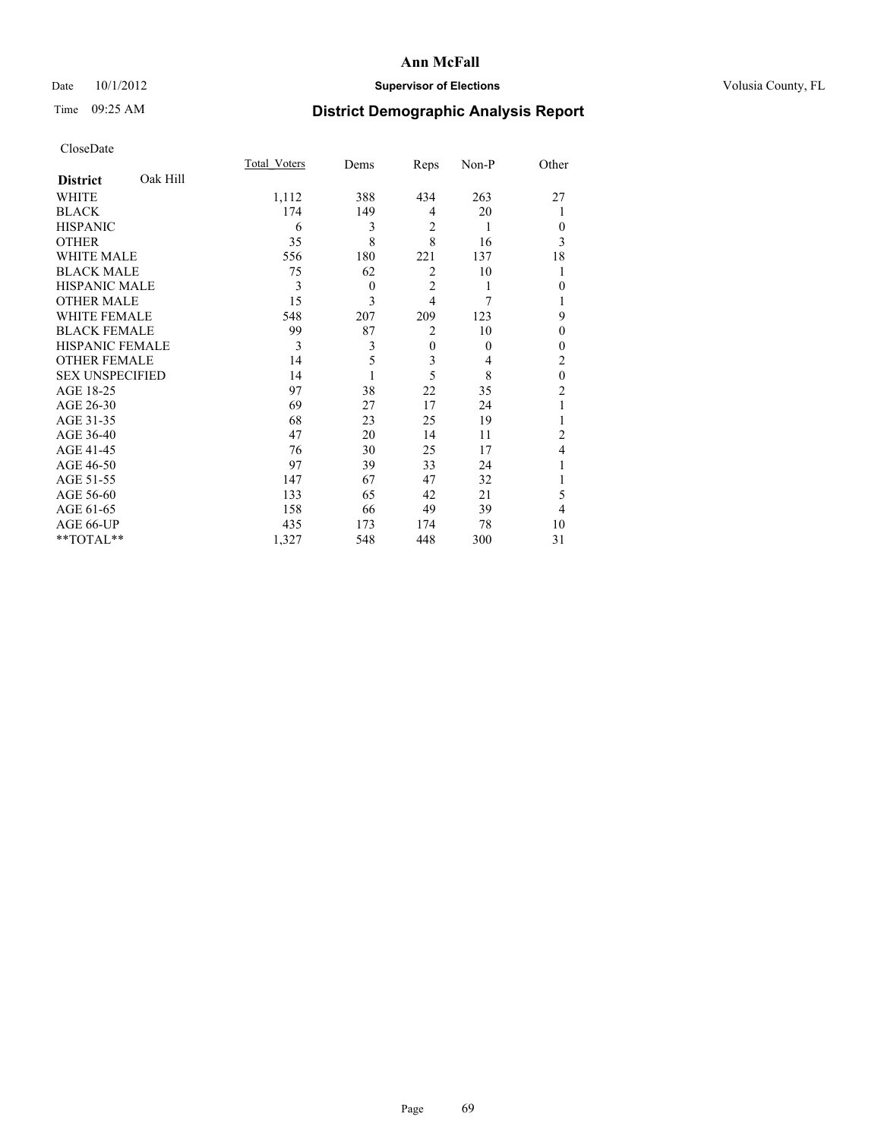## Date 10/1/2012 **Supervisor of Elections Supervisor of Elections** Volusia County, FL

# Time 09:25 AM **District Demographic Analysis Report**

|                        |          | <b>Total Voters</b> | Dems     | Reps           | Non-P          | Other          |
|------------------------|----------|---------------------|----------|----------------|----------------|----------------|
| <b>District</b>        | Oak Hill |                     |          |                |                |                |
| WHITE                  |          | 1,112               | 388      | 434            | 263            | 27             |
| <b>BLACK</b>           |          | 174                 | 149      | $\overline{4}$ | 20             |                |
| <b>HISPANIC</b>        |          | 6                   | 3        | $\overline{2}$ | 1              | $\Omega$       |
| <b>OTHER</b>           |          | 35                  | 8        | 8              | 16             | 3              |
| WHITE MALE             |          | 556                 | 180      | 221            | 137            | 18             |
| <b>BLACK MALE</b>      |          | 75                  | 62       | $\overline{2}$ | 10             | 1              |
| <b>HISPANIC MALE</b>   |          | 3                   | $\theta$ | $\overline{2}$ | 1              | $\theta$       |
| <b>OTHER MALE</b>      |          | 15                  | 3        | $\overline{4}$ | 7              |                |
| <b>WHITE FEMALE</b>    |          | 548                 | 207      | 209            | 123            | 9              |
| <b>BLACK FEMALE</b>    |          | 99                  | 87       | $\overline{2}$ | 10             | $\theta$       |
| HISPANIC FEMALE        |          | 3                   | 3        | $\mathbf{0}$   | $\theta$       | $\Omega$       |
| <b>OTHER FEMALE</b>    |          | 14                  | 5        | 3              | $\overline{4}$ | $\overline{c}$ |
| <b>SEX UNSPECIFIED</b> |          | 14                  |          | 5              | 8              | $\mathbf{0}$   |
| AGE 18-25              |          | 97                  | 38       | 22             | 35             | $\overline{c}$ |
| AGE 26-30              |          | 69                  | 27       | 17             | 24             | 1              |
| AGE 31-35              |          | 68                  | 23       | 25             | 19             |                |
| AGE 36-40              |          | 47                  | 20       | 14             | 11             | $\overline{c}$ |
| AGE 41-45              |          | 76                  | 30       | 25             | 17             | 4              |
| AGE 46-50              |          | 97                  | 39       | 33             | 24             | 1              |
| AGE 51-55              |          | 147                 | 67       | 47             | 32             |                |
| AGE 56-60              |          | 133                 | 65       | 42             | 21             | 5              |
| AGE 61-65              |          | 158                 | 66       | 49             | 39             | 4              |
| AGE 66-UP              |          | 435                 | 173      | 174            | 78             | 10             |
| **TOTAL**              |          | 1,327               | 548      | 448            | 300            | 31             |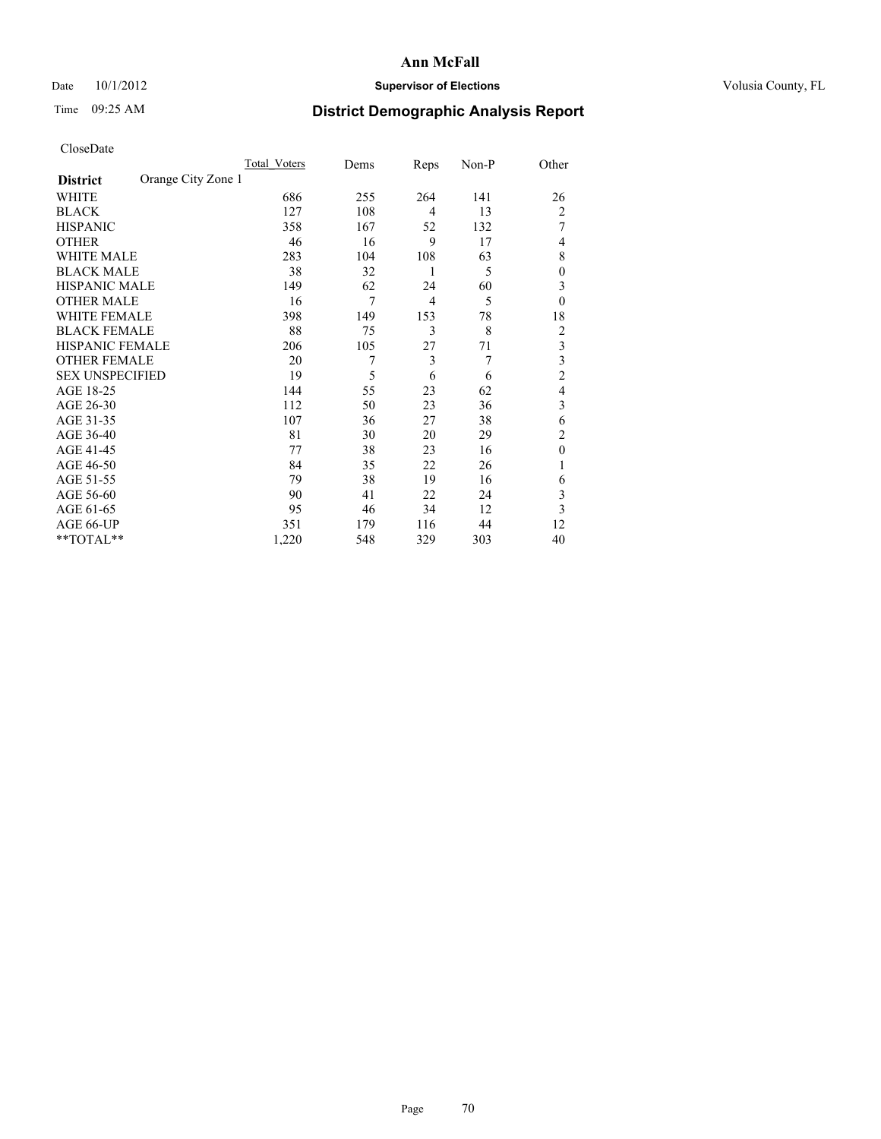## Date 10/1/2012 **Supervisor of Elections Supervisor of Elections** Volusia County, FL

# Time 09:25 AM **District Demographic Analysis Report**

|                        |                    | <b>Total Voters</b> | Dems | Reps | Non-P | Other          |
|------------------------|--------------------|---------------------|------|------|-------|----------------|
| <b>District</b>        | Orange City Zone 1 |                     |      |      |       |                |
| WHITE                  |                    | 686                 | 255  | 264  | 141   | 26             |
| <b>BLACK</b>           |                    | 127                 | 108  | 4    | 13    | $\overline{2}$ |
| <b>HISPANIC</b>        |                    | 358                 | 167  | 52   | 132   | 7              |
| <b>OTHER</b>           |                    | 46                  | 16   | 9    | 17    | 4              |
| WHITE MALE             |                    | 283                 | 104  | 108  | 63    | 8              |
| <b>BLACK MALE</b>      |                    | 38                  | 32   | 1    | 5     | $\overline{0}$ |
| <b>HISPANIC MALE</b>   |                    | 149                 | 62   | 24   | 60    | 3              |
| <b>OTHER MALE</b>      |                    | 16                  | 7    | 4    | 5     | $\theta$       |
| <b>WHITE FEMALE</b>    |                    | 398                 | 149  | 153  | 78    | 18             |
| <b>BLACK FEMALE</b>    |                    | 88                  | 75   | 3    | 8     | $\overline{c}$ |
| <b>HISPANIC FEMALE</b> |                    | 206                 | 105  | 27   | 71    | 3              |
| <b>OTHER FEMALE</b>    |                    | 20                  | 7    | 3    | 7     | 3              |
| <b>SEX UNSPECIFIED</b> |                    | 19                  | 5    | 6    | 6     | $\overline{c}$ |
| AGE 18-25              |                    | 144                 | 55   | 23   | 62    | 4              |
| AGE 26-30              |                    | 112                 | 50   | 23   | 36    | 3              |
| AGE 31-35              |                    | 107                 | 36   | 27   | 38    | 6              |
| AGE 36-40              |                    | 81                  | 30   | 20   | 29    | $\overline{c}$ |
| AGE 41-45              |                    | 77                  | 38   | 23   | 16    | $\theta$       |
| AGE 46-50              |                    | 84                  | 35   | 22   | 26    | 1              |
| AGE 51-55              |                    | 79                  | 38   | 19   | 16    | 6              |
| AGE 56-60              |                    | 90                  | 41   | 22   | 24    | 3              |
| AGE 61-65              |                    | 95                  | 46   | 34   | 12    | 3              |
| AGE 66-UP              |                    | 351                 | 179  | 116  | 44    | 12             |
| **TOTAL**              |                    | 1,220               | 548  | 329  | 303   | 40             |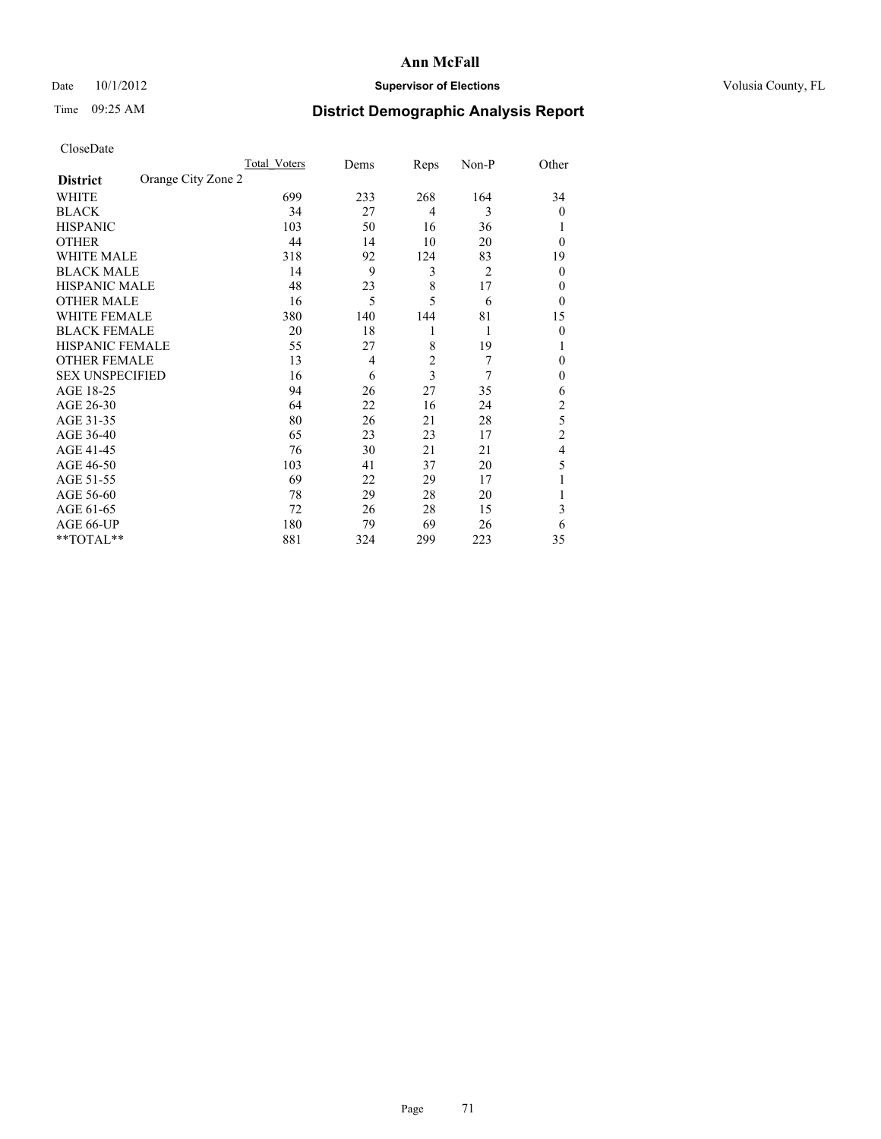## Date 10/1/2012 **Supervisor of Elections Supervisor of Elections** Volusia County, FL

# Time 09:25 AM **District Demographic Analysis Report**

|                        |                    | Total Voters | Dems | Reps                    | Non-P          | Other          |
|------------------------|--------------------|--------------|------|-------------------------|----------------|----------------|
| <b>District</b>        | Orange City Zone 2 |              |      |                         |                |                |
| WHITE                  |                    | 699          | 233  | 268                     | 164            | 34             |
| <b>BLACK</b>           |                    | 34           | 27   | $\overline{4}$          | 3              | $\theta$       |
| <b>HISPANIC</b>        |                    | 103          | 50   | 16                      | 36             |                |
| <b>OTHER</b>           |                    | 44           | 14   | 10                      | 20             | $\theta$       |
| WHITE MALE             |                    | 318          | 92   | 124                     | 83             | 19             |
| <b>BLACK MALE</b>      |                    | 14           | 9    | 3                       | $\overline{2}$ | $\theta$       |
| <b>HISPANIC MALE</b>   |                    | 48           | 23   | 8                       | 17             | 0              |
| <b>OTHER MALE</b>      |                    | 16           | 5    | 5                       | 6              | $\theta$       |
| WHITE FEMALE           |                    | 380          | 140  | 144                     | 81             | 15             |
| <b>BLACK FEMALE</b>    |                    | 20           | 18   | 1                       | 1              | $\theta$       |
| <b>HISPANIC FEMALE</b> |                    | 55           | 27   | 8                       | 19             |                |
| <b>OTHER FEMALE</b>    |                    | 13           | 4    | $\overline{\mathbf{c}}$ | 7              | $\theta$       |
| <b>SEX UNSPECIFIED</b> |                    | 16           | 6    | 3                       | 7              | $\mathbf{0}$   |
| AGE 18-25              |                    | 94           | 26   | 27                      | 35             | 6              |
| AGE 26-30              |                    | 64           | 22   | 16                      | 24             | $\overline{c}$ |
| AGE 31-35              |                    | 80           | 26   | 21                      | 28             | 5              |
| AGE 36-40              |                    | 65           | 23   | 23                      | 17             | $\overline{c}$ |
| AGE 41-45              |                    | 76           | 30   | 21                      | 21             | 4              |
| AGE 46-50              |                    | 103          | 41   | 37                      | 20             | 5              |
| AGE 51-55              |                    | 69           | 22   | 29                      | 17             |                |
| AGE 56-60              |                    | 78           | 29   | 28                      | 20             |                |
| AGE 61-65              |                    | 72           | 26   | 28                      | 15             | 3              |
| AGE 66-UP              |                    | 180          | 79   | 69                      | 26             | 6              |
| **TOTAL**              |                    | 881          | 324  | 299                     | 223            | 35             |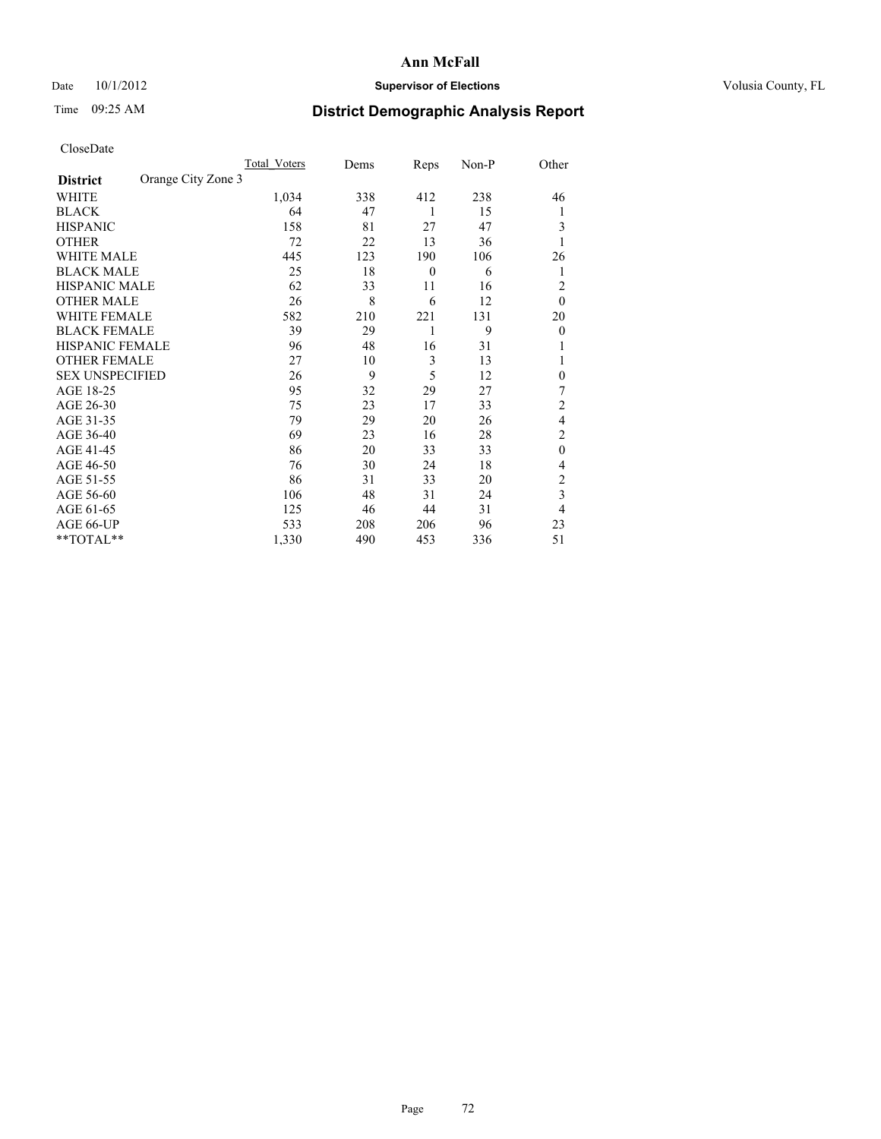## Date 10/1/2012 **Supervisor of Elections Supervisor of Elections** Volusia County, FL

## Time 09:25 AM **District Demographic Analysis Report**

|                        |                    | <b>Total Voters</b> | Dems | Reps     | Non-P | Other                   |
|------------------------|--------------------|---------------------|------|----------|-------|-------------------------|
| <b>District</b>        | Orange City Zone 3 |                     |      |          |       |                         |
| WHITE                  |                    | 1,034               | 338  | 412      | 238   | 46                      |
| <b>BLACK</b>           |                    | 64                  | 47   | 1        | 15    | 1                       |
| <b>HISPANIC</b>        |                    | 158                 | 81   | 27       | 47    | 3                       |
| <b>OTHER</b>           |                    | 72                  | 22   | 13       | 36    |                         |
| WHITE MALE             |                    | 445                 | 123  | 190      | 106   | 26                      |
| <b>BLACK MALE</b>      |                    | 25                  | 18   | $\theta$ | 6     | 1                       |
| <b>HISPANIC MALE</b>   |                    | 62                  | 33   | 11       | 16    | $\overline{2}$          |
| <b>OTHER MALE</b>      |                    | 26                  | 8    | 6        | 12    | $\theta$                |
| WHITE FEMALE           |                    | 582                 | 210  | 221      | 131   | 20                      |
| <b>BLACK FEMALE</b>    |                    | 39                  | 29   | 1        | 9     | $\overline{0}$          |
| <b>HISPANIC FEMALE</b> |                    | 96                  | 48   | 16       | 31    |                         |
| <b>OTHER FEMALE</b>    |                    | 27                  | 10   | 3        | 13    |                         |
| <b>SEX UNSPECIFIED</b> |                    | 26                  | 9    | 5        | 12    | $\theta$                |
| AGE 18-25              |                    | 95                  | 32   | 29       | 27    | 7                       |
| AGE 26-30              |                    | 75                  | 23   | 17       | 33    | $\overline{2}$          |
| AGE 31-35              |                    | 79                  | 29   | 20       | 26    | 4                       |
| AGE 36-40              |                    | 69                  | 23   | 16       | 28    | $\overline{c}$          |
| AGE 41-45              |                    | 86                  | 20   | 33       | 33    | $\theta$                |
| AGE 46-50              |                    | 76                  | 30   | 24       | 18    | $\overline{4}$          |
| AGE 51-55              |                    | 86                  | 31   | 33       | 20    | 2                       |
| AGE 56-60              |                    | 106                 | 48   | 31       | 24    | $\overline{\mathbf{3}}$ |
| AGE 61-65              |                    | 125                 | 46   | 44       | 31    | $\overline{4}$          |
| AGE 66-UP              |                    | 533                 | 208  | 206      | 96    | 23                      |
| **TOTAL**              |                    | 1,330               | 490  | 453      | 336   | 51                      |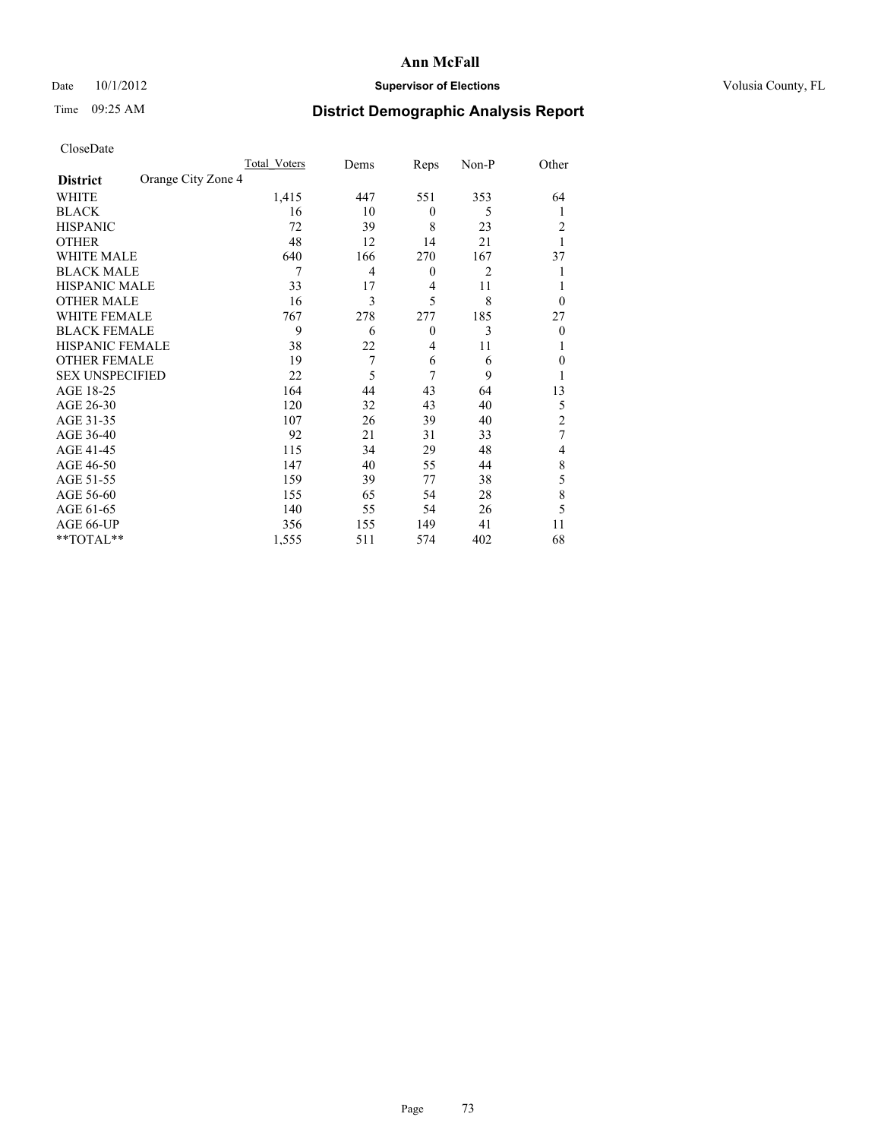## Date 10/1/2012 **Supervisor of Elections Supervisor of Elections** Volusia County, FL

# Time 09:25 AM **District Demographic Analysis Report**

| Cioscivate             |                    |                     |      |              |                |                |
|------------------------|--------------------|---------------------|------|--------------|----------------|----------------|
|                        |                    | <b>Total Voters</b> | Dems | Reps         | Non-P          | Other          |
| <b>District</b>        | Orange City Zone 4 |                     |      |              |                |                |
| WHITE                  |                    | 1,415               | 447  | 551          | 353            | 64             |
| <b>BLACK</b>           |                    | 16                  | 10   | $\mathbf{0}$ | 5              | 1              |
| <b>HISPANIC</b>        |                    | 72                  | 39   | 8            | 23             | $\overline{2}$ |
| <b>OTHER</b>           |                    | 48                  | 12   | 14           | 21             |                |
| WHITE MALE             |                    | 640                 | 166  | 270          | 167            | 37             |
| <b>BLACK MALE</b>      |                    | 7                   | 4    | $\theta$     | $\overline{2}$ |                |
| <b>HISPANIC MALE</b>   |                    | 33                  | 17   | 4            | 11             |                |
| <b>OTHER MALE</b>      |                    | 16                  | 3    | 5            | 8              | $\theta$       |
| WHITE FEMALE           |                    | 767                 | 278  | 277          | 185            | 27             |
| <b>BLACK FEMALE</b>    |                    | 9                   | 6    | $\mathbf{0}$ | 3              | $\mathbf{0}$   |
| HISPANIC FEMALE        |                    | 38                  | 22   | 4            | 11             |                |
| <b>OTHER FEMALE</b>    |                    | 19                  | 7    | 6            | 6              | $\mathbf{0}$   |
| <b>SEX UNSPECIFIED</b> |                    | 22                  | 5    | 7            | 9              | 1              |
| AGE 18-25              |                    | 164                 | 44   | 43           | 64             | 13             |
| AGE 26-30              |                    | 120                 | 32   | 43           | 40             | 5              |
| AGE 31-35              |                    | 107                 | 26   | 39           | 40             | $\overline{c}$ |
| AGE 36-40              |                    | 92                  | 21   | 31           | 33             | 7              |
| AGE 41-45              |                    | 115                 | 34   | 29           | 48             | 4              |
| AGE 46-50              |                    | 147                 | 40   | 55           | 44             | 8              |
| AGE 51-55              |                    | 159                 | 39   | 77           | 38             | 5              |
| AGE 56-60              |                    | 155                 | 65   | 54           | 28             | 8              |
| AGE 61-65              |                    | 140                 | 55   | 54           | 26             | 5              |
| AGE 66-UP              |                    | 356                 | 155  | 149          | 41             | 11             |
| **TOTAL**              |                    | 1,555               | 511  | 574          | 402            | 68             |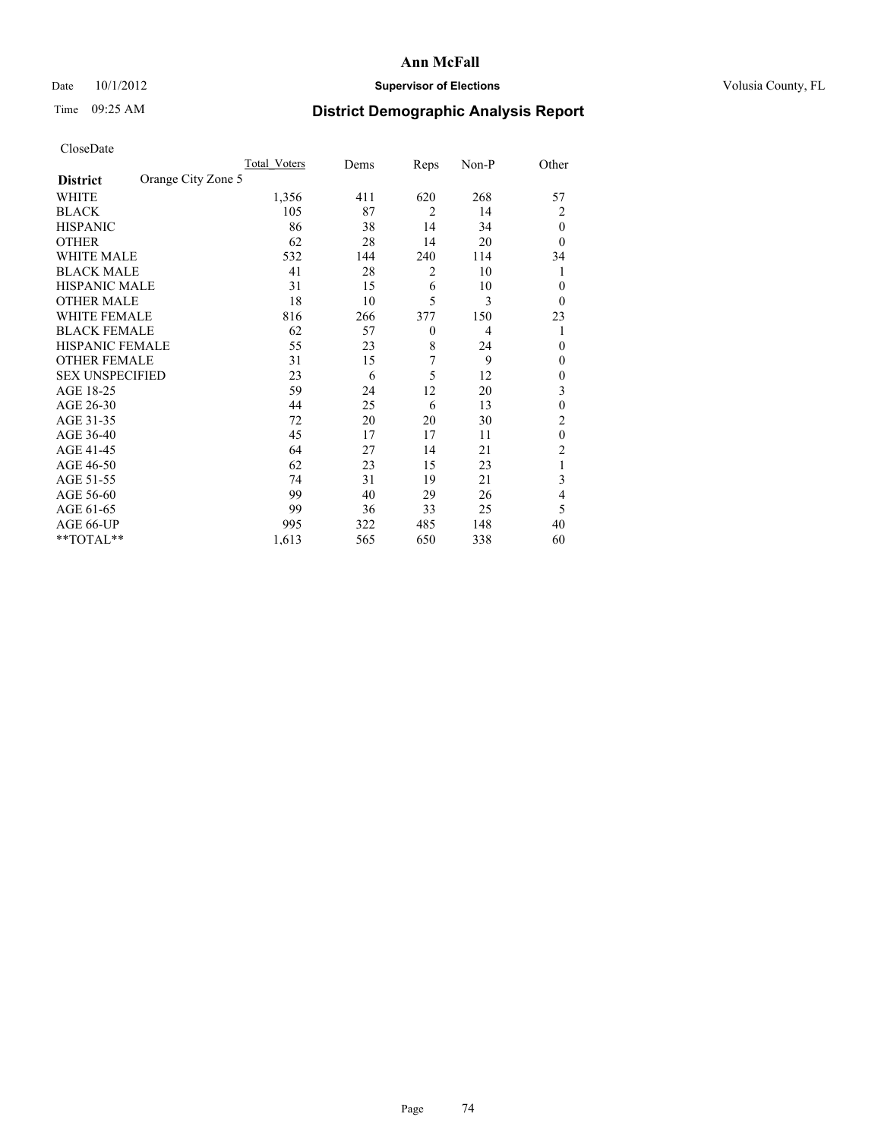## Date 10/1/2012 **Supervisor of Elections Supervisor of Elections** Volusia County, FL

# Time 09:25 AM **District Demographic Analysis Report**

|                        |                    | <b>Total Voters</b> | Dems | Reps           | Non-P          | Other          |
|------------------------|--------------------|---------------------|------|----------------|----------------|----------------|
| <b>District</b>        | Orange City Zone 5 |                     |      |                |                |                |
| WHITE                  |                    | 1,356               | 411  | 620            | 268            | 57             |
| <b>BLACK</b>           |                    | 105                 | 87   | $\overline{2}$ | 14             | $\overline{2}$ |
| <b>HISPANIC</b>        |                    | 86                  | 38   | 14             | 34             | $\theta$       |
| <b>OTHER</b>           |                    | 62                  | 28   | 14             | 20             | $\Omega$       |
| WHITE MALE             |                    | 532                 | 144  | 240            | 114            | 34             |
| <b>BLACK MALE</b>      |                    | 41                  | 28   | 2              | 10             | 1              |
| <b>HISPANIC MALE</b>   |                    | 31                  | 15   | 6              | 10             | $\overline{0}$ |
| <b>OTHER MALE</b>      |                    | 18                  | 10   | 5              | 3              | $\overline{0}$ |
| WHITE FEMALE           |                    | 816                 | 266  | 377            | 150            | 23             |
| <b>BLACK FEMALE</b>    |                    | 62                  | 57   | $\mathbf{0}$   | $\overline{4}$ | 1              |
| <b>HISPANIC FEMALE</b> |                    | 55                  | 23   | 8              | 24             | $\theta$       |
| <b>OTHER FEMALE</b>    |                    | 31                  | 15   | 7              | 9              | $\Omega$       |
| <b>SEX UNSPECIFIED</b> |                    | 23                  | 6    | 5              | 12             | $\theta$       |
| AGE 18-25              |                    | 59                  | 24   | 12             | 20             | 3              |
| AGE 26-30              |                    | 44                  | 25   | 6              | 13             | $\theta$       |
| AGE 31-35              |                    | 72                  | 20   | 20             | 30             | $\overline{c}$ |
| AGE 36-40              |                    | 45                  | 17   | 17             | 11             | $\mathbf{0}$   |
| AGE 41-45              |                    | 64                  | 27   | 14             | 21             | 2              |
| AGE 46-50              |                    | 62                  | 23   | 15             | 23             | 1              |
| AGE 51-55              |                    | 74                  | 31   | 19             | 21             | 3              |
| AGE 56-60              |                    | 99                  | 40   | 29             | 26             | $\overline{4}$ |
| AGE 61-65              |                    | 99                  | 36   | 33             | 25             | 5              |
| AGE 66-UP              |                    | 995                 | 322  | 485            | 148            | 40             |
| **TOTAL**              |                    | 1,613               | 565  | 650            | 338            | 60             |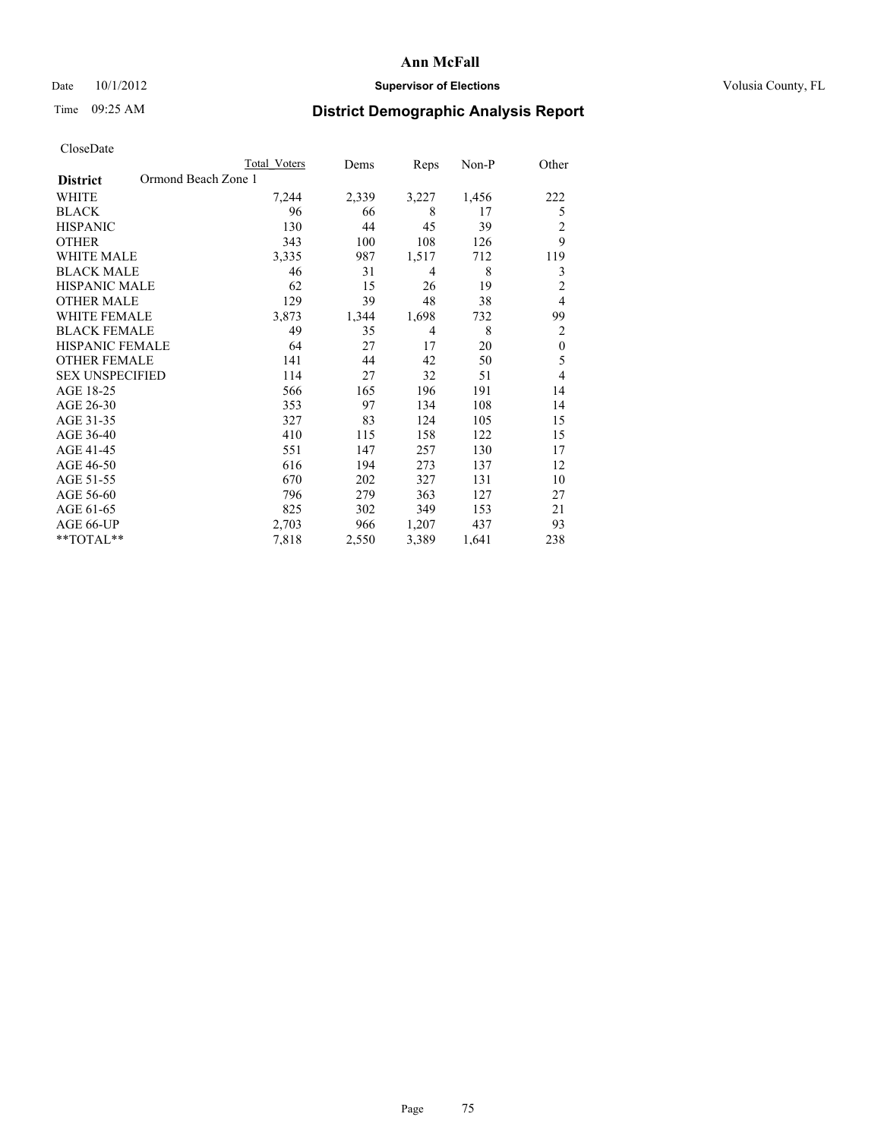## Date 10/1/2012 **Supervisor of Elections Supervisor of Elections** Volusia County, FL

## Time 09:25 AM **District Demographic Analysis Report**

|                        | <b>Total Voters</b> | Dems  | Reps           | Non-P | Other          |
|------------------------|---------------------|-------|----------------|-------|----------------|
| <b>District</b>        | Ormond Beach Zone 1 |       |                |       |                |
| WHITE                  | 7,244               | 2,339 | 3,227          | 1,456 | 222            |
| <b>BLACK</b>           | 96                  | 66    | 8              | 17    | 5              |
| <b>HISPANIC</b>        | 130                 | 44    | 45             | 39    | 2              |
| <b>OTHER</b>           | 343                 | 100   | 108            | 126   | 9              |
| WHITE MALE             | 3,335               | 987   | 1,517          | 712   | 119            |
| <b>BLACK MALE</b>      | 46                  | 31    | 4              | 8     | 3              |
| <b>HISPANIC MALE</b>   | 62                  | 15    | 26             | 19    | $\overline{2}$ |
| <b>OTHER MALE</b>      | 129                 | 39    | 48             | 38    | $\overline{4}$ |
| <b>WHITE FEMALE</b>    | 3,873               | 1,344 | 1,698          | 732   | 99             |
| <b>BLACK FEMALE</b>    | 49                  | 35    | $\overline{4}$ | 8     | $\overline{2}$ |
| <b>HISPANIC FEMALE</b> | 64                  | 27    | 17             | 20    | $\mathbf{0}$   |
| <b>OTHER FEMALE</b>    | 141                 | 44    | 42             | 50    | 5              |
| <b>SEX UNSPECIFIED</b> | 114                 | 27    | 32             | 51    | 4              |
| AGE 18-25              | 566                 | 165   | 196            | 191   | 14             |
| AGE 26-30              | 353                 | 97    | 134            | 108   | 14             |
| AGE 31-35              | 327                 | 83    | 124            | 105   | 15             |
| AGE 36-40              | 410                 | 115   | 158            | 122   | 15             |
| AGE 41-45              | 551                 | 147   | 257            | 130   | 17             |
| AGE 46-50              | 616                 | 194   | 273            | 137   | 12             |
| AGE 51-55              | 670                 | 202   | 327            | 131   | 10             |
| AGE 56-60              | 796                 | 279   | 363            | 127   | 27             |
| AGE 61-65              | 825                 | 302   | 349            | 153   | 21             |
| AGE 66-UP              | 2,703               | 966   | 1,207          | 437   | 93             |
| **TOTAL**              | 7,818               | 2,550 | 3,389          | 1,641 | 238            |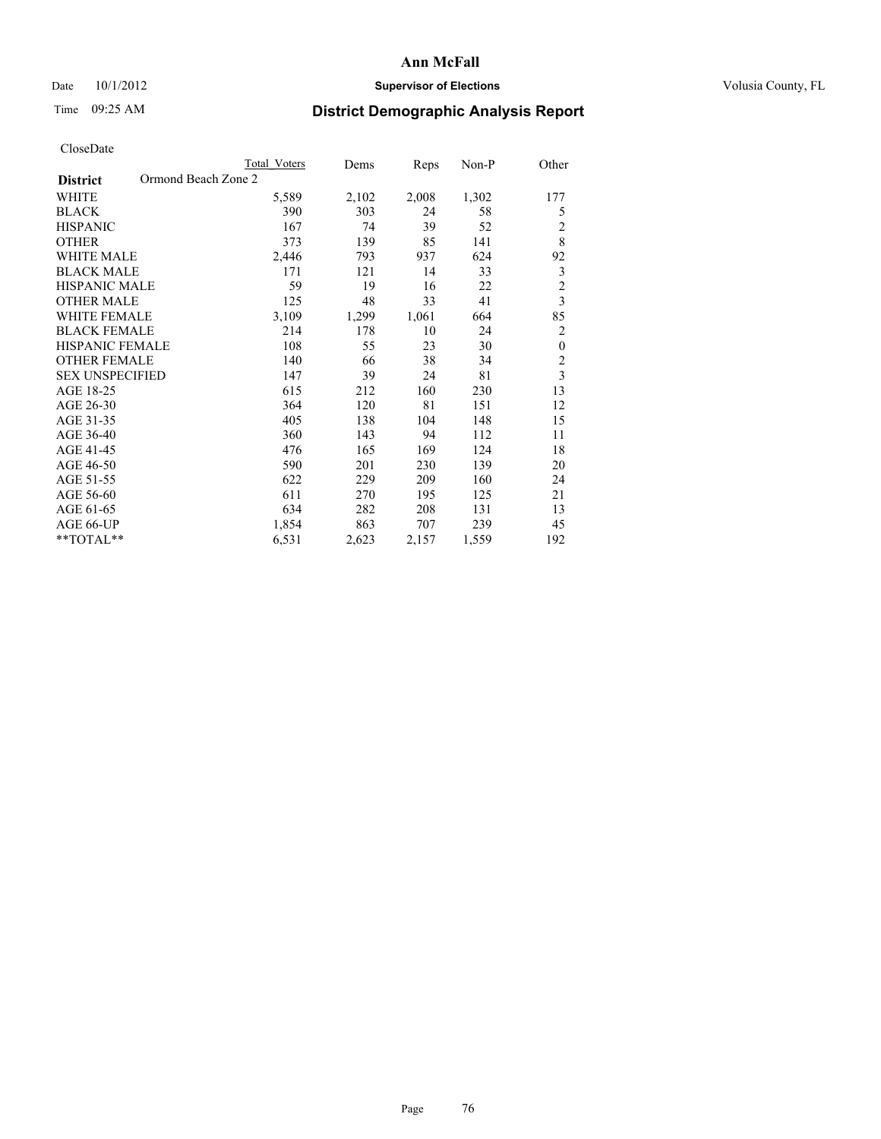## Date 10/1/2012 **Supervisor of Elections Supervisor of Elections** Volusia County, FL

# Time 09:25 AM **District Demographic Analysis Report**

|                                        | <b>Total Voters</b> | Dems  | Reps  | Non-P | Other            |
|----------------------------------------|---------------------|-------|-------|-------|------------------|
| Ormond Beach Zone 2<br><b>District</b> |                     |       |       |       |                  |
| WHITE                                  | 5,589               | 2,102 | 2,008 | 1,302 | 177              |
| <b>BLACK</b>                           | 390                 | 303   | 24    | 58    | 5                |
| <b>HISPANIC</b>                        | 167                 | 74    | 39    | 52    | $\overline{2}$   |
| <b>OTHER</b>                           | 373                 | 139   | 85    | 141   | 8                |
| WHITE MALE                             | 2,446               | 793   | 937   | 624   | 92               |
| <b>BLACK MALE</b>                      | 171                 | 121   | 14    | 33    | $\mathfrak{Z}$   |
| HISPANIC MALE                          | 59                  | 19    | 16    | 22    | $\overline{c}$   |
| <b>OTHER MALE</b>                      | 125                 | 48    | 33    | 41    | $\overline{3}$   |
| WHITE FEMALE                           | 3,109               | 1,299 | 1,061 | 664   | 85               |
| <b>BLACK FEMALE</b>                    | 214                 | 178   | 10    | 24    | $\overline{2}$   |
| <b>HISPANIC FEMALE</b>                 | 108                 | 55    | 23    | 30    | $\boldsymbol{0}$ |
| <b>OTHER FEMALE</b>                    | 140                 | 66    | 38    | 34    | $\overline{2}$   |
| <b>SEX UNSPECIFIED</b>                 | 147                 | 39    | 24    | 81    | $\overline{3}$   |
| AGE 18-25                              | 615                 | 212   | 160   | 230   | 13               |
| AGE 26-30                              | 364                 | 120   | 81    | 151   | 12               |
| AGE 31-35                              | 405                 | 138   | 104   | 148   | 15               |
| AGE 36-40                              | 360                 | 143   | 94    | 112   | 11               |
| AGE 41-45                              | 476                 | 165   | 169   | 124   | 18               |
| AGE 46-50                              | 590                 | 201   | 230   | 139   | 20               |
| AGE 51-55                              | 622                 | 229   | 209   | 160   | 24               |
| AGE 56-60                              | 611                 | 270   | 195   | 125   | 21               |
| AGE 61-65                              | 634                 | 282   | 208   | 131   | 13               |
| AGE 66-UP                              | 1,854               | 863   | 707   | 239   | 45               |
| **TOTAL**                              | 6,531               | 2,623 | 2,157 | 1,559 | 192              |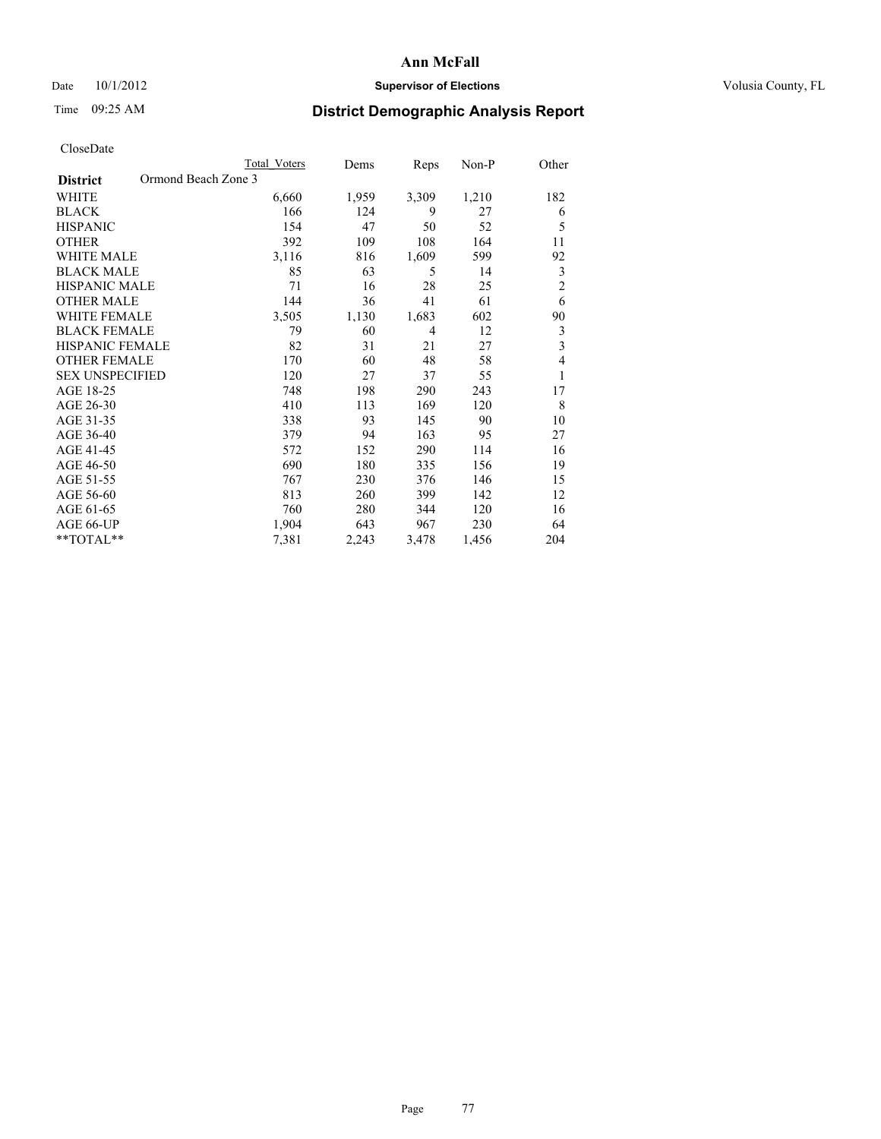## Date 10/1/2012 **Supervisor of Elections Supervisor of Elections** Volusia County, FL

# Time 09:25 AM **District Demographic Analysis Report**

|                        | <b>Total Voters</b> | Dems  | Reps  | Non-P | Other          |
|------------------------|---------------------|-------|-------|-------|----------------|
| <b>District</b>        | Ormond Beach Zone 3 |       |       |       |                |
| WHITE                  | 6,660               | 1,959 | 3,309 | 1,210 | 182            |
| <b>BLACK</b>           | 166                 | 124   | 9     | 27    | 6              |
| <b>HISPANIC</b>        | 154                 | 47    | 50    | 52    | 5              |
| <b>OTHER</b>           | 392                 | 109   | 108   | 164   | 11             |
| WHITE MALE             | 3,116               | 816   | 1,609 | 599   | 92             |
| <b>BLACK MALE</b>      | 85                  | 63    | 5     | 14    | 3              |
| <b>HISPANIC MALE</b>   | 71                  | 16    | 28    | 25    | $\overline{2}$ |
| <b>OTHER MALE</b>      | 144                 | 36    | 41    | 61    | 6              |
| <b>WHITE FEMALE</b>    | 3,505               | 1,130 | 1,683 | 602   | 90             |
| <b>BLACK FEMALE</b>    | 79                  | 60    | 4     | 12    | 3              |
| <b>HISPANIC FEMALE</b> | 82                  | 31    | 21    | 27    | 3              |
| <b>OTHER FEMALE</b>    | 170                 | 60    | 48    | 58    | 4              |
| <b>SEX UNSPECIFIED</b> | 120                 | 27    | 37    | 55    | 1              |
| AGE 18-25              | 748                 | 198   | 290   | 243   | 17             |
| AGE 26-30              | 410                 | 113   | 169   | 120   | 8              |
| AGE 31-35              | 338                 | 93    | 145   | 90    | 10             |
| AGE 36-40              | 379                 | 94    | 163   | 95    | 27             |
| AGE 41-45              | 572                 | 152   | 290   | 114   | 16             |
| AGE 46-50              | 690                 | 180   | 335   | 156   | 19             |
| AGE 51-55              | 767                 | 230   | 376   | 146   | 15             |
| AGE 56-60              | 813                 | 260   | 399   | 142   | 12             |
| AGE 61-65              | 760                 | 280   | 344   | 120   | 16             |
| AGE 66-UP              | 1,904               | 643   | 967   | 230   | 64             |
| **TOTAL**              | 7,381               | 2,243 | 3,478 | 1,456 | 204            |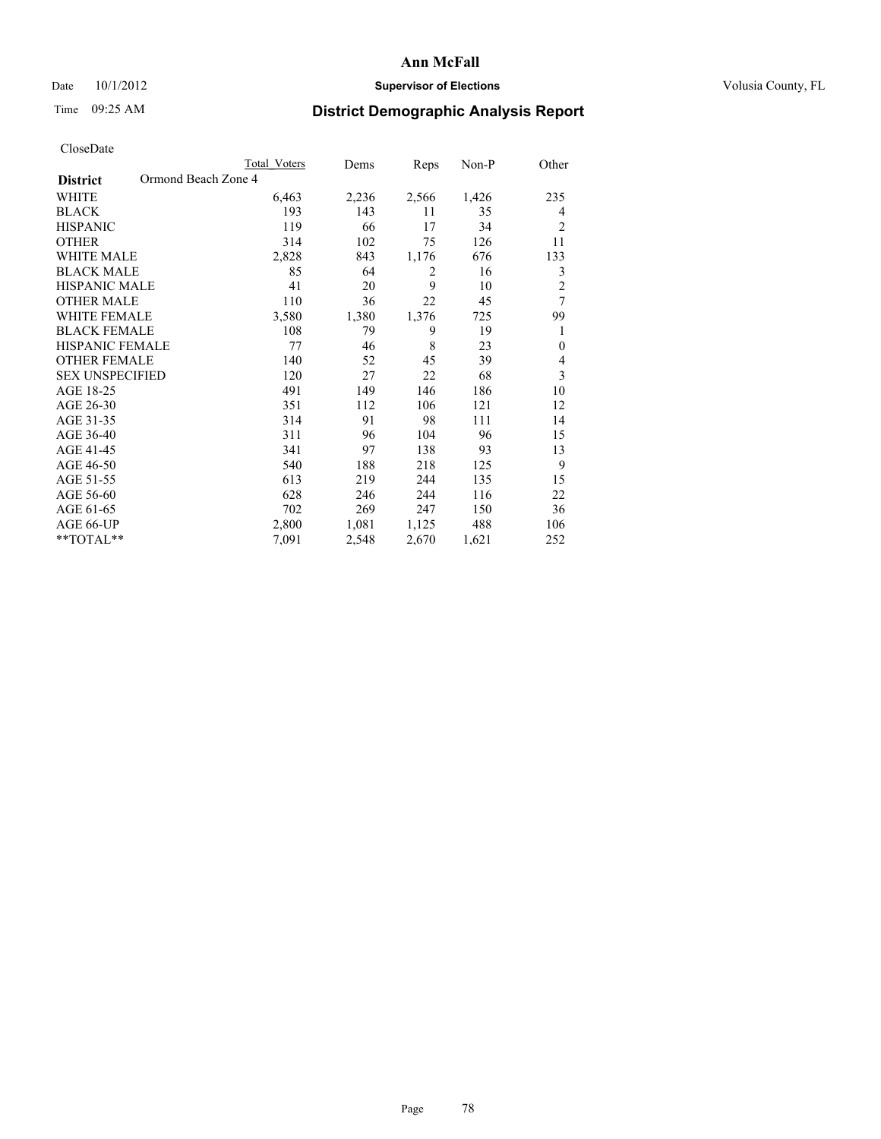## Date 10/1/2012 **Supervisor of Elections Supervisor of Elections** Volusia County, FL

# Time 09:25 AM **District Demographic Analysis Report**

| <b>UIUSUDUI</b> U      |                     |              |       |                |       |                |
|------------------------|---------------------|--------------|-------|----------------|-------|----------------|
|                        |                     | Total Voters | Dems  | Reps           | Non-P | Other          |
| <b>District</b>        | Ormond Beach Zone 4 |              |       |                |       |                |
| WHITE                  |                     | 6,463        | 2,236 | 2,566          | 1,426 | 235            |
| <b>BLACK</b>           |                     | 193          | 143   | 11             | 35    | 4              |
| <b>HISPANIC</b>        |                     | 119          | 66    | 17             | 34    | $\overline{2}$ |
| <b>OTHER</b>           |                     | 314          | 102   | 75             | 126   | 11             |
| WHITE MALE             |                     | 2,828        | 843   | 1,176          | 676   | 133            |
| <b>BLACK MALE</b>      |                     | 85           | 64    | $\overline{2}$ | 16    | 3              |
| <b>HISPANIC MALE</b>   |                     | 41           | 20    | 9              | 10    | $\overline{c}$ |
| <b>OTHER MALE</b>      |                     | 110          | 36    | 22             | 45    | 7              |
| WHITE FEMALE           |                     | 3,580        | 1,380 | 1,376          | 725   | 99             |
| <b>BLACK FEMALE</b>    |                     | 108          | 79    | 9              | 19    | 1              |
| <b>HISPANIC FEMALE</b> |                     | 77           | 46    | 8              | 23    | $\mathbf{0}$   |
| <b>OTHER FEMALE</b>    |                     | 140          | 52    | 45             | 39    | 4              |
| <b>SEX UNSPECIFIED</b> |                     | 120          | 27    | 22             | 68    | 3              |
| AGE 18-25              |                     | 491          | 149   | 146            | 186   | 10             |
| AGE 26-30              |                     | 351          | 112   | 106            | 121   | 12             |
| AGE 31-35              |                     | 314          | 91    | 98             | 111   | 14             |
| AGE 36-40              |                     | 311          | 96    | 104            | 96    | 15             |
| AGE 41-45              |                     | 341          | 97    | 138            | 93    | 13             |
| AGE 46-50              |                     | 540          | 188   | 218            | 125   | 9              |
| AGE 51-55              |                     | 613          | 219   | 244            | 135   | 15             |
| AGE 56-60              |                     | 628          | 246   | 244            | 116   | 22             |
| AGE 61-65              |                     | 702          | 269   | 247            | 150   | 36             |
| AGE 66-UP              |                     | 2,800        | 1,081 | 1,125          | 488   | 106            |
| $*$ TOTAL $**$         |                     | 7,091        | 2,548 | 2,670          | 1,621 | 252            |
|                        |                     |              |       |                |       |                |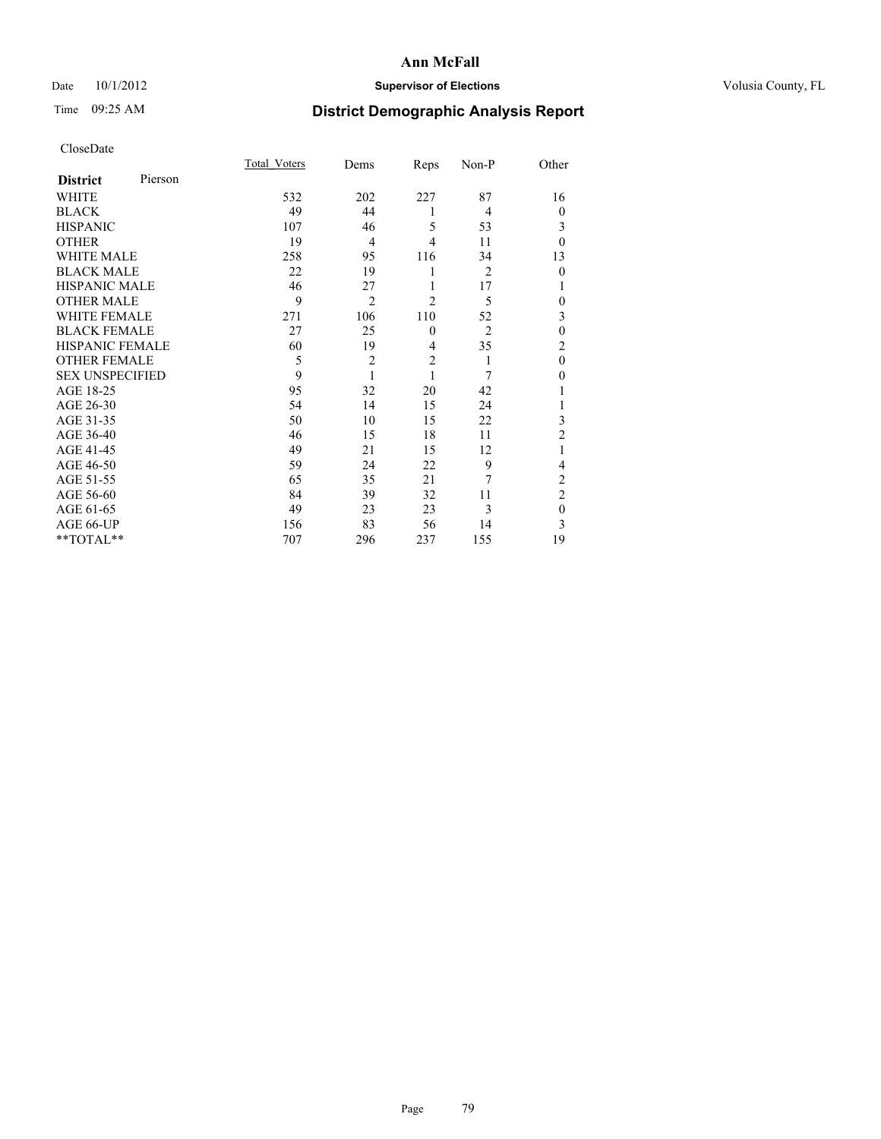## Date 10/1/2012 **Supervisor of Elections Supervisor of Elections** Volusia County, FL

# Time 09:25 AM **District Demographic Analysis Report**

|                        |         | <b>Total Voters</b> | Dems           | Reps           | Non-P          | Other          |
|------------------------|---------|---------------------|----------------|----------------|----------------|----------------|
| <b>District</b>        | Pierson |                     |                |                |                |                |
| WHITE                  |         | 532                 | 202            | 227            | 87             | 16             |
| <b>BLACK</b>           |         | 49                  | 44             | 1              | 4              | $\theta$       |
| <b>HISPANIC</b>        |         | 107                 | 46             | 5              | 53             | 3              |
| <b>OTHER</b>           |         | 19                  | $\overline{4}$ | 4              | 11             | $\theta$       |
| WHITE MALE             |         | 258                 | 95             | 116            | 34             | 13             |
| <b>BLACK MALE</b>      |         | 22                  | 19             | 1              | $\overline{c}$ | $\mathbf{0}$   |
| <b>HISPANIC MALE</b>   |         | 46                  | 27             | 1              | 17             |                |
| <b>OTHER MALE</b>      |         | 9                   | $\overline{2}$ | $\overline{2}$ | 5              | 0              |
| WHITE FEMALE           |         | 271                 | 106            | 110            | 52             | 3              |
| <b>BLACK FEMALE</b>    |         | 27                  | 25             | $\mathbf{0}$   | $\overline{2}$ | $\mathbf{0}$   |
| <b>HISPANIC FEMALE</b> |         | 60                  | 19             | $\overline{4}$ | 35             | $\overline{c}$ |
| <b>OTHER FEMALE</b>    |         | 5                   | $\overline{c}$ | $\overline{2}$ | 1              | $\theta$       |
| <b>SEX UNSPECIFIED</b> |         | 9                   | 1              | 1              | 7              | $\theta$       |
| AGE 18-25              |         | 95                  | 32             | 20             | 42             |                |
| AGE 26-30              |         | 54                  | 14             | 15             | 24             | 1              |
| AGE 31-35              |         | 50                  | 10             | 15             | 22             | 3              |
| AGE 36-40              |         | 46                  | 15             | 18             | 11             | $\overline{2}$ |
| AGE 41-45              |         | 49                  | 21             | 15             | 12             |                |
| AGE 46-50              |         | 59                  | 24             | 22             | 9              | 4              |
| AGE 51-55              |         | 65                  | 35             | 21             | 7              | $\overline{c}$ |
| AGE 56-60              |         | 84                  | 39             | 32             | 11             | $\overline{c}$ |
| AGE 61-65              |         | 49                  | 23             | 23             | 3              | $\mathbf{0}$   |
| AGE 66-UP              |         | 156                 | 83             | 56             | 14             | 3              |
| **TOTAL**              |         | 707                 | 296            | 237            | 155            | 19             |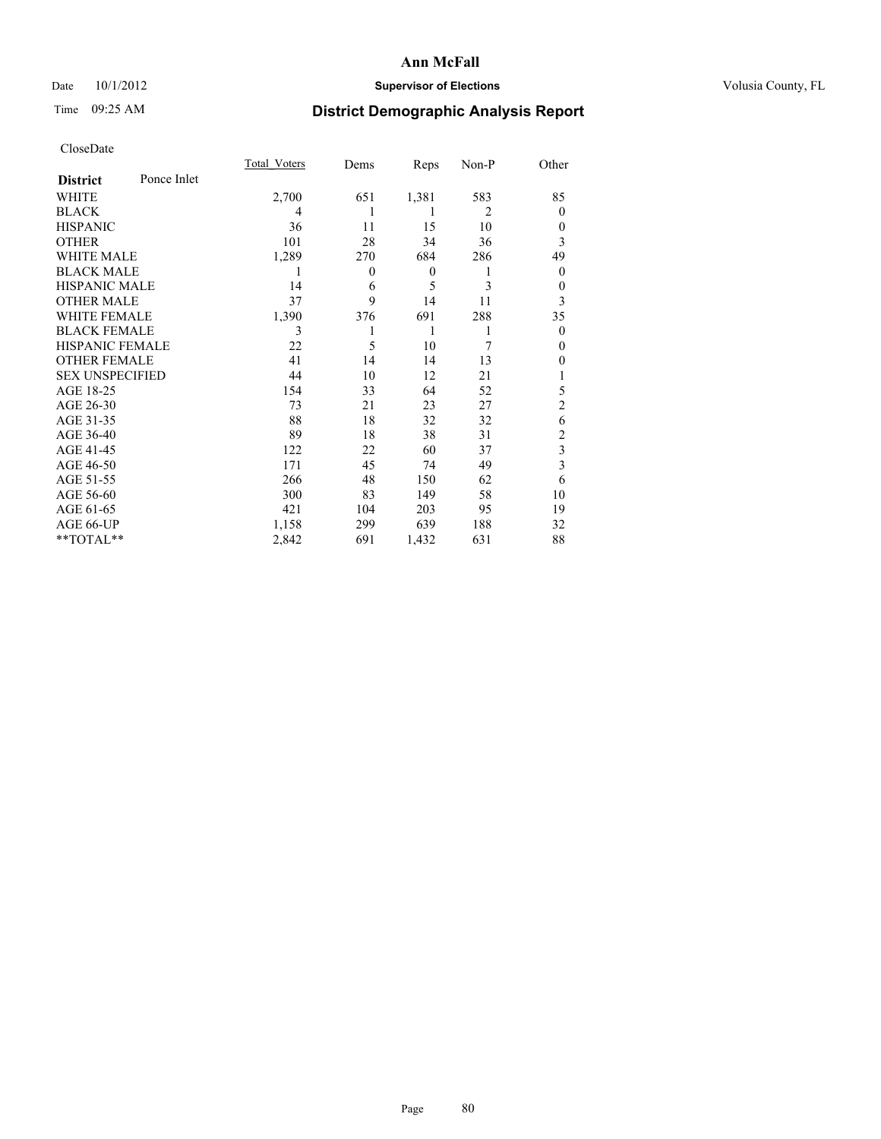## Date 10/1/2012 **Supervisor of Elections Supervisor of Elections** Volusia County, FL

# Time 09:25 AM **District Demographic Analysis Report**

|                        |             | <b>Total Voters</b> | Dems           | Reps             | Non-P          | Other          |
|------------------------|-------------|---------------------|----------------|------------------|----------------|----------------|
| <b>District</b>        | Ponce Inlet |                     |                |                  |                |                |
| WHITE                  |             | 2,700               | 651            | 1,381            | 583            | 85             |
| <b>BLACK</b>           |             | 4                   | 1              | 1                | $\overline{2}$ | $\Omega$       |
| <b>HISPANIC</b>        |             | 36                  | 11             | 15               | 10             | $\Omega$       |
| <b>OTHER</b>           |             | 101                 | 28             | 34               | 36             | 3              |
| WHITE MALE             |             | 1,289               | 270            | 684              | 286            | 49             |
| <b>BLACK MALE</b>      |             | 1                   | $\overline{0}$ | $\boldsymbol{0}$ | 1              | $\overline{0}$ |
| <b>HISPANIC MALE</b>   |             | 14                  | 6              | 5                | 3              | $\overline{0}$ |
| <b>OTHER MALE</b>      |             | 37                  | 9              | 14               | 11             | 3              |
| <b>WHITE FEMALE</b>    |             | 1,390               | 376            | 691              | 288            | 35             |
| <b>BLACK FEMALE</b>    |             | 3                   |                | 1                | 1              | $\overline{0}$ |
| <b>HISPANIC FEMALE</b> |             | 22                  | 5              | 10               | 7              | $\Omega$       |
| <b>OTHER FEMALE</b>    |             | 41                  | 14             | 14               | 13             | $\theta$       |
| <b>SEX UNSPECIFIED</b> |             | 44                  | 10             | 12               | 21             |                |
| AGE 18-25              |             | 154                 | 33             | 64               | 52             | 5              |
| AGE 26-30              |             | 73                  | 21             | 23               | 27             | $\overline{2}$ |
| AGE 31-35              |             | 88                  | 18             | 32               | 32             | 6              |
| AGE 36-40              |             | 89                  | 18             | 38               | 31             | $\overline{c}$ |
| AGE 41-45              |             | 122                 | 22             | 60               | 37             | 3              |
| AGE 46-50              |             | 171                 | 45             | 74               | 49             | 3              |
| AGE 51-55              |             | 266                 | 48             | 150              | 62             | 6              |
| AGE 56-60              |             | 300                 | 83             | 149              | 58             | 10             |
| AGE 61-65              |             | 421                 | 104            | 203              | 95             | 19             |
| AGE 66-UP              |             | 1,158               | 299            | 639              | 188            | 32             |
| **TOTAL**              |             | 2,842               | 691            | 1,432            | 631            | 88             |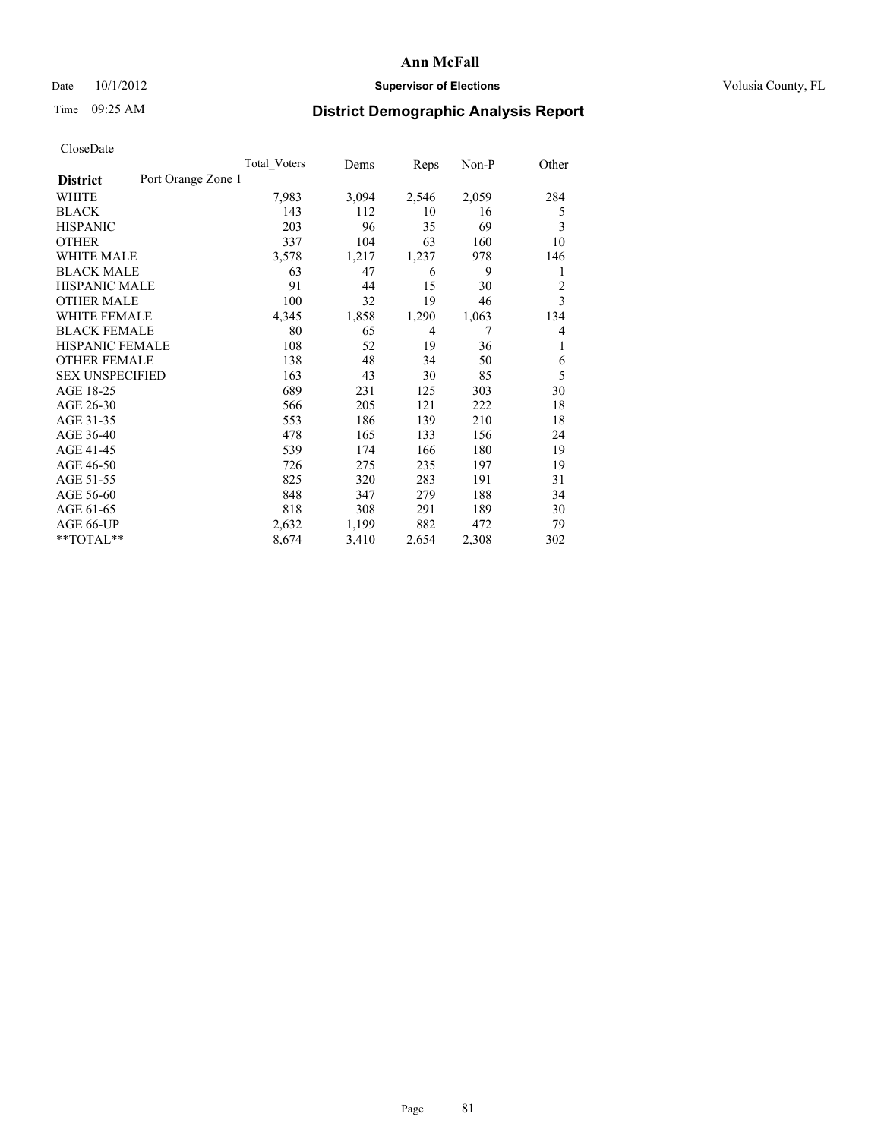## Date  $10/1/2012$  **Supervisor of Elections Supervisor of Elections** Volusia County, FL

## Time 09:25 AM **District Demographic Analysis Report**

|                                       | <b>Total Voters</b> | Dems  | Reps  | $Non-P$ | Other          |
|---------------------------------------|---------------------|-------|-------|---------|----------------|
| Port Orange Zone 1<br><b>District</b> |                     |       |       |         |                |
| WHITE                                 | 7,983               | 3,094 | 2,546 | 2,059   | 284            |
| <b>BLACK</b>                          | 143                 | 112   | 10    | 16      | 5              |
| <b>HISPANIC</b>                       | 203                 | 96    | 35    | 69      | 3              |
| <b>OTHER</b>                          | 337                 | 104   | 63    | 160     | 10             |
| <b>WHITE MALE</b>                     | 3,578               | 1,217 | 1,237 | 978     | 146            |
| <b>BLACK MALE</b>                     | 63                  | 47    | 6     | 9       | 1              |
| <b>HISPANIC MALE</b>                  | 91                  | 44    | 15    | 30      | $\overline{2}$ |
| <b>OTHER MALE</b>                     | 100                 | 32    | 19    | 46      | 3              |
| <b>WHITE FEMALE</b>                   | 4,345               | 1,858 | 1,290 | 1,063   | 134            |
| <b>BLACK FEMALE</b>                   | 80                  | 65    | 4     | 7       | $\overline{4}$ |
| <b>HISPANIC FEMALE</b>                | 108                 | 52    | 19    | 36      | 1              |
| <b>OTHER FEMALE</b>                   | 138                 | 48    | 34    | 50      | 6              |
| <b>SEX UNSPECIFIED</b>                | 163                 | 43    | 30    | 85      | 5              |
| AGE 18-25                             | 689                 | 231   | 125   | 303     | 30             |
| AGE 26-30                             | 566                 | 205   | 121   | 222     | 18             |
| AGE 31-35                             | 553                 | 186   | 139   | 210     | 18             |
| AGE 36-40                             | 478                 | 165   | 133   | 156     | 24             |
| AGE 41-45                             | 539                 | 174   | 166   | 180     | 19             |
| AGE 46-50                             | 726                 | 275   | 235   | 197     | 19             |
| AGE 51-55                             | 825                 | 320   | 283   | 191     | 31             |
| AGE 56-60                             | 848                 | 347   | 279   | 188     | 34             |
| AGE 61-65                             | 818                 | 308   | 291   | 189     | 30             |
| AGE 66-UP                             | 2,632               | 1,199 | 882   | 472     | 79             |
| $*$ $TOTAL**$                         | 8,674               | 3,410 | 2,654 | 2,308   | 302            |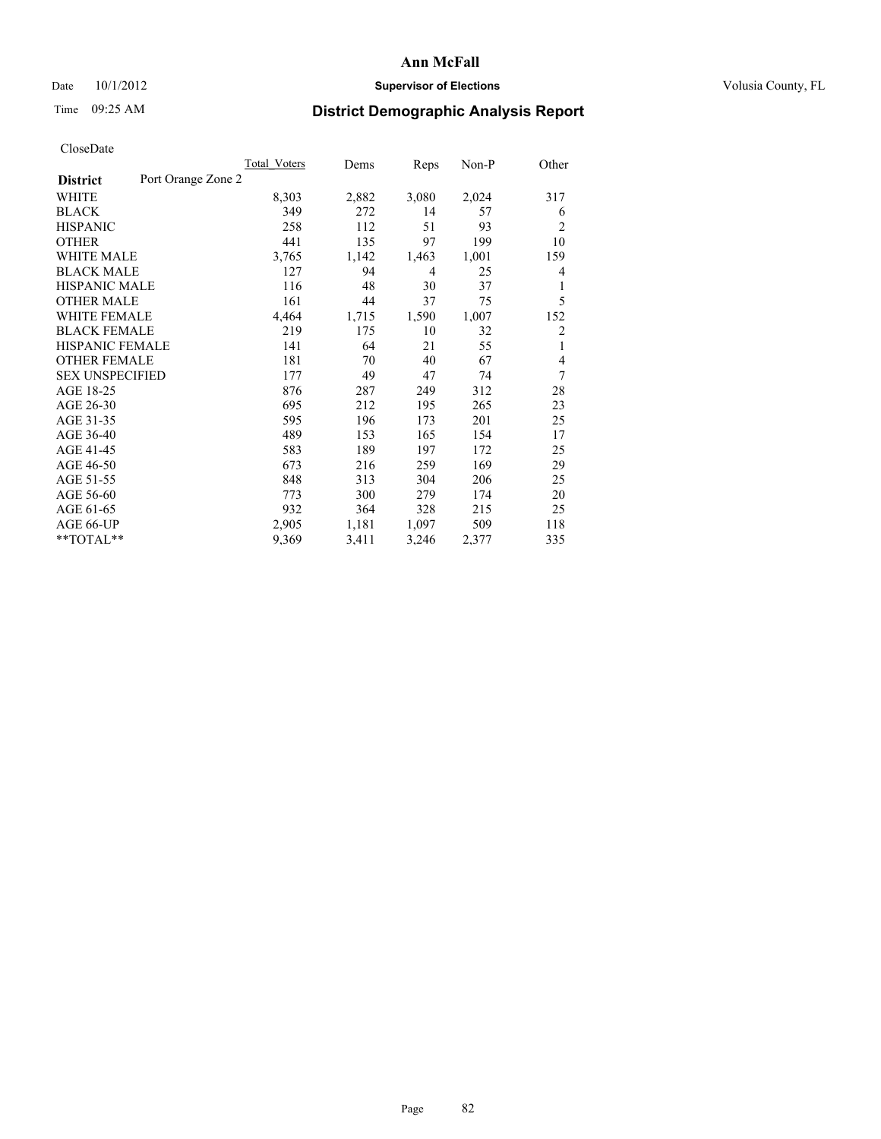## Date  $10/1/2012$  **Supervisor of Elections Supervisor of Elections** Volusia County, FL

## Time 09:25 AM **District Demographic Analysis Report**

|                                       | <b>Total Voters</b> | Dems  | Reps  | Non-P | Other          |
|---------------------------------------|---------------------|-------|-------|-------|----------------|
| Port Orange Zone 2<br><b>District</b> |                     |       |       |       |                |
| WHITE                                 | 8,303               | 2,882 | 3,080 | 2,024 | 317            |
| <b>BLACK</b>                          | 349                 | 272   | 14    | 57    | 6              |
| <b>HISPANIC</b>                       | 258                 | 112   | 51    | 93    | $\overline{2}$ |
| <b>OTHER</b>                          | 441                 | 135   | 97    | 199   | 10             |
| <b>WHITE MALE</b>                     | 3,765               | 1,142 | 1,463 | 1,001 | 159            |
| <b>BLACK MALE</b>                     | 127                 | 94    | 4     | 25    | 4              |
| HISPANIC MALE                         | 116                 | 48    | 30    | 37    | 1              |
| <b>OTHER MALE</b>                     | 161                 | 44    | 37    | 75    | 5              |
| <b>WHITE FEMALE</b>                   | 4,464               | 1,715 | 1,590 | 1,007 | 152            |
| <b>BLACK FEMALE</b>                   | 219                 | 175   | 10    | 32    | $\overline{2}$ |
| <b>HISPANIC FEMALE</b>                | 141                 | 64    | 21    | 55    | 1              |
| <b>OTHER FEMALE</b>                   | 181                 | 70    | 40    | 67    | $\overline{4}$ |
| <b>SEX UNSPECIFIED</b>                | 177                 | 49    | 47    | 74    | 7              |
| AGE 18-25                             | 876                 | 287   | 249   | 312   | 28             |
| AGE 26-30                             | 695                 | 212   | 195   | 265   | 23             |
| AGE 31-35                             | 595                 | 196   | 173   | 201   | 25             |
| AGE 36-40                             | 489                 | 153   | 165   | 154   | 17             |
| AGE 41-45                             | 583                 | 189   | 197   | 172   | 25             |
| AGE 46-50                             | 673                 | 216   | 259   | 169   | 29             |
| AGE 51-55                             | 848                 | 313   | 304   | 206   | 25             |
| AGE 56-60                             | 773                 | 300   | 279   | 174   | 20             |
| AGE 61-65                             | 932                 | 364   | 328   | 215   | 25             |
| AGE 66-UP                             | 2,905               | 1,181 | 1,097 | 509   | 118            |
| **TOTAL**                             | 9,369               | 3,411 | 3,246 | 2,377 | 335            |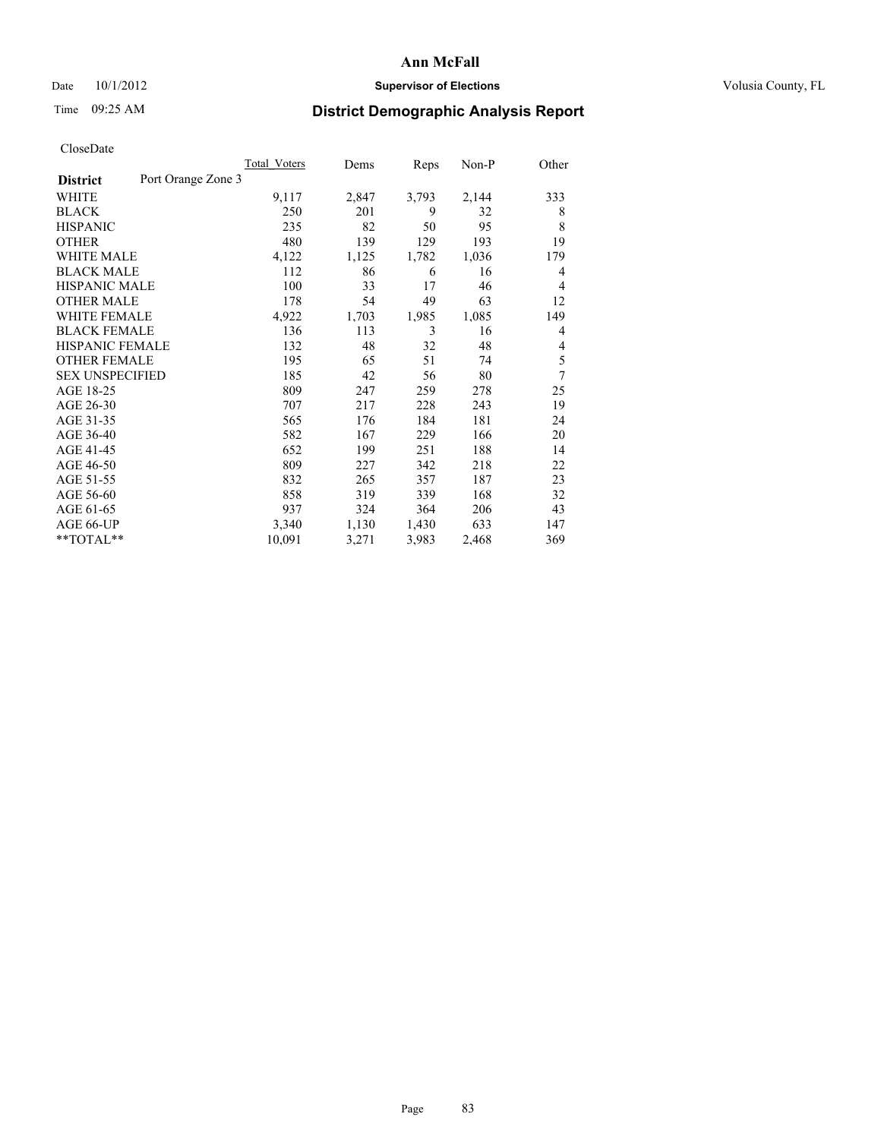## Date  $10/1/2012$  **Supervisor of Elections Supervisor of Elections** Volusia County, FL

## Time 09:25 AM **District Demographic Analysis Report**

|                                       | <b>Total Voters</b> | Dems  | Reps  | Non-P | Other |
|---------------------------------------|---------------------|-------|-------|-------|-------|
| Port Orange Zone 3<br><b>District</b> |                     |       |       |       |       |
| WHITE                                 | 9,117               | 2,847 | 3,793 | 2,144 | 333   |
| <b>BLACK</b>                          | 250                 | 201   | 9     | 32    | 8     |
| <b>HISPANIC</b>                       | 235                 | 82    | 50    | 95    | 8     |
| <b>OTHER</b>                          | 480                 | 139   | 129   | 193   | 19    |
| <b>WHITE MALE</b>                     | 4,122               | 1,125 | 1,782 | 1,036 | 179   |
| <b>BLACK MALE</b>                     | 112                 | 86    | 6     | 16    | 4     |
| HISPANIC MALE                         | 100                 | 33    | 17    | 46    | 4     |
| <b>OTHER MALE</b>                     | 178                 | 54    | 49    | 63    | 12    |
| <b>WHITE FEMALE</b>                   | 4,922               | 1,703 | 1,985 | 1,085 | 149   |
| <b>BLACK FEMALE</b>                   | 136                 | 113   | 3     | 16    | 4     |
| <b>HISPANIC FEMALE</b>                | 132                 | 48    | 32    | 48    | 4     |
| <b>OTHER FEMALE</b>                   | 195                 | 65    | 51    | 74    | 5     |
| <b>SEX UNSPECIFIED</b>                | 185                 | 42    | 56    | 80    | 7     |
| AGE 18-25                             | 809                 | 247   | 259   | 278   | 25    |
| AGE 26-30                             | 707                 | 217   | 228   | 243   | 19    |
| AGE 31-35                             | 565                 | 176   | 184   | 181   | 24    |
| AGE 36-40                             | 582                 | 167   | 229   | 166   | 20    |
| AGE 41-45                             | 652                 | 199   | 251   | 188   | 14    |
| AGE 46-50                             | 809                 | 227   | 342   | 218   | 22    |
| AGE 51-55                             | 832                 | 265   | 357   | 187   | 23    |
| AGE 56-60                             | 858                 | 319   | 339   | 168   | 32    |
| AGE 61-65                             | 937                 | 324   | 364   | 206   | 43    |
| AGE 66-UP                             | 3,340               | 1,130 | 1,430 | 633   | 147   |
| **TOTAL**                             | 10,091              | 3,271 | 3,983 | 2,468 | 369   |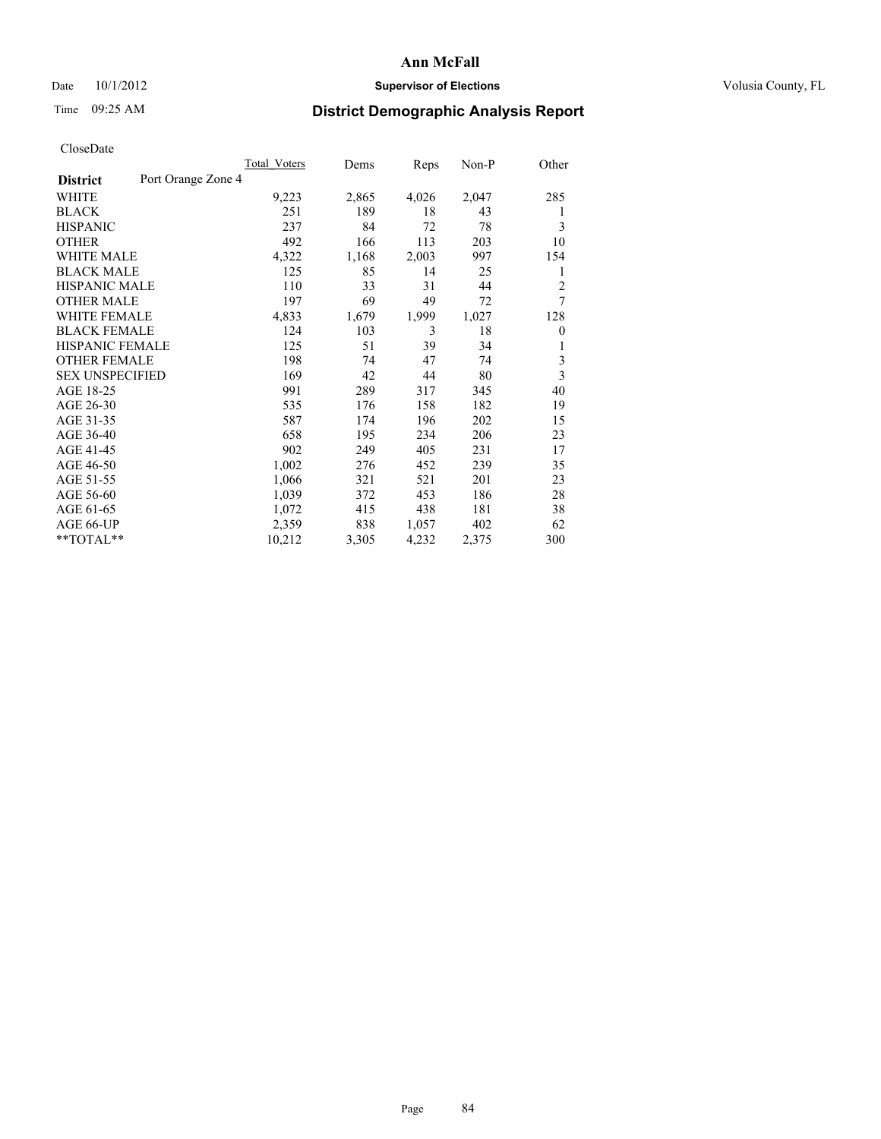## Date  $10/1/2012$  **Supervisor of Elections Supervisor of Elections** Volusia County, FL

## Time 09:25 AM **District Demographic Analysis Report**

|                                       | Total Voters | Dems  | Reps  | Non-P | Other                   |
|---------------------------------------|--------------|-------|-------|-------|-------------------------|
| Port Orange Zone 4<br><b>District</b> |              |       |       |       |                         |
| WHITE                                 | 9,223        | 2,865 | 4,026 | 2,047 | 285                     |
| <b>BLACK</b>                          | 251          | 189   | 18    | 43    | 1                       |
| <b>HISPANIC</b>                       | 237          | 84    | 72    | 78    | 3                       |
| <b>OTHER</b>                          | 492          | 166   | 113   | 203   | 10                      |
| <b>WHITE MALE</b>                     | 4,322        | 1,168 | 2,003 | 997   | 154                     |
| <b>BLACK MALE</b>                     | 125          | 85    | 14    | 25    | 1                       |
| <b>HISPANIC MALE</b>                  | 110          | 33    | 31    | 44    | $\overline{c}$          |
| <b>OTHER MALE</b>                     | 197          | 69    | 49    | 72    | 7                       |
| <b>WHITE FEMALE</b>                   | 4,833        | 1,679 | 1,999 | 1,027 | 128                     |
| <b>BLACK FEMALE</b>                   | 124          | 103   | 3     | 18    | $\mathbf{0}$            |
| HISPANIC FEMALE                       | 125          | 51    | 39    | 34    | 1                       |
| <b>OTHER FEMALE</b>                   | 198          | 74    | 47    | 74    | 3                       |
| <b>SEX UNSPECIFIED</b>                | 169          | 42    | 44    | 80    | $\overline{\mathbf{3}}$ |
| AGE 18-25                             | 991          | 289   | 317   | 345   | 40                      |
| AGE 26-30                             | 535          | 176   | 158   | 182   | 19                      |
| AGE 31-35                             | 587          | 174   | 196   | 202   | 15                      |
| AGE 36-40                             | 658          | 195   | 234   | 206   | 23                      |
| AGE 41-45                             | 902          | 249   | 405   | 231   | 17                      |
| AGE 46-50                             | 1,002        | 276   | 452   | 239   | 35                      |
| AGE 51-55                             | 1,066        | 321   | 521   | 201   | 23                      |
| AGE 56-60                             | 1,039        | 372   | 453   | 186   | 28                      |
| AGE 61-65                             | 1,072        | 415   | 438   | 181   | 38                      |
| AGE 66-UP                             | 2,359        | 838   | 1,057 | 402   | 62                      |
| **TOTAL**                             | 10,212       | 3,305 | 4,232 | 2,375 | 300                     |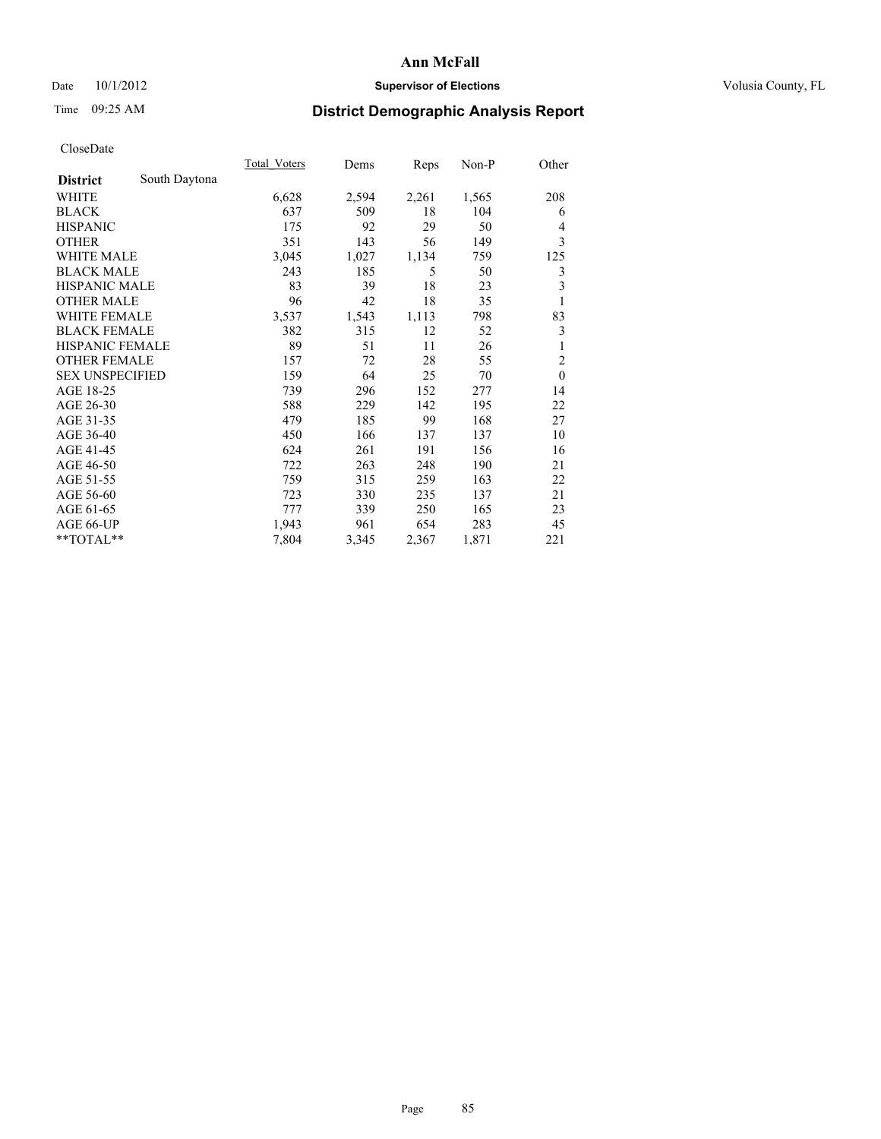## Date 10/1/2012 **Supervisor of Elections Supervisor of Elections** Volusia County, FL

# Time 09:25 AM **District Demographic Analysis Report**

|                        |               | Total Voters | Dems  | Reps  | $Non-P$ | Other                   |
|------------------------|---------------|--------------|-------|-------|---------|-------------------------|
| <b>District</b>        | South Daytona |              |       |       |         |                         |
| WHITE                  |               | 6,628        | 2,594 | 2,261 | 1,565   | 208                     |
| <b>BLACK</b>           |               | 637          | 509   | 18    | 104     | 6                       |
| <b>HISPANIC</b>        |               | 175          | 92    | 29    | 50      | 4                       |
| <b>OTHER</b>           |               | 351          | 143   | 56    | 149     | 3                       |
| WHITE MALE             |               | 3,045        | 1,027 | 1,134 | 759     | 125                     |
| <b>BLACK MALE</b>      |               | 243          | 185   | 5     | 50      | 3                       |
| <b>HISPANIC MALE</b>   |               | 83           | 39    | 18    | 23      | $\overline{\mathbf{3}}$ |
| <b>OTHER MALE</b>      |               | 96           | 42    | 18    | 35      | 1                       |
| <b>WHITE FEMALE</b>    |               | 3,537        | 1,543 | 1,113 | 798     | 83                      |
| <b>BLACK FEMALE</b>    |               | 382          | 315   | 12    | 52      | $\mathfrak{Z}$          |
| <b>HISPANIC FEMALE</b> |               | 89           | 51    | 11    | 26      | 1                       |
| <b>OTHER FEMALE</b>    |               | 157          | 72    | 28    | 55      | $\overline{c}$          |
| <b>SEX UNSPECIFIED</b> |               | 159          | 64    | 25    | 70      | $\mathbf{0}$            |
| AGE 18-25              |               | 739          | 296   | 152   | 277     | 14                      |
| AGE 26-30              |               | 588          | 229   | 142   | 195     | 22                      |
| AGE 31-35              |               | 479          | 185   | 99    | 168     | 27                      |
| AGE 36-40              |               | 450          | 166   | 137   | 137     | 10                      |
| AGE 41-45              |               | 624          | 261   | 191   | 156     | 16                      |
| AGE 46-50              |               | 722          | 263   | 248   | 190     | 21                      |
| AGE 51-55              |               | 759          | 315   | 259   | 163     | 22                      |
| AGE 56-60              |               | 723          | 330   | 235   | 137     | 21                      |
| AGE 61-65              |               | 777          | 339   | 250   | 165     | 23                      |
| AGE 66-UP              |               | 1,943        | 961   | 654   | 283     | 45                      |
| **TOTAL**              |               | 7,804        | 3,345 | 2,367 | 1,871   | 221                     |